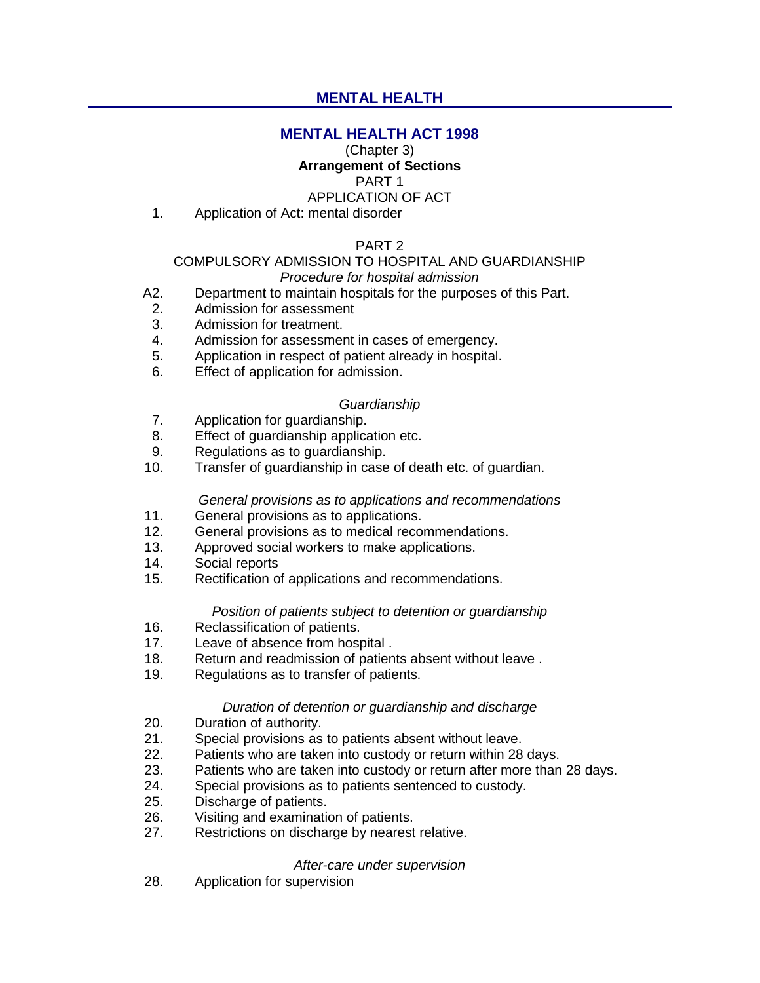# **MENTAL HEALTH**

# **MENTAL HEALTH ACT 1998**

(Chapter 3) **Arrangement of Sections**

PART 1

APPLICATION OF ACT

1. Application of Act: mental disorder

### PART 2

# COMPULSORY ADMISSION TO HOSPITAL AND GUARDIANSHIP

*Procedure for hospital admission*

- A2. Department to maintain hospitals for the purposes of this Part.
- 2. Admission for assessment
- 3. Admission for treatment.
- 4. Admission for assessment in cases of emergency.
- 5. Application in respect of patient already in hospital.
- 6. Effect of application for admission.

#### *Guardianship*

- 7. Application for guardianship.
- 8. Effect of guardianship application etc.<br>9. Regulations as to guardianship.
- Regulations as to guardianship.
- 10. Transfer of guardianship in case of death etc. of guardian.

### *General provisions as to applications and recommendations*

- 11. General provisions as to applications.
- 12. General provisions as to medical recommendations.
- 13. Approved social workers to make applications.
- 14. Social reports
- 15. Rectification of applications and recommendations.

### *Position of patients subject to detention or guardianship*

- 16. Reclassification of patients.
- 17. Leave of absence from hospital .
- 18. Return and readmission of patients absent without leave.<br>19. Regulations as to transfer of patients.
- Regulations as to transfer of patients.

# *Duration of detention or guardianship and discharge*

- 20. Duration of authority.<br>21. Special provisions as
- Special provisions as to patients absent without leave.
- 22. Patients who are taken into custody or return within 28 days.
- 23. Patients who are taken into custody or return after more than 28 days.<br>24. Special provisions as to patients sentenced to custody.
- Special provisions as to patients sentenced to custody.
- 25. Discharge of patients.
- 26. Visiting and examination of patients.
- 27. Restrictions on discharge by nearest relative.

### *After-care under supervision*

28. Application for supervision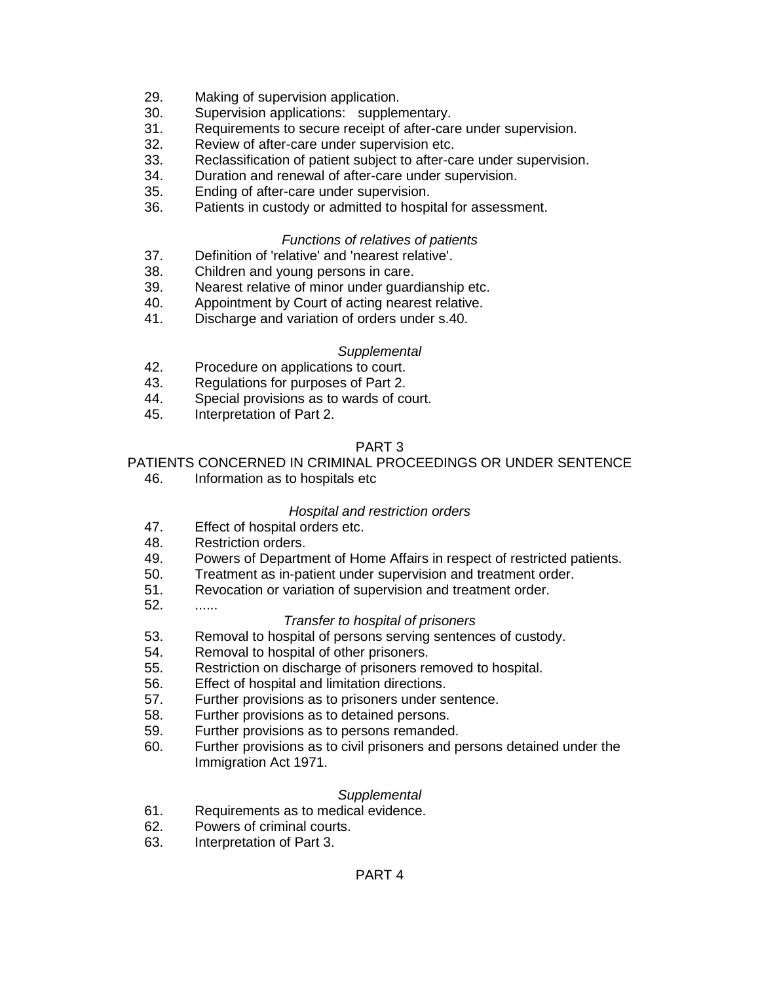- 29. Making of supervision application.<br>30. Supervision applications: suppler
- Supervision applications: supplementary.
- 31. Requirements to secure receipt of after-care under supervision.
- 32. Review of after-care under supervision etc.
- 33. Reclassification of patient subject to after-care under supervision.
- 34. Duration and renewal of after-care under supervision.
- 35. Ending of after-care under supervision.
- 36. Patients in custody or admitted to hospital for assessment.

#### *Functions of relatives of patients*

- 37. Definition of 'relative' and 'nearest relative'.
- 38. Children and young persons in care.<br>39. Nearest relative of minor under quare
- 39. Nearest relative of minor under guardianship etc.<br>40. Appointment by Court of acting nearest relative.
- Appointment by Court of acting nearest relative.
- 41. Discharge and variation of orders under s.40.

### *Supplemental*

- 42. Procedure on applications to court.
- 43. Regulations for purposes of Part 2.
- 44. Special provisions as to wards of court.
- 45. Interpretation of Part 2.

### PART 3

### PATIENTS CONCERNED IN CRIMINAL PROCEEDINGS OR UNDER SENTENCE

46. Information as to hospitals etc

### *Hospital and restriction orders*

- 47. Effect of hospital orders etc.
- 48. Restriction orders.
- 49. Powers of Department of Home Affairs in respect of restricted patients.
- 50. Treatment as in-patient under supervision and treatment order.
- 51. Revocation or variation of supervision and treatment order.
- 52. ......

### *Transfer to hospital of prisoners*

- 53. Removal to hospital of persons serving sentences of custody.
- 54. Removal to hospital of other prisoners.
- 55. Restriction on discharge of prisoners removed to hospital.
- 56. Effect of hospital and limitation directions.
- 57. Further provisions as to prisoners under sentence.
- 58. Further provisions as to detained persons.
- 59. Further provisions as to persons remanded.
- 60. Further provisions as to civil prisoners and persons detained under the Immigration Act 1971.

### *Supplemental*

- 61. Requirements as to medical evidence.
- 62. Powers of criminal courts.
- 63. Interpretation of Part 3.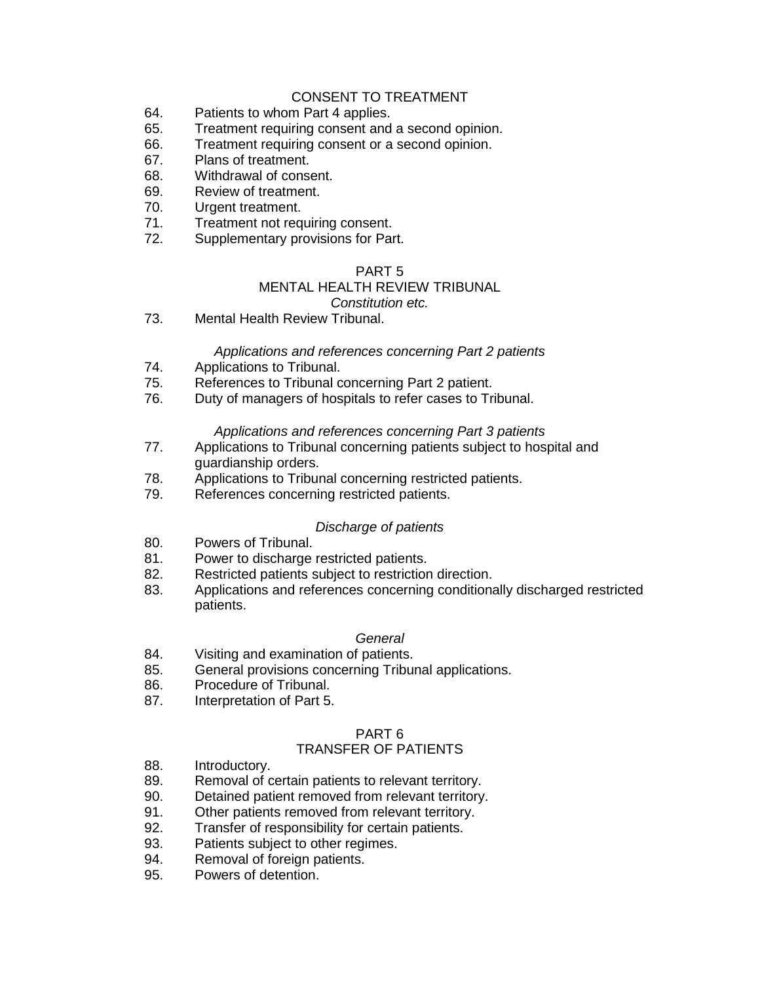### CONSENT TO TREATMENT

- 64. Patients to whom Part 4 applies.
- 65. Treatment requiring consent and a second opinion.
- 66. Treatment requiring consent or a second opinion.
- 67. Plans of treatment.
- 68. Withdrawal of consent.
- 69. Review of treatment.
- 70. Urgent treatment.
- 71. Treatment not requiring consent.<br>72. Supplementary provisions for Par
- Supplementary provisions for Part.

### PART 5

# MENTAL HEALTH REVIEW TRIBUNAL

- *Constitution etc.*
- 73. Mental Health Review Tribunal.

### *Applications and references concerning Part 2 patients*

- 74. Applications to Tribunal.
- 75. References to Tribunal concerning Part 2 patient.
- 76. Duty of managers of hospitals to refer cases to Tribunal.

#### *Applications and references concerning Part 3 patients*

- 77. Applications to Tribunal concerning patients subject to hospital and guardianship orders.
- 78. Applications to Tribunal concerning restricted patients.
- 79. References concerning restricted patients.

#### *Discharge of patients*

- 80. Powers of Tribunal.
- 81. Power to discharge restricted patients.
- 82. Restricted patients subject to restriction direction.
- 83. Applications and references concerning conditionally discharged restricted patients.

#### *General*

- 84. Visiting and examination of patients.<br>85. General provisions concerning Tribu
- General provisions concerning Tribunal applications.
- 86. Procedure of Tribunal.
- 87. Interpretation of Part 5.

#### PART 6

#### TRANSFER OF PATIENTS

- 88. Introductory.
- 89. Removal of certain patients to relevant territory.
- 90. Detained patient removed from relevant territory.
- 91. Other patients removed from relevant territory.
- 92. Transfer of responsibility for certain patients.
- 93. Patients subject to other regimes.<br>94. Removal of foreign patients.
- Removal of foreign patients.
- 95. Powers of detention.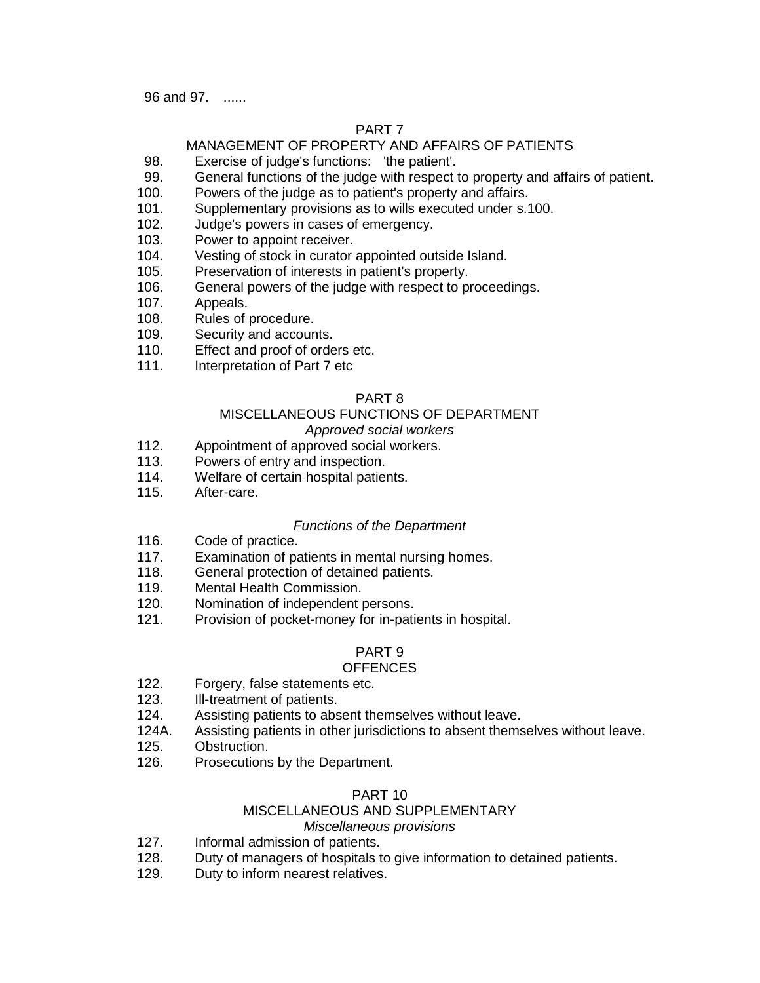96 and 97. ......

# PART 7

### MANAGEMENT OF PROPERTY AND AFFAIRS OF PATIENTS

- 98. Exercise of judge's functions: 'the patient'.
- 99. General functions of the judge with respect to property and affairs of patient.<br>100. Powers of the judge as to patient's property and affairs.
- Powers of the judge as to patient's property and affairs.
- 101. Supplementary provisions as to wills executed under s.100.
- 102. Judge's powers in cases of emergency.
- 103. Power to appoint receiver.
- 104. Vesting of stock in curator appointed outside Island.
- 105. Preservation of interests in patient's property.<br>106. General powers of the judge with respect to pro-
- General powers of the judge with respect to proceedings.
- 107. Appeals.
- 108. Rules of procedure.
- 109. Security and accounts.
- 110. Effect and proof of orders etc.
- 111. Interpretation of Part 7 etc

#### PART 8

### MISCELLANEOUS FUNCTIONS OF DEPARTMENT

### *Approved social workers*

- 112. Appointment of approved social workers.
- 113. Powers of entry and inspection.
- 114. Welfare of certain hospital patients.<br>115. After-care.
- After-care.

#### *Functions of the Department*

- 116. Code of practice.
- 117. Examination of patients in mental nursing homes.
- 118. General protection of detained patients.
- 119. Mental Health Commission.
- 120. Nomination of independent persons.
- 121. Provision of pocket-money for in-patients in hospital.

### PART 9

#### **OFFENCES**

- 122. Forgery, false statements etc.
- 123. Ill-treatment of patients.
- 124. Assisting patients to absent themselves without leave.<br>124A. Assisting patients in other iurisdictions to absent thems
- Assisting patients in other jurisdictions to absent themselves without leave.
- 125. Obstruction.
- 126. Prosecutions by the Department.

#### PART 10

# MISCELLANEOUS AND SUPPLEMENTARY

### *Miscellaneous provisions*

- 127. Informal admission of patients.
- 128. Duty of managers of hospitals to give information to detained patients.
- 129. Duty to inform nearest relatives.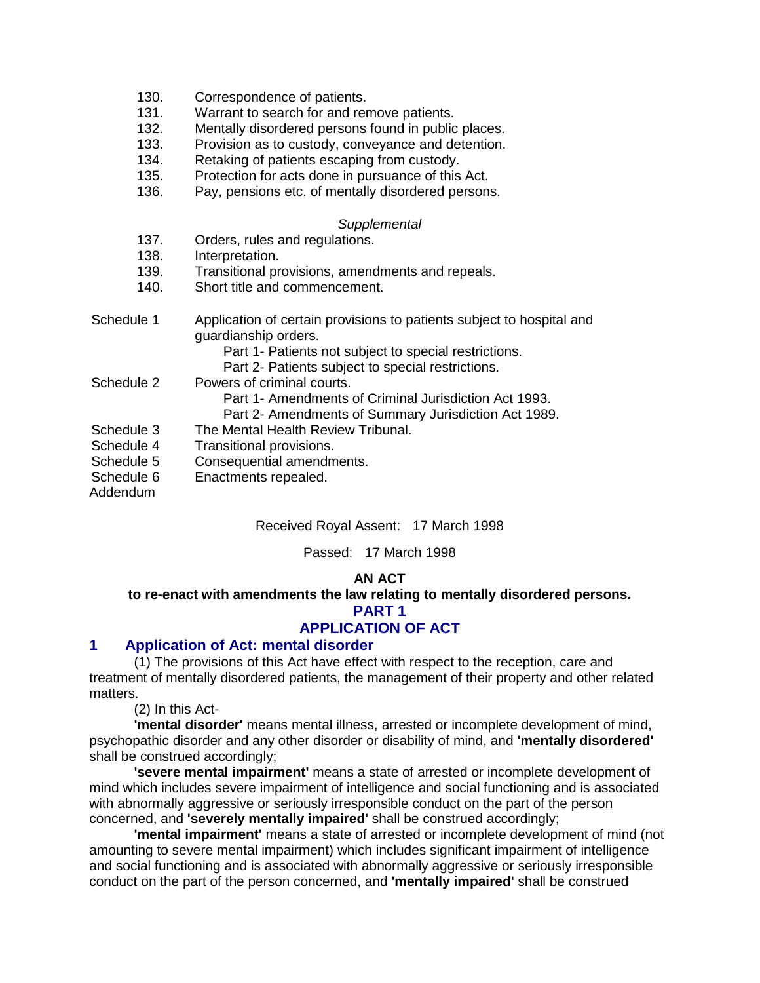- 130. Correspondence of patients.<br>131. Warrant to search for and rer
- Warrant to search for and remove patients.
- 132. Mentally disordered persons found in public places.
- 133. Provision as to custody, conveyance and detention.
- 134. Retaking of patients escaping from custody.
- 135. Protection for acts done in pursuance of this Act.
- 136. Pay, pensions etc. of mentally disordered persons.

#### *Supplemental*

- 137. Orders, rules and regulations.
- 138. Interpretation.
- 139. Transitional provisions, amendments and repeals.<br>140. Short title and commencement.
- Short title and commencement.
- Schedule 1 Application of certain provisions to patients subject to hospital and guardianship orders.

Part 1- Patients not subject to special restrictions.

Part 2- Patients subject to special restrictions.

- Schedule 2 Powers of criminal courts. Part 1- Amendments of Criminal Jurisdiction Act 1993. Part 2- Amendments of Summary Jurisdiction Act 1989.
- Schedule 3 The Mental Health Review Tribunal.
- Schedule 4 Transitional provisions.
- Schedule 5 Consequential amendments.<br>Schedule 6 Fnactments repealed
- Enactments repealed.

Addendum

Received Royal Assent: 17 March 1998

Passed: 17 March 1998

### **AN ACT**

**to re-enact with amendments the law relating to mentally disordered persons. PART 1**

# **APPLICATION OF ACT**

### **1 Application of Act: mental disorder**

(1) The provisions of this Act have effect with respect to the reception, care and treatment of mentally disordered patients, the management of their property and other related matters.

(2) In this Act-

**'mental disorder'** means mental illness, arrested or incomplete development of mind, psychopathic disorder and any other disorder or disability of mind, and **'mentally disordered'** shall be construed accordingly;

**'severe mental impairment'** means a state of arrested or incomplete development of mind which includes severe impairment of intelligence and social functioning and is associated with abnormally aggressive or seriously irresponsible conduct on the part of the person concerned, and **'severely mentally impaired'** shall be construed accordingly;

**'mental impairment'** means a state of arrested or incomplete development of mind (not amounting to severe mental impairment) which includes significant impairment of intelligence and social functioning and is associated with abnormally aggressive or seriously irresponsible conduct on the part of the person concerned, and **'mentally impaired'** shall be construed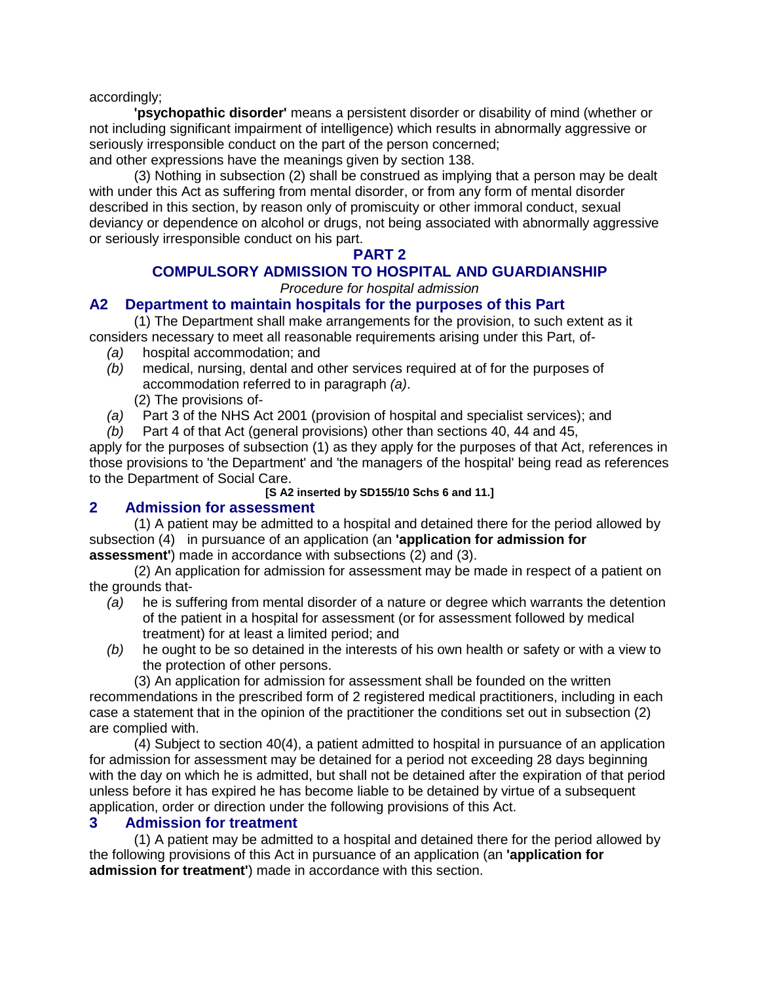accordingly;

**'psychopathic disorder'** means a persistent disorder or disability of mind (whether or not including significant impairment of intelligence) which results in abnormally aggressive or seriously irresponsible conduct on the part of the person concerned;

and other expressions have the meanings given by section 138.

(3) Nothing in subsection (2) shall be construed as implying that a person may be dealt with under this Act as suffering from mental disorder, or from any form of mental disorder described in this section, by reason only of promiscuity or other immoral conduct, sexual deviancy or dependence on alcohol or drugs, not being associated with abnormally aggressive or seriously irresponsible conduct on his part.

# **PART 2**

# **COMPULSORY ADMISSION TO HOSPITAL AND GUARDIANSHIP**

### *Procedure for hospital admission*

# **A2 Department to maintain hospitals for the purposes of this Part**

(1) The Department shall make arrangements for the provision, to such extent as it considers necessary to meet all reasonable requirements arising under this Part, of-

- *(a)* hospital accommodation; and
- *(b)* medical, nursing, dental and other services required at of for the purposes of accommodation referred to in paragraph *(a)*.
	- (2) The provisions of-
- *(a)* Part 3 of the NHS Act 2001 (provision of hospital and specialist services); and
- *(b)* Part 4 of that Act (general provisions) other than sections 40, 44 and 45,

apply for the purposes of subsection (1) as they apply for the purposes of that Act, references in those provisions to 'the Department' and 'the managers of the hospital' being read as references to the Department of Social Care.

**[S A2 inserted by SD155/10 Schs 6 and 11.]**

### **2 Admission for assessment**

(1) A patient may be admitted to a hospital and detained there for the period allowed by subsection (4) in pursuance of an application (an **'application for admission for assessment'**) made in accordance with subsections (2) and (3).

(2) An application for admission for assessment may be made in respect of a patient on the grounds that-

- *(a)* he is suffering from mental disorder of a nature or degree which warrants the detention of the patient in a hospital for assessment (or for assessment followed by medical treatment) for at least a limited period; and
- *(b)* he ought to be so detained in the interests of his own health or safety or with a view to the protection of other persons.

(3) An application for admission for assessment shall be founded on the written recommendations in the prescribed form of 2 registered medical practitioners, including in each case a statement that in the opinion of the practitioner the conditions set out in subsection (2) are complied with.

(4) Subject to section 40(4), a patient admitted to hospital in pursuance of an application for admission for assessment may be detained for a period not exceeding 28 days beginning with the day on which he is admitted, but shall not be detained after the expiration of that period unless before it has expired he has become liable to be detained by virtue of a subsequent application, order or direction under the following provisions of this Act.

### **3 Admission for treatment**

(1) A patient may be admitted to a hospital and detained there for the period allowed by the following provisions of this Act in pursuance of an application (an **'application for admission for treatment'**) made in accordance with this section.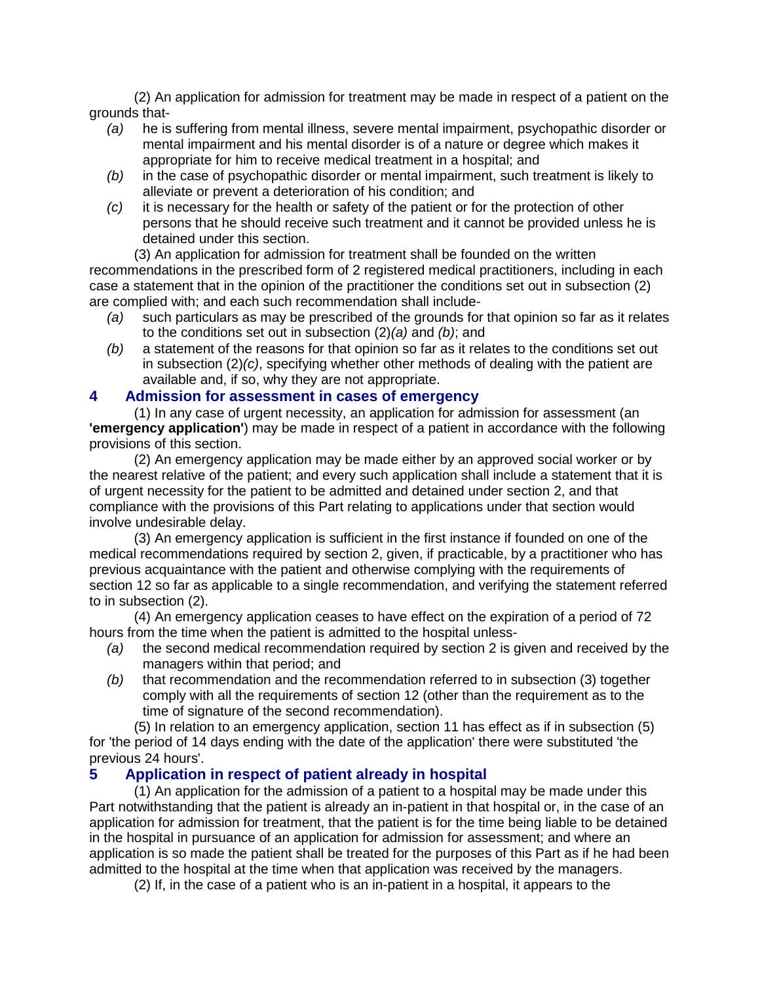(2) An application for admission for treatment may be made in respect of a patient on the grounds that-

- *(a)* he is suffering from mental illness, severe mental impairment, psychopathic disorder or mental impairment and his mental disorder is of a nature or degree which makes it appropriate for him to receive medical treatment in a hospital; and
- *(b)* in the case of psychopathic disorder or mental impairment, such treatment is likely to alleviate or prevent a deterioration of his condition; and
- *(c)* it is necessary for the health or safety of the patient or for the protection of other persons that he should receive such treatment and it cannot be provided unless he is detained under this section.

(3) An application for admission for treatment shall be founded on the written recommendations in the prescribed form of 2 registered medical practitioners, including in each case a statement that in the opinion of the practitioner the conditions set out in subsection (2) are complied with; and each such recommendation shall include-

- *(a)* such particulars as may be prescribed of the grounds for that opinion so far as it relates to the conditions set out in subsection (2)*(a)* and *(b)*; and
- *(b)* a statement of the reasons for that opinion so far as it relates to the conditions set out in subsection (2)*(c)*, specifying whether other methods of dealing with the patient are available and, if so, why they are not appropriate.

### **4 Admission for assessment in cases of emergency**

(1) In any case of urgent necessity, an application for admission for assessment (an **'emergency application'**) may be made in respect of a patient in accordance with the following provisions of this section.

(2) An emergency application may be made either by an approved social worker or by the nearest relative of the patient; and every such application shall include a statement that it is of urgent necessity for the patient to be admitted and detained under section 2, and that compliance with the provisions of this Part relating to applications under that section would involve undesirable delay.

(3) An emergency application is sufficient in the first instance if founded on one of the medical recommendations required by section 2, given, if practicable, by a practitioner who has previous acquaintance with the patient and otherwise complying with the requirements of section 12 so far as applicable to a single recommendation, and verifying the statement referred to in subsection (2).

(4) An emergency application ceases to have effect on the expiration of a period of 72 hours from the time when the patient is admitted to the hospital unless-

- *(a)* the second medical recommendation required by section 2 is given and received by the managers within that period; and
- *(b)* that recommendation and the recommendation referred to in subsection (3) together comply with all the requirements of section 12 (other than the requirement as to the time of signature of the second recommendation).

(5) In relation to an emergency application, section 11 has effect as if in subsection (5) for 'the period of 14 days ending with the date of the application' there were substituted 'the previous 24 hours'.

# **5 Application in respect of patient already in hospital**

(1) An application for the admission of a patient to a hospital may be made under this Part notwithstanding that the patient is already an in-patient in that hospital or, in the case of an application for admission for treatment, that the patient is for the time being liable to be detained in the hospital in pursuance of an application for admission for assessment; and where an application is so made the patient shall be treated for the purposes of this Part as if he had been admitted to the hospital at the time when that application was received by the managers.

(2) If, in the case of a patient who is an in-patient in a hospital, it appears to the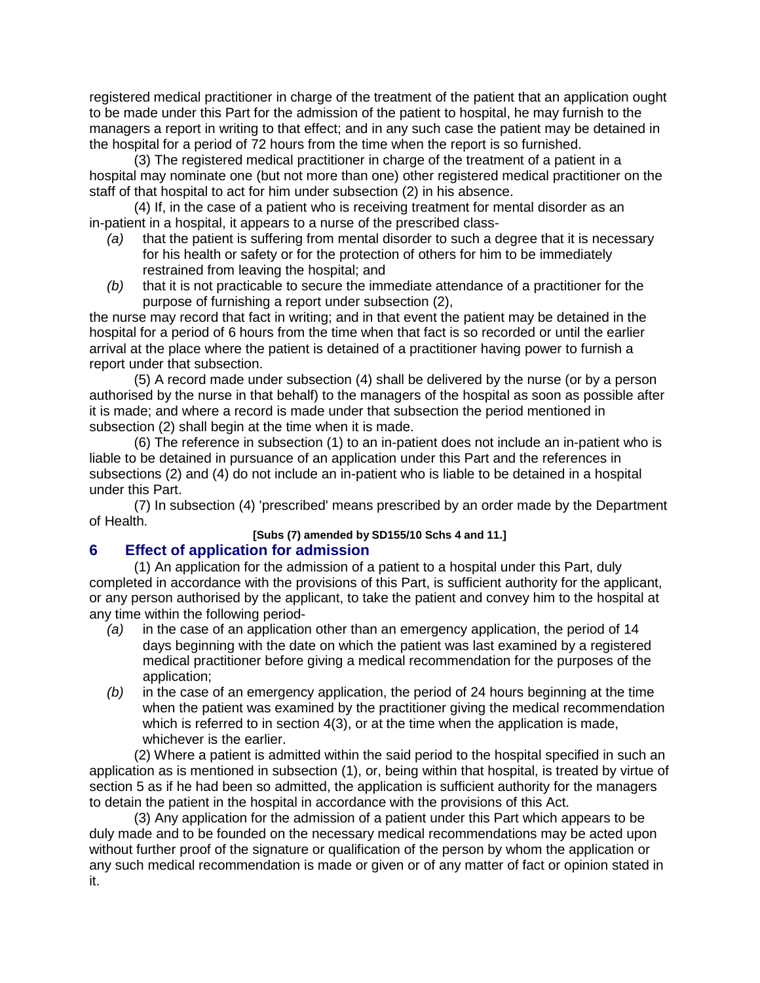registered medical practitioner in charge of the treatment of the patient that an application ought to be made under this Part for the admission of the patient to hospital, he may furnish to the managers a report in writing to that effect; and in any such case the patient may be detained in the hospital for a period of 72 hours from the time when the report is so furnished.

(3) The registered medical practitioner in charge of the treatment of a patient in a hospital may nominate one (but not more than one) other registered medical practitioner on the staff of that hospital to act for him under subsection (2) in his absence.

(4) If, in the case of a patient who is receiving treatment for mental disorder as an in-patient in a hospital, it appears to a nurse of the prescribed class-

- *(a)* that the patient is suffering from mental disorder to such a degree that it is necessary for his health or safety or for the protection of others for him to be immediately restrained from leaving the hospital; and
- *(b)* that it is not practicable to secure the immediate attendance of a practitioner for the purpose of furnishing a report under subsection (2),

the nurse may record that fact in writing; and in that event the patient may be detained in the hospital for a period of 6 hours from the time when that fact is so recorded or until the earlier arrival at the place where the patient is detained of a practitioner having power to furnish a report under that subsection.

(5) A record made under subsection (4) shall be delivered by the nurse (or by a person authorised by the nurse in that behalf) to the managers of the hospital as soon as possible after it is made; and where a record is made under that subsection the period mentioned in subsection (2) shall begin at the time when it is made.

(6) The reference in subsection (1) to an in-patient does not include an in-patient who is liable to be detained in pursuance of an application under this Part and the references in subsections (2) and (4) do not include an in-patient who is liable to be detained in a hospital under this Part.

(7) In subsection (4) 'prescribed' means prescribed by an order made by the Department of Health.

#### **[Subs (7) amended by SD155/10 Schs 4 and 11.]**

### **6 Effect of application for admission**

(1) An application for the admission of a patient to a hospital under this Part, duly completed in accordance with the provisions of this Part, is sufficient authority for the applicant, or any person authorised by the applicant, to take the patient and convey him to the hospital at any time within the following period-

- *(a)* in the case of an application other than an emergency application, the period of 14 days beginning with the date on which the patient was last examined by a registered medical practitioner before giving a medical recommendation for the purposes of the application;
- *(b)* in the case of an emergency application, the period of 24 hours beginning at the time when the patient was examined by the practitioner giving the medical recommendation which is referred to in section 4(3), or at the time when the application is made, whichever is the earlier.

(2) Where a patient is admitted within the said period to the hospital specified in such an application as is mentioned in subsection (1), or, being within that hospital, is treated by virtue of section 5 as if he had been so admitted, the application is sufficient authority for the managers to detain the patient in the hospital in accordance with the provisions of this Act.

(3) Any application for the admission of a patient under this Part which appears to be duly made and to be founded on the necessary medical recommendations may be acted upon without further proof of the signature or qualification of the person by whom the application or any such medical recommendation is made or given or of any matter of fact or opinion stated in it.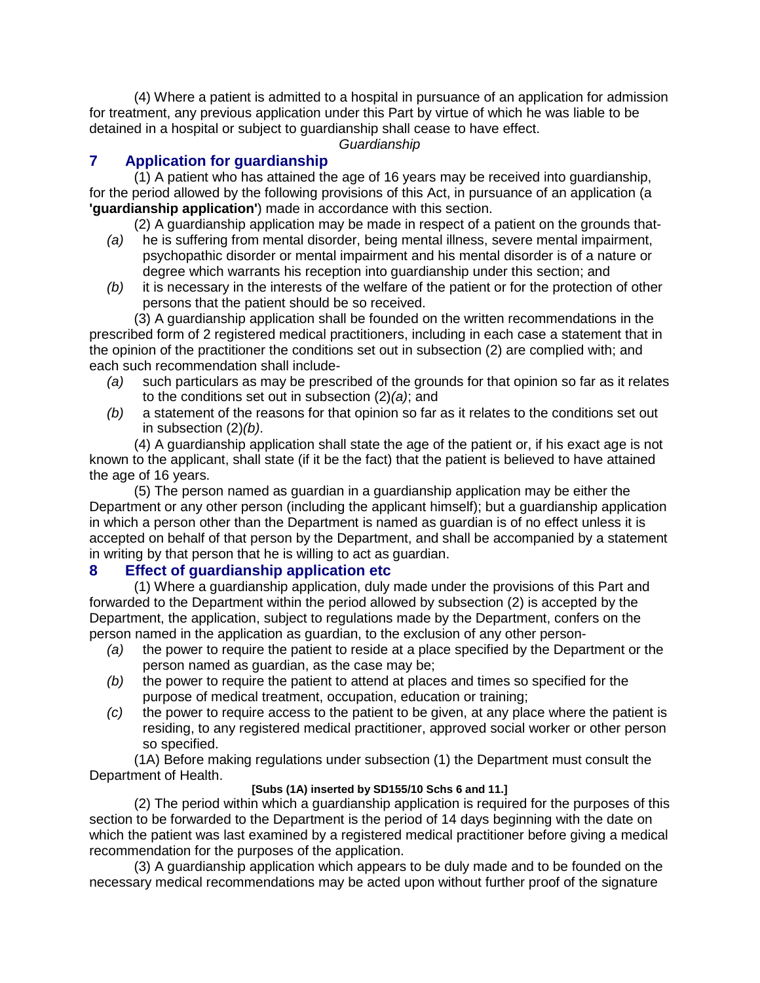(4) Where a patient is admitted to a hospital in pursuance of an application for admission for treatment, any previous application under this Part by virtue of which he was liable to be detained in a hospital or subject to guardianship shall cease to have effect.

*Guardianship*

# **7 Application for guardianship**

(1) A patient who has attained the age of 16 years may be received into guardianship, for the period allowed by the following provisions of this Act, in pursuance of an application (a **'guardianship application'**) made in accordance with this section.

(2) A guardianship application may be made in respect of a patient on the grounds that-

- *(a)* he is suffering from mental disorder, being mental illness, severe mental impairment, psychopathic disorder or mental impairment and his mental disorder is of a nature or degree which warrants his reception into guardianship under this section; and
- *(b)* it is necessary in the interests of the welfare of the patient or for the protection of other persons that the patient should be so received.

(3) A guardianship application shall be founded on the written recommendations in the prescribed form of 2 registered medical practitioners, including in each case a statement that in the opinion of the practitioner the conditions set out in subsection (2) are complied with; and each such recommendation shall include-

- *(a)* such particulars as may be prescribed of the grounds for that opinion so far as it relates to the conditions set out in subsection (2)*(a)*; and
- *(b)* a statement of the reasons for that opinion so far as it relates to the conditions set out in subsection (2)*(b)*.

(4) A guardianship application shall state the age of the patient or, if his exact age is not known to the applicant, shall state (if it be the fact) that the patient is believed to have attained the age of 16 years.

(5) The person named as guardian in a guardianship application may be either the Department or any other person (including the applicant himself); but a guardianship application in which a person other than the Department is named as guardian is of no effect unless it is accepted on behalf of that person by the Department, and shall be accompanied by a statement in writing by that person that he is willing to act as guardian.

# **8 Effect of guardianship application etc**

(1) Where a guardianship application, duly made under the provisions of this Part and forwarded to the Department within the period allowed by subsection (2) is accepted by the Department, the application, subject to regulations made by the Department, confers on the person named in the application as guardian, to the exclusion of any other person-

- *(a)* the power to require the patient to reside at a place specified by the Department or the person named as guardian, as the case may be;
- *(b)* the power to require the patient to attend at places and times so specified for the purpose of medical treatment, occupation, education or training;
- *(c)* the power to require access to the patient to be given, at any place where the patient is residing, to any registered medical practitioner, approved social worker or other person so specified.

(1A) Before making regulations under subsection (1) the Department must consult the Department of Health.

#### **[Subs (1A) inserted by SD155/10 Schs 6 and 11.]**

(2) The period within which a guardianship application is required for the purposes of this section to be forwarded to the Department is the period of 14 days beginning with the date on which the patient was last examined by a registered medical practitioner before giving a medical recommendation for the purposes of the application.

(3) A guardianship application which appears to be duly made and to be founded on the necessary medical recommendations may be acted upon without further proof of the signature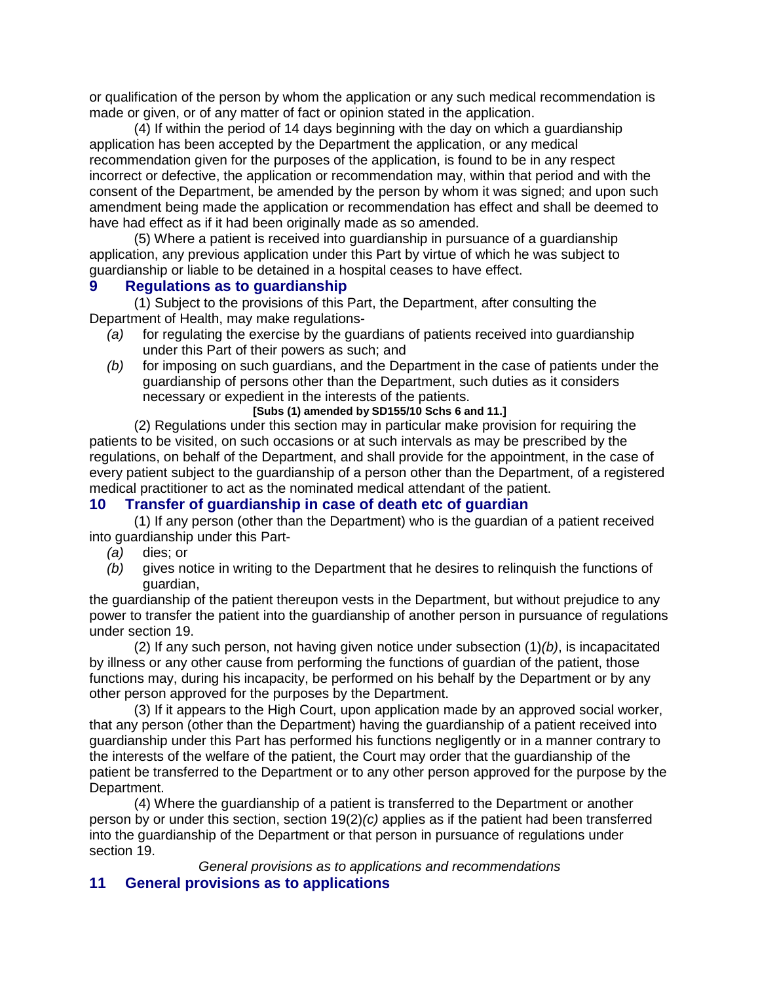or qualification of the person by whom the application or any such medical recommendation is made or given, or of any matter of fact or opinion stated in the application.

(4) If within the period of 14 days beginning with the day on which a guardianship application has been accepted by the Department the application, or any medical recommendation given for the purposes of the application, is found to be in any respect incorrect or defective, the application or recommendation may, within that period and with the consent of the Department, be amended by the person by whom it was signed; and upon such amendment being made the application or recommendation has effect and shall be deemed to have had effect as if it had been originally made as so amended.

(5) Where a patient is received into guardianship in pursuance of a guardianship application, any previous application under this Part by virtue of which he was subject to guardianship or liable to be detained in a hospital ceases to have effect.

### **9 Regulations as to guardianship**

(1) Subject to the provisions of this Part, the Department, after consulting the Department of Health, may make regulations-

- *(a)* for regulating the exercise by the guardians of patients received into guardianship under this Part of their powers as such; and
- *(b)* for imposing on such guardians, and the Department in the case of patients under the guardianship of persons other than the Department, such duties as it considers necessary or expedient in the interests of the patients.

**[Subs (1) amended by SD155/10 Schs 6 and 11.]**

(2) Regulations under this section may in particular make provision for requiring the patients to be visited, on such occasions or at such intervals as may be prescribed by the regulations, on behalf of the Department, and shall provide for the appointment, in the case of every patient subject to the guardianship of a person other than the Department, of a registered medical practitioner to act as the nominated medical attendant of the patient.

# **10 Transfer of guardianship in case of death etc of guardian**

(1) If any person (other than the Department) who is the guardian of a patient received into guardianship under this Part-

- *(a)* dies; or
- *(b)* gives notice in writing to the Department that he desires to relinquish the functions of guardian,

the guardianship of the patient thereupon vests in the Department, but without prejudice to any power to transfer the patient into the guardianship of another person in pursuance of regulations under section 19.

(2) If any such person, not having given notice under subsection (1)*(b)*, is incapacitated by illness or any other cause from performing the functions of guardian of the patient, those functions may, during his incapacity, be performed on his behalf by the Department or by any other person approved for the purposes by the Department.

(3) If it appears to the High Court, upon application made by an approved social worker, that any person (other than the Department) having the guardianship of a patient received into guardianship under this Part has performed his functions negligently or in a manner contrary to the interests of the welfare of the patient, the Court may order that the guardianship of the patient be transferred to the Department or to any other person approved for the purpose by the Department.

(4) Where the guardianship of a patient is transferred to the Department or another person by or under this section, section 19(2)*(c)* applies as if the patient had been transferred into the guardianship of the Department or that person in pursuance of regulations under section 19.

*General provisions as to applications and recommendations* **11 General provisions as to applications**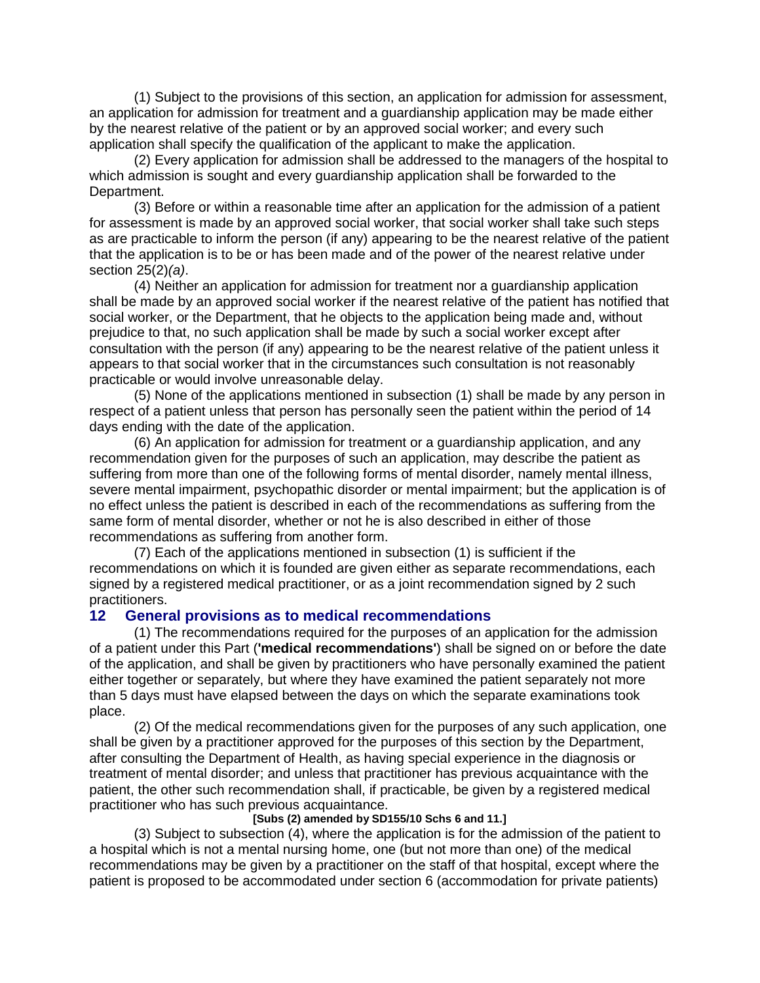(1) Subject to the provisions of this section, an application for admission for assessment, an application for admission for treatment and a guardianship application may be made either by the nearest relative of the patient or by an approved social worker; and every such application shall specify the qualification of the applicant to make the application.

(2) Every application for admission shall be addressed to the managers of the hospital to which admission is sought and every guardianship application shall be forwarded to the Department.

(3) Before or within a reasonable time after an application for the admission of a patient for assessment is made by an approved social worker, that social worker shall take such steps as are practicable to inform the person (if any) appearing to be the nearest relative of the patient that the application is to be or has been made and of the power of the nearest relative under section 25(2)*(a)*.

(4) Neither an application for admission for treatment nor a guardianship application shall be made by an approved social worker if the nearest relative of the patient has notified that social worker, or the Department, that he objects to the application being made and, without prejudice to that, no such application shall be made by such a social worker except after consultation with the person (if any) appearing to be the nearest relative of the patient unless it appears to that social worker that in the circumstances such consultation is not reasonably practicable or would involve unreasonable delay.

(5) None of the applications mentioned in subsection (1) shall be made by any person in respect of a patient unless that person has personally seen the patient within the period of 14 days ending with the date of the application.

(6) An application for admission for treatment or a guardianship application, and any recommendation given for the purposes of such an application, may describe the patient as suffering from more than one of the following forms of mental disorder, namely mental illness, severe mental impairment, psychopathic disorder or mental impairment; but the application is of no effect unless the patient is described in each of the recommendations as suffering from the same form of mental disorder, whether or not he is also described in either of those recommendations as suffering from another form.

(7) Each of the applications mentioned in subsection (1) is sufficient if the recommendations on which it is founded are given either as separate recommendations, each signed by a registered medical practitioner, or as a joint recommendation signed by 2 such practitioners.

#### **12 General provisions as to medical recommendations**

(1) The recommendations required for the purposes of an application for the admission of a patient under this Part (**'medical recommendations'**) shall be signed on or before the date of the application, and shall be given by practitioners who have personally examined the patient either together or separately, but where they have examined the patient separately not more than 5 days must have elapsed between the days on which the separate examinations took place.

(2) Of the medical recommendations given for the purposes of any such application, one shall be given by a practitioner approved for the purposes of this section by the Department, after consulting the Department of Health, as having special experience in the diagnosis or treatment of mental disorder; and unless that practitioner has previous acquaintance with the patient, the other such recommendation shall, if practicable, be given by a registered medical practitioner who has such previous acquaintance.

#### **[Subs (2) amended by SD155/10 Schs 6 and 11.]**

(3) Subject to subsection (4), where the application is for the admission of the patient to a hospital which is not a mental nursing home, one (but not more than one) of the medical recommendations may be given by a practitioner on the staff of that hospital, except where the patient is proposed to be accommodated under section 6 (accommodation for private patients)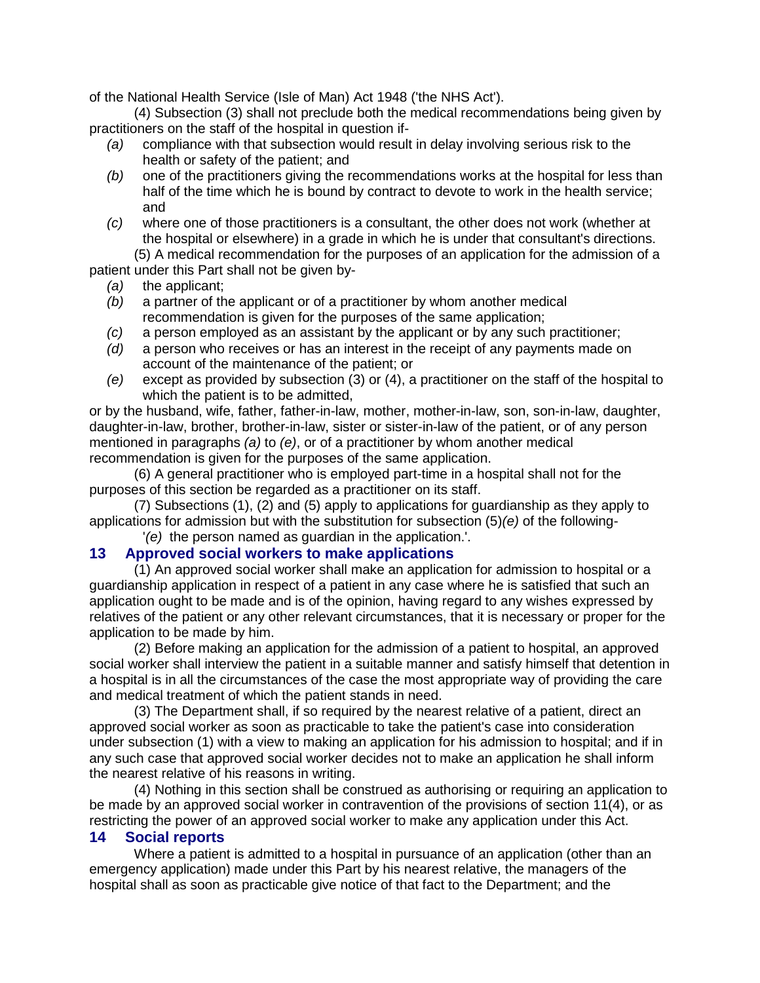of the National Health Service (Isle of Man) Act 1948 ('the NHS Act').

(4) Subsection (3) shall not preclude both the medical recommendations being given by practitioners on the staff of the hospital in question if-

- *(a)* compliance with that subsection would result in delay involving serious risk to the health or safety of the patient; and
- *(b)* one of the practitioners giving the recommendations works at the hospital for less than half of the time which he is bound by contract to devote to work in the health service; and
- *(c)* where one of those practitioners is a consultant, the other does not work (whether at the hospital or elsewhere) in a grade in which he is under that consultant's directions.

(5) A medical recommendation for the purposes of an application for the admission of a patient under this Part shall not be given by-

- *(a)* the applicant;
- *(b)* a partner of the applicant or of a practitioner by whom another medical recommendation is given for the purposes of the same application;
- *(c)* a person employed as an assistant by the applicant or by any such practitioner;
- *(d)* a person who receives or has an interest in the receipt of any payments made on account of the maintenance of the patient; or
- *(e)* except as provided by subsection (3) or (4), a practitioner on the staff of the hospital to which the patient is to be admitted,

or by the husband, wife, father, father-in-law, mother, mother-in-law, son, son-in-law, daughter, daughter-in-law, brother, brother-in-law, sister or sister-in-law of the patient, or of any person mentioned in paragraphs *(a)* to *(e)*, or of a practitioner by whom another medical recommendation is given for the purposes of the same application.

(6) A general practitioner who is employed part-time in a hospital shall not for the purposes of this section be regarded as a practitioner on its staff.

(7) Subsections (1), (2) and (5) apply to applications for guardianship as they apply to applications for admission but with the substitution for subsection (5)*(e)* of the following-

'*(e)* the person named as guardian in the application.'.

### **13 Approved social workers to make applications**

(1) An approved social worker shall make an application for admission to hospital or a guardianship application in respect of a patient in any case where he is satisfied that such an application ought to be made and is of the opinion, having regard to any wishes expressed by relatives of the patient or any other relevant circumstances, that it is necessary or proper for the application to be made by him.

(2) Before making an application for the admission of a patient to hospital, an approved social worker shall interview the patient in a suitable manner and satisfy himself that detention in a hospital is in all the circumstances of the case the most appropriate way of providing the care and medical treatment of which the patient stands in need.

(3) The Department shall, if so required by the nearest relative of a patient, direct an approved social worker as soon as practicable to take the patient's case into consideration under subsection (1) with a view to making an application for his admission to hospital; and if in any such case that approved social worker decides not to make an application he shall inform the nearest relative of his reasons in writing.

(4) Nothing in this section shall be construed as authorising or requiring an application to be made by an approved social worker in contravention of the provisions of section 11(4), or as restricting the power of an approved social worker to make any application under this Act.

### **14 Social reports**

Where a patient is admitted to a hospital in pursuance of an application (other than an emergency application) made under this Part by his nearest relative, the managers of the hospital shall as soon as practicable give notice of that fact to the Department; and the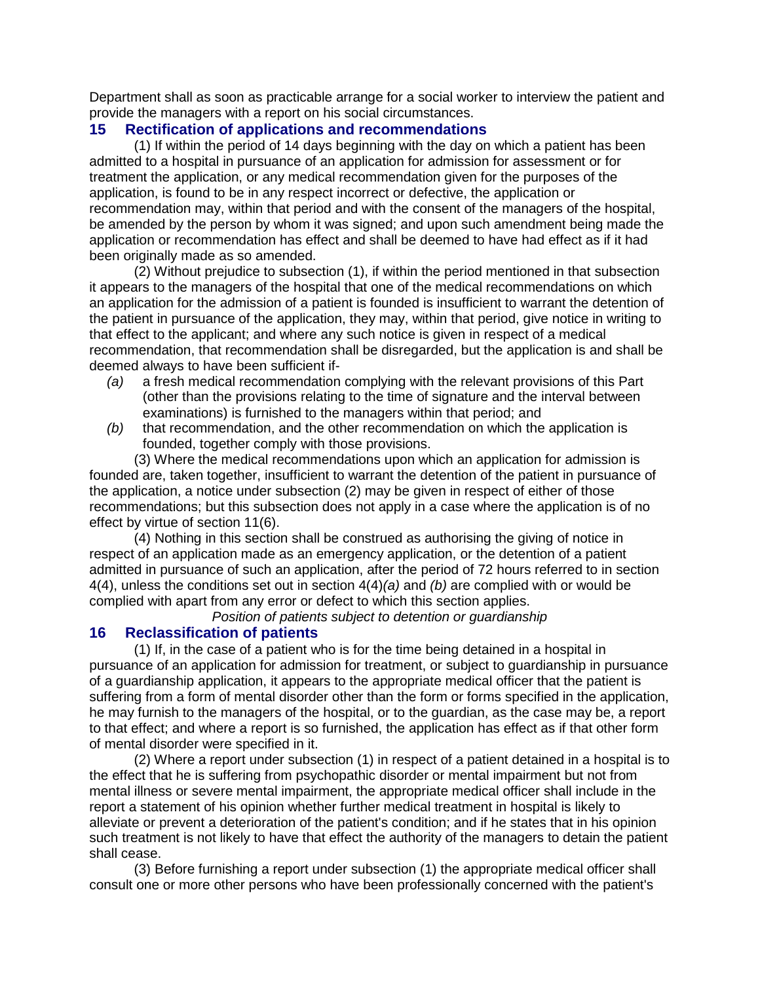Department shall as soon as practicable arrange for a social worker to interview the patient and provide the managers with a report on his social circumstances.

### **15 Rectification of applications and recommendations**

(1) If within the period of 14 days beginning with the day on which a patient has been admitted to a hospital in pursuance of an application for admission for assessment or for treatment the application, or any medical recommendation given for the purposes of the application, is found to be in any respect incorrect or defective, the application or recommendation may, within that period and with the consent of the managers of the hospital, be amended by the person by whom it was signed; and upon such amendment being made the application or recommendation has effect and shall be deemed to have had effect as if it had been originally made as so amended.

(2) Without prejudice to subsection (1), if within the period mentioned in that subsection it appears to the managers of the hospital that one of the medical recommendations on which an application for the admission of a patient is founded is insufficient to warrant the detention of the patient in pursuance of the application, they may, within that period, give notice in writing to that effect to the applicant; and where any such notice is given in respect of a medical recommendation, that recommendation shall be disregarded, but the application is and shall be deemed always to have been sufficient if-

- *(a)* a fresh medical recommendation complying with the relevant provisions of this Part (other than the provisions relating to the time of signature and the interval between examinations) is furnished to the managers within that period; and
- *(b)* that recommendation, and the other recommendation on which the application is founded, together comply with those provisions.

(3) Where the medical recommendations upon which an application for admission is founded are, taken together, insufficient to warrant the detention of the patient in pursuance of the application, a notice under subsection (2) may be given in respect of either of those recommendations; but this subsection does not apply in a case where the application is of no effect by virtue of section 11(6).

(4) Nothing in this section shall be construed as authorising the giving of notice in respect of an application made as an emergency application, or the detention of a patient admitted in pursuance of such an application, after the period of 72 hours referred to in section 4(4), unless the conditions set out in section 4(4)*(a)* and *(b)* are complied with or would be complied with apart from any error or defect to which this section applies.

*Position of patients subject to detention or guardianship*

### **16 Reclassification of patients**

(1) If, in the case of a patient who is for the time being detained in a hospital in pursuance of an application for admission for treatment, or subject to guardianship in pursuance of a guardianship application, it appears to the appropriate medical officer that the patient is suffering from a form of mental disorder other than the form or forms specified in the application, he may furnish to the managers of the hospital, or to the guardian, as the case may be, a report to that effect; and where a report is so furnished, the application has effect as if that other form of mental disorder were specified in it.

(2) Where a report under subsection (1) in respect of a patient detained in a hospital is to the effect that he is suffering from psychopathic disorder or mental impairment but not from mental illness or severe mental impairment, the appropriate medical officer shall include in the report a statement of his opinion whether further medical treatment in hospital is likely to alleviate or prevent a deterioration of the patient's condition; and if he states that in his opinion such treatment is not likely to have that effect the authority of the managers to detain the patient shall cease.

(3) Before furnishing a report under subsection (1) the appropriate medical officer shall consult one or more other persons who have been professionally concerned with the patient's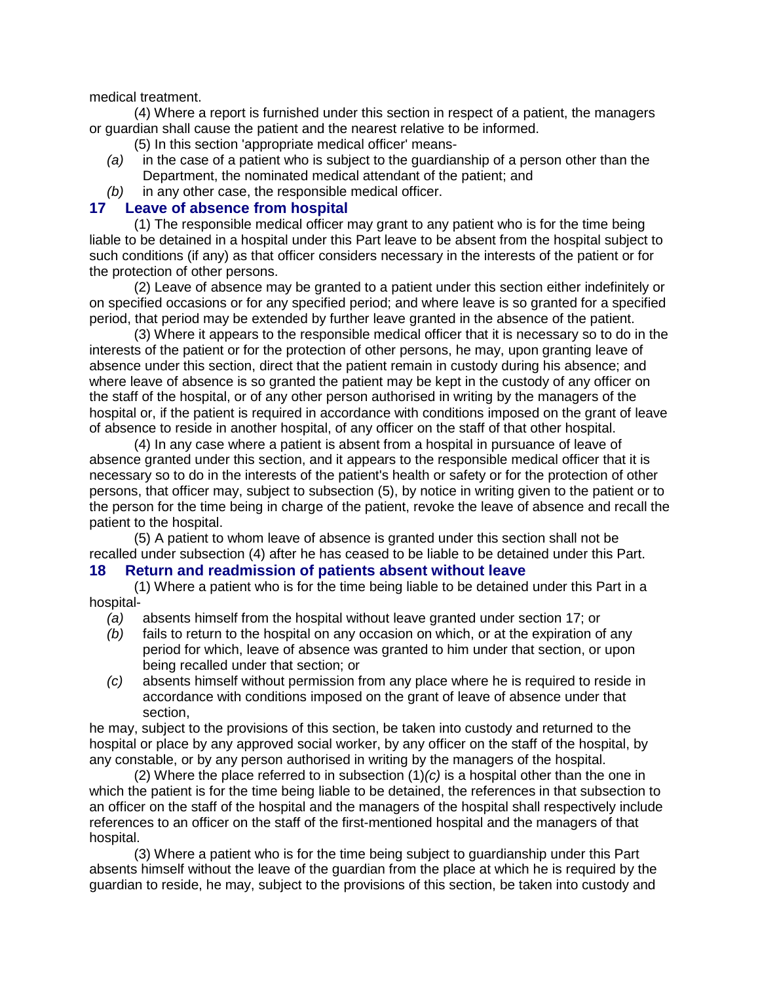medical treatment.

(4) Where a report is furnished under this section in respect of a patient, the managers or guardian shall cause the patient and the nearest relative to be informed.

- (5) In this section 'appropriate medical officer' means-
- *(a)* in the case of a patient who is subject to the guardianship of a person other than the Department, the nominated medical attendant of the patient; and
- *(b)* in any other case, the responsible medical officer.

### **17 Leave of absence from hospital**

(1) The responsible medical officer may grant to any patient who is for the time being liable to be detained in a hospital under this Part leave to be absent from the hospital subject to such conditions (if any) as that officer considers necessary in the interests of the patient or for the protection of other persons.

(2) Leave of absence may be granted to a patient under this section either indefinitely or on specified occasions or for any specified period; and where leave is so granted for a specified period, that period may be extended by further leave granted in the absence of the patient.

(3) Where it appears to the responsible medical officer that it is necessary so to do in the interests of the patient or for the protection of other persons, he may, upon granting leave of absence under this section, direct that the patient remain in custody during his absence; and where leave of absence is so granted the patient may be kept in the custody of any officer on the staff of the hospital, or of any other person authorised in writing by the managers of the hospital or, if the patient is required in accordance with conditions imposed on the grant of leave of absence to reside in another hospital, of any officer on the staff of that other hospital.

(4) In any case where a patient is absent from a hospital in pursuance of leave of absence granted under this section, and it appears to the responsible medical officer that it is necessary so to do in the interests of the patient's health or safety or for the protection of other persons, that officer may, subject to subsection (5), by notice in writing given to the patient or to the person for the time being in charge of the patient, revoke the leave of absence and recall the patient to the hospital.

(5) A patient to whom leave of absence is granted under this section shall not be recalled under subsection (4) after he has ceased to be liable to be detained under this Part.

### **18 Return and readmission of patients absent without leave**

(1) Where a patient who is for the time being liable to be detained under this Part in a hospital-

- *(a)* absents himself from the hospital without leave granted under section 17; or
- *(b)* fails to return to the hospital on any occasion on which, or at the expiration of any period for which, leave of absence was granted to him under that section, or upon being recalled under that section; or
- *(c)* absents himself without permission from any place where he is required to reside in accordance with conditions imposed on the grant of leave of absence under that section,

he may, subject to the provisions of this section, be taken into custody and returned to the hospital or place by any approved social worker, by any officer on the staff of the hospital, by any constable, or by any person authorised in writing by the managers of the hospital.

(2) Where the place referred to in subsection (1)*(c)* is a hospital other than the one in which the patient is for the time being liable to be detained, the references in that subsection to an officer on the staff of the hospital and the managers of the hospital shall respectively include references to an officer on the staff of the first-mentioned hospital and the managers of that hospital.

(3) Where a patient who is for the time being subject to guardianship under this Part absents himself without the leave of the guardian from the place at which he is required by the guardian to reside, he may, subject to the provisions of this section, be taken into custody and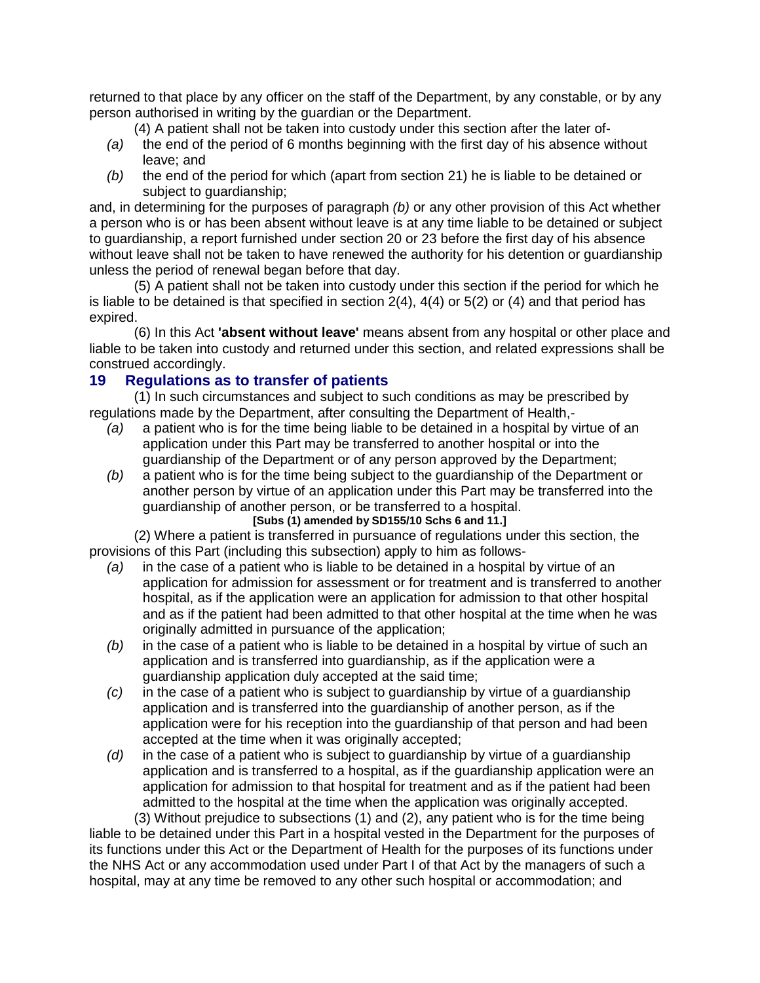returned to that place by any officer on the staff of the Department, by any constable, or by any person authorised in writing by the guardian or the Department.

(4) A patient shall not be taken into custody under this section after the later of-

- *(a)* the end of the period of 6 months beginning with the first day of his absence without leave; and
- *(b)* the end of the period for which (apart from section 21) he is liable to be detained or subject to guardianship;

and, in determining for the purposes of paragraph *(b)* or any other provision of this Act whether a person who is or has been absent without leave is at any time liable to be detained or subject to guardianship, a report furnished under section 20 or 23 before the first day of his absence without leave shall not be taken to have renewed the authority for his detention or guardianship unless the period of renewal began before that day.

(5) A patient shall not be taken into custody under this section if the period for which he is liable to be detained is that specified in section 2(4), 4(4) or 5(2) or (4) and that period has expired.

(6) In this Act **'absent without leave'** means absent from any hospital or other place and liable to be taken into custody and returned under this section, and related expressions shall be construed accordingly.

### **19 Regulations as to transfer of patients**

(1) In such circumstances and subject to such conditions as may be prescribed by regulations made by the Department, after consulting the Department of Health,-

- *(a)* a patient who is for the time being liable to be detained in a hospital by virtue of an application under this Part may be transferred to another hospital or into the guardianship of the Department or of any person approved by the Department;
- *(b)* a patient who is for the time being subject to the guardianship of the Department or another person by virtue of an application under this Part may be transferred into the guardianship of another person, or be transferred to a hospital. **[Subs (1) amended by SD155/10 Schs 6 and 11.]**

(2) Where a patient is transferred in pursuance of regulations under this section, the provisions of this Part (including this subsection) apply to him as follows-

- *(a)* in the case of a patient who is liable to be detained in a hospital by virtue of an application for admission for assessment or for treatment and is transferred to another hospital, as if the application were an application for admission to that other hospital and as if the patient had been admitted to that other hospital at the time when he was originally admitted in pursuance of the application;
- *(b)* in the case of a patient who is liable to be detained in a hospital by virtue of such an application and is transferred into guardianship, as if the application were a guardianship application duly accepted at the said time;
- *(c)* in the case of a patient who is subject to guardianship by virtue of a guardianship application and is transferred into the guardianship of another person, as if the application were for his reception into the guardianship of that person and had been accepted at the time when it was originally accepted;
- *(d)* in the case of a patient who is subject to guardianship by virtue of a guardianship application and is transferred to a hospital, as if the guardianship application were an application for admission to that hospital for treatment and as if the patient had been admitted to the hospital at the time when the application was originally accepted.

(3) Without prejudice to subsections (1) and (2), any patient who is for the time being liable to be detained under this Part in a hospital vested in the Department for the purposes of its functions under this Act or the Department of Health for the purposes of its functions under the NHS Act or any accommodation used under Part I of that Act by the managers of such a hospital, may at any time be removed to any other such hospital or accommodation; and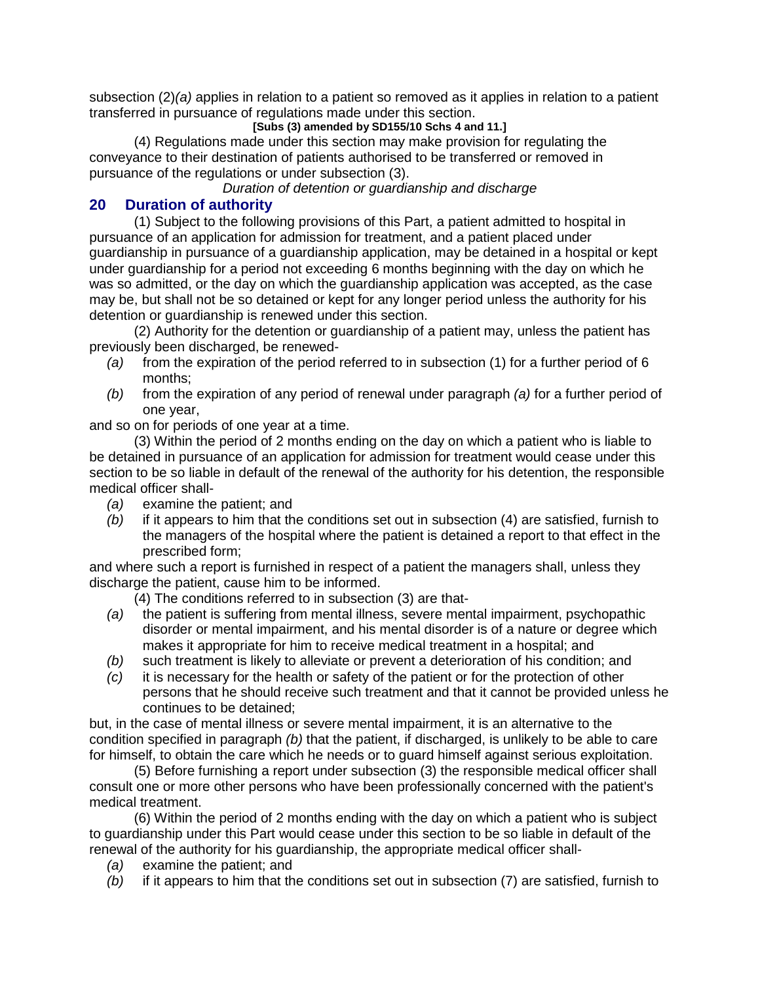subsection (2)*(a)* applies in relation to a patient so removed as it applies in relation to a patient transferred in pursuance of regulations made under this section.

### **[Subs (3) amended by SD155/10 Schs 4 and 11.]**

(4) Regulations made under this section may make provision for regulating the conveyance to their destination of patients authorised to be transferred or removed in pursuance of the regulations or under subsection (3).

#### *Duration of detention or guardianship and discharge*

### **20 Duration of authority**

(1) Subject to the following provisions of this Part, a patient admitted to hospital in pursuance of an application for admission for treatment, and a patient placed under guardianship in pursuance of a guardianship application, may be detained in a hospital or kept under guardianship for a period not exceeding 6 months beginning with the day on which he was so admitted, or the day on which the guardianship application was accepted, as the case may be, but shall not be so detained or kept for any longer period unless the authority for his detention or guardianship is renewed under this section.

(2) Authority for the detention or guardianship of a patient may, unless the patient has previously been discharged, be renewed-

- *(a)* from the expiration of the period referred to in subsection (1) for a further period of 6 months;
- *(b)* from the expiration of any period of renewal under paragraph *(a)* for a further period of one year,

and so on for periods of one year at a time.

(3) Within the period of 2 months ending on the day on which a patient who is liable to be detained in pursuance of an application for admission for treatment would cease under this section to be so liable in default of the renewal of the authority for his detention, the responsible medical officer shall-

- *(a)* examine the patient; and
- *(b)* if it appears to him that the conditions set out in subsection (4) are satisfied, furnish to the managers of the hospital where the patient is detained a report to that effect in the prescribed form;

and where such a report is furnished in respect of a patient the managers shall, unless they discharge the patient, cause him to be informed.

- (4) The conditions referred to in subsection (3) are that-
- *(a)* the patient is suffering from mental illness, severe mental impairment, psychopathic disorder or mental impairment, and his mental disorder is of a nature or degree which makes it appropriate for him to receive medical treatment in a hospital; and
- *(b)* such treatment is likely to alleviate or prevent a deterioration of his condition; and
- *(c)* it is necessary for the health or safety of the patient or for the protection of other persons that he should receive such treatment and that it cannot be provided unless he continues to be detained;

but, in the case of mental illness or severe mental impairment, it is an alternative to the condition specified in paragraph *(b)* that the patient, if discharged, is unlikely to be able to care for himself, to obtain the care which he needs or to guard himself against serious exploitation.

(5) Before furnishing a report under subsection (3) the responsible medical officer shall consult one or more other persons who have been professionally concerned with the patient's medical treatment.

(6) Within the period of 2 months ending with the day on which a patient who is subject to guardianship under this Part would cease under this section to be so liable in default of the renewal of the authority for his guardianship, the appropriate medical officer shall-

- *(a)* examine the patient; and
- *(b)* if it appears to him that the conditions set out in subsection (7) are satisfied, furnish to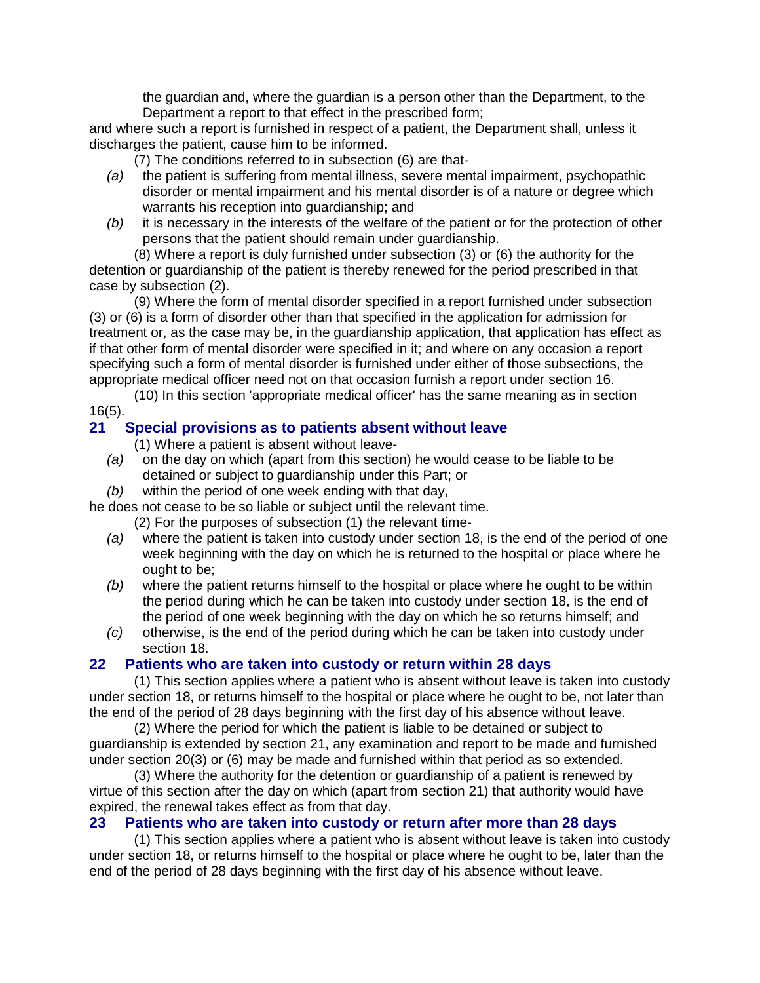the guardian and, where the guardian is a person other than the Department, to the Department a report to that effect in the prescribed form;

and where such a report is furnished in respect of a patient, the Department shall, unless it discharges the patient, cause him to be informed.

(7) The conditions referred to in subsection (6) are that-

- *(a)* the patient is suffering from mental illness, severe mental impairment, psychopathic disorder or mental impairment and his mental disorder is of a nature or degree which warrants his reception into guardianship; and
- *(b)* it is necessary in the interests of the welfare of the patient or for the protection of other persons that the patient should remain under guardianship.

(8) Where a report is duly furnished under subsection (3) or (6) the authority for the detention or guardianship of the patient is thereby renewed for the period prescribed in that case by subsection (2).

(9) Where the form of mental disorder specified in a report furnished under subsection (3) or (6) is a form of disorder other than that specified in the application for admission for treatment or, as the case may be, in the guardianship application, that application has effect as if that other form of mental disorder were specified in it; and where on any occasion a report specifying such a form of mental disorder is furnished under either of those subsections, the appropriate medical officer need not on that occasion furnish a report under section 16.

(10) In this section 'appropriate medical officer' has the same meaning as in section 16(5).

### **21 Special provisions as to patients absent without leave**

- (1) Where a patient is absent without leave-
- *(a)* on the day on which (apart from this section) he would cease to be liable to be detained or subject to guardianship under this Part; or
- *(b)* within the period of one week ending with that day,

he does not cease to be so liable or subject until the relevant time.

- (2) For the purposes of subsection (1) the relevant time-
- *(a)* where the patient is taken into custody under section 18, is the end of the period of one week beginning with the day on which he is returned to the hospital or place where he ought to be;
- *(b)* where the patient returns himself to the hospital or place where he ought to be within the period during which he can be taken into custody under section 18, is the end of the period of one week beginning with the day on which he so returns himself; and
- *(c)* otherwise, is the end of the period during which he can be taken into custody under section 18.

### **22 Patients who are taken into custody or return within 28 days**

(1) This section applies where a patient who is absent without leave is taken into custody under section 18, or returns himself to the hospital or place where he ought to be, not later than the end of the period of 28 days beginning with the first day of his absence without leave.

(2) Where the period for which the patient is liable to be detained or subject to guardianship is extended by section 21, any examination and report to be made and furnished under section 20(3) or (6) may be made and furnished within that period as so extended.

(3) Where the authority for the detention or guardianship of a patient is renewed by virtue of this section after the day on which (apart from section 21) that authority would have expired, the renewal takes effect as from that day.

### **23 Patients who are taken into custody or return after more than 28 days**

(1) This section applies where a patient who is absent without leave is taken into custody under section 18, or returns himself to the hospital or place where he ought to be, later than the end of the period of 28 days beginning with the first day of his absence without leave.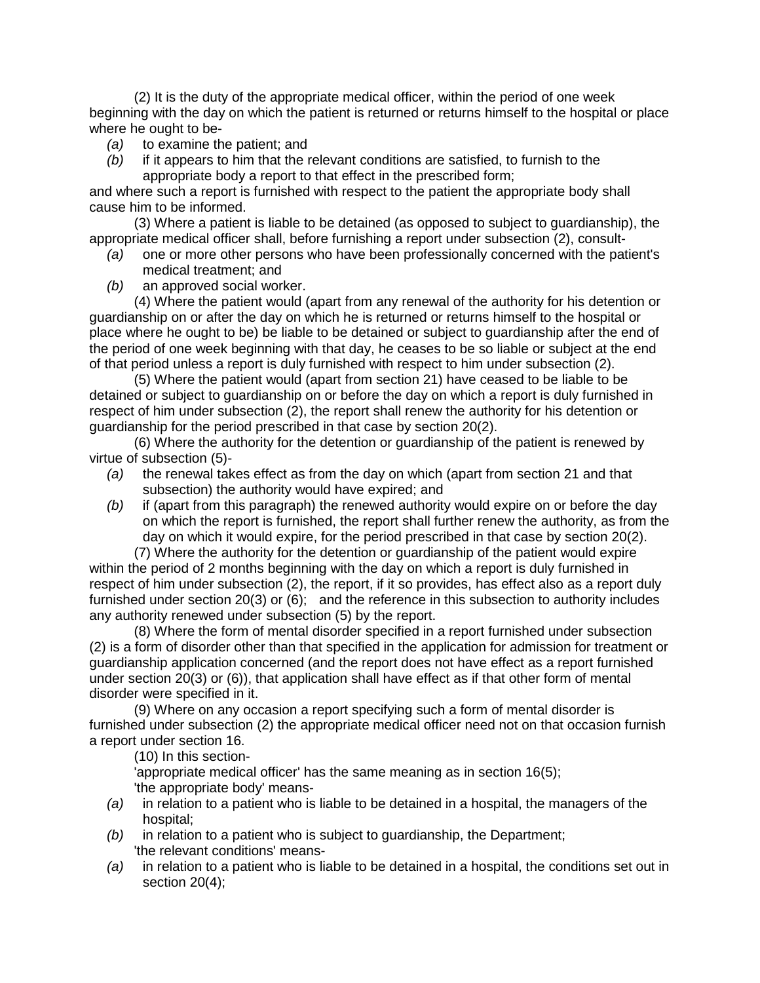(2) It is the duty of the appropriate medical officer, within the period of one week beginning with the day on which the patient is returned or returns himself to the hospital or place where he ought to be-

- *(a)* to examine the patient; and
- *(b)* if it appears to him that the relevant conditions are satisfied, to furnish to the appropriate body a report to that effect in the prescribed form;

and where such a report is furnished with respect to the patient the appropriate body shall cause him to be informed.

(3) Where a patient is liable to be detained (as opposed to subject to guardianship), the appropriate medical officer shall, before furnishing a report under subsection (2), consult-

- *(a)* one or more other persons who have been professionally concerned with the patient's medical treatment; and
- *(b)* an approved social worker.

(4) Where the patient would (apart from any renewal of the authority for his detention or guardianship on or after the day on which he is returned or returns himself to the hospital or place where he ought to be) be liable to be detained or subject to guardianship after the end of the period of one week beginning with that day, he ceases to be so liable or subject at the end of that period unless a report is duly furnished with respect to him under subsection (2).

(5) Where the patient would (apart from section 21) have ceased to be liable to be detained or subject to guardianship on or before the day on which a report is duly furnished in respect of him under subsection (2), the report shall renew the authority for his detention or guardianship for the period prescribed in that case by section 20(2).

(6) Where the authority for the detention or guardianship of the patient is renewed by virtue of subsection (5)-

- *(a)* the renewal takes effect as from the day on which (apart from section 21 and that subsection) the authority would have expired; and
- *(b)* if (apart from this paragraph) the renewed authority would expire on or before the day on which the report is furnished, the report shall further renew the authority, as from the day on which it would expire, for the period prescribed in that case by section 20(2).

(7) Where the authority for the detention or guardianship of the patient would expire within the period of 2 months beginning with the day on which a report is duly furnished in respect of him under subsection (2), the report, if it so provides, has effect also as a report duly furnished under section 20(3) or (6); and the reference in this subsection to authority includes any authority renewed under subsection (5) by the report.

(8) Where the form of mental disorder specified in a report furnished under subsection (2) is a form of disorder other than that specified in the application for admission for treatment or guardianship application concerned (and the report does not have effect as a report furnished under section 20(3) or (6)), that application shall have effect as if that other form of mental disorder were specified in it.

(9) Where on any occasion a report specifying such a form of mental disorder is furnished under subsection (2) the appropriate medical officer need not on that occasion furnish a report under section 16.

(10) In this section-

'appropriate medical officer' has the same meaning as in section 16(5); 'the appropriate body' means-

- *(a)* in relation to a patient who is liable to be detained in a hospital, the managers of the hospital;
- *(b)* in relation to a patient who is subject to guardianship, the Department; 'the relevant conditions' means-
- *(a)* in relation to a patient who is liable to be detained in a hospital, the conditions set out in section 20(4);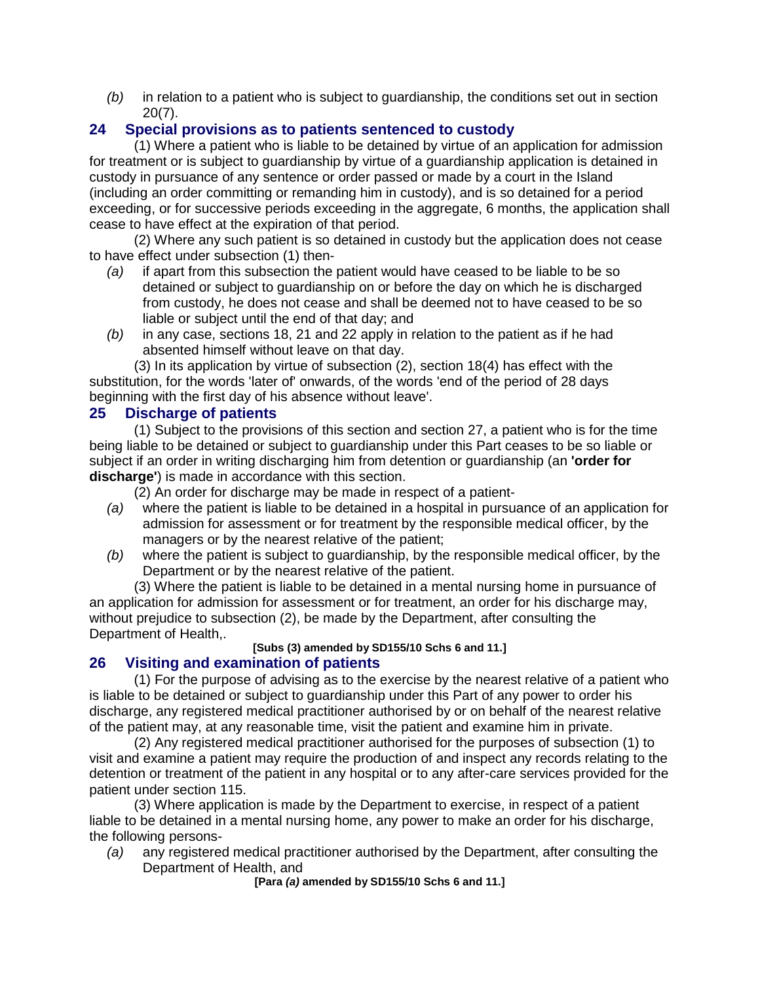*(b)* in relation to a patient who is subject to guardianship, the conditions set out in section 20(7).

# **24 Special provisions as to patients sentenced to custody**

(1) Where a patient who is liable to be detained by virtue of an application for admission for treatment or is subject to guardianship by virtue of a guardianship application is detained in custody in pursuance of any sentence or order passed or made by a court in the Island (including an order committing or remanding him in custody), and is so detained for a period exceeding, or for successive periods exceeding in the aggregate, 6 months, the application shall cease to have effect at the expiration of that period.

(2) Where any such patient is so detained in custody but the application does not cease to have effect under subsection (1) then-

- *(a)* if apart from this subsection the patient would have ceased to be liable to be so detained or subject to guardianship on or before the day on which he is discharged from custody, he does not cease and shall be deemed not to have ceased to be so liable or subject until the end of that day; and
- *(b)* in any case, sections 18, 21 and 22 apply in relation to the patient as if he had absented himself without leave on that day.

(3) In its application by virtue of subsection (2), section 18(4) has effect with the substitution, for the words 'later of' onwards, of the words 'end of the period of 28 days beginning with the first day of his absence without leave'.

### **25 Discharge of patients**

(1) Subject to the provisions of this section and section 27, a patient who is for the time being liable to be detained or subject to guardianship under this Part ceases to be so liable or subject if an order in writing discharging him from detention or guardianship (an **'order for discharge'**) is made in accordance with this section.

(2) An order for discharge may be made in respect of a patient-

- *(a)* where the patient is liable to be detained in a hospital in pursuance of an application for admission for assessment or for treatment by the responsible medical officer, by the managers or by the nearest relative of the patient;
- *(b)* where the patient is subject to guardianship, by the responsible medical officer, by the Department or by the nearest relative of the patient.

(3) Where the patient is liable to be detained in a mental nursing home in pursuance of an application for admission for assessment or for treatment, an order for his discharge may, without prejudice to subsection (2), be made by the Department, after consulting the Department of Health,.

### **[Subs (3) amended by SD155/10 Schs 6 and 11.]**

### **26 Visiting and examination of patients**

(1) For the purpose of advising as to the exercise by the nearest relative of a patient who is liable to be detained or subject to guardianship under this Part of any power to order his discharge, any registered medical practitioner authorised by or on behalf of the nearest relative of the patient may, at any reasonable time, visit the patient and examine him in private.

(2) Any registered medical practitioner authorised for the purposes of subsection (1) to visit and examine a patient may require the production of and inspect any records relating to the detention or treatment of the patient in any hospital or to any after-care services provided for the patient under section 115.

(3) Where application is made by the Department to exercise, in respect of a patient liable to be detained in a mental nursing home, any power to make an order for his discharge, the following persons-

*(a)* any registered medical practitioner authorised by the Department, after consulting the Department of Health, and

**[Para** *(a)* **amended by SD155/10 Schs 6 and 11.]**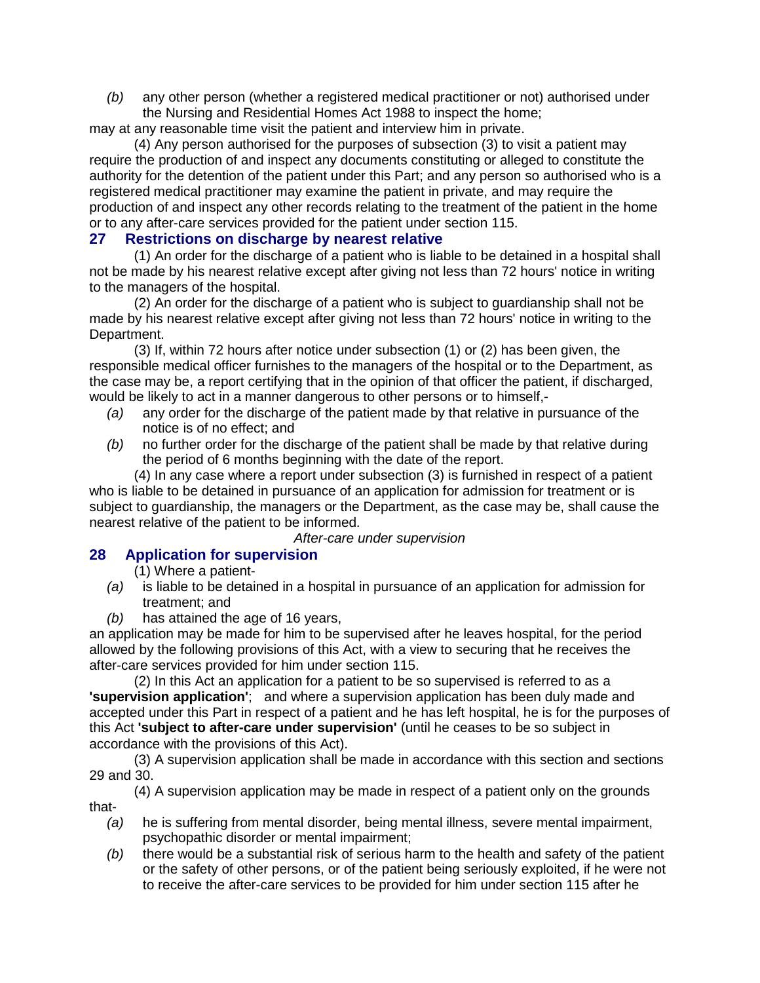*(b)* any other person (whether a registered medical practitioner or not) authorised under the Nursing and Residential Homes Act 1988 to inspect the home;

may at any reasonable time visit the patient and interview him in private.

(4) Any person authorised for the purposes of subsection (3) to visit a patient may require the production of and inspect any documents constituting or alleged to constitute the authority for the detention of the patient under this Part; and any person so authorised who is a registered medical practitioner may examine the patient in private, and may require the production of and inspect any other records relating to the treatment of the patient in the home or to any after-care services provided for the patient under section 115.

### **27 Restrictions on discharge by nearest relative**

(1) An order for the discharge of a patient who is liable to be detained in a hospital shall not be made by his nearest relative except after giving not less than 72 hours' notice in writing to the managers of the hospital.

(2) An order for the discharge of a patient who is subject to guardianship shall not be made by his nearest relative except after giving not less than 72 hours' notice in writing to the Department.

(3) If, within 72 hours after notice under subsection (1) or (2) has been given, the responsible medical officer furnishes to the managers of the hospital or to the Department, as the case may be, a report certifying that in the opinion of that officer the patient, if discharged, would be likely to act in a manner dangerous to other persons or to himself,-

- *(a)* any order for the discharge of the patient made by that relative in pursuance of the notice is of no effect; and
- *(b)* no further order for the discharge of the patient shall be made by that relative during the period of 6 months beginning with the date of the report.

(4) In any case where a report under subsection (3) is furnished in respect of a patient who is liable to be detained in pursuance of an application for admission for treatment or is subject to guardianship, the managers or the Department, as the case may be, shall cause the nearest relative of the patient to be informed.

*After-care under supervision*

### **28 Application for supervision**

(1) Where a patient-

- *(a)* is liable to be detained in a hospital in pursuance of an application for admission for treatment; and
- *(b)* has attained the age of 16 years,

an application may be made for him to be supervised after he leaves hospital, for the period allowed by the following provisions of this Act, with a view to securing that he receives the after-care services provided for him under section 115.

(2) In this Act an application for a patient to be so supervised is referred to as a **'supervision application'**; and where a supervision application has been duly made and accepted under this Part in respect of a patient and he has left hospital, he is for the purposes of this Act **'subject to after-care under supervision'** (until he ceases to be so subject in accordance with the provisions of this Act).

(3) A supervision application shall be made in accordance with this section and sections 29 and 30.

(4) A supervision application may be made in respect of a patient only on the grounds that-

- *(a)* he is suffering from mental disorder, being mental illness, severe mental impairment, psychopathic disorder or mental impairment;
- *(b)* there would be a substantial risk of serious harm to the health and safety of the patient or the safety of other persons, or of the patient being seriously exploited, if he were not to receive the after-care services to be provided for him under section 115 after he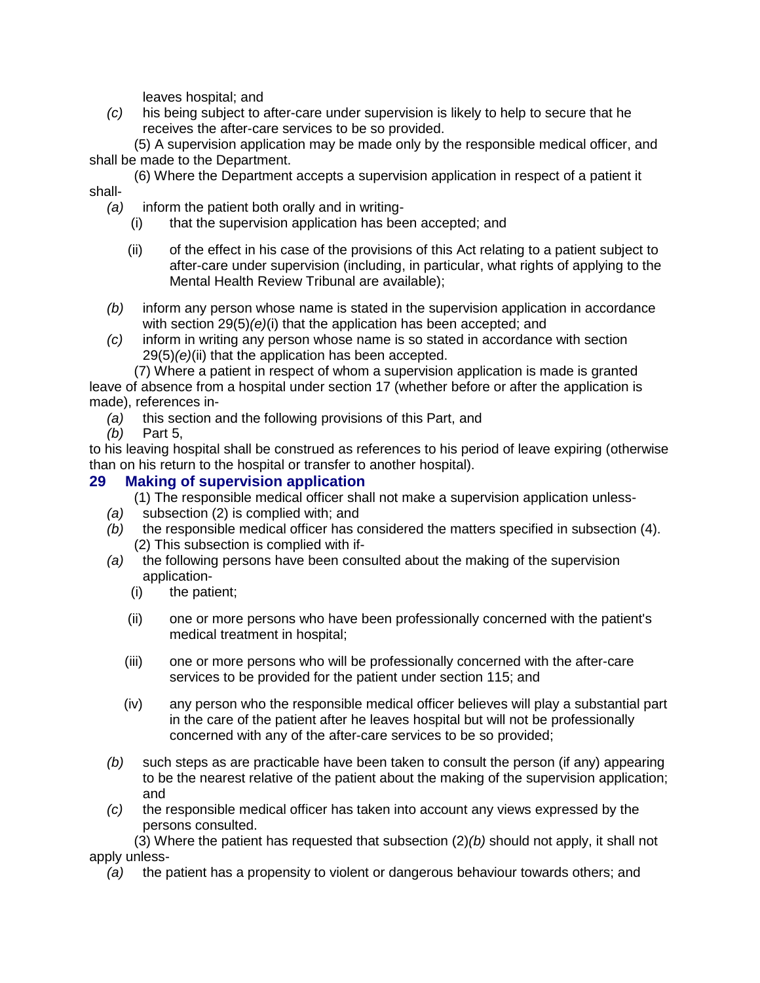leaves hospital; and

*(c)* his being subject to after-care under supervision is likely to help to secure that he receives the after-care services to be so provided.

(5) A supervision application may be made only by the responsible medical officer, and shall be made to the Department.

(6) Where the Department accepts a supervision application in respect of a patient it shall-

- *(a)* inform the patient both orally and in writing-
	- (i) that the supervision application has been accepted; and
	- (ii) of the effect in his case of the provisions of this Act relating to a patient subject to after-care under supervision (including, in particular, what rights of applying to the Mental Health Review Tribunal are available);
- *(b)* inform any person whose name is stated in the supervision application in accordance with section 29(5)*(e)*(i) that the application has been accepted; and
- *(c)* inform in writing any person whose name is so stated in accordance with section 29(5)*(e)*(ii) that the application has been accepted.

(7) Where a patient in respect of whom a supervision application is made is granted leave of absence from a hospital under section 17 (whether before or after the application is made), references in-

- *(a)* this section and the following provisions of this Part, and
- *(b)* Part 5,

to his leaving hospital shall be construed as references to his period of leave expiring (otherwise than on his return to the hospital or transfer to another hospital).

### **29 Making of supervision application**

(1) The responsible medical officer shall not make a supervision application unless-

- *(a)* subsection (2) is complied with; and
- *(b)* the responsible medical officer has considered the matters specified in subsection (4). (2) This subsection is complied with if-
- *(a)* the following persons have been consulted about the making of the supervision application-
	- (i) the patient;
	- (ii) one or more persons who have been professionally concerned with the patient's medical treatment in hospital;
	- (iii) one or more persons who will be professionally concerned with the after-care services to be provided for the patient under section 115; and
	- (iv) any person who the responsible medical officer believes will play a substantial part in the care of the patient after he leaves hospital but will not be professionally concerned with any of the after-care services to be so provided;
- *(b)* such steps as are practicable have been taken to consult the person (if any) appearing to be the nearest relative of the patient about the making of the supervision application; and
- *(c)* the responsible medical officer has taken into account any views expressed by the persons consulted.

(3) Where the patient has requested that subsection (2)*(b)* should not apply, it shall not apply unless-

*(a)* the patient has a propensity to violent or dangerous behaviour towards others; and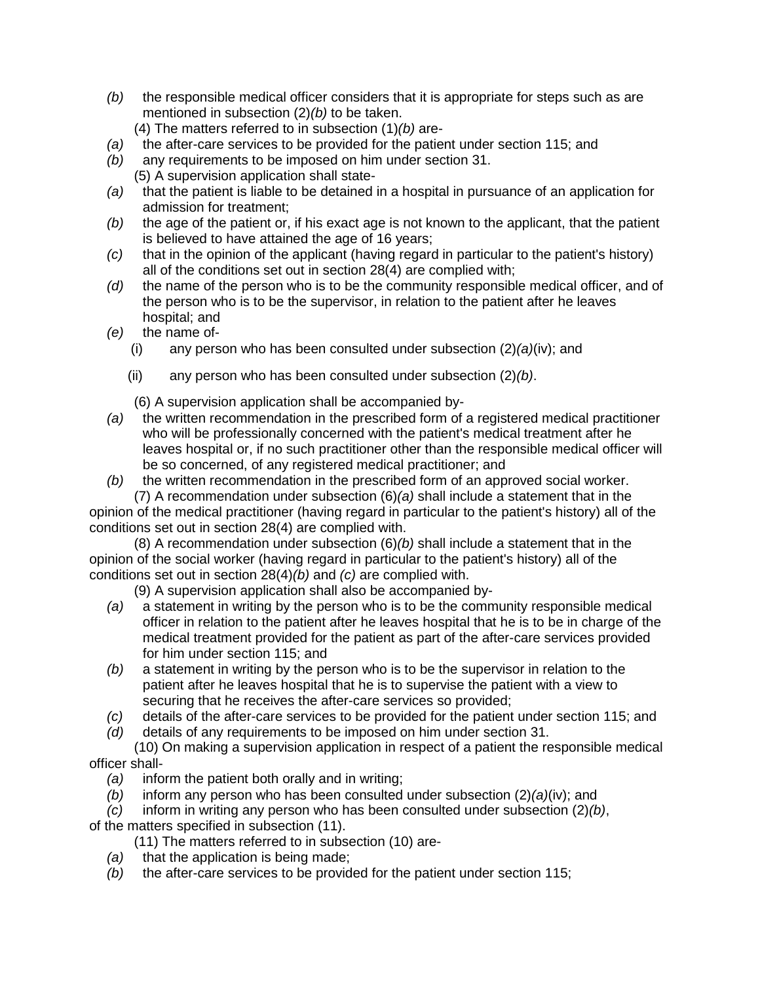*(b)* the responsible medical officer considers that it is appropriate for steps such as are mentioned in subsection (2)*(b)* to be taken.

(4) The matters referred to in subsection (1)*(b)* are-

- *(a)* the after-care services to be provided for the patient under section 115; and
- *(b)* any requirements to be imposed on him under section 31.
- (5) A supervision application shall state-
- *(a)* that the patient is liable to be detained in a hospital in pursuance of an application for admission for treatment;
- *(b)* the age of the patient or, if his exact age is not known to the applicant, that the patient is believed to have attained the age of 16 years;
- *(c)* that in the opinion of the applicant (having regard in particular to the patient's history) all of the conditions set out in section 28(4) are complied with;
- *(d)* the name of the person who is to be the community responsible medical officer, and of the person who is to be the supervisor, in relation to the patient after he leaves hospital; and
- *(e)* the name of-
	- (i) any person who has been consulted under subsection (2)*(a)*(iv); and
	- (ii) any person who has been consulted under subsection (2)*(b)*.
	- (6) A supervision application shall be accompanied by-
- *(a)* the written recommendation in the prescribed form of a registered medical practitioner who will be professionally concerned with the patient's medical treatment after he leaves hospital or, if no such practitioner other than the responsible medical officer will be so concerned, of any registered medical practitioner; and
- *(b)* the written recommendation in the prescribed form of an approved social worker.

(7) A recommendation under subsection (6)*(a)* shall include a statement that in the opinion of the medical practitioner (having regard in particular to the patient's history) all of the conditions set out in section 28(4) are complied with.

(8) A recommendation under subsection (6)*(b)* shall include a statement that in the opinion of the social worker (having regard in particular to the patient's history) all of the conditions set out in section 28(4)*(b)* and *(c)* are complied with.

(9) A supervision application shall also be accompanied by-

- *(a)* a statement in writing by the person who is to be the community responsible medical officer in relation to the patient after he leaves hospital that he is to be in charge of the medical treatment provided for the patient as part of the after-care services provided for him under section 115; and
- *(b)* a statement in writing by the person who is to be the supervisor in relation to the patient after he leaves hospital that he is to supervise the patient with a view to securing that he receives the after-care services so provided;
- *(c)* details of the after-care services to be provided for the patient under section 115; and
- *(d)* details of any requirements to be imposed on him under section 31.

(10) On making a supervision application in respect of a patient the responsible medical officer shall-

- *(a)* inform the patient both orally and in writing;
- *(b)* inform any person who has been consulted under subsection (2)*(a)*(iv); and
- *(c)* inform in writing any person who has been consulted under subsection (2)*(b)*, of the matters specified in subsection (11).
	- (11) The matters referred to in subsection (10) are-
	- *(a)* that the application is being made;
	- *(b)* the after-care services to be provided for the patient under section 115;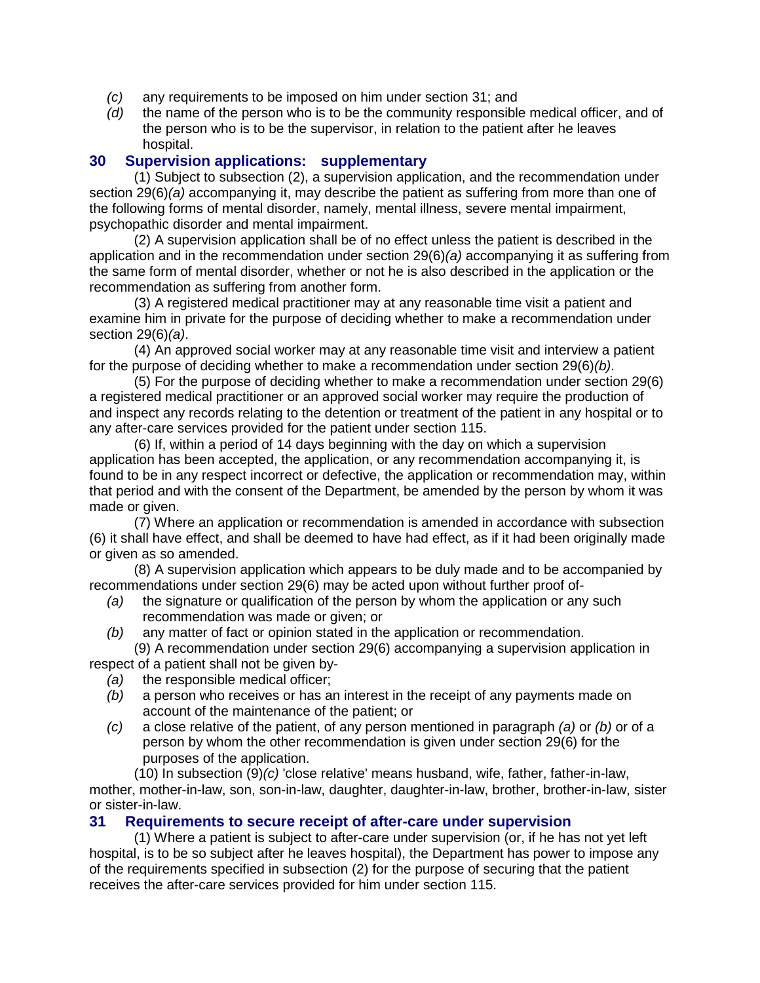- *(c)* any requirements to be imposed on him under section 31; and
- *(d)* the name of the person who is to be the community responsible medical officer, and of the person who is to be the supervisor, in relation to the patient after he leaves hospital.

### **30 Supervision applications: supplementary**

(1) Subject to subsection (2), a supervision application, and the recommendation under section 29(6)*(a)* accompanying it, may describe the patient as suffering from more than one of the following forms of mental disorder, namely, mental illness, severe mental impairment, psychopathic disorder and mental impairment.

(2) A supervision application shall be of no effect unless the patient is described in the application and in the recommendation under section 29(6)*(a)* accompanying it as suffering from the same form of mental disorder, whether or not he is also described in the application or the recommendation as suffering from another form.

(3) A registered medical practitioner may at any reasonable time visit a patient and examine him in private for the purpose of deciding whether to make a recommendation under section 29(6)*(a)*.

(4) An approved social worker may at any reasonable time visit and interview a patient for the purpose of deciding whether to make a recommendation under section 29(6)*(b)*.

(5) For the purpose of deciding whether to make a recommendation under section 29(6) a registered medical practitioner or an approved social worker may require the production of and inspect any records relating to the detention or treatment of the patient in any hospital or to any after-care services provided for the patient under section 115.

(6) If, within a period of 14 days beginning with the day on which a supervision application has been accepted, the application, or any recommendation accompanying it, is found to be in any respect incorrect or defective, the application or recommendation may, within that period and with the consent of the Department, be amended by the person by whom it was made or given.

(7) Where an application or recommendation is amended in accordance with subsection (6) it shall have effect, and shall be deemed to have had effect, as if it had been originally made or given as so amended.

(8) A supervision application which appears to be duly made and to be accompanied by recommendations under section 29(6) may be acted upon without further proof of-

- *(a)* the signature or qualification of the person by whom the application or any such recommendation was made or given; or
- *(b)* any matter of fact or opinion stated in the application or recommendation. (9) A recommendation under section 29(6) accompanying a supervision application in

respect of a patient shall not be given by-

- *(a)* the responsible medical officer;
- *(b)* a person who receives or has an interest in the receipt of any payments made on account of the maintenance of the patient; or
- *(c)* a close relative of the patient, of any person mentioned in paragraph *(a)* or *(b)* or of a person by whom the other recommendation is given under section 29(6) for the purposes of the application.

(10) In subsection (9)*(c)* 'close relative' means husband, wife, father, father-in-law, mother, mother-in-law, son, son-in-law, daughter, daughter-in-law, brother, brother-in-law, sister or sister-in-law.

### **31 Requirements to secure receipt of after-care under supervision**

(1) Where a patient is subject to after-care under supervision (or, if he has not yet left hospital, is to be so subject after he leaves hospital), the Department has power to impose any of the requirements specified in subsection (2) for the purpose of securing that the patient receives the after-care services provided for him under section 115.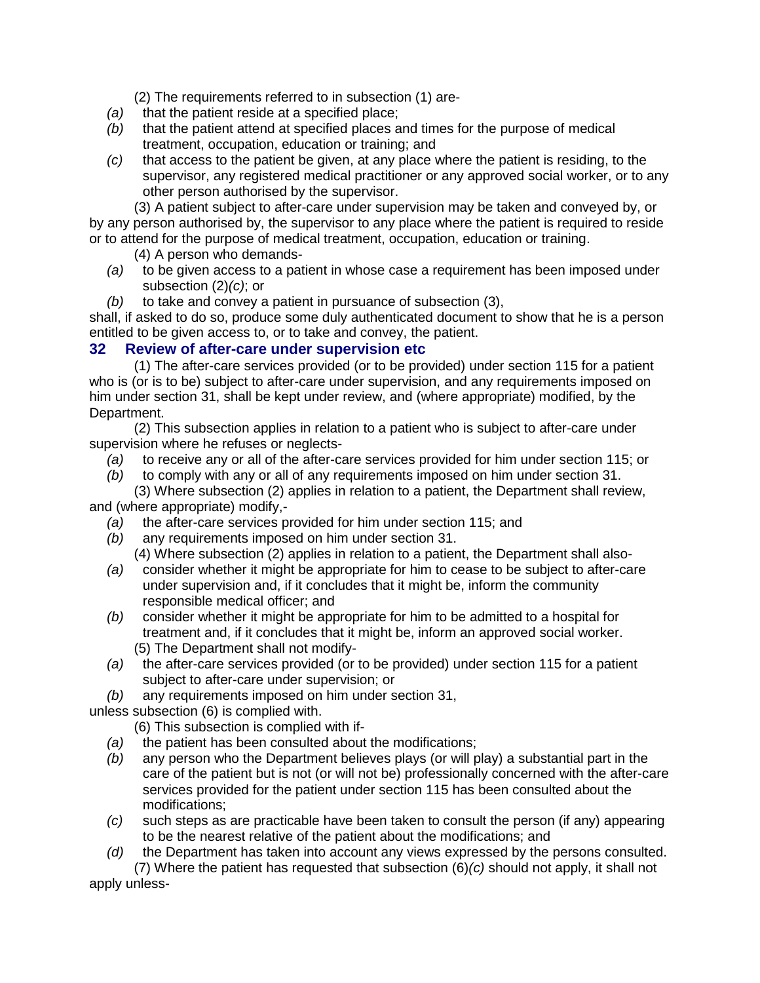(2) The requirements referred to in subsection (1) are-

- *(a)* that the patient reside at a specified place;
- *(b)* that the patient attend at specified places and times for the purpose of medical treatment, occupation, education or training; and
- *(c)* that access to the patient be given, at any place where the patient is residing, to the supervisor, any registered medical practitioner or any approved social worker, or to any other person authorised by the supervisor.

(3) A patient subject to after-care under supervision may be taken and conveyed by, or by any person authorised by, the supervisor to any place where the patient is required to reside or to attend for the purpose of medical treatment, occupation, education or training.

(4) A person who demands-

- *(a)* to be given access to a patient in whose case a requirement has been imposed under subsection (2)*(c)*; or
- *(b)* to take and convey a patient in pursuance of subsection (3),

shall, if asked to do so, produce some duly authenticated document to show that he is a person entitled to be given access to, or to take and convey, the patient.

### **32 Review of after-care under supervision etc**

(1) The after-care services provided (or to be provided) under section 115 for a patient who is (or is to be) subject to after-care under supervision, and any requirements imposed on him under section 31, shall be kept under review, and (where appropriate) modified, by the Department.

(2) This subsection applies in relation to a patient who is subject to after-care under supervision where he refuses or neglects-

- *(a)* to receive any or all of the after-care services provided for him under section 115; or
- *(b)* to comply with any or all of any requirements imposed on him under section 31.

(3) Where subsection (2) applies in relation to a patient, the Department shall review, and (where appropriate) modify,-

- *(a)* the after-care services provided for him under section 115; and
- *(b)* any requirements imposed on him under section 31.
	- (4) Where subsection (2) applies in relation to a patient, the Department shall also-
- *(a)* consider whether it might be appropriate for him to cease to be subject to after-care under supervision and, if it concludes that it might be, inform the community responsible medical officer; and
- *(b)* consider whether it might be appropriate for him to be admitted to a hospital for treatment and, if it concludes that it might be, inform an approved social worker.
	- (5) The Department shall not modify-
- *(a)* the after-care services provided (or to be provided) under section 115 for a patient subject to after-care under supervision; or
- *(b)* any requirements imposed on him under section 31,

unless subsection (6) is complied with.

(6) This subsection is complied with if-

- *(a)* the patient has been consulted about the modifications;
- *(b)* any person who the Department believes plays (or will play) a substantial part in the care of the patient but is not (or will not be) professionally concerned with the after-care services provided for the patient under section 115 has been consulted about the modifications;
- *(c)* such steps as are practicable have been taken to consult the person (if any) appearing to be the nearest relative of the patient about the modifications; and

*(d)* the Department has taken into account any views expressed by the persons consulted.

(7) Where the patient has requested that subsection (6)*(c)* should not apply, it shall not apply unless-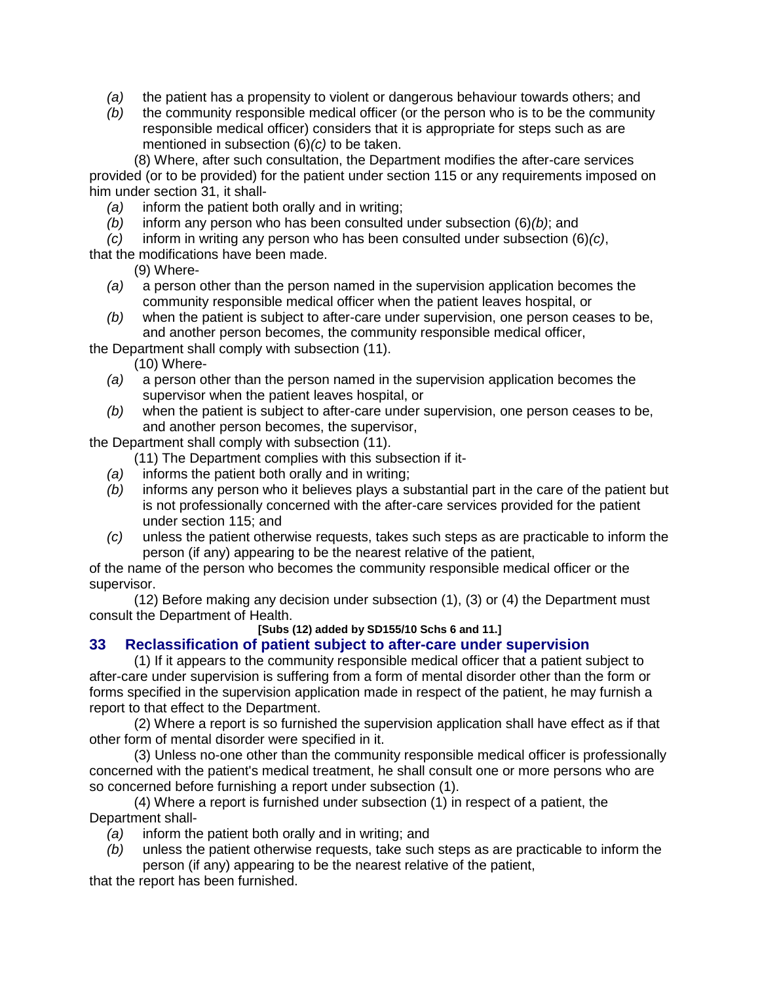- *(a)* the patient has a propensity to violent or dangerous behaviour towards others; and
- *(b)* the community responsible medical officer (or the person who is to be the community responsible medical officer) considers that it is appropriate for steps such as are mentioned in subsection (6)*(c)* to be taken.

(8) Where, after such consultation, the Department modifies the after-care services

provided (or to be provided) for the patient under section 115 or any requirements imposed on him under section 31, it shall-

- *(a)* inform the patient both orally and in writing;
- *(b)* inform any person who has been consulted under subsection (6)*(b)*; and
- *(c)* inform in writing any person who has been consulted under subsection (6)*(c)*,

that the modifications have been made.

- (9) Where-
- *(a)* a person other than the person named in the supervision application becomes the community responsible medical officer when the patient leaves hospital, or
- *(b)* when the patient is subject to after-care under supervision, one person ceases to be, and another person becomes, the community responsible medical officer,

the Department shall comply with subsection (11).

(10) Where-

- *(a)* a person other than the person named in the supervision application becomes the supervisor when the patient leaves hospital, or
- *(b)* when the patient is subject to after-care under supervision, one person ceases to be, and another person becomes, the supervisor,

the Department shall comply with subsection (11).

- (11) The Department complies with this subsection if it-
- *(a)* informs the patient both orally and in writing;
- *(b)* informs any person who it believes plays a substantial part in the care of the patient but is not professionally concerned with the after-care services provided for the patient under section 115; and
- *(c)* unless the patient otherwise requests, takes such steps as are practicable to inform the person (if any) appearing to be the nearest relative of the patient,

of the name of the person who becomes the community responsible medical officer or the supervisor.

(12) Before making any decision under subsection (1), (3) or (4) the Department must consult the Department of Health.

#### **[Subs (12) added by SD155/10 Schs 6 and 11.]**

### **33 Reclassification of patient subject to after-care under supervision**

(1) If it appears to the community responsible medical officer that a patient subject to after-care under supervision is suffering from a form of mental disorder other than the form or forms specified in the supervision application made in respect of the patient, he may furnish a report to that effect to the Department.

(2) Where a report is so furnished the supervision application shall have effect as if that other form of mental disorder were specified in it.

(3) Unless no-one other than the community responsible medical officer is professionally concerned with the patient's medical treatment, he shall consult one or more persons who are so concerned before furnishing a report under subsection (1).

(4) Where a report is furnished under subsection (1) in respect of a patient, the Department shall-

- *(a)* inform the patient both orally and in writing; and
- *(b)* unless the patient otherwise requests, take such steps as are practicable to inform the person (if any) appearing to be the nearest relative of the patient,

that the report has been furnished.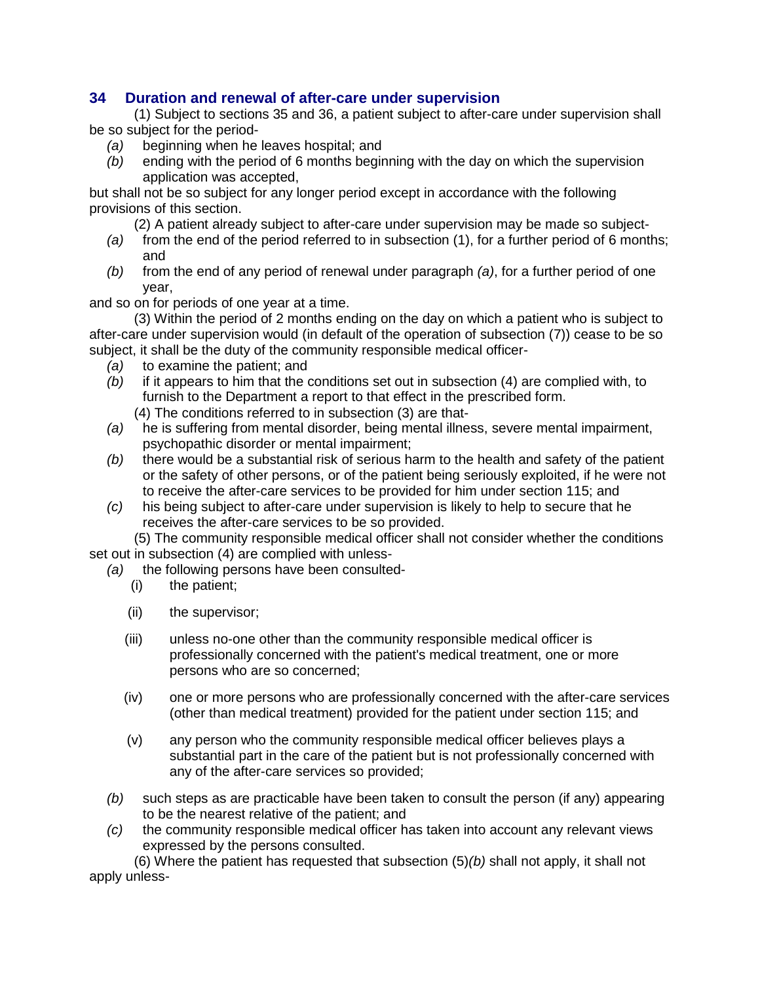# **34 Duration and renewal of after-care under supervision**

(1) Subject to sections 35 and 36, a patient subject to after-care under supervision shall be so subject for the period-

- *(a)* beginning when he leaves hospital; and
- *(b)* ending with the period of 6 months beginning with the day on which the supervision application was accepted,

but shall not be so subject for any longer period except in accordance with the following provisions of this section.

(2) A patient already subject to after-care under supervision may be made so subject-

- *(a)* from the end of the period referred to in subsection (1), for a further period of 6 months; and
- *(b)* from the end of any period of renewal under paragraph *(a)*, for a further period of one year,

and so on for periods of one year at a time.

(3) Within the period of 2 months ending on the day on which a patient who is subject to after-care under supervision would (in default of the operation of subsection (7)) cease to be so subject, it shall be the duty of the community responsible medical officer-

- *(a)* to examine the patient; and
- *(b)* if it appears to him that the conditions set out in subsection (4) are complied with, to furnish to the Department a report to that effect in the prescribed form.
	- (4) The conditions referred to in subsection (3) are that-
- *(a)* he is suffering from mental disorder, being mental illness, severe mental impairment, psychopathic disorder or mental impairment;
- *(b)* there would be a substantial risk of serious harm to the health and safety of the patient or the safety of other persons, or of the patient being seriously exploited, if he were not to receive the after-care services to be provided for him under section 115; and
- *(c)* his being subject to after-care under supervision is likely to help to secure that he receives the after-care services to be so provided.

(5) The community responsible medical officer shall not consider whether the conditions set out in subsection (4) are complied with unless-

- *(a)* the following persons have been consulted-
	- (i) the patient;
	- (ii) the supervisor;
	- (iii) unless no-one other than the community responsible medical officer is professionally concerned with the patient's medical treatment, one or more persons who are so concerned;
	- (iv) one or more persons who are professionally concerned with the after-care services (other than medical treatment) provided for the patient under section 115; and
	- (v) any person who the community responsible medical officer believes plays a substantial part in the care of the patient but is not professionally concerned with any of the after-care services so provided;
- *(b)* such steps as are practicable have been taken to consult the person (if any) appearing to be the nearest relative of the patient; and
- *(c)* the community responsible medical officer has taken into account any relevant views expressed by the persons consulted.

(6) Where the patient has requested that subsection (5)*(b)* shall not apply, it shall not apply unless-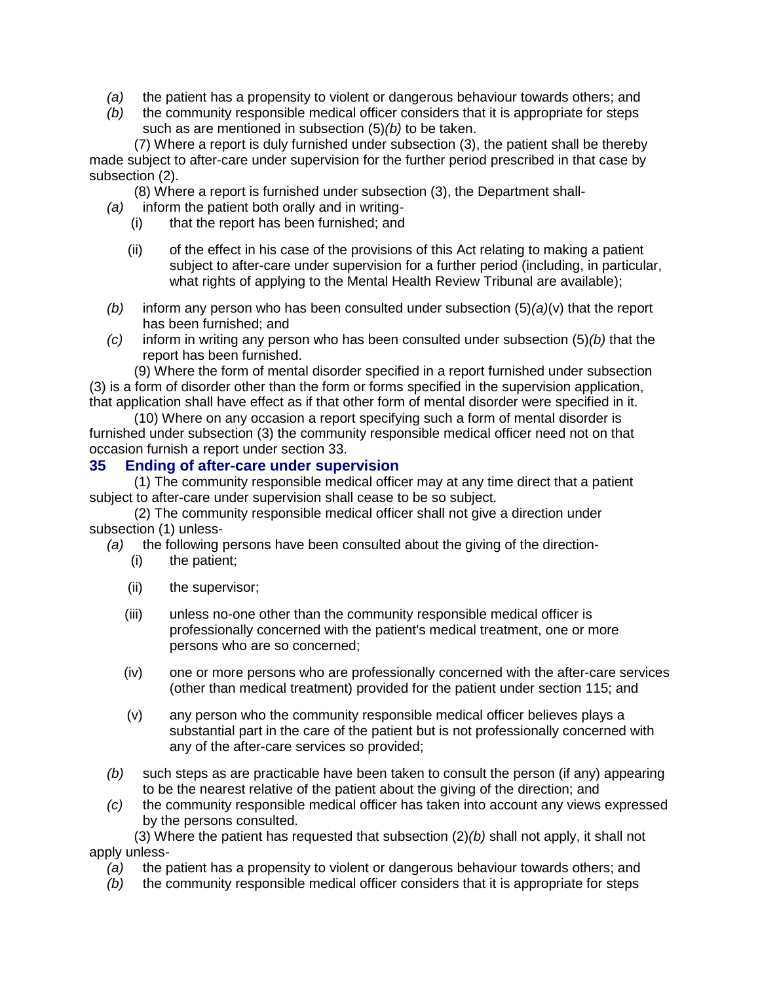- *(a)* the patient has a propensity to violent or dangerous behaviour towards others; and
- *(b)* the community responsible medical officer considers that it is appropriate for steps such as are mentioned in subsection (5)*(b)* to be taken.

(7) Where a report is duly furnished under subsection (3), the patient shall be thereby made subject to after-care under supervision for the further period prescribed in that case by subsection (2).

(8) Where a report is furnished under subsection (3), the Department shall-

- *(a)* inform the patient both orally and in writing-
	- (i) that the report has been furnished; and
	- (ii) of the effect in his case of the provisions of this Act relating to making a patient subject to after-care under supervision for a further period (including, in particular, what rights of applying to the Mental Health Review Tribunal are available);
- *(b)* inform any person who has been consulted under subsection (5)*(a)*(v) that the report has been furnished; and
- *(c)* inform in writing any person who has been consulted under subsection (5)*(b)* that the report has been furnished.

(9) Where the form of mental disorder specified in a report furnished under subsection (3) is a form of disorder other than the form or forms specified in the supervision application, that application shall have effect as if that other form of mental disorder were specified in it.

(10) Where on any occasion a report specifying such a form of mental disorder is furnished under subsection (3) the community responsible medical officer need not on that occasion furnish a report under section 33.

# **35 Ending of after-care under supervision**

(1) The community responsible medical officer may at any time direct that a patient subject to after-care under supervision shall cease to be so subject.

(2) The community responsible medical officer shall not give a direction under subsection (1) unless-

- *(a)* the following persons have been consulted about the giving of the direction-
	- (i) the patient;
	- (ii) the supervisor;
	- (iii) unless no-one other than the community responsible medical officer is professionally concerned with the patient's medical treatment, one or more persons who are so concerned;
	- (iv) one or more persons who are professionally concerned with the after-care services (other than medical treatment) provided for the patient under section 115; and
	- (v) any person who the community responsible medical officer believes plays a substantial part in the care of the patient but is not professionally concerned with any of the after-care services so provided;
- *(b)* such steps as are practicable have been taken to consult the person (if any) appearing to be the nearest relative of the patient about the giving of the direction; and
- *(c)* the community responsible medical officer has taken into account any views expressed by the persons consulted.

(3) Where the patient has requested that subsection (2)*(b)* shall not apply, it shall not apply unless-

- *(a)* the patient has a propensity to violent or dangerous behaviour towards others; and
- *(b)* the community responsible medical officer considers that it is appropriate for steps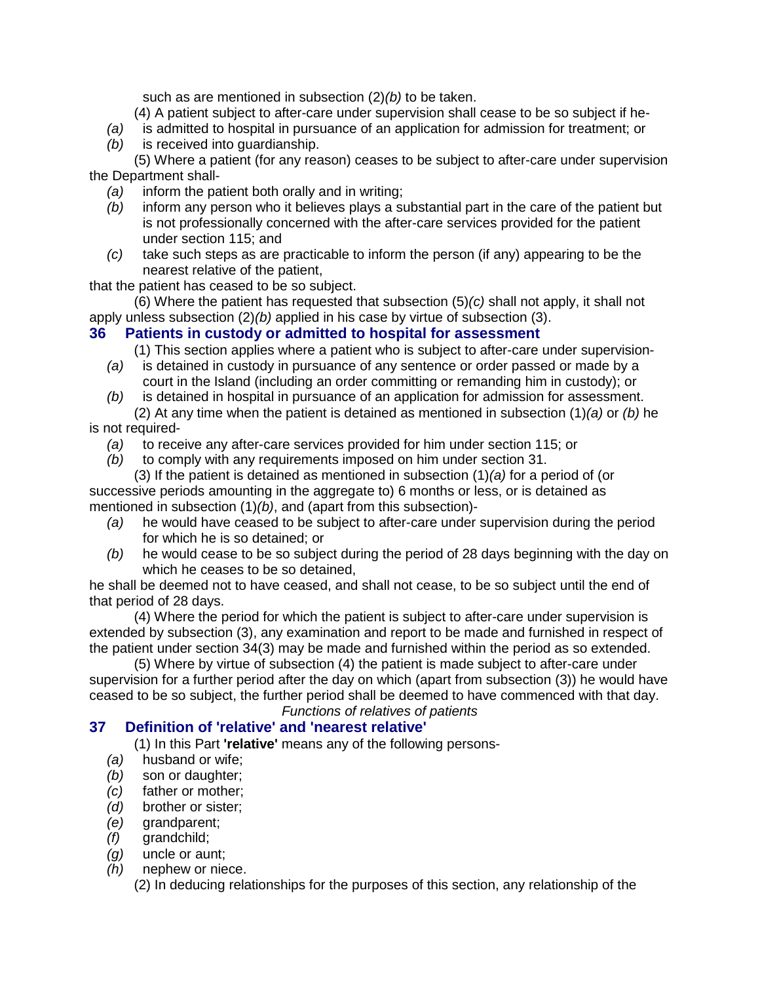such as are mentioned in subsection (2)*(b)* to be taken.

(4) A patient subject to after-care under supervision shall cease to be so subject if he-

- *(a)* is admitted to hospital in pursuance of an application for admission for treatment; or *(b)* is received into guardianship.
- (5) Where a patient (for any reason) ceases to be subject to after-care under supervision the Department shall-
	- *(a)* inform the patient both orally and in writing;
	- *(b)* inform any person who it believes plays a substantial part in the care of the patient but is not professionally concerned with the after-care services provided for the patient under section 115; and
	- *(c)* take such steps as are practicable to inform the person (if any) appearing to be the nearest relative of the patient,

that the patient has ceased to be so subject.

(6) Where the patient has requested that subsection (5)*(c)* shall not apply, it shall not apply unless subsection (2)*(b)* applied in his case by virtue of subsection (3).

# **36 Patients in custody or admitted to hospital for assessment**

(1) This section applies where a patient who is subject to after-care under supervision-

- *(a)* is detained in custody in pursuance of any sentence or order passed or made by a court in the Island (including an order committing or remanding him in custody); or
- *(b)* is detained in hospital in pursuance of an application for admission for assessment. (2) At any time when the patient is detained as mentioned in subsection (1)*(a)* or *(b)* he

### is not required-

- *(a)* to receive any after-care services provided for him under section 115; or
- *(b)* to comply with any requirements imposed on him under section 31.

(3) If the patient is detained as mentioned in subsection (1)*(a)* for a period of (or successive periods amounting in the aggregate to) 6 months or less, or is detained as mentioned in subsection (1)*(b)*, and (apart from this subsection)-

- *(a)* he would have ceased to be subject to after-care under supervision during the period for which he is so detained; or
- *(b)* he would cease to be so subject during the period of 28 days beginning with the day on which he ceases to be so detained,

he shall be deemed not to have ceased, and shall not cease, to be so subject until the end of that period of 28 days.

(4) Where the period for which the patient is subject to after-care under supervision is extended by subsection (3), any examination and report to be made and furnished in respect of the patient under section 34(3) may be made and furnished within the period as so extended.

(5) Where by virtue of subsection (4) the patient is made subject to after-care under supervision for a further period after the day on which (apart from subsection (3)) he would have ceased to be so subject, the further period shall be deemed to have commenced with that day.

# *Functions of relatives of patients*

# **37 Definition of 'relative' and 'nearest relative'**

(1) In this Part **'relative'** means any of the following persons-

- *(a)* husband or wife;
- *(b)* son or daughter;
- *(c)* father or mother;
- *(d)* brother or sister;
- *(e)* grandparent;
- *(f)* grandchild;
- *(g)* uncle or aunt;
- *(h)* nephew or niece.

(2) In deducing relationships for the purposes of this section, any relationship of the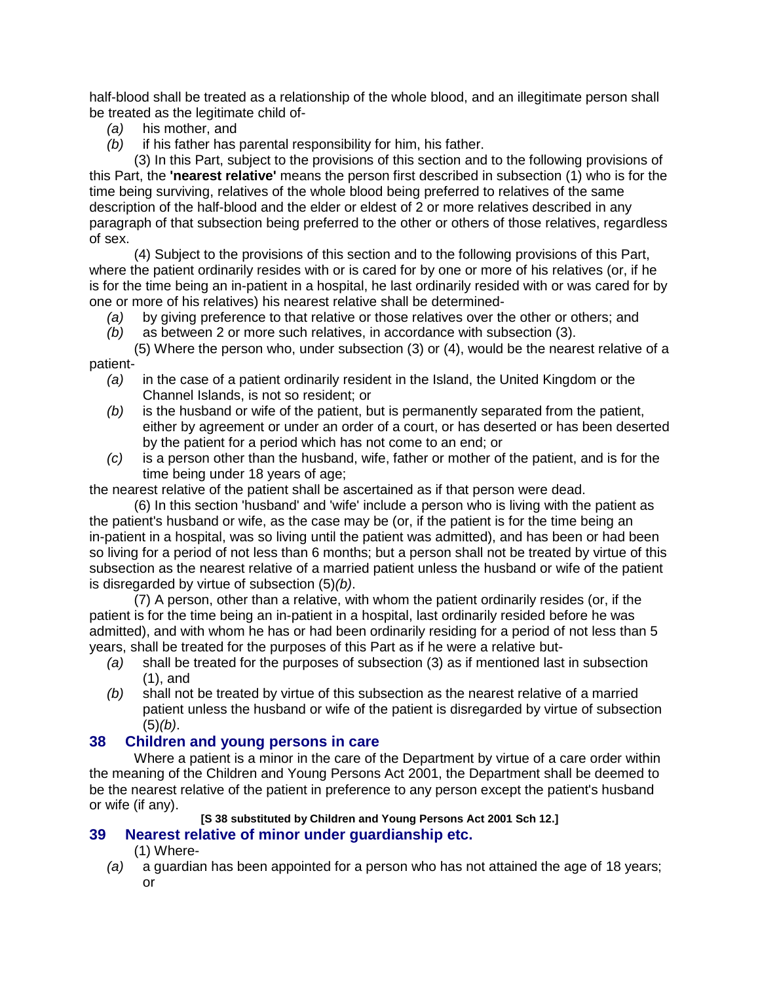half-blood shall be treated as a relationship of the whole blood, and an illegitimate person shall be treated as the legitimate child of-

- *(a)* his mother, and
- *(b)* if his father has parental responsibility for him, his father.

(3) In this Part, subject to the provisions of this section and to the following provisions of this Part, the **'nearest relative'** means the person first described in subsection (1) who is for the time being surviving, relatives of the whole blood being preferred to relatives of the same description of the half-blood and the elder or eldest of 2 or more relatives described in any paragraph of that subsection being preferred to the other or others of those relatives, regardless of sex.

(4) Subject to the provisions of this section and to the following provisions of this Part, where the patient ordinarily resides with or is cared for by one or more of his relatives (or, if he is for the time being an in-patient in a hospital, he last ordinarily resided with or was cared for by one or more of his relatives) his nearest relative shall be determined-

*(a)* by giving preference to that relative or those relatives over the other or others; and

*(b)* as between 2 or more such relatives, in accordance with subsection (3).

(5) Where the person who, under subsection (3) or (4), would be the nearest relative of a patient-

- *(a)* in the case of a patient ordinarily resident in the Island, the United Kingdom or the Channel Islands, is not so resident; or
- *(b)* is the husband or wife of the patient, but is permanently separated from the patient, either by agreement or under an order of a court, or has deserted or has been deserted by the patient for a period which has not come to an end; or
- *(c)* is a person other than the husband, wife, father or mother of the patient, and is for the time being under 18 years of age;

the nearest relative of the patient shall be ascertained as if that person were dead.

(6) In this section 'husband' and 'wife' include a person who is living with the patient as the patient's husband or wife, as the case may be (or, if the patient is for the time being an in-patient in a hospital, was so living until the patient was admitted), and has been or had been so living for a period of not less than 6 months; but a person shall not be treated by virtue of this subsection as the nearest relative of a married patient unless the husband or wife of the patient is disregarded by virtue of subsection (5)*(b)*.

(7) A person, other than a relative, with whom the patient ordinarily resides (or, if the patient is for the time being an in-patient in a hospital, last ordinarily resided before he was admitted), and with whom he has or had been ordinarily residing for a period of not less than 5 years, shall be treated for the purposes of this Part as if he were a relative but-

- *(a)* shall be treated for the purposes of subsection (3) as if mentioned last in subsection (1), and
- *(b)* shall not be treated by virtue of this subsection as the nearest relative of a married patient unless the husband or wife of the patient is disregarded by virtue of subsection (5)*(b)*.

# **38 Children and young persons in care**

Where a patient is a minor in the care of the Department by virtue of a care order within the meaning of the Children and Young Persons Act 2001, the Department shall be deemed to be the nearest relative of the patient in preference to any person except the patient's husband or wife (if any).

# **[S 38 substituted by Children and Young Persons Act 2001 Sch 12.]**

# **39 Nearest relative of minor under guardianship etc.**

- (1) Where-
- *(a)* a guardian has been appointed for a person who has not attained the age of 18 years; or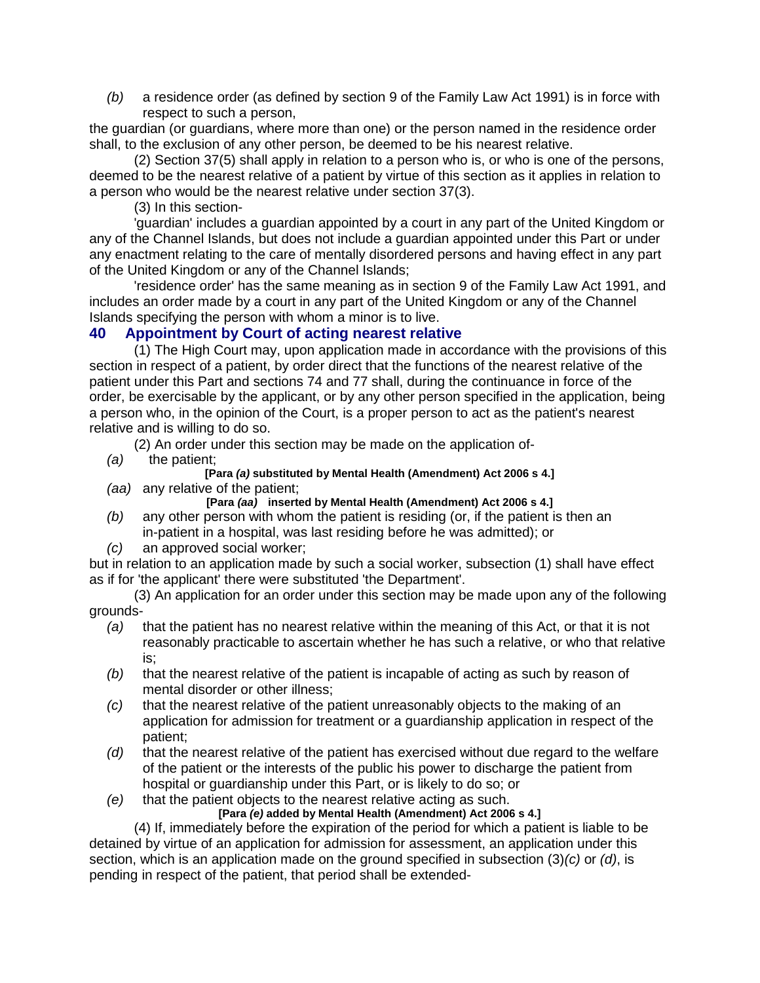*(b)* a residence order (as defined by section 9 of the Family Law Act 1991) is in force with respect to such a person,

the guardian (or guardians, where more than one) or the person named in the residence order shall, to the exclusion of any other person, be deemed to be his nearest relative.

(2) Section 37(5) shall apply in relation to a person who is, or who is one of the persons, deemed to be the nearest relative of a patient by virtue of this section as it applies in relation to a person who would be the nearest relative under section 37(3).

(3) In this section-

'guardian' includes a guardian appointed by a court in any part of the United Kingdom or any of the Channel Islands, but does not include a guardian appointed under this Part or under any enactment relating to the care of mentally disordered persons and having effect in any part of the United Kingdom or any of the Channel Islands;

'residence order' has the same meaning as in section 9 of the Family Law Act 1991, and includes an order made by a court in any part of the United Kingdom or any of the Channel Islands specifying the person with whom a minor is to live.

### **40 Appointment by Court of acting nearest relative**

(1) The High Court may, upon application made in accordance with the provisions of this section in respect of a patient, by order direct that the functions of the nearest relative of the patient under this Part and sections 74 and 77 shall, during the continuance in force of the order, be exercisable by the applicant, or by any other person specified in the application, being a person who, in the opinion of the Court, is a proper person to act as the patient's nearest relative and is willing to do so.

(2) An order under this section may be made on the application of-

*(a)* the patient;

#### **[Para** *(a)* **substituted by Mental Health (Amendment) Act 2006 s 4.]**

*(aa)* any relative of the patient;

- **[Para** *(aa)* **inserted by Mental Health (Amendment) Act 2006 s 4.]**
- *(b)* any other person with whom the patient is residing (or, if the patient is then an in-patient in a hospital, was last residing before he was admitted); or
- *(c)* an approved social worker;

but in relation to an application made by such a social worker, subsection (1) shall have effect as if for 'the applicant' there were substituted 'the Department'.

(3) An application for an order under this section may be made upon any of the following grounds-

- *(a)* that the patient has no nearest relative within the meaning of this Act, or that it is not reasonably practicable to ascertain whether he has such a relative, or who that relative is;
- *(b)* that the nearest relative of the patient is incapable of acting as such by reason of mental disorder or other illness;
- *(c)* that the nearest relative of the patient unreasonably objects to the making of an application for admission for treatment or a guardianship application in respect of the patient;
- *(d)* that the nearest relative of the patient has exercised without due regard to the welfare of the patient or the interests of the public his power to discharge the patient from hospital or guardianship under this Part, or is likely to do so; or
- *(e)* that the patient objects to the nearest relative acting as such.

**[Para** *(e)* **added by Mental Health (Amendment) Act 2006 s 4.]**

(4) If, immediately before the expiration of the period for which a patient is liable to be detained by virtue of an application for admission for assessment, an application under this section, which is an application made on the ground specified in subsection (3)*(c)* or *(d)*, is pending in respect of the patient, that period shall be extended-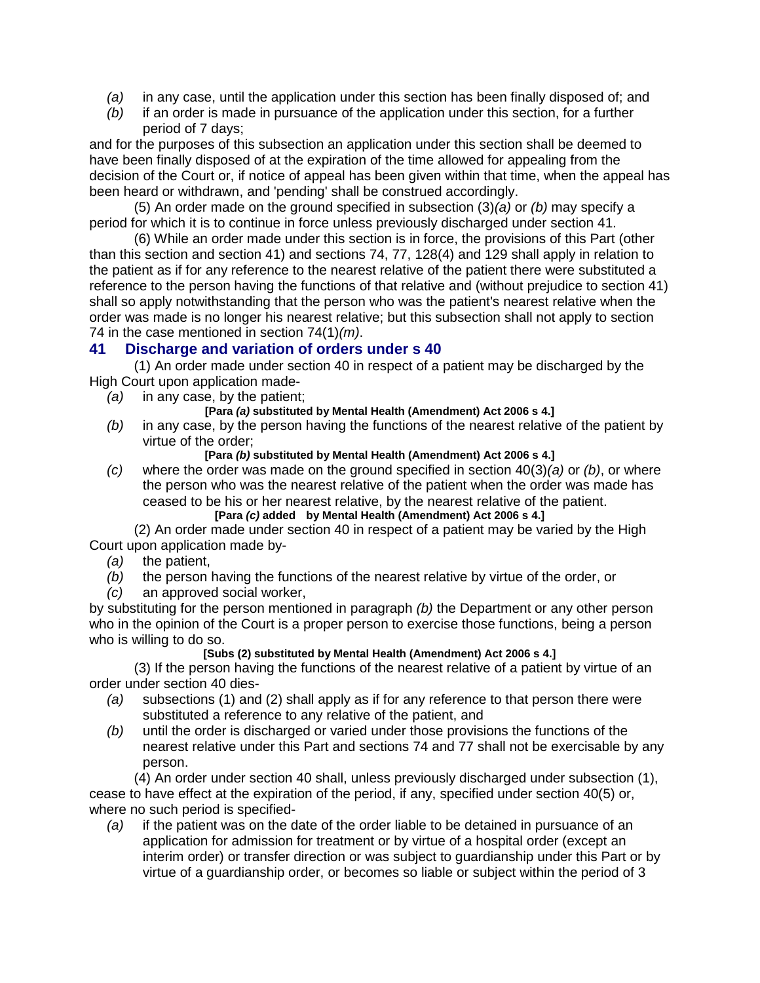- *(a)* in any case, until the application under this section has been finally disposed of; and
- *(b)* if an order is made in pursuance of the application under this section, for a further period of 7 days;

and for the purposes of this subsection an application under this section shall be deemed to have been finally disposed of at the expiration of the time allowed for appealing from the decision of the Court or, if notice of appeal has been given within that time, when the appeal has been heard or withdrawn, and 'pending' shall be construed accordingly.

(5) An order made on the ground specified in subsection (3)*(a)* or *(b)* may specify a period for which it is to continue in force unless previously discharged under section 41.

(6) While an order made under this section is in force, the provisions of this Part (other than this section and section 41) and sections 74, 77, 128(4) and 129 shall apply in relation to the patient as if for any reference to the nearest relative of the patient there were substituted a reference to the person having the functions of that relative and (without prejudice to section 41) shall so apply notwithstanding that the person who was the patient's nearest relative when the order was made is no longer his nearest relative; but this subsection shall not apply to section 74 in the case mentioned in section 74(1)*(m)*.

# **41 Discharge and variation of orders under s 40**

(1) An order made under section 40 in respect of a patient may be discharged by the High Court upon application made-

*(a)* in any case, by the patient;

### **[Para** *(a)* **substituted by Mental Health (Amendment) Act 2006 s 4.]**

*(b)* in any case, by the person having the functions of the nearest relative of the patient by virtue of the order;

#### **[Para** *(b)* **substituted by Mental Health (Amendment) Act 2006 s 4.]**

*(c)* where the order was made on the ground specified in section 40(3)*(a)* or *(b)*, or where the person who was the nearest relative of the patient when the order was made has ceased to be his or her nearest relative, by the nearest relative of the patient. **[Para** *(c)* **added by Mental Health (Amendment) Act 2006 s 4.]**

(2) An order made under section 40 in respect of a patient may be varied by the High

Court upon application made by-

- *(a)* the patient,
- *(b)* the person having the functions of the nearest relative by virtue of the order, or
- *(c)* an approved social worker,

by substituting for the person mentioned in paragraph *(b)* the Department or any other person who in the opinion of the Court is a proper person to exercise those functions, being a person who is willing to do so.

### **[Subs (2) substituted by Mental Health (Amendment) Act 2006 s 4.]**

(3) If the person having the functions of the nearest relative of a patient by virtue of an order under section 40 dies-

- *(a)* subsections (1) and (2) shall apply as if for any reference to that person there were substituted a reference to any relative of the patient, and
- *(b)* until the order is discharged or varied under those provisions the functions of the nearest relative under this Part and sections 74 and 77 shall not be exercisable by any person.

(4) An order under section 40 shall, unless previously discharged under subsection (1), cease to have effect at the expiration of the period, if any, specified under section 40(5) or, where no such period is specified-

*(a)* if the patient was on the date of the order liable to be detained in pursuance of an application for admission for treatment or by virtue of a hospital order (except an interim order) or transfer direction or was subject to guardianship under this Part or by virtue of a guardianship order, or becomes so liable or subject within the period of 3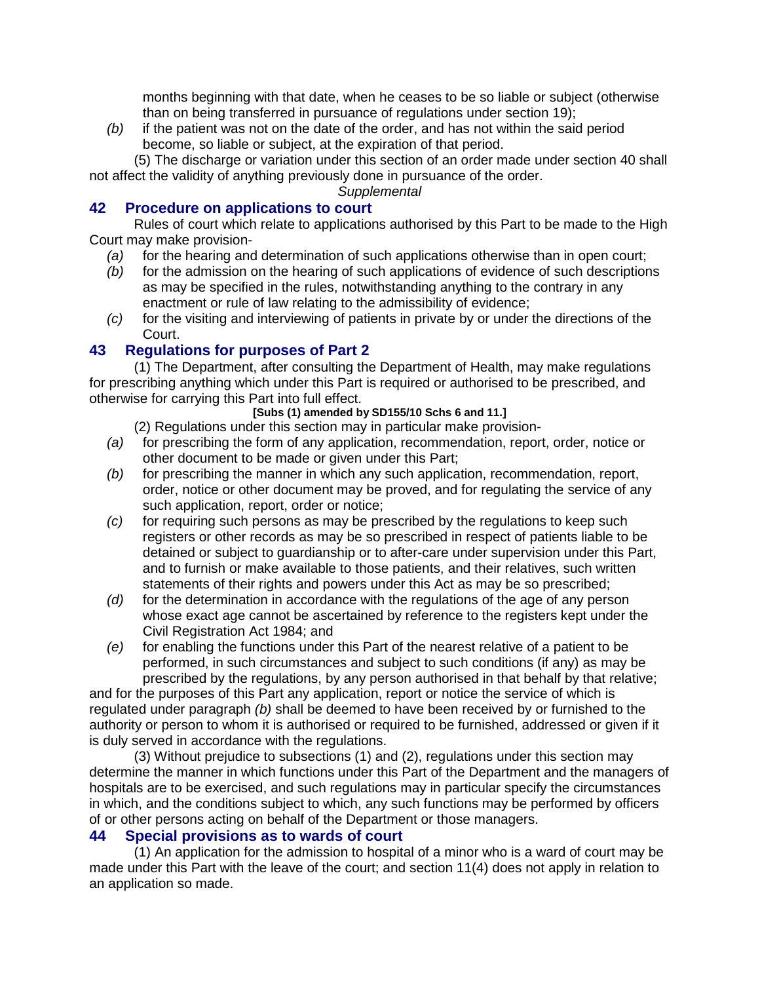months beginning with that date, when he ceases to be so liable or subject (otherwise than on being transferred in pursuance of regulations under section 19);

*(b)* if the patient was not on the date of the order, and has not within the said period become, so liable or subject, at the expiration of that period.

(5) The discharge or variation under this section of an order made under section 40 shall not affect the validity of anything previously done in pursuance of the order.

*Supplemental*

### **42 Procedure on applications to court**

Rules of court which relate to applications authorised by this Part to be made to the High Court may make provision-

- *(a)* for the hearing and determination of such applications otherwise than in open court;
- *(b)* for the admission on the hearing of such applications of evidence of such descriptions as may be specified in the rules, notwithstanding anything to the contrary in any enactment or rule of law relating to the admissibility of evidence;
- *(c)* for the visiting and interviewing of patients in private by or under the directions of the Court.

### **43 Regulations for purposes of Part 2**

(1) The Department, after consulting the Department of Health, may make regulations for prescribing anything which under this Part is required or authorised to be prescribed, and otherwise for carrying this Part into full effect.

### **[Subs (1) amended by SD155/10 Schs 6 and 11.]**

(2) Regulations under this section may in particular make provision-

- *(a)* for prescribing the form of any application, recommendation, report, order, notice or other document to be made or given under this Part;
- *(b)* for prescribing the manner in which any such application, recommendation, report, order, notice or other document may be proved, and for regulating the service of any such application, report, order or notice;
- *(c)* for requiring such persons as may be prescribed by the regulations to keep such registers or other records as may be so prescribed in respect of patients liable to be detained or subject to guardianship or to after-care under supervision under this Part, and to furnish or make available to those patients, and their relatives, such written statements of their rights and powers under this Act as may be so prescribed;
- *(d)* for the determination in accordance with the regulations of the age of any person whose exact age cannot be ascertained by reference to the registers kept under the Civil Registration Act 1984; and
- *(e)* for enabling the functions under this Part of the nearest relative of a patient to be performed, in such circumstances and subject to such conditions (if any) as may be prescribed by the regulations, by any person authorised in that behalf by that relative;

and for the purposes of this Part any application, report or notice the service of which is regulated under paragraph *(b)* shall be deemed to have been received by or furnished to the authority or person to whom it is authorised or required to be furnished, addressed or given if it is duly served in accordance with the regulations.

(3) Without prejudice to subsections (1) and (2), regulations under this section may determine the manner in which functions under this Part of the Department and the managers of hospitals are to be exercised, and such regulations may in particular specify the circumstances in which, and the conditions subject to which, any such functions may be performed by officers of or other persons acting on behalf of the Department or those managers.

### **44 Special provisions as to wards of court**

(1) An application for the admission to hospital of a minor who is a ward of court may be made under this Part with the leave of the court; and section 11(4) does not apply in relation to an application so made.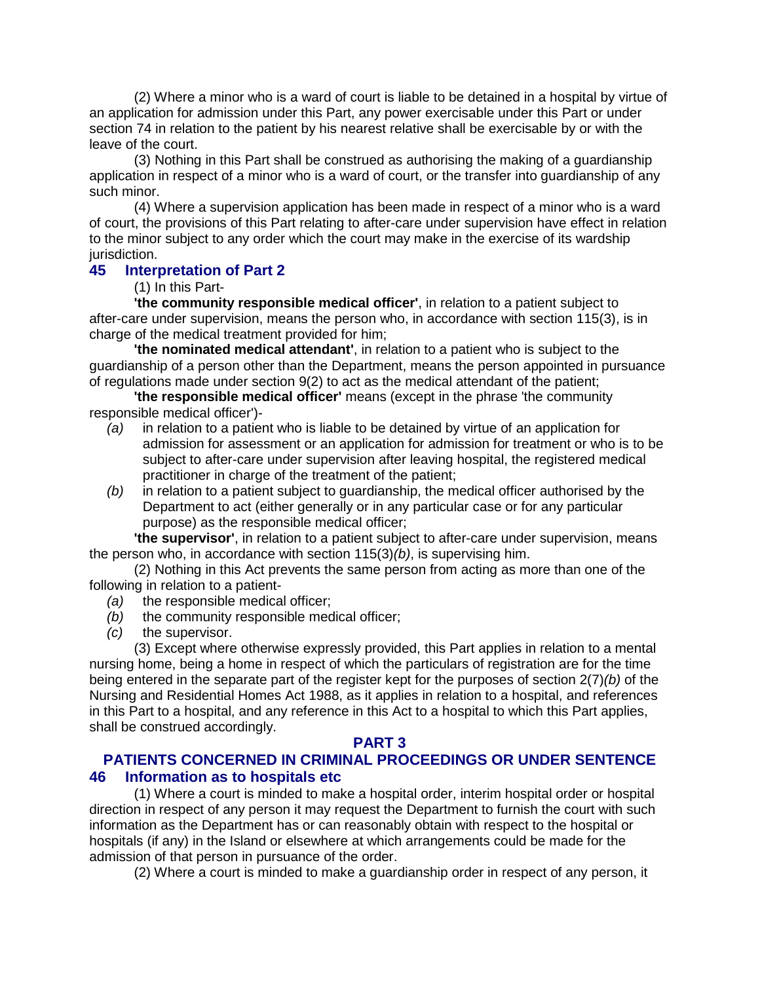(2) Where a minor who is a ward of court is liable to be detained in a hospital by virtue of an application for admission under this Part, any power exercisable under this Part or under section 74 in relation to the patient by his nearest relative shall be exercisable by or with the leave of the court.

(3) Nothing in this Part shall be construed as authorising the making of a guardianship application in respect of a minor who is a ward of court, or the transfer into guardianship of any such minor.

(4) Where a supervision application has been made in respect of a minor who is a ward of court, the provisions of this Part relating to after-care under supervision have effect in relation to the minor subject to any order which the court may make in the exercise of its wardship jurisdiction.

#### **45 Interpretation of Part 2**

(1) In this Part-

**'the community responsible medical officer'**, in relation to a patient subject to after-care under supervision, means the person who, in accordance with section 115(3), is in charge of the medical treatment provided for him;

**'the nominated medical attendant'**, in relation to a patient who is subject to the guardianship of a person other than the Department, means the person appointed in pursuance of regulations made under section 9(2) to act as the medical attendant of the patient;

**'the responsible medical officer'** means (except in the phrase 'the community responsible medical officer')-

- *(a)* in relation to a patient who is liable to be detained by virtue of an application for admission for assessment or an application for admission for treatment or who is to be subject to after-care under supervision after leaving hospital, the registered medical practitioner in charge of the treatment of the patient;
- *(b)* in relation to a patient subject to guardianship, the medical officer authorised by the Department to act (either generally or in any particular case or for any particular purpose) as the responsible medical officer;

**'the supervisor'**, in relation to a patient subject to after-care under supervision, means the person who, in accordance with section 115(3)*(b)*, is supervising him.

(2) Nothing in this Act prevents the same person from acting as more than one of the following in relation to a patient-

- *(a)* the responsible medical officer;
- *(b)* the community responsible medical officer;
- *(c)* the supervisor.

(3) Except where otherwise expressly provided, this Part applies in relation to a mental nursing home, being a home in respect of which the particulars of registration are for the time being entered in the separate part of the register kept for the purposes of section 2(7)*(b)* of the Nursing and Residential Homes Act 1988, as it applies in relation to a hospital, and references in this Part to a hospital, and any reference in this Act to a hospital to which this Part applies, shall be construed accordingly.

#### **PART 3**

# **PATIENTS CONCERNED IN CRIMINAL PROCEEDINGS OR UNDER SENTENCE 46 Information as to hospitals etc**

(1) Where a court is minded to make a hospital order, interim hospital order or hospital direction in respect of any person it may request the Department to furnish the court with such information as the Department has or can reasonably obtain with respect to the hospital or hospitals (if any) in the Island or elsewhere at which arrangements could be made for the admission of that person in pursuance of the order.

(2) Where a court is minded to make a guardianship order in respect of any person, it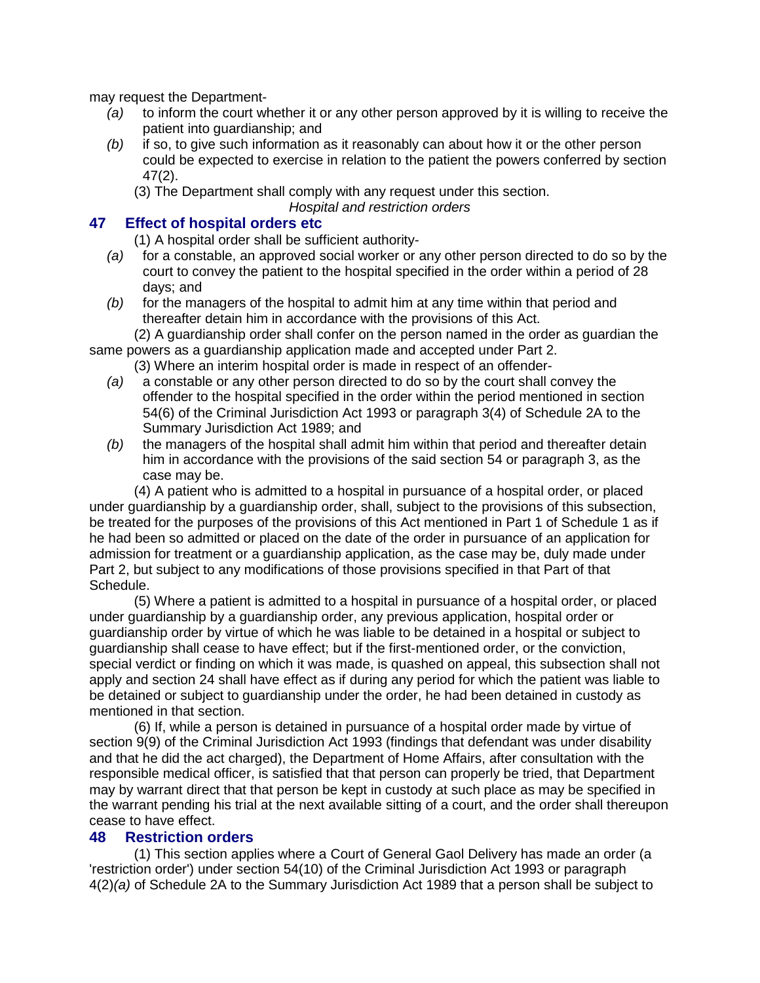may request the Department-

- *(a)* to inform the court whether it or any other person approved by it is willing to receive the patient into guardianship; and
- *(b)* if so, to give such information as it reasonably can about how it or the other person could be expected to exercise in relation to the patient the powers conferred by section 47(2).
	- (3) The Department shall comply with any request under this section.

*Hospital and restriction orders*

#### **47 Effect of hospital orders etc**

(1) A hospital order shall be sufficient authority-

- *(a)* for a constable, an approved social worker or any other person directed to do so by the court to convey the patient to the hospital specified in the order within a period of 28 days; and
- *(b)* for the managers of the hospital to admit him at any time within that period and thereafter detain him in accordance with the provisions of this Act.

(2) A guardianship order shall confer on the person named in the order as guardian the same powers as a guardianship application made and accepted under Part 2.

- (3) Where an interim hospital order is made in respect of an offender-
- *(a)* a constable or any other person directed to do so by the court shall convey the offender to the hospital specified in the order within the period mentioned in section 54(6) of the Criminal Jurisdiction Act 1993 or paragraph 3(4) of Schedule 2A to the Summary Jurisdiction Act 1989; and
- *(b)* the managers of the hospital shall admit him within that period and thereafter detain him in accordance with the provisions of the said section 54 or paragraph 3, as the case may be.

(4) A patient who is admitted to a hospital in pursuance of a hospital order, or placed under guardianship by a guardianship order, shall, subject to the provisions of this subsection, be treated for the purposes of the provisions of this Act mentioned in Part 1 of Schedule 1 as if he had been so admitted or placed on the date of the order in pursuance of an application for admission for treatment or a guardianship application, as the case may be, duly made under Part 2, but subject to any modifications of those provisions specified in that Part of that Schedule.

(5) Where a patient is admitted to a hospital in pursuance of a hospital order, or placed under guardianship by a guardianship order, any previous application, hospital order or guardianship order by virtue of which he was liable to be detained in a hospital or subject to guardianship shall cease to have effect; but if the first-mentioned order, or the conviction, special verdict or finding on which it was made, is quashed on appeal, this subsection shall not apply and section 24 shall have effect as if during any period for which the patient was liable to be detained or subject to guardianship under the order, he had been detained in custody as mentioned in that section.

(6) If, while a person is detained in pursuance of a hospital order made by virtue of section 9(9) of the Criminal Jurisdiction Act 1993 (findings that defendant was under disability and that he did the act charged), the Department of Home Affairs, after consultation with the responsible medical officer, is satisfied that that person can properly be tried, that Department may by warrant direct that that person be kept in custody at such place as may be specified in the warrant pending his trial at the next available sitting of a court, and the order shall thereupon cease to have effect.

#### **48 Restriction orders**

(1) This section applies where a Court of General Gaol Delivery has made an order (a 'restriction order') under section 54(10) of the Criminal Jurisdiction Act 1993 or paragraph 4(2)*(a)* of Schedule 2A to the Summary Jurisdiction Act 1989 that a person shall be subject to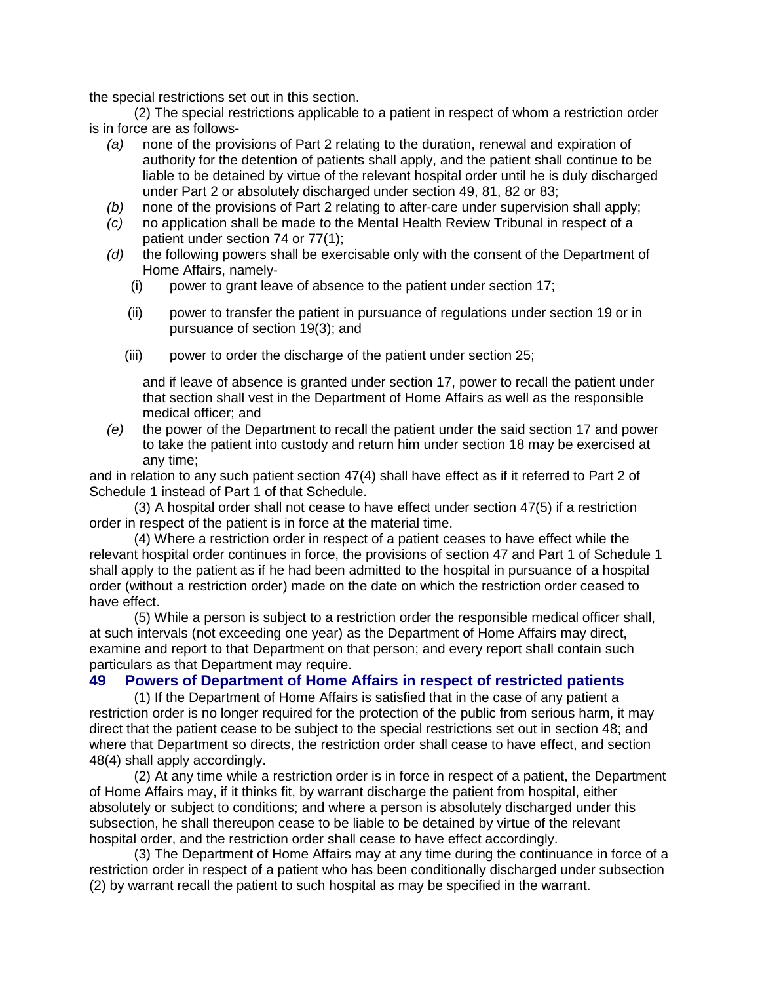the special restrictions set out in this section.

(2) The special restrictions applicable to a patient in respect of whom a restriction order is in force are as follows-

- *(a)* none of the provisions of Part 2 relating to the duration, renewal and expiration of authority for the detention of patients shall apply, and the patient shall continue to be liable to be detained by virtue of the relevant hospital order until he is duly discharged under Part 2 or absolutely discharged under section 49, 81, 82 or 83;
- *(b)* none of the provisions of Part 2 relating to after-care under supervision shall apply;
- *(c)* no application shall be made to the Mental Health Review Tribunal in respect of a patient under section 74 or 77(1);
- *(d)* the following powers shall be exercisable only with the consent of the Department of Home Affairs, namely-
	- (i) power to grant leave of absence to the patient under section 17;
	- (ii) power to transfer the patient in pursuance of regulations under section 19 or in pursuance of section 19(3); and
	- (iii) power to order the discharge of the patient under section 25;

and if leave of absence is granted under section 17, power to recall the patient under that section shall vest in the Department of Home Affairs as well as the responsible medical officer; and

*(e)* the power of the Department to recall the patient under the said section 17 and power to take the patient into custody and return him under section 18 may be exercised at any time;

and in relation to any such patient section 47(4) shall have effect as if it referred to Part 2 of Schedule 1 instead of Part 1 of that Schedule.

(3) A hospital order shall not cease to have effect under section 47(5) if a restriction order in respect of the patient is in force at the material time.

(4) Where a restriction order in respect of a patient ceases to have effect while the relevant hospital order continues in force, the provisions of section 47 and Part 1 of Schedule 1 shall apply to the patient as if he had been admitted to the hospital in pursuance of a hospital order (without a restriction order) made on the date on which the restriction order ceased to have effect.

(5) While a person is subject to a restriction order the responsible medical officer shall, at such intervals (not exceeding one year) as the Department of Home Affairs may direct, examine and report to that Department on that person; and every report shall contain such particulars as that Department may require.

### **49 Powers of Department of Home Affairs in respect of restricted patients**

(1) If the Department of Home Affairs is satisfied that in the case of any patient a restriction order is no longer required for the protection of the public from serious harm, it may direct that the patient cease to be subject to the special restrictions set out in section 48; and where that Department so directs, the restriction order shall cease to have effect, and section 48(4) shall apply accordingly.

(2) At any time while a restriction order is in force in respect of a patient, the Department of Home Affairs may, if it thinks fit, by warrant discharge the patient from hospital, either absolutely or subject to conditions; and where a person is absolutely discharged under this subsection, he shall thereupon cease to be liable to be detained by virtue of the relevant hospital order, and the restriction order shall cease to have effect accordingly.

(3) The Department of Home Affairs may at any time during the continuance in force of a restriction order in respect of a patient who has been conditionally discharged under subsection (2) by warrant recall the patient to such hospital as may be specified in the warrant.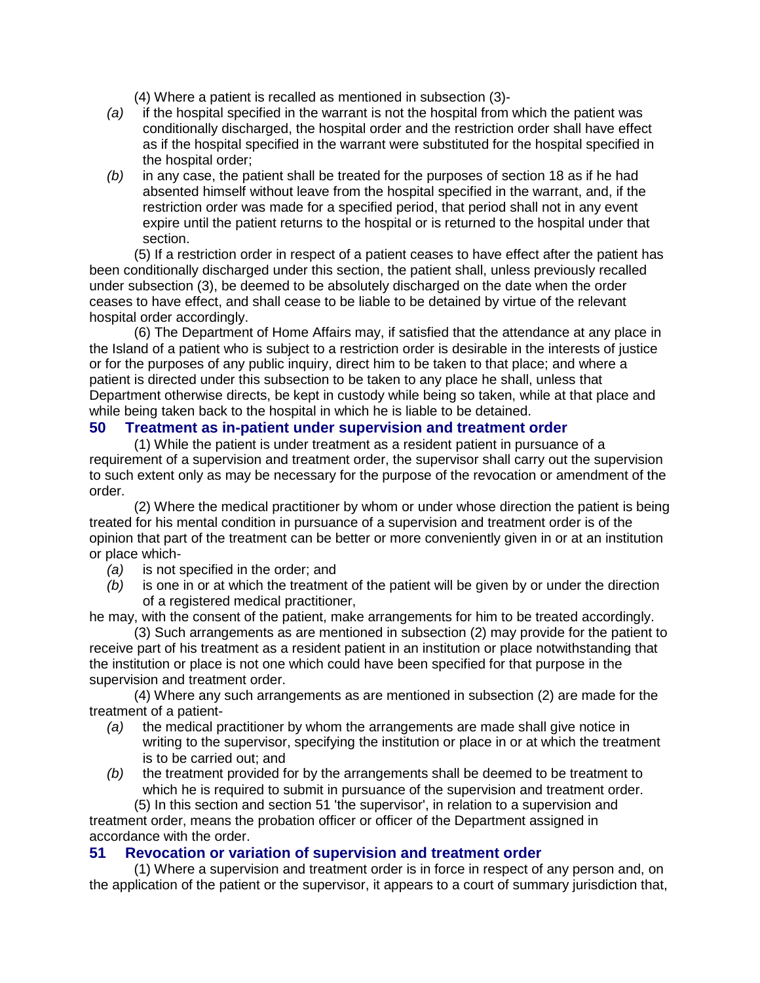(4) Where a patient is recalled as mentioned in subsection (3)-

- *(a)* if the hospital specified in the warrant is not the hospital from which the patient was conditionally discharged, the hospital order and the restriction order shall have effect as if the hospital specified in the warrant were substituted for the hospital specified in the hospital order;
- *(b)* in any case, the patient shall be treated for the purposes of section 18 as if he had absented himself without leave from the hospital specified in the warrant, and, if the restriction order was made for a specified period, that period shall not in any event expire until the patient returns to the hospital or is returned to the hospital under that section.

(5) If a restriction order in respect of a patient ceases to have effect after the patient has been conditionally discharged under this section, the patient shall, unless previously recalled under subsection (3), be deemed to be absolutely discharged on the date when the order ceases to have effect, and shall cease to be liable to be detained by virtue of the relevant hospital order accordingly.

(6) The Department of Home Affairs may, if satisfied that the attendance at any place in the Island of a patient who is subject to a restriction order is desirable in the interests of justice or for the purposes of any public inquiry, direct him to be taken to that place; and where a patient is directed under this subsection to be taken to any place he shall, unless that Department otherwise directs, be kept in custody while being so taken, while at that place and while being taken back to the hospital in which he is liable to be detained.

### **50 Treatment as in-patient under supervision and treatment order**

(1) While the patient is under treatment as a resident patient in pursuance of a requirement of a supervision and treatment order, the supervisor shall carry out the supervision to such extent only as may be necessary for the purpose of the revocation or amendment of the order.

(2) Where the medical practitioner by whom or under whose direction the patient is being treated for his mental condition in pursuance of a supervision and treatment order is of the opinion that part of the treatment can be better or more conveniently given in or at an institution or place which-

- *(a)* is not specified in the order; and
- *(b)* is one in or at which the treatment of the patient will be given by or under the direction of a registered medical practitioner,

he may, with the consent of the patient, make arrangements for him to be treated accordingly. (3) Such arrangements as are mentioned in subsection (2) may provide for the patient to

receive part of his treatment as a resident patient in an institution or place notwithstanding that the institution or place is not one which could have been specified for that purpose in the supervision and treatment order.

(4) Where any such arrangements as are mentioned in subsection (2) are made for the treatment of a patient-

- *(a)* the medical practitioner by whom the arrangements are made shall give notice in writing to the supervisor, specifying the institution or place in or at which the treatment is to be carried out; and
- *(b)* the treatment provided for by the arrangements shall be deemed to be treatment to which he is required to submit in pursuance of the supervision and treatment order.

(5) In this section and section 51 'the supervisor', in relation to a supervision and treatment order, means the probation officer or officer of the Department assigned in accordance with the order.

### **51 Revocation or variation of supervision and treatment order**

(1) Where a supervision and treatment order is in force in respect of any person and, on the application of the patient or the supervisor, it appears to a court of summary jurisdiction that,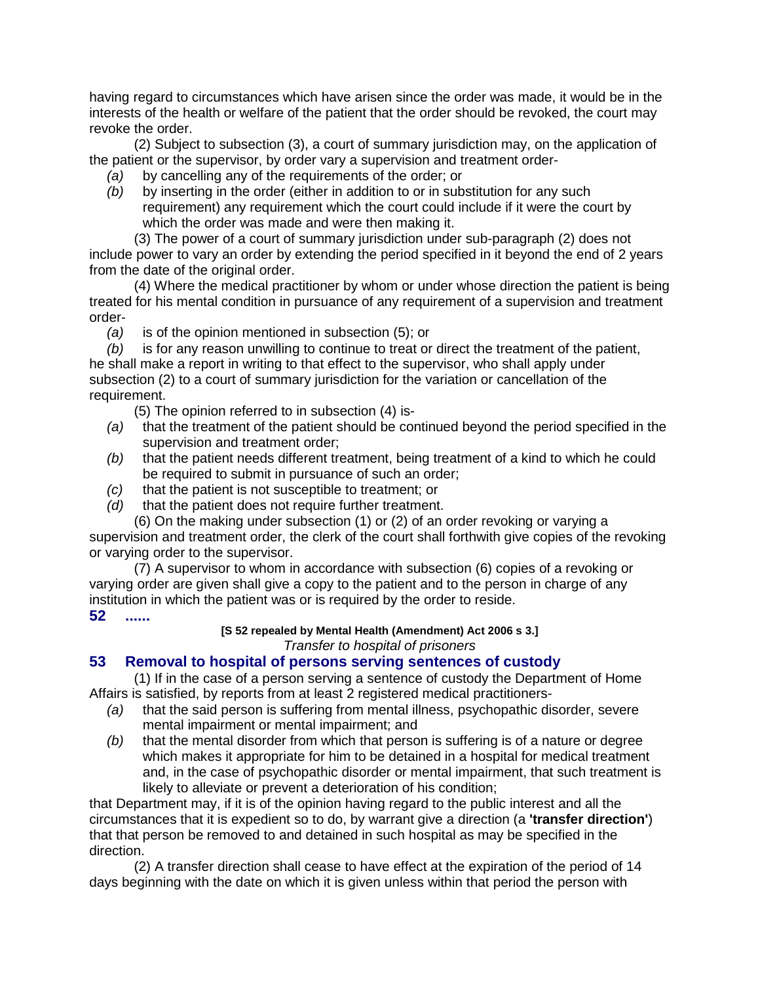having regard to circumstances which have arisen since the order was made, it would be in the interests of the health or welfare of the patient that the order should be revoked, the court may revoke the order.

(2) Subject to subsection (3), a court of summary jurisdiction may, on the application of the patient or the supervisor, by order vary a supervision and treatment order-

- *(a)* by cancelling any of the requirements of the order; or
- *(b)* by inserting in the order (either in addition to or in substitution for any such requirement) any requirement which the court could include if it were the court by which the order was made and were then making it.

(3) The power of a court of summary jurisdiction under sub-paragraph (2) does not include power to vary an order by extending the period specified in it beyond the end of 2 years from the date of the original order.

(4) Where the medical practitioner by whom or under whose direction the patient is being treated for his mental condition in pursuance of any requirement of a supervision and treatment order-

*(a)* is of the opinion mentioned in subsection (5); or

*(b)* is for any reason unwilling to continue to treat or direct the treatment of the patient, he shall make a report in writing to that effect to the supervisor, who shall apply under subsection (2) to a court of summary jurisdiction for the variation or cancellation of the requirement.

(5) The opinion referred to in subsection (4) is-

- *(a)* that the treatment of the patient should be continued beyond the period specified in the supervision and treatment order;
- *(b)* that the patient needs different treatment, being treatment of a kind to which he could be required to submit in pursuance of such an order;
- *(c)* that the patient is not susceptible to treatment; or
- *(d)* that the patient does not require further treatment.

(6) On the making under subsection (1) or (2) of an order revoking or varying a supervision and treatment order, the clerk of the court shall forthwith give copies of the revoking or varying order to the supervisor.

(7) A supervisor to whom in accordance with subsection (6) copies of a revoking or varying order are given shall give a copy to the patient and to the person in charge of any institution in which the patient was or is required by the order to reside. **52 ......**

#### **[S 52 repealed by Mental Health (Amendment) Act 2006 s 3.]** *Transfer to hospital of prisoners*

## **53 Removal to hospital of persons serving sentences of custody**

(1) If in the case of a person serving a sentence of custody the Department of Home Affairs is satisfied, by reports from at least 2 registered medical practitioners-

- *(a)* that the said person is suffering from mental illness, psychopathic disorder, severe mental impairment or mental impairment; and
- *(b)* that the mental disorder from which that person is suffering is of a nature or degree which makes it appropriate for him to be detained in a hospital for medical treatment and, in the case of psychopathic disorder or mental impairment, that such treatment is likely to alleviate or prevent a deterioration of his condition;

that Department may, if it is of the opinion having regard to the public interest and all the circumstances that it is expedient so to do, by warrant give a direction (a **'transfer direction'**) that that person be removed to and detained in such hospital as may be specified in the direction.

(2) A transfer direction shall cease to have effect at the expiration of the period of 14 days beginning with the date on which it is given unless within that period the person with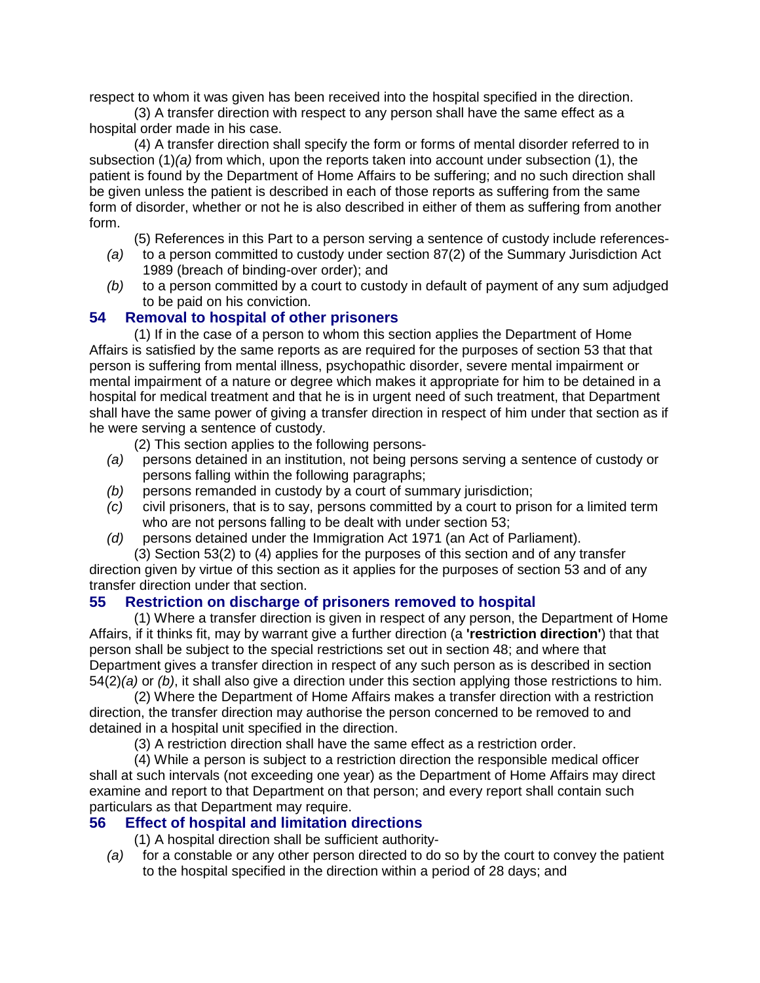respect to whom it was given has been received into the hospital specified in the direction.

(3) A transfer direction with respect to any person shall have the same effect as a hospital order made in his case.

(4) A transfer direction shall specify the form or forms of mental disorder referred to in subsection (1)*(a)* from which, upon the reports taken into account under subsection (1), the patient is found by the Department of Home Affairs to be suffering; and no such direction shall be given unless the patient is described in each of those reports as suffering from the same form of disorder, whether or not he is also described in either of them as suffering from another form.

- (5) References in this Part to a person serving a sentence of custody include references-
- *(a)* to a person committed to custody under section 87(2) of the Summary Jurisdiction Act 1989 (breach of binding-over order); and
- *(b)* to a person committed by a court to custody in default of payment of any sum adjudged to be paid on his conviction.

## **54 Removal to hospital of other prisoners**

(1) If in the case of a person to whom this section applies the Department of Home Affairs is satisfied by the same reports as are required for the purposes of section 53 that that person is suffering from mental illness, psychopathic disorder, severe mental impairment or mental impairment of a nature or degree which makes it appropriate for him to be detained in a hospital for medical treatment and that he is in urgent need of such treatment, that Department shall have the same power of giving a transfer direction in respect of him under that section as if he were serving a sentence of custody.

(2) This section applies to the following persons-

- *(a)* persons detained in an institution, not being persons serving a sentence of custody or persons falling within the following paragraphs;
- *(b)* persons remanded in custody by a court of summary jurisdiction;
- *(c)* civil prisoners, that is to say, persons committed by a court to prison for a limited term who are not persons falling to be dealt with under section 53;
- *(d)* persons detained under the Immigration Act 1971 (an Act of Parliament).

(3) Section 53(2) to (4) applies for the purposes of this section and of any transfer direction given by virtue of this section as it applies for the purposes of section 53 and of any transfer direction under that section.

## **55 Restriction on discharge of prisoners removed to hospital**

(1) Where a transfer direction is given in respect of any person, the Department of Home Affairs, if it thinks fit, may by warrant give a further direction (a **'restriction direction'**) that that person shall be subject to the special restrictions set out in section 48; and where that Department gives a transfer direction in respect of any such person as is described in section 54(2)*(a)* or *(b)*, it shall also give a direction under this section applying those restrictions to him.

(2) Where the Department of Home Affairs makes a transfer direction with a restriction direction, the transfer direction may authorise the person concerned to be removed to and detained in a hospital unit specified in the direction.

(3) A restriction direction shall have the same effect as a restriction order.

(4) While a person is subject to a restriction direction the responsible medical officer shall at such intervals (not exceeding one year) as the Department of Home Affairs may direct examine and report to that Department on that person; and every report shall contain such particulars as that Department may require.

### **56 Effect of hospital and limitation directions**

(1) A hospital direction shall be sufficient authority-

*(a)* for a constable or any other person directed to do so by the court to convey the patient to the hospital specified in the direction within a period of 28 days; and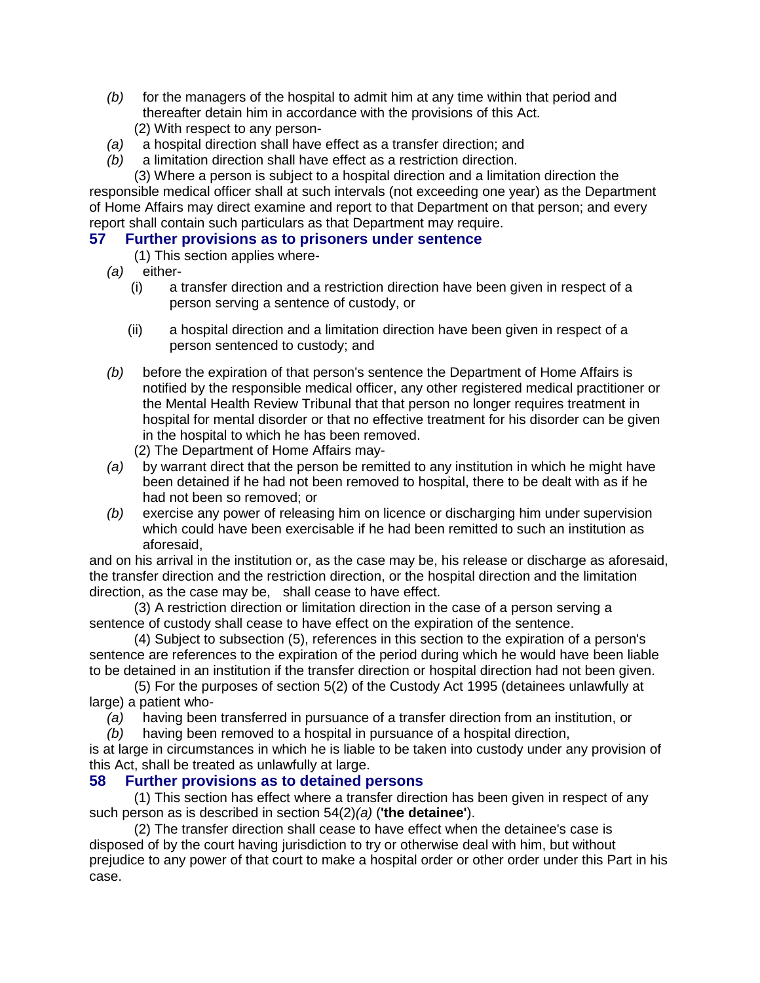- *(b)* for the managers of the hospital to admit him at any time within that period and thereafter detain him in accordance with the provisions of this Act. (2) With respect to any person-
- *(a)* a hospital direction shall have effect as a transfer direction; and
- *(b)* a limitation direction shall have effect as a restriction direction.

(3) Where a person is subject to a hospital direction and a limitation direction the responsible medical officer shall at such intervals (not exceeding one year) as the Department of Home Affairs may direct examine and report to that Department on that person; and every report shall contain such particulars as that Department may require.

### **57 Further provisions as to prisoners under sentence**

- (1) This section applies where-
- *(a)* either-
	- (i) a transfer direction and a restriction direction have been given in respect of a person serving a sentence of custody, or
	- (ii) a hospital direction and a limitation direction have been given in respect of a person sentenced to custody; and
- *(b)* before the expiration of that person's sentence the Department of Home Affairs is notified by the responsible medical officer, any other registered medical practitioner or the Mental Health Review Tribunal that that person no longer requires treatment in hospital for mental disorder or that no effective treatment for his disorder can be given in the hospital to which he has been removed.

(2) The Department of Home Affairs may-

- *(a)* by warrant direct that the person be remitted to any institution in which he might have been detained if he had not been removed to hospital, there to be dealt with as if he had not been so removed; or
- *(b)* exercise any power of releasing him on licence or discharging him under supervision which could have been exercisable if he had been remitted to such an institution as aforesaid,

and on his arrival in the institution or, as the case may be, his release or discharge as aforesaid, the transfer direction and the restriction direction, or the hospital direction and the limitation direction, as the case may be, shall cease to have effect.

(3) A restriction direction or limitation direction in the case of a person serving a sentence of custody shall cease to have effect on the expiration of the sentence.

(4) Subject to subsection (5), references in this section to the expiration of a person's sentence are references to the expiration of the period during which he would have been liable to be detained in an institution if the transfer direction or hospital direction had not been given.

(5) For the purposes of section 5(2) of the Custody Act 1995 (detainees unlawfully at large) a patient who-

*(a)* having been transferred in pursuance of a transfer direction from an institution, or

*(b)* having been removed to a hospital in pursuance of a hospital direction,

is at large in circumstances in which he is liable to be taken into custody under any provision of this Act, shall be treated as unlawfully at large.

## **58 Further provisions as to detained persons**

(1) This section has effect where a transfer direction has been given in respect of any such person as is described in section 54(2)*(a)* (**'the detainee'**).

(2) The transfer direction shall cease to have effect when the detainee's case is disposed of by the court having jurisdiction to try or otherwise deal with him, but without prejudice to any power of that court to make a hospital order or other order under this Part in his case.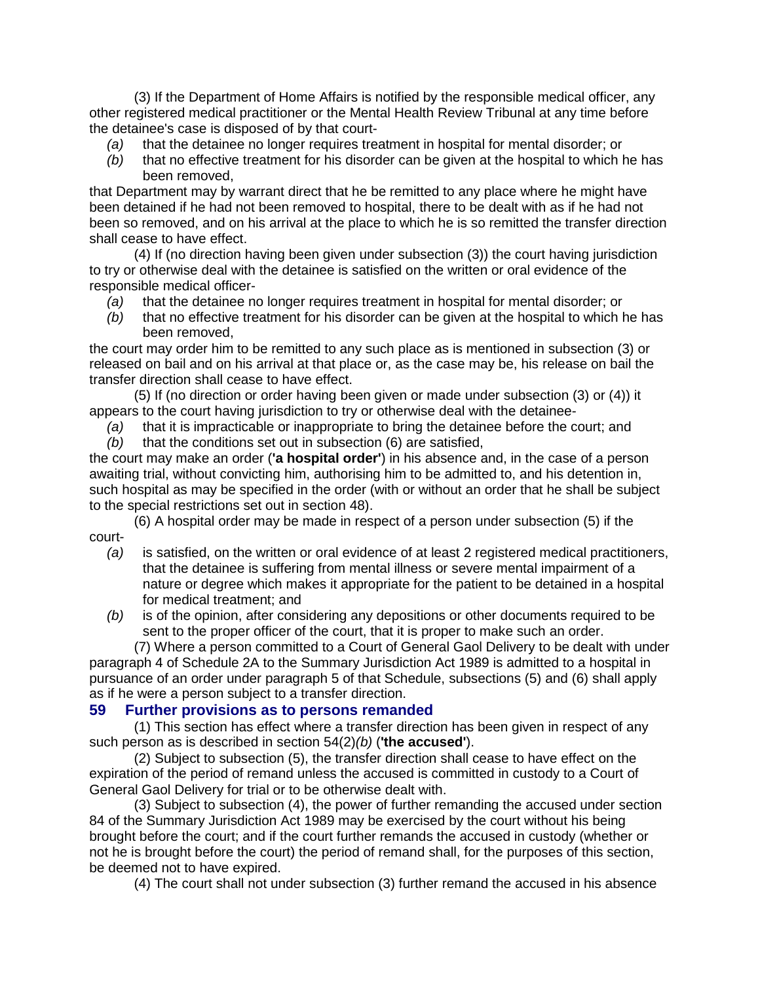(3) If the Department of Home Affairs is notified by the responsible medical officer, any other registered medical practitioner or the Mental Health Review Tribunal at any time before the detainee's case is disposed of by that court-

- *(a)* that the detainee no longer requires treatment in hospital for mental disorder; or
- *(b)* that no effective treatment for his disorder can be given at the hospital to which he has been removed,

that Department may by warrant direct that he be remitted to any place where he might have been detained if he had not been removed to hospital, there to be dealt with as if he had not been so removed, and on his arrival at the place to which he is so remitted the transfer direction shall cease to have effect.

(4) If (no direction having been given under subsection (3)) the court having jurisdiction to try or otherwise deal with the detainee is satisfied on the written or oral evidence of the responsible medical officer-

- *(a)* that the detainee no longer requires treatment in hospital for mental disorder; or
- *(b)* that no effective treatment for his disorder can be given at the hospital to which he has been removed,

the court may order him to be remitted to any such place as is mentioned in subsection (3) or released on bail and on his arrival at that place or, as the case may be, his release on bail the transfer direction shall cease to have effect.

(5) If (no direction or order having been given or made under subsection (3) or (4)) it appears to the court having jurisdiction to try or otherwise deal with the detainee-

*(a)* that it is impracticable or inappropriate to bring the detainee before the court; and

*(b)* that the conditions set out in subsection (6) are satisfied,

the court may make an order (**'a hospital order'**) in his absence and, in the case of a person awaiting trial, without convicting him, authorising him to be admitted to, and his detention in, such hospital as may be specified in the order (with or without an order that he shall be subject to the special restrictions set out in section 48).

(6) A hospital order may be made in respect of a person under subsection (5) if the court-

- *(a)* is satisfied, on the written or oral evidence of at least 2 registered medical practitioners, that the detainee is suffering from mental illness or severe mental impairment of a nature or degree which makes it appropriate for the patient to be detained in a hospital for medical treatment; and
- *(b)* is of the opinion, after considering any depositions or other documents required to be sent to the proper officer of the court, that it is proper to make such an order.

(7) Where a person committed to a Court of General Gaol Delivery to be dealt with under paragraph 4 of Schedule 2A to the Summary Jurisdiction Act 1989 is admitted to a hospital in pursuance of an order under paragraph 5 of that Schedule, subsections (5) and (6) shall apply as if he were a person subject to a transfer direction.

## **59 Further provisions as to persons remanded**

(1) This section has effect where a transfer direction has been given in respect of any such person as is described in section 54(2)*(b)* (**'the accused'**).

(2) Subject to subsection (5), the transfer direction shall cease to have effect on the expiration of the period of remand unless the accused is committed in custody to a Court of General Gaol Delivery for trial or to be otherwise dealt with.

(3) Subject to subsection (4), the power of further remanding the accused under section 84 of the Summary Jurisdiction Act 1989 may be exercised by the court without his being brought before the court; and if the court further remands the accused in custody (whether or not he is brought before the court) the period of remand shall, for the purposes of this section, be deemed not to have expired.

(4) The court shall not under subsection (3) further remand the accused in his absence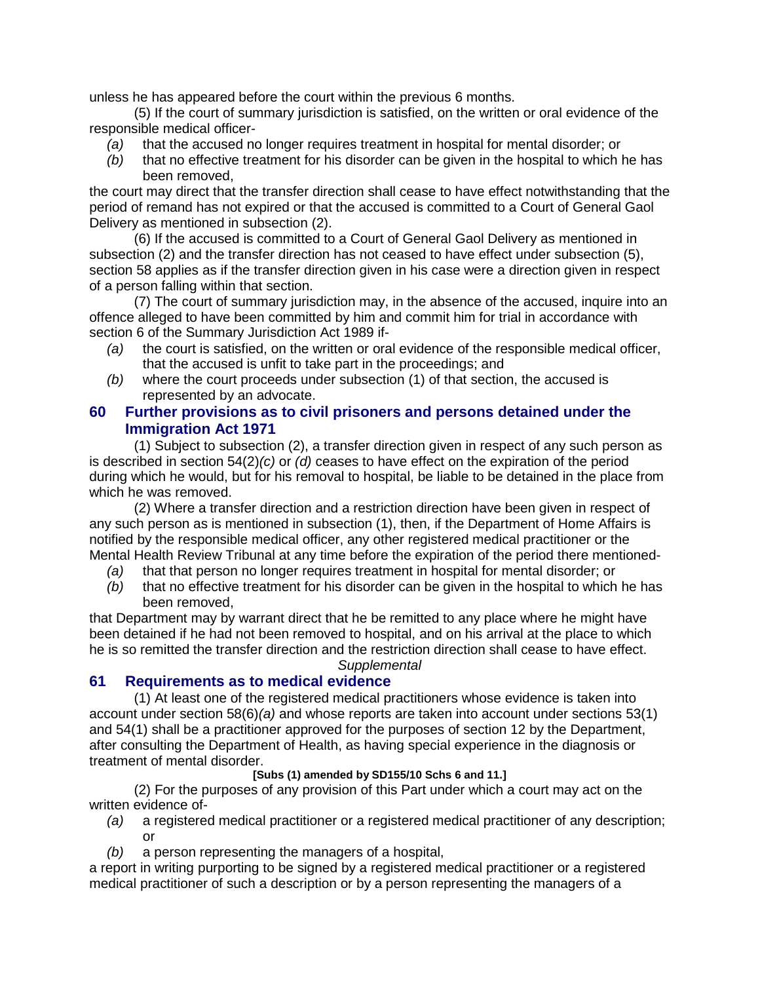unless he has appeared before the court within the previous 6 months.

(5) If the court of summary jurisdiction is satisfied, on the written or oral evidence of the responsible medical officer-

- *(a)* that the accused no longer requires treatment in hospital for mental disorder; or
- *(b)* that no effective treatment for his disorder can be given in the hospital to which he has been removed,

the court may direct that the transfer direction shall cease to have effect notwithstanding that the period of remand has not expired or that the accused is committed to a Court of General Gaol Delivery as mentioned in subsection (2).

(6) If the accused is committed to a Court of General Gaol Delivery as mentioned in subsection (2) and the transfer direction has not ceased to have effect under subsection (5), section 58 applies as if the transfer direction given in his case were a direction given in respect of a person falling within that section.

(7) The court of summary jurisdiction may, in the absence of the accused, inquire into an offence alleged to have been committed by him and commit him for trial in accordance with section 6 of the Summary Jurisdiction Act 1989 if-

- *(a)* the court is satisfied, on the written or oral evidence of the responsible medical officer, that the accused is unfit to take part in the proceedings; and
- *(b)* where the court proceeds under subsection (1) of that section, the accused is represented by an advocate.

## **60 Further provisions as to civil prisoners and persons detained under the Immigration Act 1971**

(1) Subject to subsection (2), a transfer direction given in respect of any such person as is described in section 54(2)*(c)* or *(d)* ceases to have effect on the expiration of the period during which he would, but for his removal to hospital, be liable to be detained in the place from which he was removed.

(2) Where a transfer direction and a restriction direction have been given in respect of any such person as is mentioned in subsection (1), then, if the Department of Home Affairs is notified by the responsible medical officer, any other registered medical practitioner or the Mental Health Review Tribunal at any time before the expiration of the period there mentioned-

- *(a)* that that person no longer requires treatment in hospital for mental disorder; or
- *(b)* that no effective treatment for his disorder can be given in the hospital to which he has been removed,

that Department may by warrant direct that he be remitted to any place where he might have been detained if he had not been removed to hospital, and on his arrival at the place to which he is so remitted the transfer direction and the restriction direction shall cease to have effect.

#### *Supplemental*

### **61 Requirements as to medical evidence**

(1) At least one of the registered medical practitioners whose evidence is taken into account under section 58(6)*(a)* and whose reports are taken into account under sections 53(1) and 54(1) shall be a practitioner approved for the purposes of section 12 by the Department, after consulting the Department of Health, as having special experience in the diagnosis or treatment of mental disorder.

#### **[Subs (1) amended by SD155/10 Schs 6 and 11.]**

(2) For the purposes of any provision of this Part under which a court may act on the written evidence of-

- *(a)* a registered medical practitioner or a registered medical practitioner of any description; or
- *(b)* a person representing the managers of a hospital,

a report in writing purporting to be signed by a registered medical practitioner or a registered medical practitioner of such a description or by a person representing the managers of a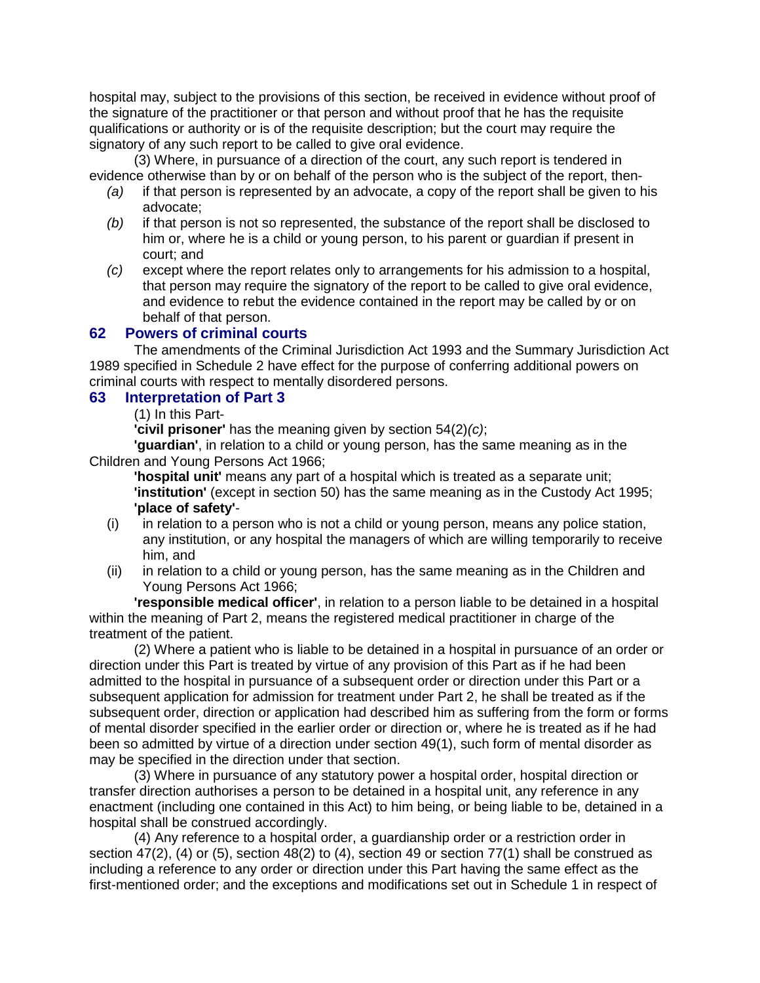hospital may, subject to the provisions of this section, be received in evidence without proof of the signature of the practitioner or that person and without proof that he has the requisite qualifications or authority or is of the requisite description; but the court may require the signatory of any such report to be called to give oral evidence.

(3) Where, in pursuance of a direction of the court, any such report is tendered in evidence otherwise than by or on behalf of the person who is the subject of the report, then-

- *(a)* if that person is represented by an advocate, a copy of the report shall be given to his advocate;
- *(b)* if that person is not so represented, the substance of the report shall be disclosed to him or, where he is a child or young person, to his parent or guardian if present in court; and
- *(c)* except where the report relates only to arrangements for his admission to a hospital, that person may require the signatory of the report to be called to give oral evidence, and evidence to rebut the evidence contained in the report may be called by or on behalf of that person.

### **62 Powers of criminal courts**

The amendments of the Criminal Jurisdiction Act 1993 and the Summary Jurisdiction Act 1989 specified in Schedule 2 have effect for the purpose of conferring additional powers on criminal courts with respect to mentally disordered persons.

#### **63 Interpretation of Part 3**

(1) In this Part-

**'civil prisoner'** has the meaning given by section 54(2)*(c)*;

**'guardian'**, in relation to a child or young person, has the same meaning as in the Children and Young Persons Act 1966;

**'hospital unit'** means any part of a hospital which is treated as a separate unit; **'institution'** (except in section 50) has the same meaning as in the Custody Act 1995; **'place of safety'**-

- (i) in relation to a person who is not a child or young person, means any police station, any institution, or any hospital the managers of which are willing temporarily to receive him, and
- (ii) in relation to a child or young person, has the same meaning as in the Children and Young Persons Act 1966;

**'responsible medical officer'**, in relation to a person liable to be detained in a hospital within the meaning of Part 2, means the registered medical practitioner in charge of the treatment of the patient.

(2) Where a patient who is liable to be detained in a hospital in pursuance of an order or direction under this Part is treated by virtue of any provision of this Part as if he had been admitted to the hospital in pursuance of a subsequent order or direction under this Part or a subsequent application for admission for treatment under Part 2, he shall be treated as if the subsequent order, direction or application had described him as suffering from the form or forms of mental disorder specified in the earlier order or direction or, where he is treated as if he had been so admitted by virtue of a direction under section 49(1), such form of mental disorder as may be specified in the direction under that section.

(3) Where in pursuance of any statutory power a hospital order, hospital direction or transfer direction authorises a person to be detained in a hospital unit, any reference in any enactment (including one contained in this Act) to him being, or being liable to be, detained in a hospital shall be construed accordingly.

(4) Any reference to a hospital order, a guardianship order or a restriction order in section 47(2), (4) or (5), section 48(2) to (4), section 49 or section 77(1) shall be construed as including a reference to any order or direction under this Part having the same effect as the first-mentioned order; and the exceptions and modifications set out in Schedule 1 in respect of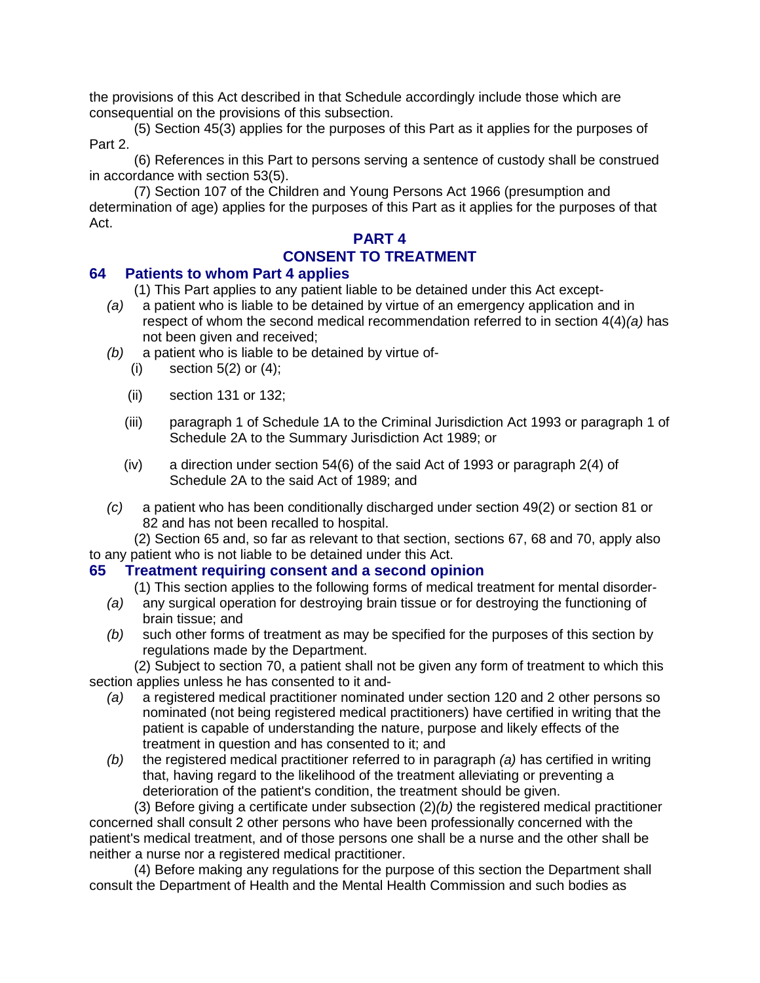the provisions of this Act described in that Schedule accordingly include those which are consequential on the provisions of this subsection.

(5) Section 45(3) applies for the purposes of this Part as it applies for the purposes of Part 2.

(6) References in this Part to persons serving a sentence of custody shall be construed in accordance with section 53(5).

(7) Section 107 of the Children and Young Persons Act 1966 (presumption and determination of age) applies for the purposes of this Part as it applies for the purposes of that Act.

#### **PART 4 CONSENT TO TREATMENT**

### **64 Patients to whom Part 4 applies**

(1) This Part applies to any patient liable to be detained under this Act except-

- *(a)* a patient who is liable to be detained by virtue of an emergency application and in respect of whom the second medical recommendation referred to in section 4(4)*(a)* has not been given and received;
- *(b)* a patient who is liable to be detained by virtue of-
	- (i) section  $5(2)$  or  $(4)$ ;
	- (ii) section 131 or 132;
	- (iii) paragraph 1 of Schedule 1A to the Criminal Jurisdiction Act 1993 or paragraph 1 of Schedule 2A to the Summary Jurisdiction Act 1989; or
	- (iv) a direction under section 54(6) of the said Act of 1993 or paragraph 2(4) of Schedule 2A to the said Act of 1989; and
- *(c)* a patient who has been conditionally discharged under section 49(2) or section 81 or 82 and has not been recalled to hospital.

(2) Section 65 and, so far as relevant to that section, sections 67, 68 and 70, apply also to any patient who is not liable to be detained under this Act.

### **65 Treatment requiring consent and a second opinion**

(1) This section applies to the following forms of medical treatment for mental disorder-

- *(a)* any surgical operation for destroying brain tissue or for destroying the functioning of brain tissue; and
- *(b)* such other forms of treatment as may be specified for the purposes of this section by regulations made by the Department.

(2) Subject to section 70, a patient shall not be given any form of treatment to which this section applies unless he has consented to it and-

- *(a)* a registered medical practitioner nominated under section 120 and 2 other persons so nominated (not being registered medical practitioners) have certified in writing that the patient is capable of understanding the nature, purpose and likely effects of the treatment in question and has consented to it; and
- *(b)* the registered medical practitioner referred to in paragraph *(a)* has certified in writing that, having regard to the likelihood of the treatment alleviating or preventing a deterioration of the patient's condition, the treatment should be given.

(3) Before giving a certificate under subsection (2)*(b)* the registered medical practitioner concerned shall consult 2 other persons who have been professionally concerned with the patient's medical treatment, and of those persons one shall be a nurse and the other shall be neither a nurse nor a registered medical practitioner.

(4) Before making any regulations for the purpose of this section the Department shall consult the Department of Health and the Mental Health Commission and such bodies as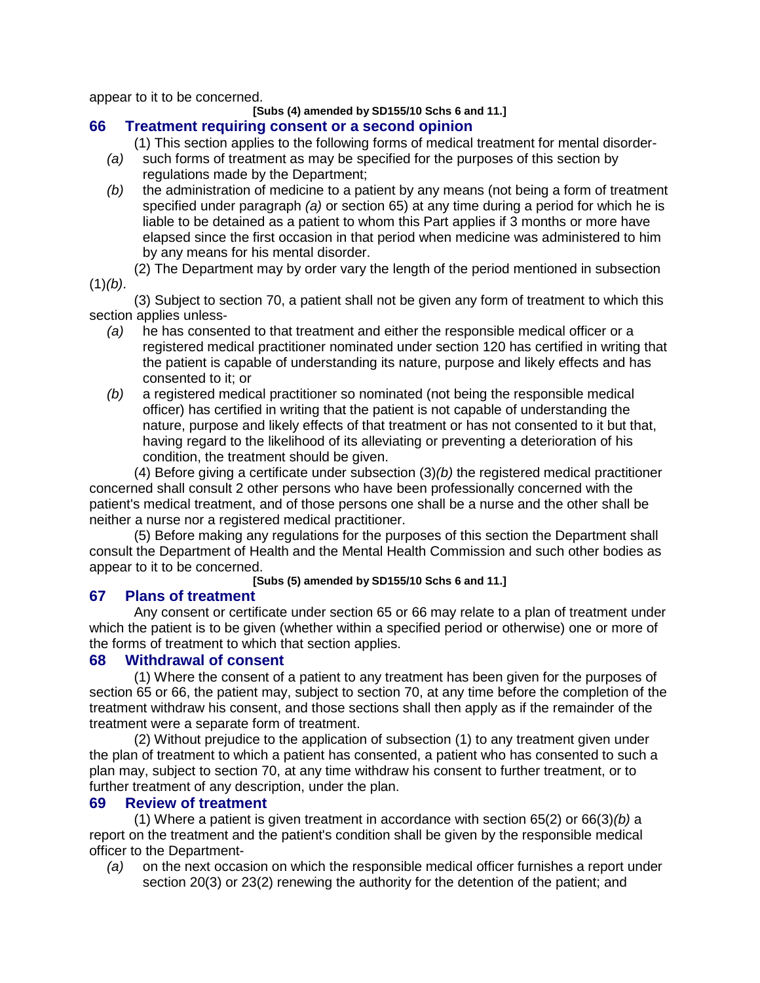appear to it to be concerned.

#### **[Subs (4) amended by SD155/10 Schs 6 and 11.]**

### **66 Treatment requiring consent or a second opinion**

(1) This section applies to the following forms of medical treatment for mental disorder-

- *(a)* such forms of treatment as may be specified for the purposes of this section by regulations made by the Department;
- *(b)* the administration of medicine to a patient by any means (not being a form of treatment specified under paragraph *(a)* or section 65) at any time during a period for which he is liable to be detained as a patient to whom this Part applies if 3 months or more have elapsed since the first occasion in that period when medicine was administered to him by any means for his mental disorder.
- (2) The Department may by order vary the length of the period mentioned in subsection (1)*(b)*.

(3) Subject to section 70, a patient shall not be given any form of treatment to which this section applies unless-

- *(a)* he has consented to that treatment and either the responsible medical officer or a registered medical practitioner nominated under section 120 has certified in writing that the patient is capable of understanding its nature, purpose and likely effects and has consented to it; or
- *(b)* a registered medical practitioner so nominated (not being the responsible medical officer) has certified in writing that the patient is not capable of understanding the nature, purpose and likely effects of that treatment or has not consented to it but that, having regard to the likelihood of its alleviating or preventing a deterioration of his condition, the treatment should be given.

(4) Before giving a certificate under subsection (3)*(b)* the registered medical practitioner concerned shall consult 2 other persons who have been professionally concerned with the patient's medical treatment, and of those persons one shall be a nurse and the other shall be neither a nurse nor a registered medical practitioner.

(5) Before making any regulations for the purposes of this section the Department shall consult the Department of Health and the Mental Health Commission and such other bodies as appear to it to be concerned.

#### **[Subs (5) amended by SD155/10 Schs 6 and 11.]**

## **67 Plans of treatment**

Any consent or certificate under section 65 or 66 may relate to a plan of treatment under which the patient is to be given (whether within a specified period or otherwise) one or more of the forms of treatment to which that section applies.

### **68 Withdrawal of consent**

(1) Where the consent of a patient to any treatment has been given for the purposes of section 65 or 66, the patient may, subject to section 70, at any time before the completion of the treatment withdraw his consent, and those sections shall then apply as if the remainder of the treatment were a separate form of treatment.

(2) Without prejudice to the application of subsection (1) to any treatment given under the plan of treatment to which a patient has consented, a patient who has consented to such a plan may, subject to section 70, at any time withdraw his consent to further treatment, or to further treatment of any description, under the plan.

### **69 Review of treatment**

(1) Where a patient is given treatment in accordance with section 65(2) or 66(3)*(b)* a report on the treatment and the patient's condition shall be given by the responsible medical officer to the Department-

*(a)* on the next occasion on which the responsible medical officer furnishes a report under section 20(3) or 23(2) renewing the authority for the detention of the patient; and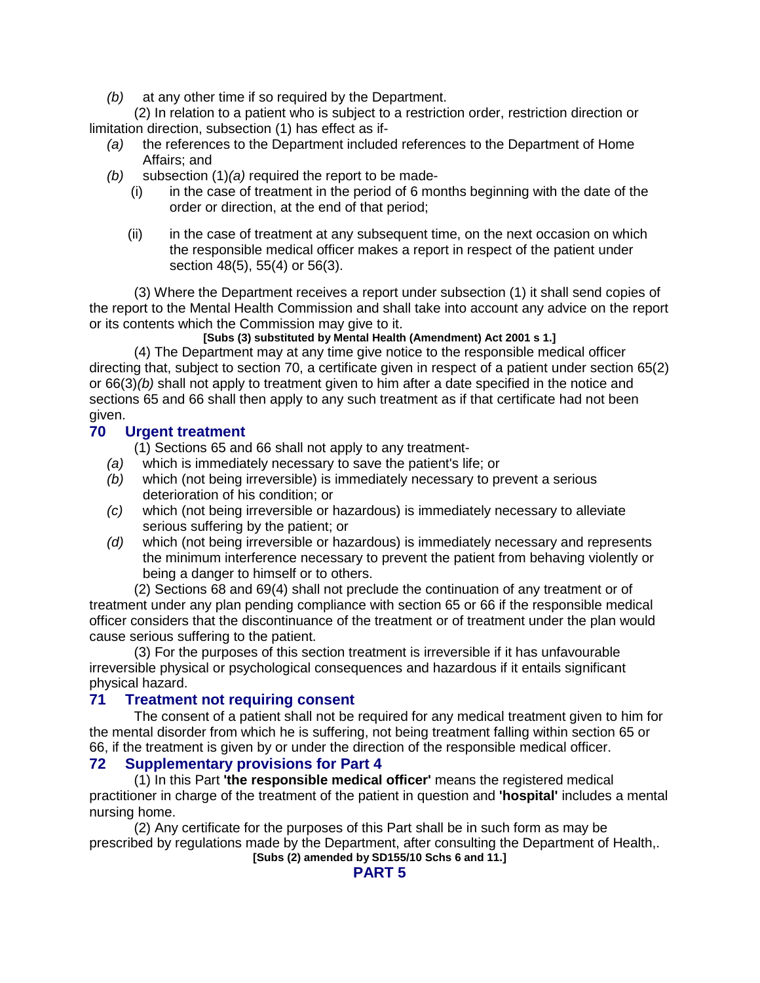*(b)* at any other time if so required by the Department.

(2) In relation to a patient who is subject to a restriction order, restriction direction or limitation direction, subsection (1) has effect as if-

- *(a)* the references to the Department included references to the Department of Home Affairs; and
- *(b)* subsection (1)*(a)* required the report to be made-
	- (i) in the case of treatment in the period of 6 months beginning with the date of the order or direction, at the end of that period;
	- (ii) in the case of treatment at any subsequent time, on the next occasion on which the responsible medical officer makes a report in respect of the patient under section 48(5), 55(4) or 56(3).

(3) Where the Department receives a report under subsection (1) it shall send copies of the report to the Mental Health Commission and shall take into account any advice on the report or its contents which the Commission may give to it.

**[Subs (3) substituted by Mental Health (Amendment) Act 2001 s 1.]**

(4) The Department may at any time give notice to the responsible medical officer directing that, subject to section 70, a certificate given in respect of a patient under section 65(2) or 66(3)*(b)* shall not apply to treatment given to him after a date specified in the notice and sections 65 and 66 shall then apply to any such treatment as if that certificate had not been given.

### **70 Urgent treatment**

(1) Sections 65 and 66 shall not apply to any treatment-

- *(a)* which is immediately necessary to save the patient's life; or
- *(b)* which (not being irreversible) is immediately necessary to prevent a serious deterioration of his condition; or
- *(c)* which (not being irreversible or hazardous) is immediately necessary to alleviate serious suffering by the patient; or
- *(d)* which (not being irreversible or hazardous) is immediately necessary and represents the minimum interference necessary to prevent the patient from behaving violently or being a danger to himself or to others.

(2) Sections 68 and 69(4) shall not preclude the continuation of any treatment or of treatment under any plan pending compliance with section 65 or 66 if the responsible medical officer considers that the discontinuance of the treatment or of treatment under the plan would cause serious suffering to the patient.

(3) For the purposes of this section treatment is irreversible if it has unfavourable irreversible physical or psychological consequences and hazardous if it entails significant physical hazard.

### **71 Treatment not requiring consent**

The consent of a patient shall not be required for any medical treatment given to him for the mental disorder from which he is suffering, not being treatment falling within section 65 or 66, if the treatment is given by or under the direction of the responsible medical officer.

### **72 Supplementary provisions for Part 4**

(1) In this Part **'the responsible medical officer'** means the registered medical practitioner in charge of the treatment of the patient in question and **'hospital'** includes a mental nursing home.

(2) Any certificate for the purposes of this Part shall be in such form as may be prescribed by regulations made by the Department, after consulting the Department of Health,. **[Subs (2) amended by SD155/10 Schs 6 and 11.]**

### **PART 5**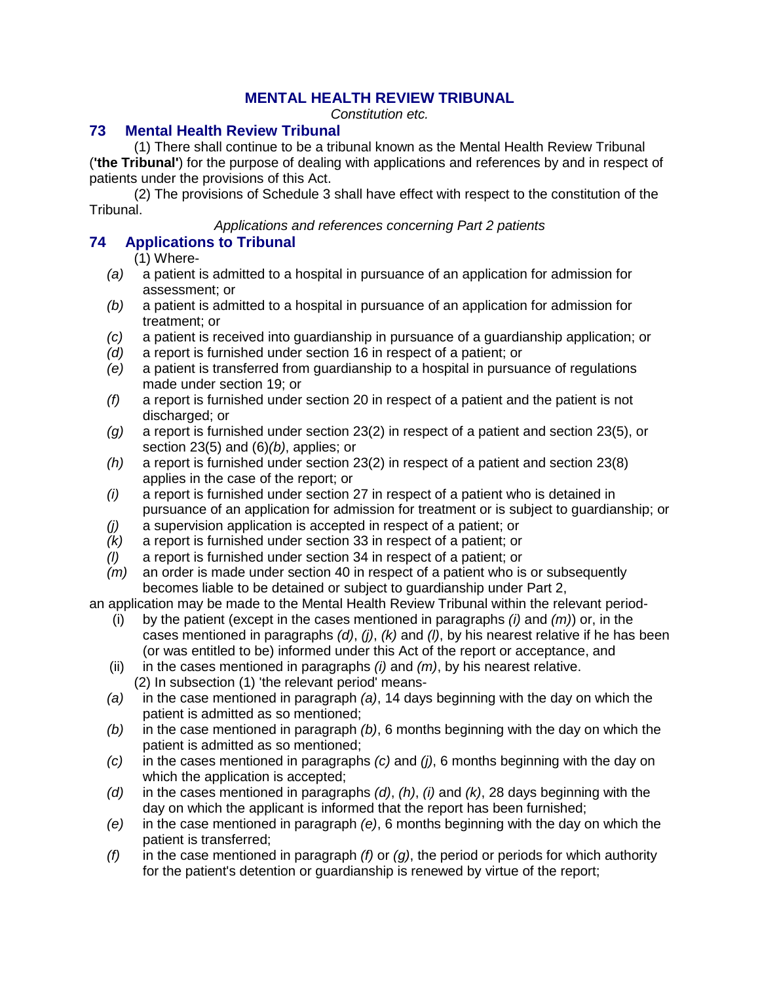## **MENTAL HEALTH REVIEW TRIBUNAL**

*Constitution etc.*

## **73 Mental Health Review Tribunal**

(1) There shall continue to be a tribunal known as the Mental Health Review Tribunal (**'the Tribunal'**) for the purpose of dealing with applications and references by and in respect of patients under the provisions of this Act.

(2) The provisions of Schedule 3 shall have effect with respect to the constitution of the Tribunal.

### *Applications and references concerning Part 2 patients*

# **74 Applications to Tribunal**

(1) Where-

- *(a)* a patient is admitted to a hospital in pursuance of an application for admission for assessment; or
- *(b)* a patient is admitted to a hospital in pursuance of an application for admission for treatment; or
- *(c)* a patient is received into guardianship in pursuance of a guardianship application; or
- *(d)* a report is furnished under section 16 in respect of a patient; or
- *(e)* a patient is transferred from guardianship to a hospital in pursuance of regulations made under section 19; or
- *(f)* a report is furnished under section 20 in respect of a patient and the patient is not discharged; or
- *(g)* a report is furnished under section 23(2) in respect of a patient and section 23(5), or section 23(5) and (6)*(b)*, applies; or
- *(h)* a report is furnished under section 23(2) in respect of a patient and section 23(8) applies in the case of the report; or
- *(i)* a report is furnished under section 27 in respect of a patient who is detained in pursuance of an application for admission for treatment or is subject to guardianship; or
- *(j)* a supervision application is accepted in respect of a patient; or
- *(k)* a report is furnished under section 33 in respect of a patient; or
- *(l)* a report is furnished under section 34 in respect of a patient; or
- *(m)* an order is made under section 40 in respect of a patient who is or subsequently becomes liable to be detained or subject to guardianship under Part 2,

an application may be made to the Mental Health Review Tribunal within the relevant period-

- (i) by the patient (except in the cases mentioned in paragraphs *(i)* and *(m)*) or, in the cases mentioned in paragraphs *(d)*, *(j)*, *(k)* and *(l)*, by his nearest relative if he has been (or was entitled to be) informed under this Act of the report or acceptance, and
- (ii) in the cases mentioned in paragraphs *(i)* and *(m)*, by his nearest relative. (2) In subsection (1) 'the relevant period' means-
- *(a)* in the case mentioned in paragraph *(a)*, 14 days beginning with the day on which the patient is admitted as so mentioned;
- *(b)* in the case mentioned in paragraph *(b)*, 6 months beginning with the day on which the patient is admitted as so mentioned;
- *(c)* in the cases mentioned in paragraphs *(c)* and *(j)*, 6 months beginning with the day on which the application is accepted;
- *(d)* in the cases mentioned in paragraphs *(d)*, *(h)*, *(i)* and *(k)*, 28 days beginning with the day on which the applicant is informed that the report has been furnished;
- *(e)* in the case mentioned in paragraph *(e)*, 6 months beginning with the day on which the patient is transferred;
- *(f)* in the case mentioned in paragraph *(f)* or *(g)*, the period or periods for which authority for the patient's detention or guardianship is renewed by virtue of the report;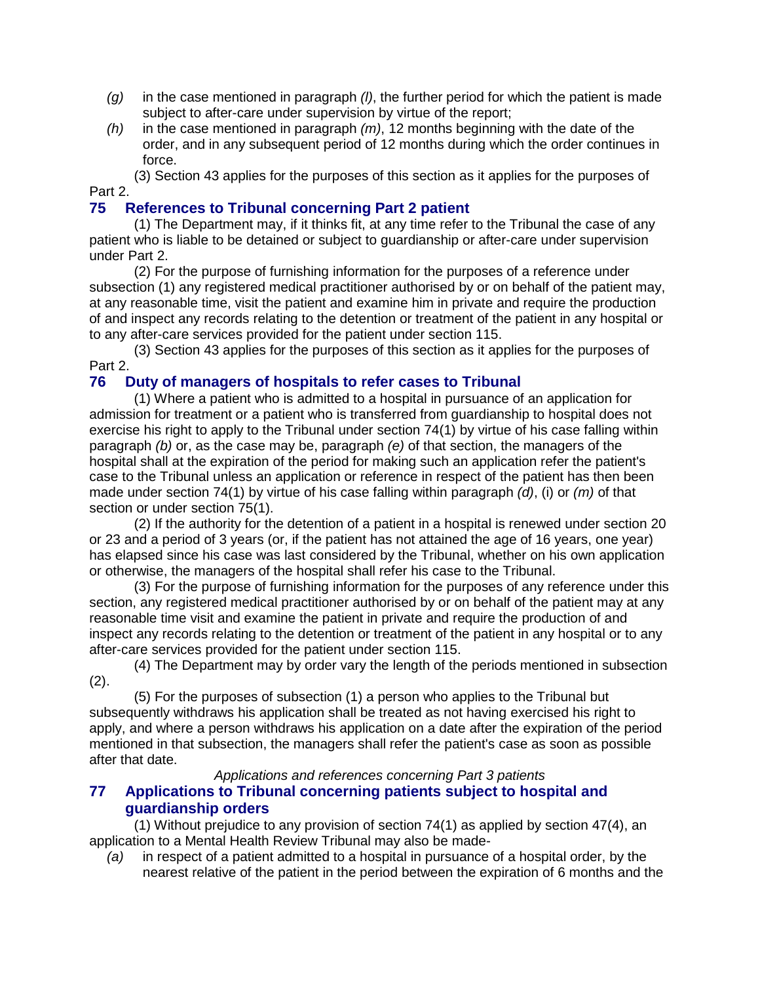- *(g)* in the case mentioned in paragraph *(l)*, the further period for which the patient is made subject to after-care under supervision by virtue of the report;
- *(h)* in the case mentioned in paragraph *(m)*, 12 months beginning with the date of the order, and in any subsequent period of 12 months during which the order continues in force.

(3) Section 43 applies for the purposes of this section as it applies for the purposes of Part 2.

## **75 References to Tribunal concerning Part 2 patient**

(1) The Department may, if it thinks fit, at any time refer to the Tribunal the case of any patient who is liable to be detained or subject to guardianship or after-care under supervision under Part 2.

(2) For the purpose of furnishing information for the purposes of a reference under subsection (1) any registered medical practitioner authorised by or on behalf of the patient may, at any reasonable time, visit the patient and examine him in private and require the production of and inspect any records relating to the detention or treatment of the patient in any hospital or to any after-care services provided for the patient under section 115.

(3) Section 43 applies for the purposes of this section as it applies for the purposes of Part 2.

## **76 Duty of managers of hospitals to refer cases to Tribunal**

(1) Where a patient who is admitted to a hospital in pursuance of an application for admission for treatment or a patient who is transferred from guardianship to hospital does not exercise his right to apply to the Tribunal under section 74(1) by virtue of his case falling within paragraph *(b)* or, as the case may be, paragraph *(e)* of that section, the managers of the hospital shall at the expiration of the period for making such an application refer the patient's case to the Tribunal unless an application or reference in respect of the patient has then been made under section 74(1) by virtue of his case falling within paragraph *(d)*, (i) or *(m)* of that section or under section 75(1).

(2) If the authority for the detention of a patient in a hospital is renewed under section 20 or 23 and a period of 3 years (or, if the patient has not attained the age of 16 years, one year) has elapsed since his case was last considered by the Tribunal, whether on his own application or otherwise, the managers of the hospital shall refer his case to the Tribunal.

(3) For the purpose of furnishing information for the purposes of any reference under this section, any registered medical practitioner authorised by or on behalf of the patient may at any reasonable time visit and examine the patient in private and require the production of and inspect any records relating to the detention or treatment of the patient in any hospital or to any after-care services provided for the patient under section 115.

(4) The Department may by order vary the length of the periods mentioned in subsection (2).

(5) For the purposes of subsection (1) a person who applies to the Tribunal but subsequently withdraws his application shall be treated as not having exercised his right to apply, and where a person withdraws his application on a date after the expiration of the period mentioned in that subsection, the managers shall refer the patient's case as soon as possible after that date.

### *Applications and references concerning Part 3 patients*

## **77 Applications to Tribunal concerning patients subject to hospital and guardianship orders**

(1) Without prejudice to any provision of section 74(1) as applied by section 47(4), an application to a Mental Health Review Tribunal may also be made-

*(a)* in respect of a patient admitted to a hospital in pursuance of a hospital order, by the nearest relative of the patient in the period between the expiration of 6 months and the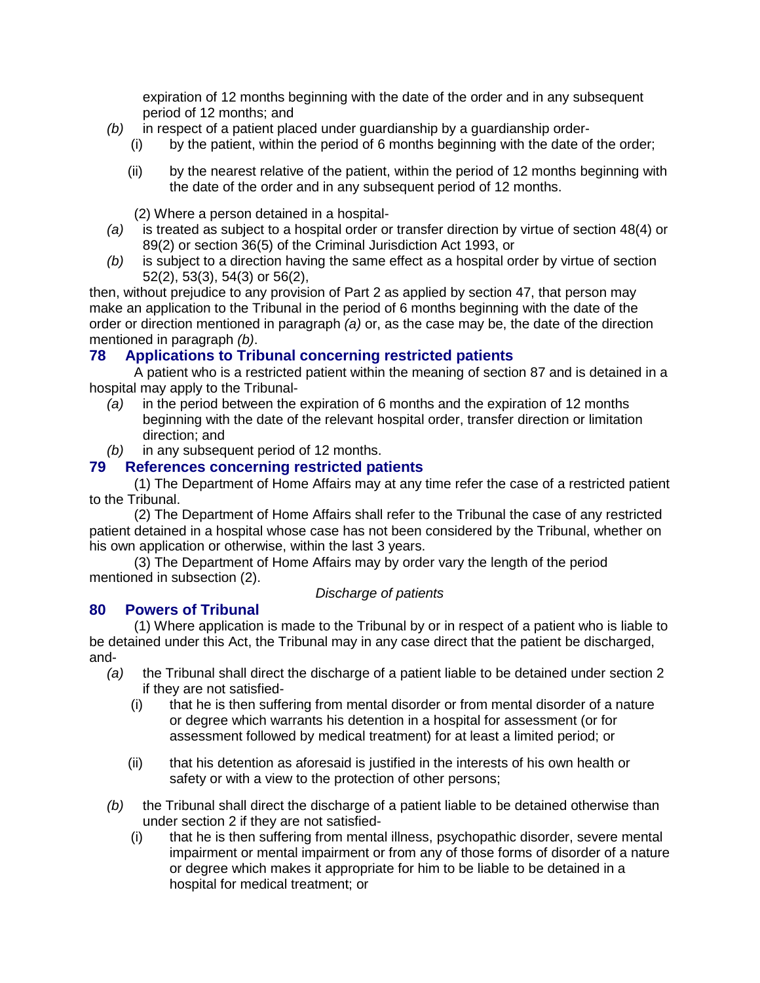expiration of 12 months beginning with the date of the order and in any subsequent period of 12 months; and

- *(b)* in respect of a patient placed under guardianship by a guardianship order-
	- (i) by the patient, within the period of 6 months beginning with the date of the order;
	- (ii) by the nearest relative of the patient, within the period of 12 months beginning with the date of the order and in any subsequent period of 12 months.
	- (2) Where a person detained in a hospital-
- *(a)* is treated as subject to a hospital order or transfer direction by virtue of section 48(4) or 89(2) or section 36(5) of the Criminal Jurisdiction Act 1993, or
- *(b)* is subject to a direction having the same effect as a hospital order by virtue of section 52(2), 53(3), 54(3) or 56(2),

then, without prejudice to any provision of Part 2 as applied by section 47, that person may make an application to the Tribunal in the period of 6 months beginning with the date of the order or direction mentioned in paragraph *(a)* or, as the case may be, the date of the direction mentioned in paragraph *(b)*.

## **78 Applications to Tribunal concerning restricted patients**

A patient who is a restricted patient within the meaning of section 87 and is detained in a hospital may apply to the Tribunal-

- *(a)* in the period between the expiration of 6 months and the expiration of 12 months beginning with the date of the relevant hospital order, transfer direction or limitation direction; and
- *(b)* in any subsequent period of 12 months.

### **79 References concerning restricted patients**

(1) The Department of Home Affairs may at any time refer the case of a restricted patient to the Tribunal.

(2) The Department of Home Affairs shall refer to the Tribunal the case of any restricted patient detained in a hospital whose case has not been considered by the Tribunal, whether on his own application or otherwise, within the last 3 years.

(3) The Department of Home Affairs may by order vary the length of the period mentioned in subsection (2).

#### *Discharge of patients*

### **80 Powers of Tribunal**

(1) Where application is made to the Tribunal by or in respect of a patient who is liable to be detained under this Act, the Tribunal may in any case direct that the patient be discharged, and-

- *(a)* the Tribunal shall direct the discharge of a patient liable to be detained under section 2 if they are not satisfied-
	- (i) that he is then suffering from mental disorder or from mental disorder of a nature or degree which warrants his detention in a hospital for assessment (or for assessment followed by medical treatment) for at least a limited period; or
	- (ii) that his detention as aforesaid is justified in the interests of his own health or safety or with a view to the protection of other persons;
- *(b)* the Tribunal shall direct the discharge of a patient liable to be detained otherwise than under section 2 if they are not satisfied-
	- (i) that he is then suffering from mental illness, psychopathic disorder, severe mental impairment or mental impairment or from any of those forms of disorder of a nature or degree which makes it appropriate for him to be liable to be detained in a hospital for medical treatment; or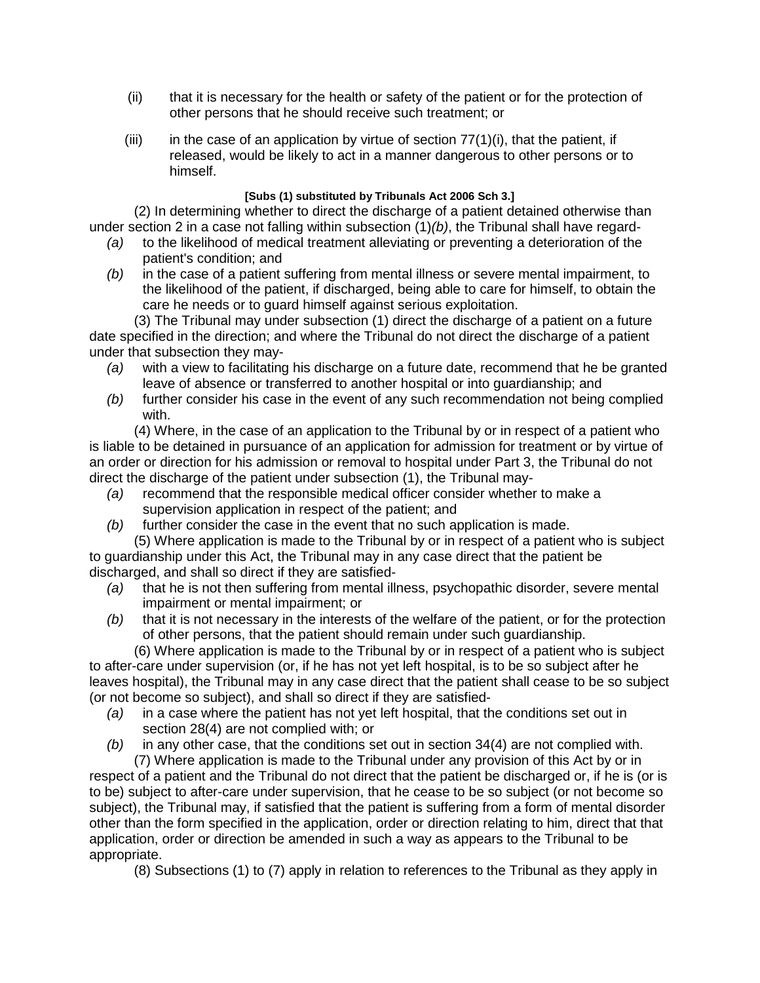- (ii) that it is necessary for the health or safety of the patient or for the protection of other persons that he should receive such treatment; or
- $(iii)$  in the case of an application by virtue of section  $77(1)(i)$ , that the patient, if released, would be likely to act in a manner dangerous to other persons or to himself.

#### **[Subs (1) substituted by Tribunals Act 2006 Sch 3.]**

(2) In determining whether to direct the discharge of a patient detained otherwise than under section 2 in a case not falling within subsection (1)*(b)*, the Tribunal shall have regard-

- *(a)* to the likelihood of medical treatment alleviating or preventing a deterioration of the patient's condition; and
- *(b)* in the case of a patient suffering from mental illness or severe mental impairment, to the likelihood of the patient, if discharged, being able to care for himself, to obtain the care he needs or to guard himself against serious exploitation.

(3) The Tribunal may under subsection (1) direct the discharge of a patient on a future date specified in the direction; and where the Tribunal do not direct the discharge of a patient under that subsection they may-

- *(a)* with a view to facilitating his discharge on a future date, recommend that he be granted leave of absence or transferred to another hospital or into guardianship; and
- *(b)* further consider his case in the event of any such recommendation not being complied with.

(4) Where, in the case of an application to the Tribunal by or in respect of a patient who is liable to be detained in pursuance of an application for admission for treatment or by virtue of an order or direction for his admission or removal to hospital under Part 3, the Tribunal do not direct the discharge of the patient under subsection (1), the Tribunal may-

- *(a)* recommend that the responsible medical officer consider whether to make a supervision application in respect of the patient; and
- *(b)* further consider the case in the event that no such application is made.

(5) Where application is made to the Tribunal by or in respect of a patient who is subject to guardianship under this Act, the Tribunal may in any case direct that the patient be discharged, and shall so direct if they are satisfied-

- *(a)* that he is not then suffering from mental illness, psychopathic disorder, severe mental impairment or mental impairment; or
- *(b)* that it is not necessary in the interests of the welfare of the patient, or for the protection of other persons, that the patient should remain under such guardianship.

(6) Where application is made to the Tribunal by or in respect of a patient who is subject to after-care under supervision (or, if he has not yet left hospital, is to be so subject after he leaves hospital), the Tribunal may in any case direct that the patient shall cease to be so subject (or not become so subject), and shall so direct if they are satisfied-

- *(a)* in a case where the patient has not yet left hospital, that the conditions set out in section 28(4) are not complied with; or
- *(b)* in any other case, that the conditions set out in section 34(4) are not complied with.

(7) Where application is made to the Tribunal under any provision of this Act by or in respect of a patient and the Tribunal do not direct that the patient be discharged or, if he is (or is to be) subject to after-care under supervision, that he cease to be so subject (or not become so subject), the Tribunal may, if satisfied that the patient is suffering from a form of mental disorder other than the form specified in the application, order or direction relating to him, direct that that application, order or direction be amended in such a way as appears to the Tribunal to be appropriate.

(8) Subsections (1) to (7) apply in relation to references to the Tribunal as they apply in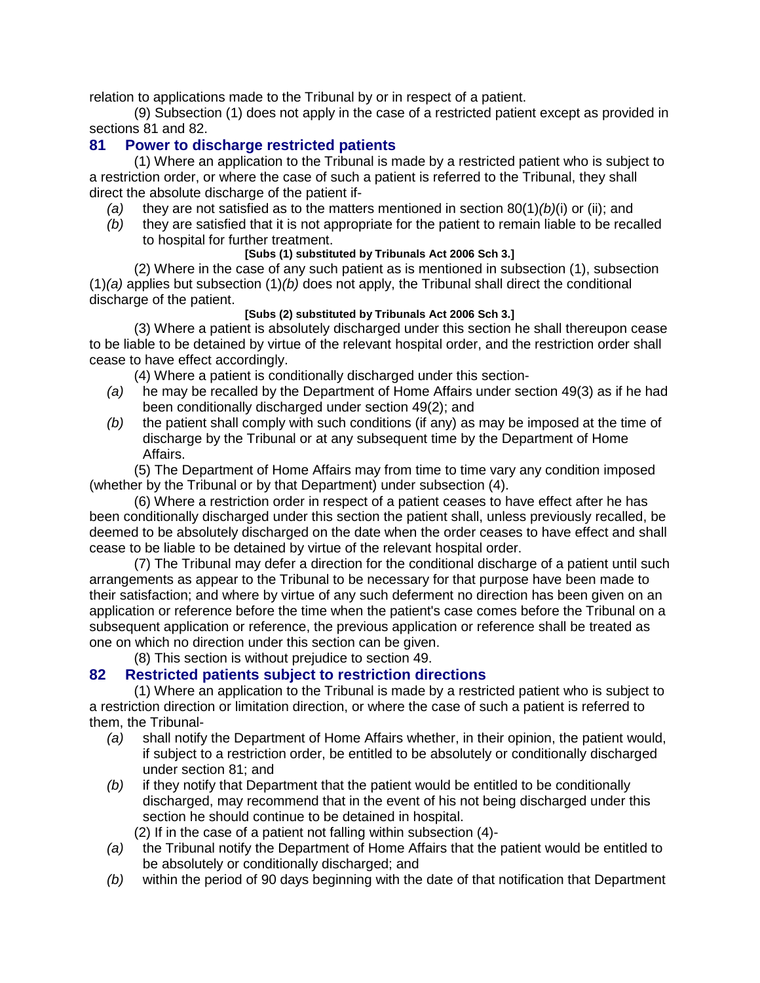relation to applications made to the Tribunal by or in respect of a patient.

(9) Subsection (1) does not apply in the case of a restricted patient except as provided in sections 81 and 82.

## **81 Power to discharge restricted patients**

(1) Where an application to the Tribunal is made by a restricted patient who is subject to a restriction order, or where the case of such a patient is referred to the Tribunal, they shall direct the absolute discharge of the patient if-

- *(a)* they are not satisfied as to the matters mentioned in section 80(1)*(b)*(i) or (ii); and
- *(b)* they are satisfied that it is not appropriate for the patient to remain liable to be recalled to hospital for further treatment.

## **[Subs (1) substituted by Tribunals Act 2006 Sch 3.]**

(2) Where in the case of any such patient as is mentioned in subsection (1), subsection (1)*(a)* applies but subsection (1)*(b)* does not apply, the Tribunal shall direct the conditional discharge of the patient.

#### **[Subs (2) substituted by Tribunals Act 2006 Sch 3.]**

(3) Where a patient is absolutely discharged under this section he shall thereupon cease to be liable to be detained by virtue of the relevant hospital order, and the restriction order shall cease to have effect accordingly.

(4) Where a patient is conditionally discharged under this section-

- *(a)* he may be recalled by the Department of Home Affairs under section 49(3) as if he had been conditionally discharged under section 49(2); and
- *(b)* the patient shall comply with such conditions (if any) as may be imposed at the time of discharge by the Tribunal or at any subsequent time by the Department of Home Affairs.

(5) The Department of Home Affairs may from time to time vary any condition imposed (whether by the Tribunal or by that Department) under subsection (4).

(6) Where a restriction order in respect of a patient ceases to have effect after he has been conditionally discharged under this section the patient shall, unless previously recalled, be deemed to be absolutely discharged on the date when the order ceases to have effect and shall cease to be liable to be detained by virtue of the relevant hospital order.

(7) The Tribunal may defer a direction for the conditional discharge of a patient until such arrangements as appear to the Tribunal to be necessary for that purpose have been made to their satisfaction; and where by virtue of any such deferment no direction has been given on an application or reference before the time when the patient's case comes before the Tribunal on a subsequent application or reference, the previous application or reference shall be treated as one on which no direction under this section can be given.

(8) This section is without prejudice to section 49.

## **82 Restricted patients subject to restriction directions**

(1) Where an application to the Tribunal is made by a restricted patient who is subject to a restriction direction or limitation direction, or where the case of such a patient is referred to them, the Tribunal-

- *(a)* shall notify the Department of Home Affairs whether, in their opinion, the patient would, if subject to a restriction order, be entitled to be absolutely or conditionally discharged under section 81; and
- *(b)* if they notify that Department that the patient would be entitled to be conditionally discharged, may recommend that in the event of his not being discharged under this section he should continue to be detained in hospital.
	- (2) If in the case of a patient not falling within subsection (4)-
- *(a)* the Tribunal notify the Department of Home Affairs that the patient would be entitled to be absolutely or conditionally discharged; and
- *(b)* within the period of 90 days beginning with the date of that notification that Department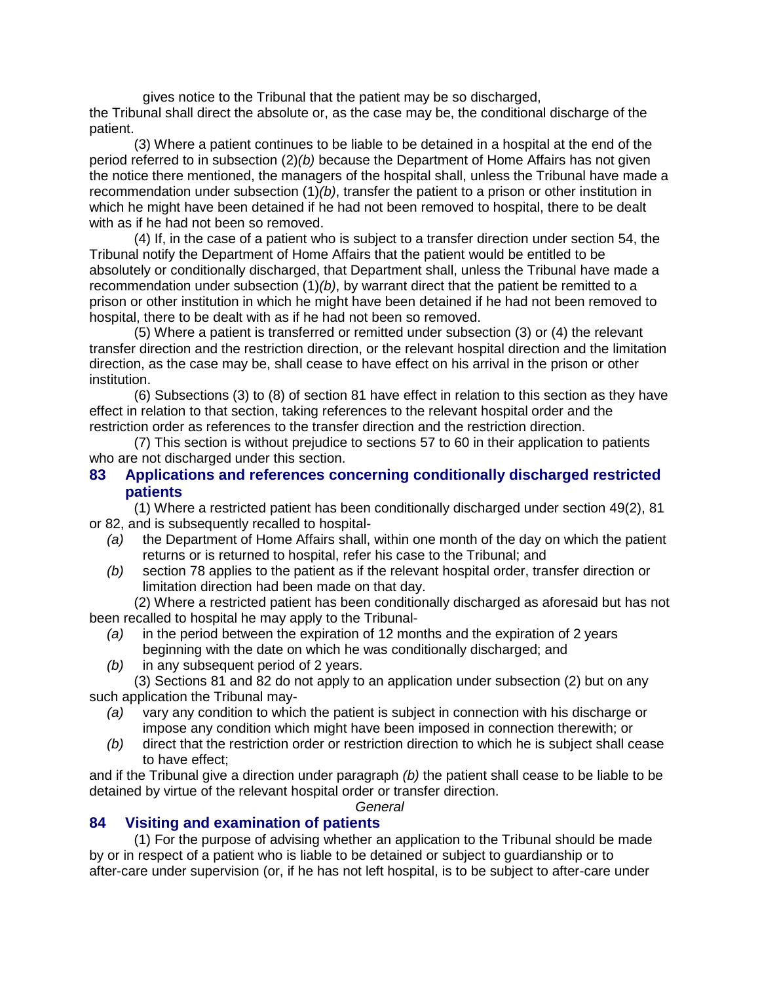gives notice to the Tribunal that the patient may be so discharged, the Tribunal shall direct the absolute or, as the case may be, the conditional discharge of the patient.

(3) Where a patient continues to be liable to be detained in a hospital at the end of the period referred to in subsection (2)*(b)* because the Department of Home Affairs has not given the notice there mentioned, the managers of the hospital shall, unless the Tribunal have made a recommendation under subsection (1)*(b)*, transfer the patient to a prison or other institution in which he might have been detained if he had not been removed to hospital, there to be dealt with as if he had not been so removed.

(4) If, in the case of a patient who is subject to a transfer direction under section 54, the Tribunal notify the Department of Home Affairs that the patient would be entitled to be absolutely or conditionally discharged, that Department shall, unless the Tribunal have made a recommendation under subsection (1)*(b)*, by warrant direct that the patient be remitted to a prison or other institution in which he might have been detained if he had not been removed to hospital, there to be dealt with as if he had not been so removed.

(5) Where a patient is transferred or remitted under subsection (3) or (4) the relevant transfer direction and the restriction direction, or the relevant hospital direction and the limitation direction, as the case may be, shall cease to have effect on his arrival in the prison or other institution.

(6) Subsections (3) to (8) of section 81 have effect in relation to this section as they have effect in relation to that section, taking references to the relevant hospital order and the restriction order as references to the transfer direction and the restriction direction.

(7) This section is without prejudice to sections 57 to 60 in their application to patients who are not discharged under this section.

#### **83 Applications and references concerning conditionally discharged restricted patients**

(1) Where a restricted patient has been conditionally discharged under section 49(2), 81 or 82, and is subsequently recalled to hospital-

- *(a)* the Department of Home Affairs shall, within one month of the day on which the patient returns or is returned to hospital, refer his case to the Tribunal; and
- *(b)* section 78 applies to the patient as if the relevant hospital order, transfer direction or limitation direction had been made on that day.

(2) Where a restricted patient has been conditionally discharged as aforesaid but has not been recalled to hospital he may apply to the Tribunal-

- *(a)* in the period between the expiration of 12 months and the expiration of 2 years beginning with the date on which he was conditionally discharged; and
- *(b)* in any subsequent period of 2 years.

(3) Sections 81 and 82 do not apply to an application under subsection (2) but on any such application the Tribunal may-

- *(a)* vary any condition to which the patient is subject in connection with his discharge or impose any condition which might have been imposed in connection therewith; or
- *(b)* direct that the restriction order or restriction direction to which he is subject shall cease to have effect;

and if the Tribunal give a direction under paragraph *(b)* the patient shall cease to be liable to be detained by virtue of the relevant hospital order or transfer direction.

*General*

### **84 Visiting and examination of patients**

(1) For the purpose of advising whether an application to the Tribunal should be made by or in respect of a patient who is liable to be detained or subject to guardianship or to after-care under supervision (or, if he has not left hospital, is to be subject to after-care under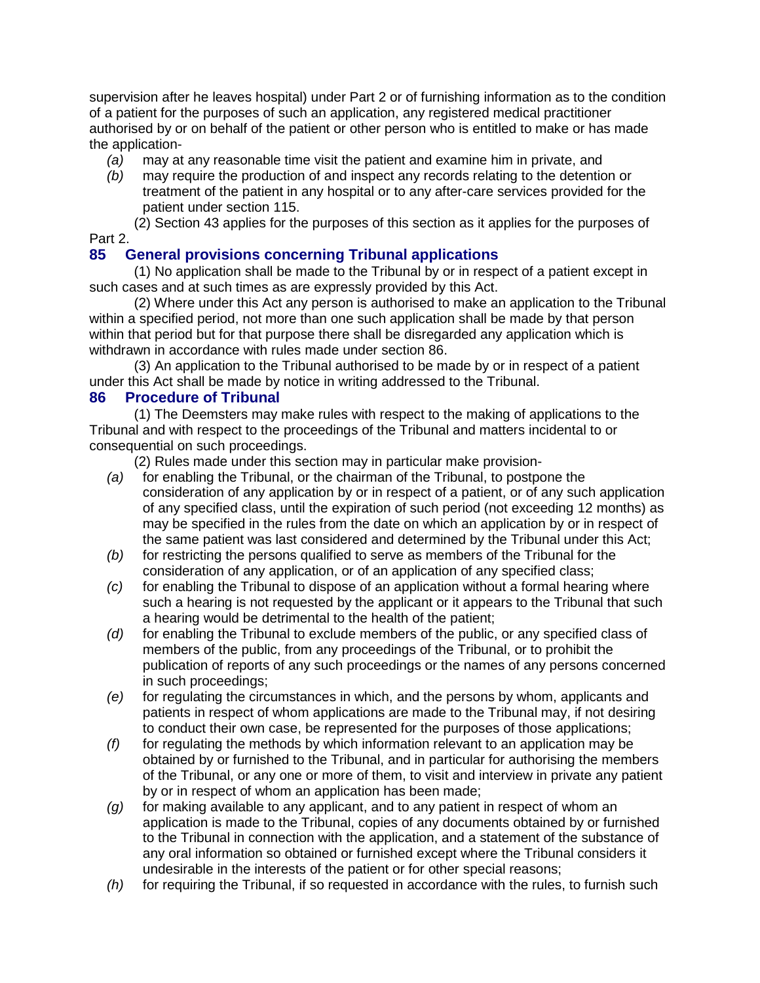supervision after he leaves hospital) under Part 2 or of furnishing information as to the condition of a patient for the purposes of such an application, any registered medical practitioner authorised by or on behalf of the patient or other person who is entitled to make or has made the application-

- *(a)* may at any reasonable time visit the patient and examine him in private, and
- *(b)* may require the production of and inspect any records relating to the detention or treatment of the patient in any hospital or to any after-care services provided for the patient under section 115.

(2) Section 43 applies for the purposes of this section as it applies for the purposes of Part 2.<br>85 6

## **85 General provisions concerning Tribunal applications**

(1) No application shall be made to the Tribunal by or in respect of a patient except in such cases and at such times as are expressly provided by this Act.

(2) Where under this Act any person is authorised to make an application to the Tribunal within a specified period, not more than one such application shall be made by that person within that period but for that purpose there shall be disregarded any application which is withdrawn in accordance with rules made under section 86.

(3) An application to the Tribunal authorised to be made by or in respect of a patient under this Act shall be made by notice in writing addressed to the Tribunal.

### **86 Procedure of Tribunal**

(1) The Deemsters may make rules with respect to the making of applications to the Tribunal and with respect to the proceedings of the Tribunal and matters incidental to or consequential on such proceedings.

(2) Rules made under this section may in particular make provision-

- *(a)* for enabling the Tribunal, or the chairman of the Tribunal, to postpone the consideration of any application by or in respect of a patient, or of any such application of any specified class, until the expiration of such period (not exceeding 12 months) as may be specified in the rules from the date on which an application by or in respect of the same patient was last considered and determined by the Tribunal under this Act;
- *(b)* for restricting the persons qualified to serve as members of the Tribunal for the consideration of any application, or of an application of any specified class;
- *(c)* for enabling the Tribunal to dispose of an application without a formal hearing where such a hearing is not requested by the applicant or it appears to the Tribunal that such a hearing would be detrimental to the health of the patient;
- *(d)* for enabling the Tribunal to exclude members of the public, or any specified class of members of the public, from any proceedings of the Tribunal, or to prohibit the publication of reports of any such proceedings or the names of any persons concerned in such proceedings;
- *(e)* for regulating the circumstances in which, and the persons by whom, applicants and patients in respect of whom applications are made to the Tribunal may, if not desiring to conduct their own case, be represented for the purposes of those applications;
- *(f)* for regulating the methods by which information relevant to an application may be obtained by or furnished to the Tribunal, and in particular for authorising the members of the Tribunal, or any one or more of them, to visit and interview in private any patient by or in respect of whom an application has been made;
- *(g)* for making available to any applicant, and to any patient in respect of whom an application is made to the Tribunal, copies of any documents obtained by or furnished to the Tribunal in connection with the application, and a statement of the substance of any oral information so obtained or furnished except where the Tribunal considers it undesirable in the interests of the patient or for other special reasons;
- *(h)* for requiring the Tribunal, if so requested in accordance with the rules, to furnish such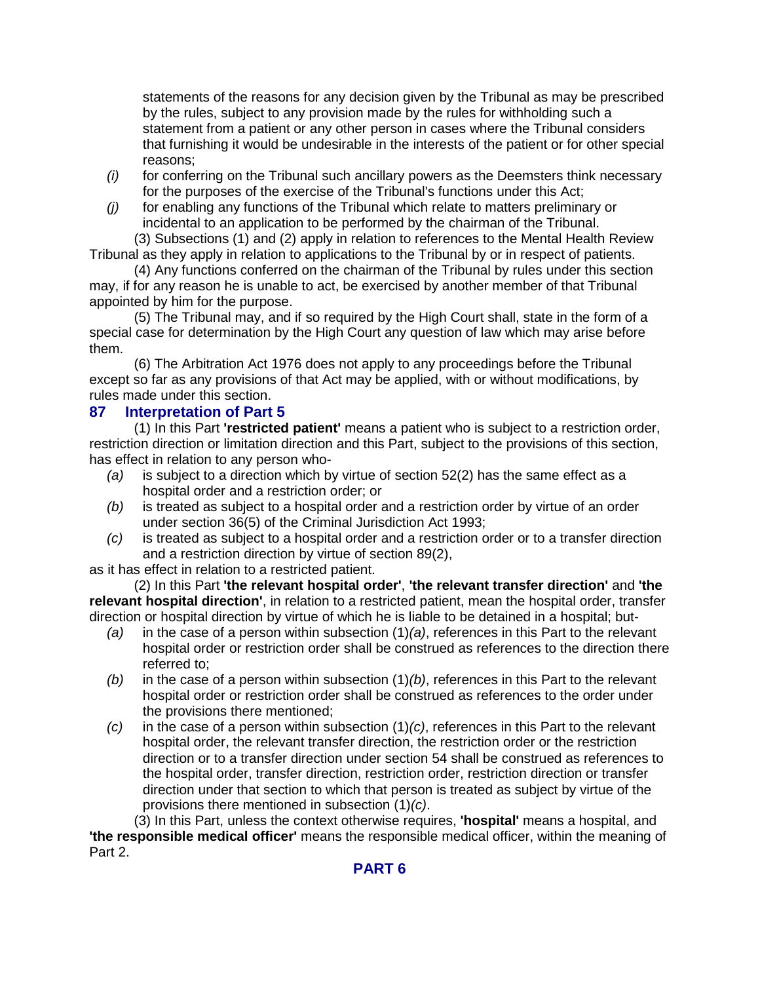statements of the reasons for any decision given by the Tribunal as may be prescribed by the rules, subject to any provision made by the rules for withholding such a statement from a patient or any other person in cases where the Tribunal considers that furnishing it would be undesirable in the interests of the patient or for other special reasons;

- *(i)* for conferring on the Tribunal such ancillary powers as the Deemsters think necessary for the purposes of the exercise of the Tribunal's functions under this Act;
- *(j)* for enabling any functions of the Tribunal which relate to matters preliminary or incidental to an application to be performed by the chairman of the Tribunal.

(3) Subsections (1) and (2) apply in relation to references to the Mental Health Review Tribunal as they apply in relation to applications to the Tribunal by or in respect of patients.

(4) Any functions conferred on the chairman of the Tribunal by rules under this section may, if for any reason he is unable to act, be exercised by another member of that Tribunal appointed by him for the purpose.

(5) The Tribunal may, and if so required by the High Court shall, state in the form of a special case for determination by the High Court any question of law which may arise before them.

(6) The Arbitration Act 1976 does not apply to any proceedings before the Tribunal except so far as any provisions of that Act may be applied, with or without modifications, by rules made under this section.

## **87 Interpretation of Part 5**

(1) In this Part **'restricted patient'** means a patient who is subject to a restriction order, restriction direction or limitation direction and this Part, subject to the provisions of this section, has effect in relation to any person who-

- *(a)* is subject to a direction which by virtue of section 52(2) has the same effect as a hospital order and a restriction order; or
- *(b)* is treated as subject to a hospital order and a restriction order by virtue of an order under section 36(5) of the Criminal Jurisdiction Act 1993;
- *(c)* is treated as subject to a hospital order and a restriction order or to a transfer direction and a restriction direction by virtue of section 89(2),

as it has effect in relation to a restricted patient.

(2) In this Part **'the relevant hospital order'**, **'the relevant transfer direction'** and **'the relevant hospital direction'**, in relation to a restricted patient, mean the hospital order, transfer direction or hospital direction by virtue of which he is liable to be detained in a hospital; but-

- *(a)* in the case of a person within subsection (1)*(a)*, references in this Part to the relevant hospital order or restriction order shall be construed as references to the direction there referred to;
- *(b)* in the case of a person within subsection (1)*(b)*, references in this Part to the relevant hospital order or restriction order shall be construed as references to the order under the provisions there mentioned;
- *(c)* in the case of a person within subsection (1)*(c)*, references in this Part to the relevant hospital order, the relevant transfer direction, the restriction order or the restriction direction or to a transfer direction under section 54 shall be construed as references to the hospital order, transfer direction, restriction order, restriction direction or transfer direction under that section to which that person is treated as subject by virtue of the provisions there mentioned in subsection (1)*(c)*.

(3) In this Part, unless the context otherwise requires, **'hospital'** means a hospital, and **'the responsible medical officer'** means the responsible medical officer, within the meaning of Part 2.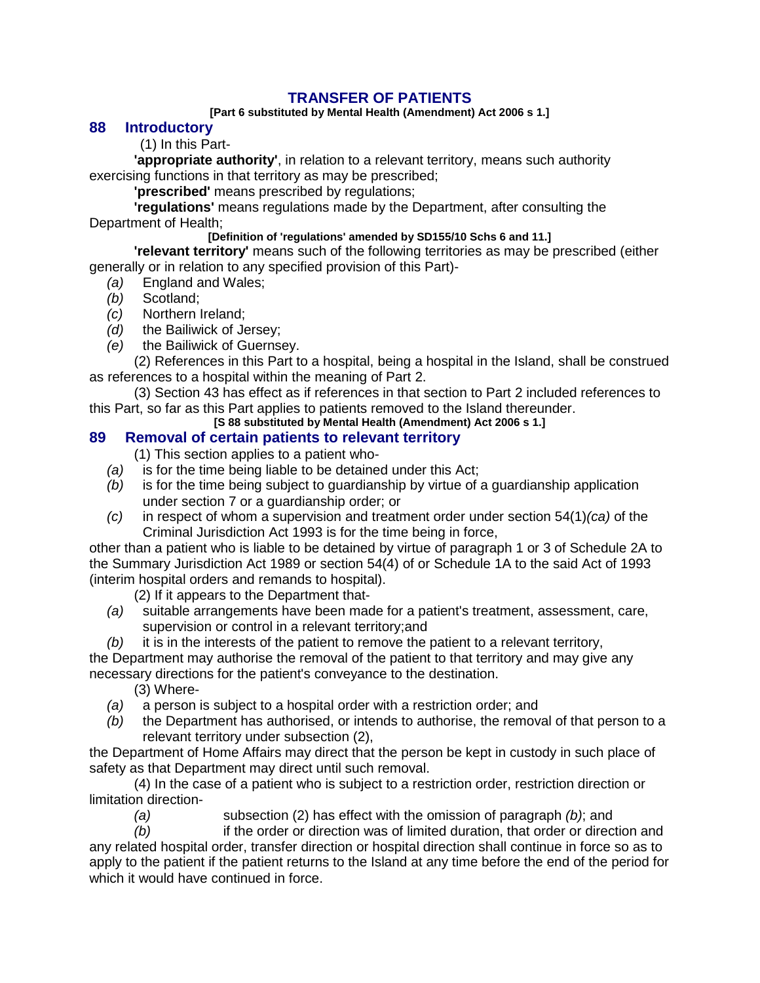## **TRANSFER OF PATIENTS**

#### **[Part 6 substituted by Mental Health (Amendment) Act 2006 s 1.]**

### **88 Introductory**

(1) In this Part-

**'appropriate authority'**, in relation to a relevant territory, means such authority exercising functions in that territory as may be prescribed;

**'prescribed'** means prescribed by regulations;

**'regulations'** means regulations made by the Department, after consulting the Department of Health;

#### **[Definition of 'regulations' amended by SD155/10 Schs 6 and 11.]**

**'relevant territory'** means such of the following territories as may be prescribed (either generally or in relation to any specified provision of this Part)-

- *(a)* England and Wales;
- *(b)* Scotland;
- *(c)* Northern Ireland;
- *(d)* the Bailiwick of Jersey;
- *(e)* the Bailiwick of Guernsey.

(2) References in this Part to a hospital, being a hospital in the Island, shall be construed as references to a hospital within the meaning of Part 2.

(3) Section 43 has effect as if references in that section to Part 2 included references to this Part, so far as this Part applies to patients removed to the Island thereunder.

**[S 88 substituted by Mental Health (Amendment) Act 2006 s 1.]**

## **89 Removal of certain patients to relevant territory**

(1) This section applies to a patient who-

- *(a)* is for the time being liable to be detained under this Act;
- *(b)* is for the time being subject to guardianship by virtue of a guardianship application under section 7 or a guardianship order; or
- *(c)* in respect of whom a supervision and treatment order under section 54(1)*(ca)* of the Criminal Jurisdiction Act 1993 is for the time being in force,

other than a patient who is liable to be detained by virtue of paragraph 1 or 3 of Schedule 2A to the Summary Jurisdiction Act 1989 or section 54(4) of or Schedule 1A to the said Act of 1993 (interim hospital orders and remands to hospital).

(2) If it appears to the Department that-

- *(a)* suitable arrangements have been made for a patient's treatment, assessment, care, supervision or control in a relevant territory;and
- *(b)* it is in the interests of the patient to remove the patient to a relevant territory,

the Department may authorise the removal of the patient to that territory and may give any necessary directions for the patient's conveyance to the destination.

(3) Where-

- *(a)* a person is subject to a hospital order with a restriction order; and
- *(b)* the Department has authorised, or intends to authorise, the removal of that person to a relevant territory under subsection (2),

the Department of Home Affairs may direct that the person be kept in custody in such place of safety as that Department may direct until such removal.

(4) In the case of a patient who is subject to a restriction order, restriction direction or limitation direction-

*(a)* subsection (2) has effect with the omission of paragraph *(b)*; and

*(b)* if the order or direction was of limited duration, that order or direction and any related hospital order, transfer direction or hospital direction shall continue in force so as to apply to the patient if the patient returns to the Island at any time before the end of the period for which it would have continued in force.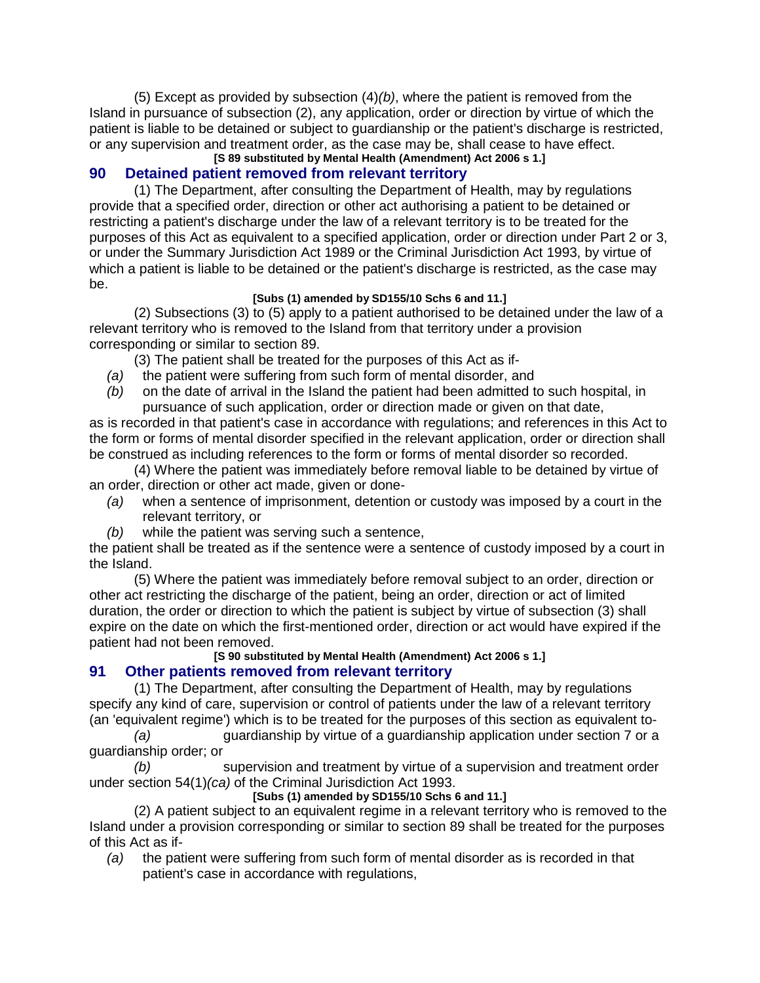(5) Except as provided by subsection (4)*(b)*, where the patient is removed from the Island in pursuance of subsection (2), any application, order or direction by virtue of which the patient is liable to be detained or subject to guardianship or the patient's discharge is restricted, or any supervision and treatment order, as the case may be, shall cease to have effect. **[S 89 substituted by Mental Health (Amendment) Act 2006 s 1.]**

### **90 Detained patient removed from relevant territory**

(1) The Department, after consulting the Department of Health, may by regulations provide that a specified order, direction or other act authorising a patient to be detained or restricting a patient's discharge under the law of a relevant territory is to be treated for the purposes of this Act as equivalent to a specified application, order or direction under Part 2 or 3, or under the Summary Jurisdiction Act 1989 or the Criminal Jurisdiction Act 1993, by virtue of which a patient is liable to be detained or the patient's discharge is restricted, as the case may be.

### **[Subs (1) amended by SD155/10 Schs 6 and 11.]**

(2) Subsections (3) to (5) apply to a patient authorised to be detained under the law of a relevant territory who is removed to the Island from that territory under a provision corresponding or similar to section 89.

(3) The patient shall be treated for the purposes of this Act as if-

- *(a)* the patient were suffering from such form of mental disorder, and
- *(b)* on the date of arrival in the Island the patient had been admitted to such hospital, in pursuance of such application, order or direction made or given on that date,

as is recorded in that patient's case in accordance with regulations; and references in this Act to the form or forms of mental disorder specified in the relevant application, order or direction shall be construed as including references to the form or forms of mental disorder so recorded.

(4) Where the patient was immediately before removal liable to be detained by virtue of an order, direction or other act made, given or done-

- *(a)* when a sentence of imprisonment, detention or custody was imposed by a court in the relevant territory, or
- *(b)* while the patient was serving such a sentence,

the patient shall be treated as if the sentence were a sentence of custody imposed by a court in the Island.

(5) Where the patient was immediately before removal subject to an order, direction or other act restricting the discharge of the patient, being an order, direction or act of limited duration, the order or direction to which the patient is subject by virtue of subsection (3) shall expire on the date on which the first-mentioned order, direction or act would have expired if the patient had not been removed.

## **[S 90 substituted by Mental Health (Amendment) Act 2006 s 1.]**

## **91 Other patients removed from relevant territory**

(1) The Department, after consulting the Department of Health, may by regulations specify any kind of care, supervision or control of patients under the law of a relevant territory (an 'equivalent regime') which is to be treated for the purposes of this section as equivalent to-

*(a)* guardianship by virtue of a guardianship application under section 7 or a guardianship order; or

*(b)* supervision and treatment by virtue of a supervision and treatment order under section 54(1)*(ca)* of the Criminal Jurisdiction Act 1993.

#### **[Subs (1) amended by SD155/10 Schs 6 and 11.]**

(2) A patient subject to an equivalent regime in a relevant territory who is removed to the Island under a provision corresponding or similar to section 89 shall be treated for the purposes of this Act as if-

*(a)* the patient were suffering from such form of mental disorder as is recorded in that patient's case in accordance with regulations,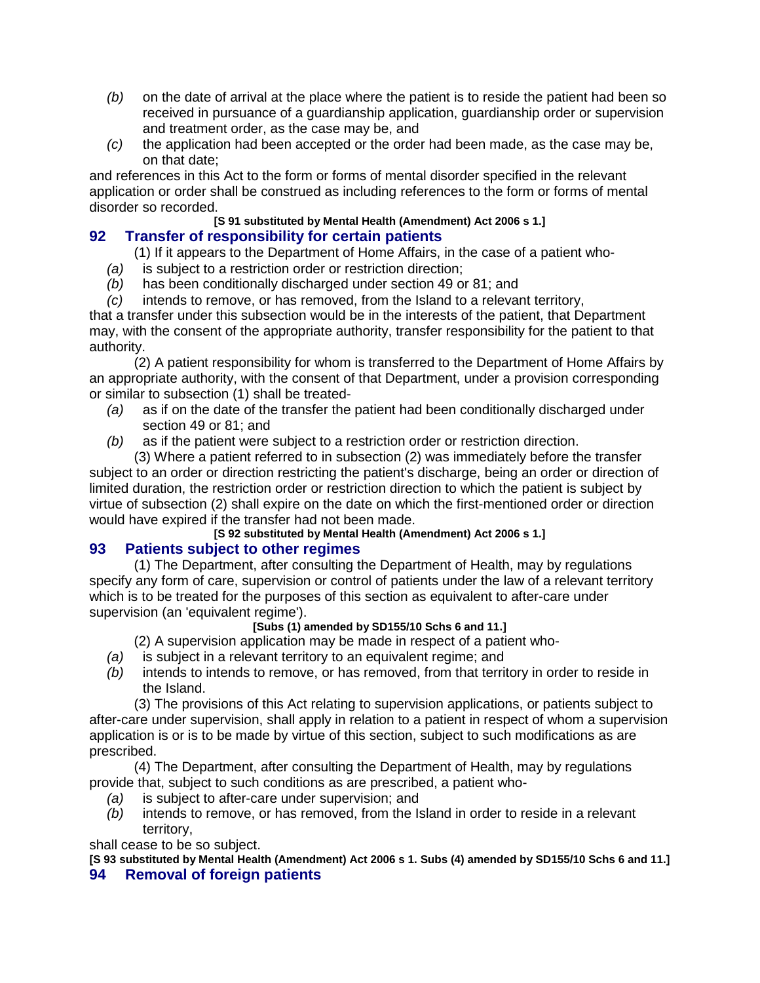- *(b)* on the date of arrival at the place where the patient is to reside the patient had been so received in pursuance of a guardianship application, guardianship order or supervision and treatment order, as the case may be, and
- *(c)* the application had been accepted or the order had been made, as the case may be, on that date;

and references in this Act to the form or forms of mental disorder specified in the relevant application or order shall be construed as including references to the form or forms of mental disorder so recorded.

## **[S 91 substituted by Mental Health (Amendment) Act 2006 s 1.]**

## **92 Transfer of responsibility for certain patients**

(1) If it appears to the Department of Home Affairs, in the case of a patient who-

- *(a)* is subject to a restriction order or restriction direction;
- *(b)* has been conditionally discharged under section 49 or 81; and
- *(c)* intends to remove, or has removed, from the Island to a relevant territory,

that a transfer under this subsection would be in the interests of the patient, that Department may, with the consent of the appropriate authority, transfer responsibility for the patient to that authority.

(2) A patient responsibility for whom is transferred to the Department of Home Affairs by an appropriate authority, with the consent of that Department, under a provision corresponding or similar to subsection (1) shall be treated-

- *(a)* as if on the date of the transfer the patient had been conditionally discharged under section 49 or 81; and
- *(b)* as if the patient were subject to a restriction order or restriction direction.

(3) Where a patient referred to in subsection (2) was immediately before the transfer subject to an order or direction restricting the patient's discharge, being an order or direction of limited duration, the restriction order or restriction direction to which the patient is subject by virtue of subsection (2) shall expire on the date on which the first-mentioned order or direction would have expired if the transfer had not been made.

### **[S 92 substituted by Mental Health (Amendment) Act 2006 s 1.]**

## **93 Patients subject to other regimes**

(1) The Department, after consulting the Department of Health, may by regulations specify any form of care, supervision or control of patients under the law of a relevant territory which is to be treated for the purposes of this section as equivalent to after-care under supervision (an 'equivalent regime').

### **[Subs (1) amended by SD155/10 Schs 6 and 11.]**

- (2) A supervision application may be made in respect of a patient who-
- *(a)* is subject in a relevant territory to an equivalent regime; and
- *(b)* intends to intends to remove, or has removed, from that territory in order to reside in the Island.

(3) The provisions of this Act relating to supervision applications, or patients subject to after-care under supervision, shall apply in relation to a patient in respect of whom a supervision application is or is to be made by virtue of this section, subject to such modifications as are prescribed.

(4) The Department, after consulting the Department of Health, may by regulations provide that, subject to such conditions as are prescribed, a patient who-

- *(a)* is subject to after-care under supervision; and
- *(b)* intends to remove, or has removed, from the Island in order to reside in a relevant territory,

shall cease to be so subject.

**[S 93 substituted by Mental Health (Amendment) Act 2006 s 1. Subs (4) amended by SD155/10 Schs 6 and 11.] 94 Removal of foreign patients**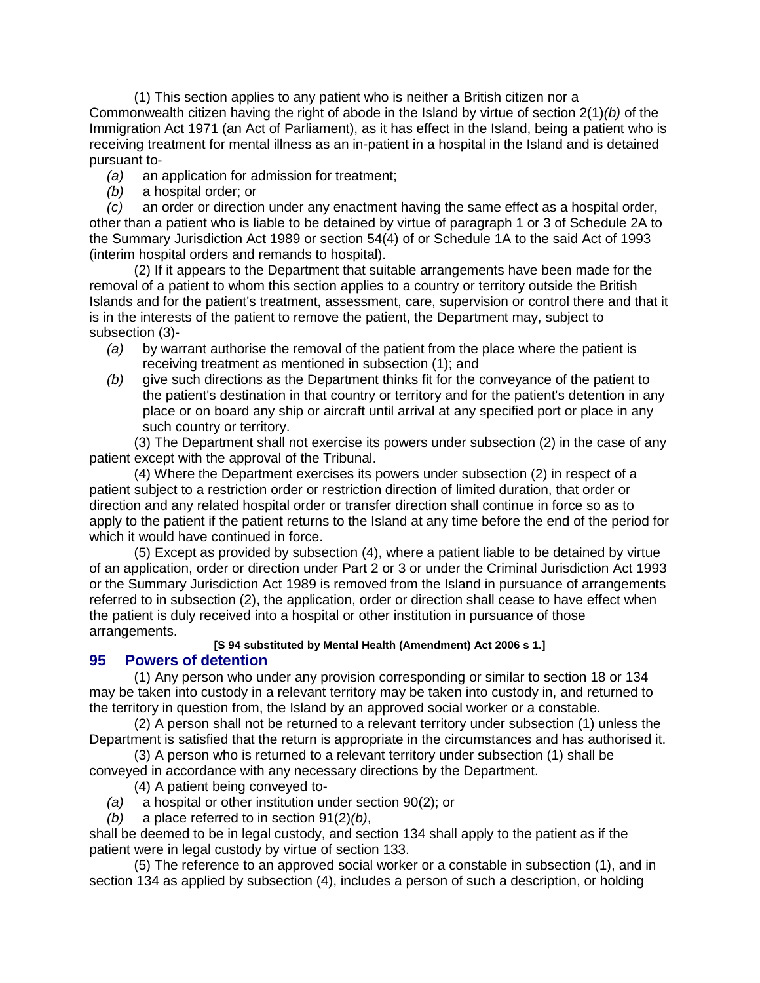(1) This section applies to any patient who is neither a British citizen nor a Commonwealth citizen having the right of abode in the Island by virtue of section 2(1)*(b)* of the Immigration Act 1971 (an Act of Parliament), as it has effect in the Island, being a patient who is receiving treatment for mental illness as an in-patient in a hospital in the Island and is detained pursuant to-

*(a)* an application for admission for treatment;

*(b)* a hospital order; or

*(c)* an order or direction under any enactment having the same effect as a hospital order, other than a patient who is liable to be detained by virtue of paragraph 1 or 3 of Schedule 2A to the Summary Jurisdiction Act 1989 or section 54(4) of or Schedule 1A to the said Act of 1993 (interim hospital orders and remands to hospital).

(2) If it appears to the Department that suitable arrangements have been made for the removal of a patient to whom this section applies to a country or territory outside the British Islands and for the patient's treatment, assessment, care, supervision or control there and that it is in the interests of the patient to remove the patient, the Department may, subject to subsection (3)-

- *(a)* by warrant authorise the removal of the patient from the place where the patient is receiving treatment as mentioned in subsection (1); and
- *(b)* give such directions as the Department thinks fit for the conveyance of the patient to the patient's destination in that country or territory and for the patient's detention in any place or on board any ship or aircraft until arrival at any specified port or place in any such country or territory.

(3) The Department shall not exercise its powers under subsection (2) in the case of any patient except with the approval of the Tribunal.

(4) Where the Department exercises its powers under subsection (2) in respect of a patient subject to a restriction order or restriction direction of limited duration, that order or direction and any related hospital order or transfer direction shall continue in force so as to apply to the patient if the patient returns to the Island at any time before the end of the period for which it would have continued in force.

(5) Except as provided by subsection (4), where a patient liable to be detained by virtue of an application, order or direction under Part 2 or 3 or under the Criminal Jurisdiction Act 1993 or the Summary Jurisdiction Act 1989 is removed from the Island in pursuance of arrangements referred to in subsection (2), the application, order or direction shall cease to have effect when the patient is duly received into a hospital or other institution in pursuance of those arrangements.

#### **[S 94 substituted by Mental Health (Amendment) Act 2006 s 1.]**

### **95 Powers of detention**

(1) Any person who under any provision corresponding or similar to section 18 or 134 may be taken into custody in a relevant territory may be taken into custody in, and returned to the territory in question from, the Island by an approved social worker or a constable.

(2) A person shall not be returned to a relevant territory under subsection (1) unless the Department is satisfied that the return is appropriate in the circumstances and has authorised it.

(3) A person who is returned to a relevant territory under subsection (1) shall be conveyed in accordance with any necessary directions by the Department.

(4) A patient being conveyed to-

- *(a)* a hospital or other institution under section 90(2); or
- *(b)* a place referred to in section 91(2)*(b)*,

shall be deemed to be in legal custody, and section 134 shall apply to the patient as if the patient were in legal custody by virtue of section 133.

(5) The reference to an approved social worker or a constable in subsection (1), and in section 134 as applied by subsection (4), includes a person of such a description, or holding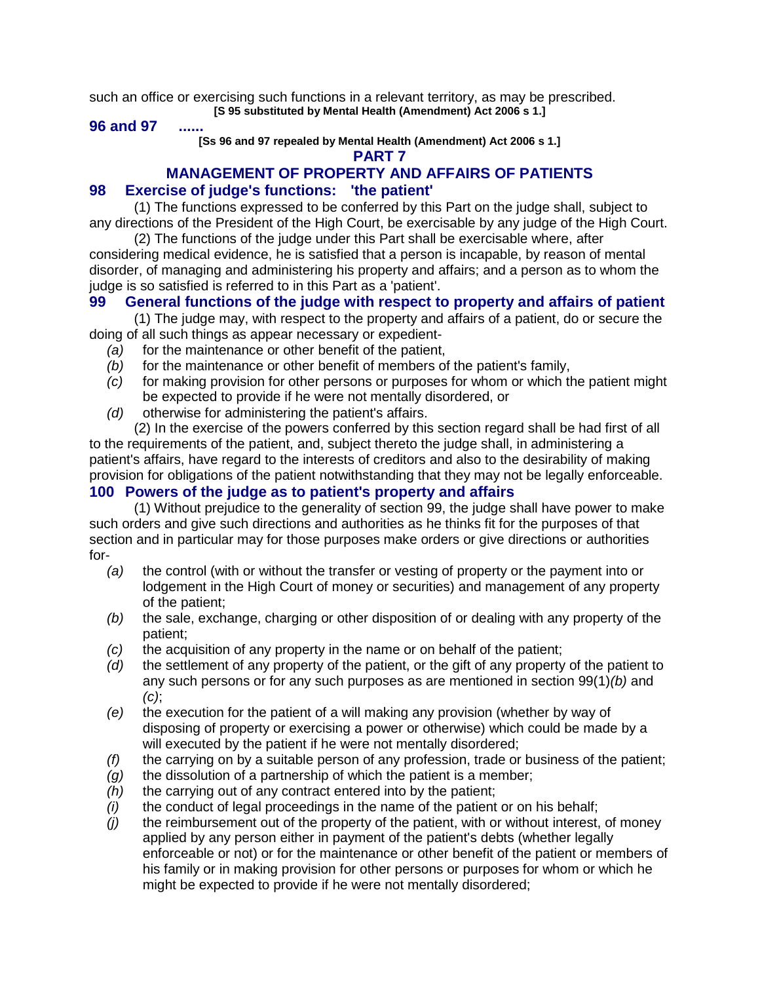such an office or exercising such functions in a relevant territory, as may be prescribed. **[S 95 substituted by Mental Health (Amendment) Act 2006 s 1.]**

**96 and 97 ...... [Ss 96 and 97 repealed by Mental Health (Amendment) Act 2006 s 1.]**

#### **PART 7**

## **MANAGEMENT OF PROPERTY AND AFFAIRS OF PATIENTS 98 Exercise of judge's functions: 'the patient'**

(1) The functions expressed to be conferred by this Part on the judge shall, subject to any directions of the President of the High Court, be exercisable by any judge of the High Court.

(2) The functions of the judge under this Part shall be exercisable where, after considering medical evidence, he is satisfied that a person is incapable, by reason of mental disorder, of managing and administering his property and affairs; and a person as to whom the judge is so satisfied is referred to in this Part as a 'patient'.

## **99 General functions of the judge with respect to property and affairs of patient**

(1) The judge may, with respect to the property and affairs of a patient, do or secure the doing of all such things as appear necessary or expedient-

- *(a)* for the maintenance or other benefit of the patient,
- *(b)* for the maintenance or other benefit of members of the patient's family,
- *(c)* for making provision for other persons or purposes for whom or which the patient might be expected to provide if he were not mentally disordered, or
- *(d)* otherwise for administering the patient's affairs.

(2) In the exercise of the powers conferred by this section regard shall be had first of all to the requirements of the patient, and, subject thereto the judge shall, in administering a patient's affairs, have regard to the interests of creditors and also to the desirability of making provision for obligations of the patient notwithstanding that they may not be legally enforceable. **100 Powers of the judge as to patient's property and affairs**

(1) Without prejudice to the generality of section 99, the judge shall have power to make such orders and give such directions and authorities as he thinks fit for the purposes of that section and in particular may for those purposes make orders or give directions or authorities for-

- *(a)* the control (with or without the transfer or vesting of property or the payment into or lodgement in the High Court of money or securities) and management of any property of the patient;
- *(b)* the sale, exchange, charging or other disposition of or dealing with any property of the patient;
- *(c)* the acquisition of any property in the name or on behalf of the patient;
- *(d)* the settlement of any property of the patient, or the gift of any property of the patient to any such persons or for any such purposes as are mentioned in section 99(1)*(b)* and *(c)*;
- *(e)* the execution for the patient of a will making any provision (whether by way of disposing of property or exercising a power or otherwise) which could be made by a will executed by the patient if he were not mentally disordered;
- *(f)* the carrying on by a suitable person of any profession, trade or business of the patient;
- *(g)* the dissolution of a partnership of which the patient is a member;
- *(h)* the carrying out of any contract entered into by the patient;
- *(i)* the conduct of legal proceedings in the name of the patient or on his behalf;
- *(j)* the reimbursement out of the property of the patient, with or without interest, of money applied by any person either in payment of the patient's debts (whether legally enforceable or not) or for the maintenance or other benefit of the patient or members of his family or in making provision for other persons or purposes for whom or which he might be expected to provide if he were not mentally disordered;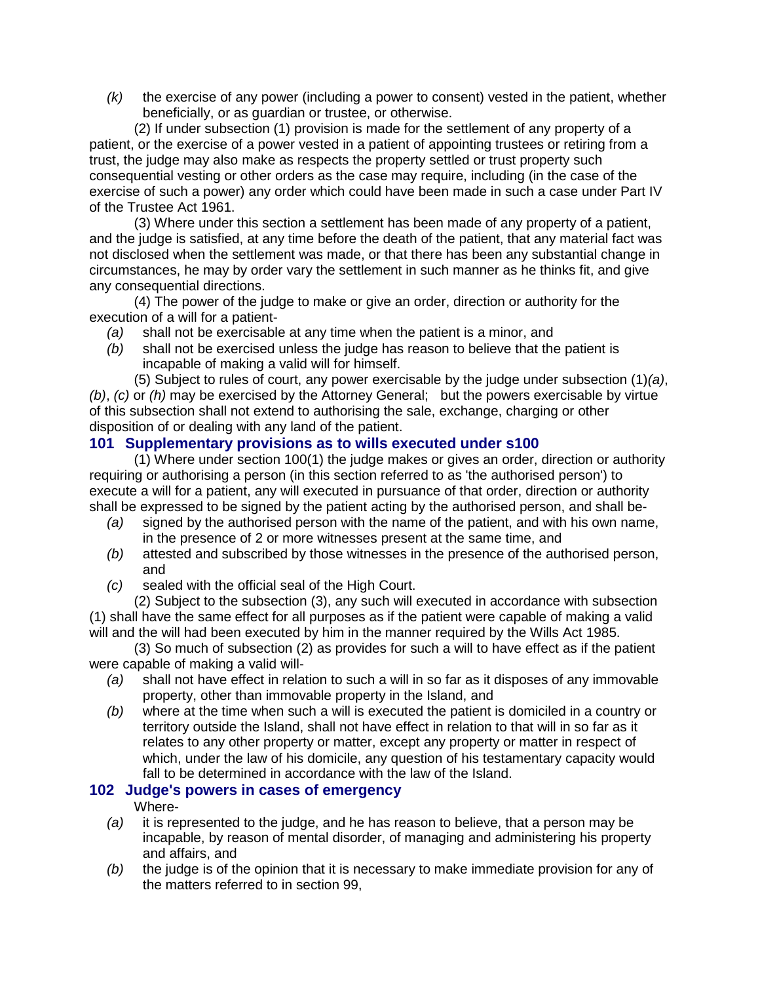*(k)* the exercise of any power (including a power to consent) vested in the patient, whether beneficially, or as guardian or trustee, or otherwise.

(2) If under subsection (1) provision is made for the settlement of any property of a patient, or the exercise of a power vested in a patient of appointing trustees or retiring from a trust, the judge may also make as respects the property settled or trust property such consequential vesting or other orders as the case may require, including (in the case of the exercise of such a power) any order which could have been made in such a case under Part IV of the Trustee Act 1961.

(3) Where under this section a settlement has been made of any property of a patient, and the judge is satisfied, at any time before the death of the patient, that any material fact was not disclosed when the settlement was made, or that there has been any substantial change in circumstances, he may by order vary the settlement in such manner as he thinks fit, and give any consequential directions.

(4) The power of the judge to make or give an order, direction or authority for the execution of a will for a patient-

- *(a)* shall not be exercisable at any time when the patient is a minor, and
- *(b)* shall not be exercised unless the judge has reason to believe that the patient is incapable of making a valid will for himself.

(5) Subject to rules of court, any power exercisable by the judge under subsection (1)*(a)*, *(b)*, *(c)* or *(h)* may be exercised by the Attorney General; but the powers exercisable by virtue

of this subsection shall not extend to authorising the sale, exchange, charging or other disposition of or dealing with any land of the patient.

## **101 Supplementary provisions as to wills executed under s100**

(1) Where under section 100(1) the judge makes or gives an order, direction or authority requiring or authorising a person (in this section referred to as 'the authorised person') to execute a will for a patient, any will executed in pursuance of that order, direction or authority shall be expressed to be signed by the patient acting by the authorised person, and shall be-

- *(a)* signed by the authorised person with the name of the patient, and with his own name, in the presence of 2 or more witnesses present at the same time, and
- *(b)* attested and subscribed by those witnesses in the presence of the authorised person, and
- *(c)* sealed with the official seal of the High Court.

(2) Subject to the subsection (3), any such will executed in accordance with subsection (1) shall have the same effect for all purposes as if the patient were capable of making a valid will and the will had been executed by him in the manner required by the Wills Act 1985.

(3) So much of subsection (2) as provides for such a will to have effect as if the patient were capable of making a valid will-

- *(a)* shall not have effect in relation to such a will in so far as it disposes of any immovable property, other than immovable property in the Island, and
- *(b)* where at the time when such a will is executed the patient is domiciled in a country or territory outside the Island, shall not have effect in relation to that will in so far as it relates to any other property or matter, except any property or matter in respect of which, under the law of his domicile, any question of his testamentary capacity would fall to be determined in accordance with the law of the Island.

### **102 Judge's powers in cases of emergency**

Where-

- *(a)* it is represented to the judge, and he has reason to believe, that a person may be incapable, by reason of mental disorder, of managing and administering his property and affairs, and
- *(b)* the judge is of the opinion that it is necessary to make immediate provision for any of the matters referred to in section 99,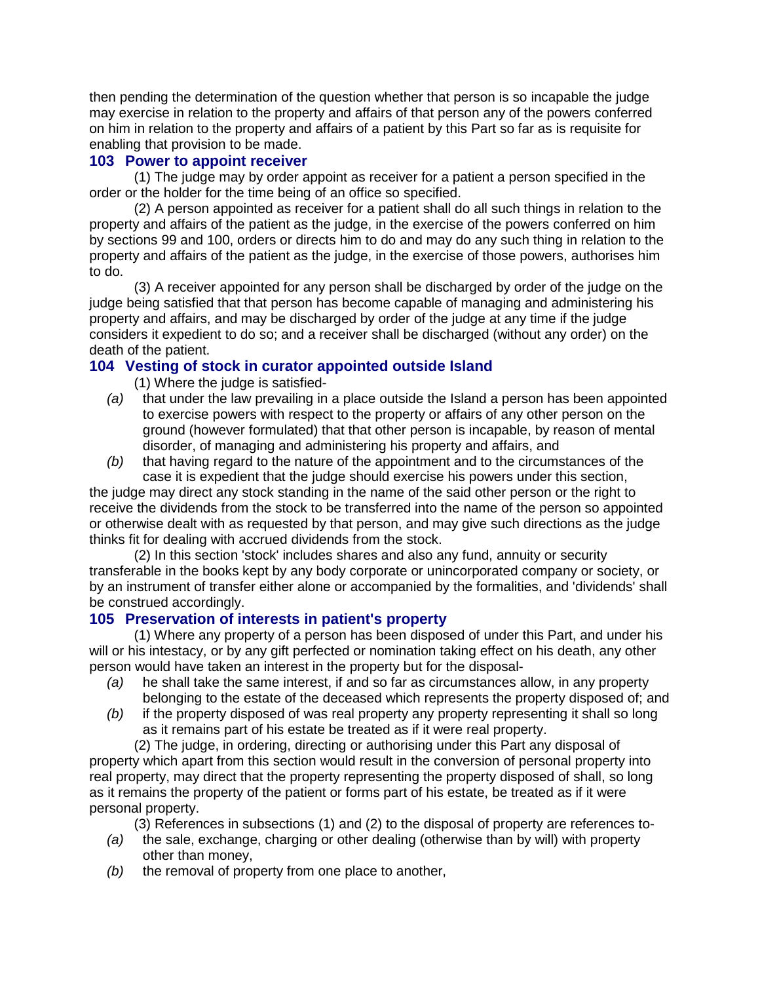then pending the determination of the question whether that person is so incapable the judge may exercise in relation to the property and affairs of that person any of the powers conferred on him in relation to the property and affairs of a patient by this Part so far as is requisite for enabling that provision to be made.

### **103 Power to appoint receiver**

(1) The judge may by order appoint as receiver for a patient a person specified in the order or the holder for the time being of an office so specified.

(2) A person appointed as receiver for a patient shall do all such things in relation to the property and affairs of the patient as the judge, in the exercise of the powers conferred on him by sections 99 and 100, orders or directs him to do and may do any such thing in relation to the property and affairs of the patient as the judge, in the exercise of those powers, authorises him to do.

(3) A receiver appointed for any person shall be discharged by order of the judge on the judge being satisfied that that person has become capable of managing and administering his property and affairs, and may be discharged by order of the judge at any time if the judge considers it expedient to do so; and a receiver shall be discharged (without any order) on the death of the patient.

## **104 Vesting of stock in curator appointed outside Island**

(1) Where the judge is satisfied-

- *(a)* that under the law prevailing in a place outside the Island a person has been appointed to exercise powers with respect to the property or affairs of any other person on the ground (however formulated) that that other person is incapable, by reason of mental disorder, of managing and administering his property and affairs, and
- *(b)* that having regard to the nature of the appointment and to the circumstances of the case it is expedient that the judge should exercise his powers under this section,

the judge may direct any stock standing in the name of the said other person or the right to receive the dividends from the stock to be transferred into the name of the person so appointed or otherwise dealt with as requested by that person, and may give such directions as the judge thinks fit for dealing with accrued dividends from the stock.

(2) In this section 'stock' includes shares and also any fund, annuity or security transferable in the books kept by any body corporate or unincorporated company or society, or by an instrument of transfer either alone or accompanied by the formalities, and 'dividends' shall be construed accordingly.

## **105 Preservation of interests in patient's property**

(1) Where any property of a person has been disposed of under this Part, and under his will or his intestacy, or by any gift perfected or nomination taking effect on his death, any other person would have taken an interest in the property but for the disposal-

- *(a)* he shall take the same interest, if and so far as circumstances allow, in any property belonging to the estate of the deceased which represents the property disposed of; and
- *(b)* if the property disposed of was real property any property representing it shall so long as it remains part of his estate be treated as if it were real property.

(2) The judge, in ordering, directing or authorising under this Part any disposal of property which apart from this section would result in the conversion of personal property into real property, may direct that the property representing the property disposed of shall, so long as it remains the property of the patient or forms part of his estate, be treated as if it were personal property.

(3) References in subsections (1) and (2) to the disposal of property are references to-

- *(a)* the sale, exchange, charging or other dealing (otherwise than by will) with property other than money,
- *(b)* the removal of property from one place to another,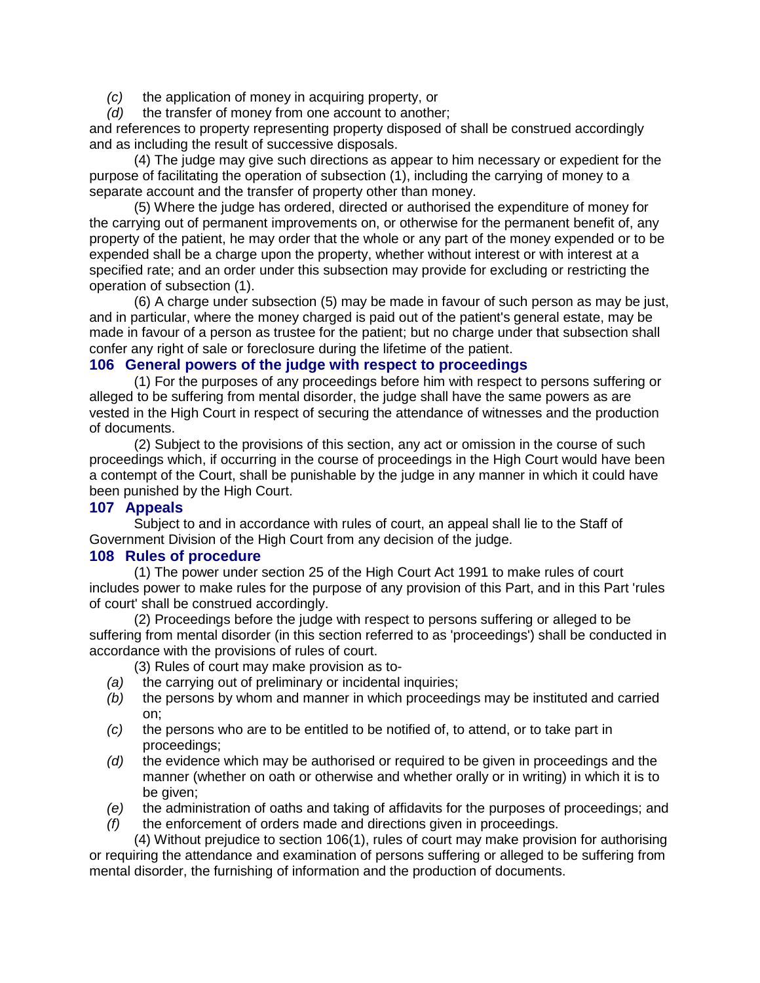*(c)* the application of money in acquiring property, or

*(d)* the transfer of money from one account to another;

and references to property representing property disposed of shall be construed accordingly and as including the result of successive disposals.

(4) The judge may give such directions as appear to him necessary or expedient for the purpose of facilitating the operation of subsection (1), including the carrying of money to a separate account and the transfer of property other than money.

(5) Where the judge has ordered, directed or authorised the expenditure of money for the carrying out of permanent improvements on, or otherwise for the permanent benefit of, any property of the patient, he may order that the whole or any part of the money expended or to be expended shall be a charge upon the property, whether without interest or with interest at a specified rate; and an order under this subsection may provide for excluding or restricting the operation of subsection (1).

(6) A charge under subsection (5) may be made in favour of such person as may be just, and in particular, where the money charged is paid out of the patient's general estate, may be made in favour of a person as trustee for the patient; but no charge under that subsection shall confer any right of sale or foreclosure during the lifetime of the patient.

### **106 General powers of the judge with respect to proceedings**

(1) For the purposes of any proceedings before him with respect to persons suffering or alleged to be suffering from mental disorder, the judge shall have the same powers as are vested in the High Court in respect of securing the attendance of witnesses and the production of documents.

(2) Subject to the provisions of this section, any act or omission in the course of such proceedings which, if occurring in the course of proceedings in the High Court would have been a contempt of the Court, shall be punishable by the judge in any manner in which it could have been punished by the High Court.

### **107 Appeals**

Subject to and in accordance with rules of court, an appeal shall lie to the Staff of Government Division of the High Court from any decision of the judge.

#### **108 Rules of procedure**

(1) The power under section 25 of the High Court Act 1991 to make rules of court includes power to make rules for the purpose of any provision of this Part, and in this Part 'rules of court' shall be construed accordingly.

(2) Proceedings before the judge with respect to persons suffering or alleged to be suffering from mental disorder (in this section referred to as 'proceedings') shall be conducted in accordance with the provisions of rules of court.

(3) Rules of court may make provision as to-

- *(a)* the carrying out of preliminary or incidental inquiries;
- *(b)* the persons by whom and manner in which proceedings may be instituted and carried on;
- *(c)* the persons who are to be entitled to be notified of, to attend, or to take part in proceedings;
- *(d)* the evidence which may be authorised or required to be given in proceedings and the manner (whether on oath or otherwise and whether orally or in writing) in which it is to be given;
- *(e)* the administration of oaths and taking of affidavits for the purposes of proceedings; and
- *(f)* the enforcement of orders made and directions given in proceedings.

(4) Without prejudice to section 106(1), rules of court may make provision for authorising or requiring the attendance and examination of persons suffering or alleged to be suffering from mental disorder, the furnishing of information and the production of documents.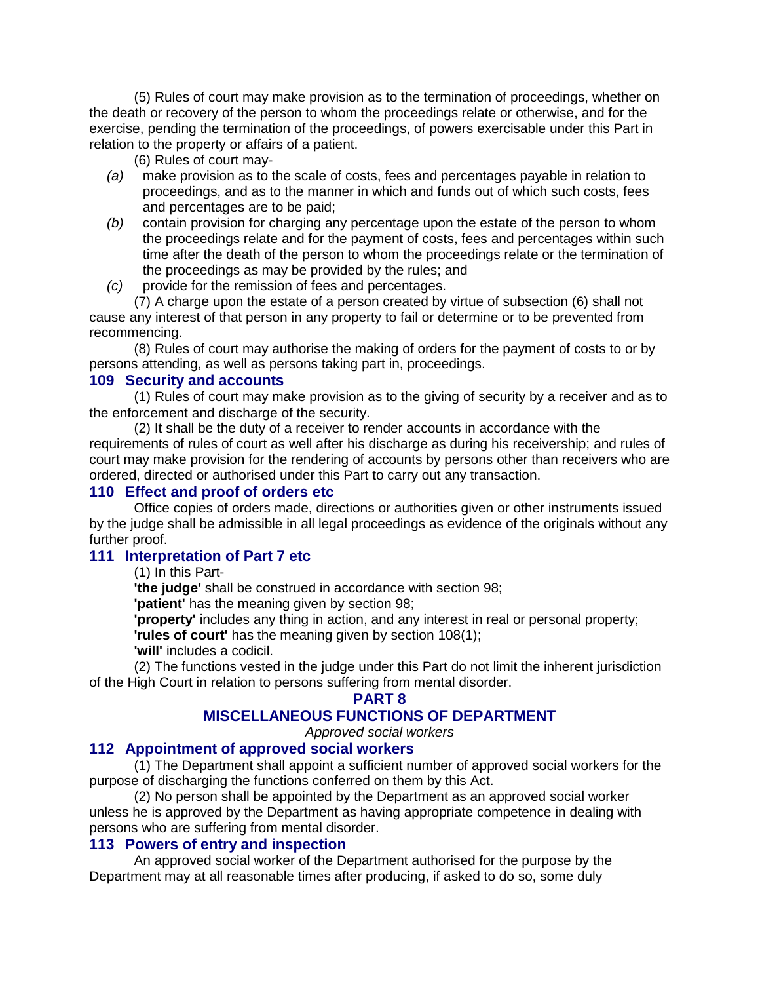(5) Rules of court may make provision as to the termination of proceedings, whether on the death or recovery of the person to whom the proceedings relate or otherwise, and for the exercise, pending the termination of the proceedings, of powers exercisable under this Part in relation to the property or affairs of a patient.

(6) Rules of court may-

- *(a)* make provision as to the scale of costs, fees and percentages payable in relation to proceedings, and as to the manner in which and funds out of which such costs, fees and percentages are to be paid;
- *(b)* contain provision for charging any percentage upon the estate of the person to whom the proceedings relate and for the payment of costs, fees and percentages within such time after the death of the person to whom the proceedings relate or the termination of the proceedings as may be provided by the rules; and
- *(c)* provide for the remission of fees and percentages.

(7) A charge upon the estate of a person created by virtue of subsection (6) shall not cause any interest of that person in any property to fail or determine or to be prevented from recommencing.

(8) Rules of court may authorise the making of orders for the payment of costs to or by persons attending, as well as persons taking part in, proceedings.

#### **109 Security and accounts**

(1) Rules of court may make provision as to the giving of security by a receiver and as to the enforcement and discharge of the security.

(2) It shall be the duty of a receiver to render accounts in accordance with the requirements of rules of court as well after his discharge as during his receivership; and rules of court may make provision for the rendering of accounts by persons other than receivers who are ordered, directed or authorised under this Part to carry out any transaction.

### **110 Effect and proof of orders etc**

Office copies of orders made, directions or authorities given or other instruments issued by the judge shall be admissible in all legal proceedings as evidence of the originals without any further proof.

### **111 Interpretation of Part 7 etc**

(1) In this Part-

**'the judge'** shall be construed in accordance with section 98;

**'patient'** has the meaning given by section 98;

**'property'** includes any thing in action, and any interest in real or personal property;

**'rules of court'** has the meaning given by section 108(1);

**'will'** includes a codicil.

(2) The functions vested in the judge under this Part do not limit the inherent jurisdiction of the High Court in relation to persons suffering from mental disorder.

#### **PART 8**

### **MISCELLANEOUS FUNCTIONS OF DEPARTMENT**

*Approved social workers*

### **112 Appointment of approved social workers**

(1) The Department shall appoint a sufficient number of approved social workers for the purpose of discharging the functions conferred on them by this Act.

(2) No person shall be appointed by the Department as an approved social worker unless he is approved by the Department as having appropriate competence in dealing with persons who are suffering from mental disorder.

#### **113 Powers of entry and inspection**

An approved social worker of the Department authorised for the purpose by the Department may at all reasonable times after producing, if asked to do so, some duly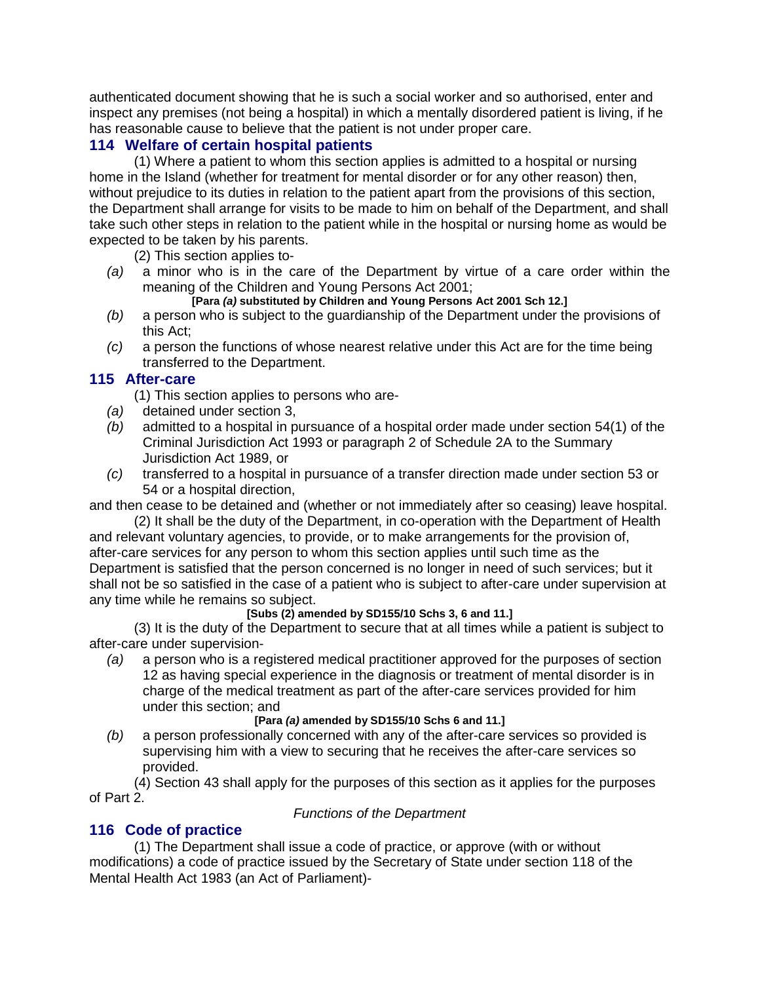authenticated document showing that he is such a social worker and so authorised, enter and inspect any premises (not being a hospital) in which a mentally disordered patient is living, if he has reasonable cause to believe that the patient is not under proper care.

## **114 Welfare of certain hospital patients**

(1) Where a patient to whom this section applies is admitted to a hospital or nursing home in the Island (whether for treatment for mental disorder or for any other reason) then, without prejudice to its duties in relation to the patient apart from the provisions of this section, the Department shall arrange for visits to be made to him on behalf of the Department, and shall take such other steps in relation to the patient while in the hospital or nursing home as would be expected to be taken by his parents.

- (2) This section applies to-
- *(a)* a minor who is in the care of the Department by virtue of a care order within the meaning of the Children and Young Persons Act 2001;
	- **[Para** *(a)* **substituted by Children and Young Persons Act 2001 Sch 12.]**
- *(b)* a person who is subject to the guardianship of the Department under the provisions of this Act;
- *(c)* a person the functions of whose nearest relative under this Act are for the time being transferred to the Department.

## **115 After-care**

(1) This section applies to persons who are-

- *(a)* detained under section 3,
- *(b)* admitted to a hospital in pursuance of a hospital order made under section 54(1) of the Criminal Jurisdiction Act 1993 or paragraph 2 of Schedule 2A to the Summary Jurisdiction Act 1989, or
- *(c)* transferred to a hospital in pursuance of a transfer direction made under section 53 or 54 or a hospital direction,

and then cease to be detained and (whether or not immediately after so ceasing) leave hospital.

(2) It shall be the duty of the Department, in co-operation with the Department of Health and relevant voluntary agencies, to provide, or to make arrangements for the provision of, after-care services for any person to whom this section applies until such time as the Department is satisfied that the person concerned is no longer in need of such services; but it shall not be so satisfied in the case of a patient who is subject to after-care under supervision at any time while he remains so subject.

### **[Subs (2) amended by SD155/10 Schs 3, 6 and 11.]**

(3) It is the duty of the Department to secure that at all times while a patient is subject to after-care under supervision-

*(a)* a person who is a registered medical practitioner approved for the purposes of section 12 as having special experience in the diagnosis or treatment of mental disorder is in charge of the medical treatment as part of the after-care services provided for him under this section; and

### **[Para** *(a)* **amended by SD155/10 Schs 6 and 11.]**

*(b)* a person professionally concerned with any of the after-care services so provided is supervising him with a view to securing that he receives the after-care services so provided.

(4) Section 43 shall apply for the purposes of this section as it applies for the purposes of Part 2.

### *Functions of the Department*

## **116 Code of practice**

(1) The Department shall issue a code of practice, or approve (with or without modifications) a code of practice issued by the Secretary of State under section 118 of the Mental Health Act 1983 (an Act of Parliament)-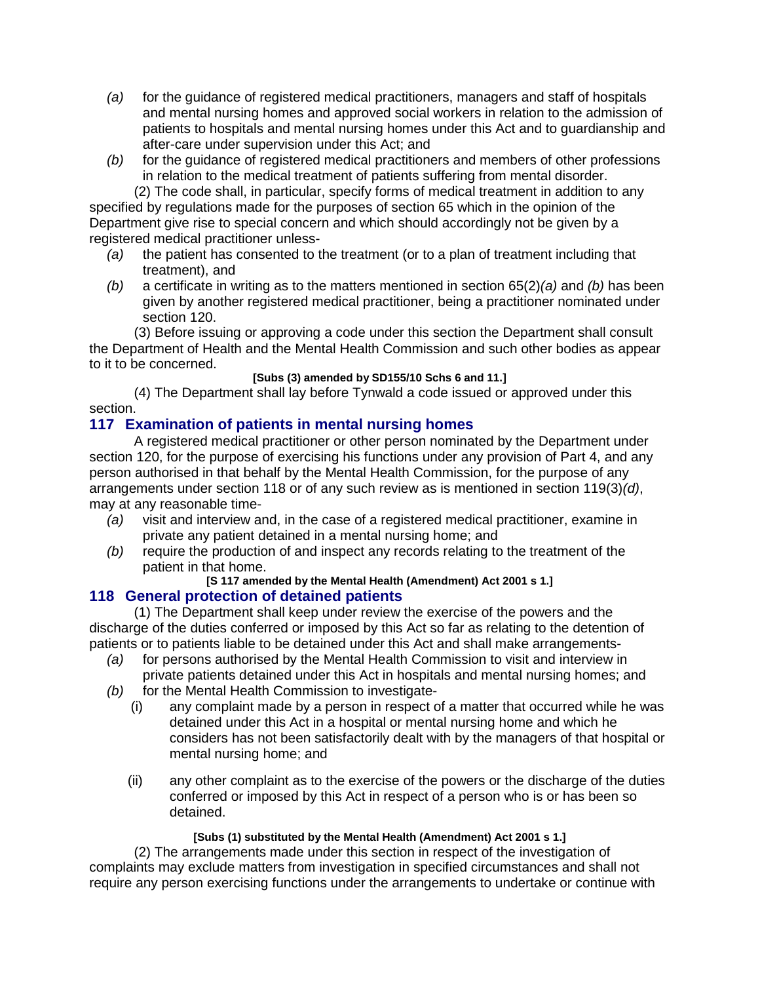- *(a)* for the guidance of registered medical practitioners, managers and staff of hospitals and mental nursing homes and approved social workers in relation to the admission of patients to hospitals and mental nursing homes under this Act and to guardianship and after-care under supervision under this Act; and
- *(b)* for the guidance of registered medical practitioners and members of other professions in relation to the medical treatment of patients suffering from mental disorder.

(2) The code shall, in particular, specify forms of medical treatment in addition to any specified by regulations made for the purposes of section 65 which in the opinion of the Department give rise to special concern and which should accordingly not be given by a registered medical practitioner unless-

- *(a)* the patient has consented to the treatment (or to a plan of treatment including that treatment), and
- *(b)* a certificate in writing as to the matters mentioned in section 65(2)*(a)* and *(b)* has been given by another registered medical practitioner, being a practitioner nominated under section 120.

(3) Before issuing or approving a code under this section the Department shall consult the Department of Health and the Mental Health Commission and such other bodies as appear to it to be concerned.

### **[Subs (3) amended by SD155/10 Schs 6 and 11.]**

(4) The Department shall lay before Tynwald a code issued or approved under this section.

## **117 Examination of patients in mental nursing homes**

A registered medical practitioner or other person nominated by the Department under section 120, for the purpose of exercising his functions under any provision of Part 4, and any person authorised in that behalf by the Mental Health Commission, for the purpose of any arrangements under section 118 or of any such review as is mentioned in section 119(3)*(d)*, may at any reasonable time-

- *(a)* visit and interview and, in the case of a registered medical practitioner, examine in private any patient detained in a mental nursing home; and
- *(b)* require the production of and inspect any records relating to the treatment of the patient in that home.

### **[S 117 amended by the Mental Health (Amendment) Act 2001 s 1.]**

## **118 General protection of detained patients**

(1) The Department shall keep under review the exercise of the powers and the discharge of the duties conferred or imposed by this Act so far as relating to the detention of patients or to patients liable to be detained under this Act and shall make arrangements-

- *(a)* for persons authorised by the Mental Health Commission to visit and interview in private patients detained under this Act in hospitals and mental nursing homes; and
- *(b)* for the Mental Health Commission to investigate-
	- (i) any complaint made by a person in respect of a matter that occurred while he was detained under this Act in a hospital or mental nursing home and which he considers has not been satisfactorily dealt with by the managers of that hospital or mental nursing home; and
	- (ii) any other complaint as to the exercise of the powers or the discharge of the duties conferred or imposed by this Act in respect of a person who is or has been so detained.

### **[Subs (1) substituted by the Mental Health (Amendment) Act 2001 s 1.]**

(2) The arrangements made under this section in respect of the investigation of complaints may exclude matters from investigation in specified circumstances and shall not require any person exercising functions under the arrangements to undertake or continue with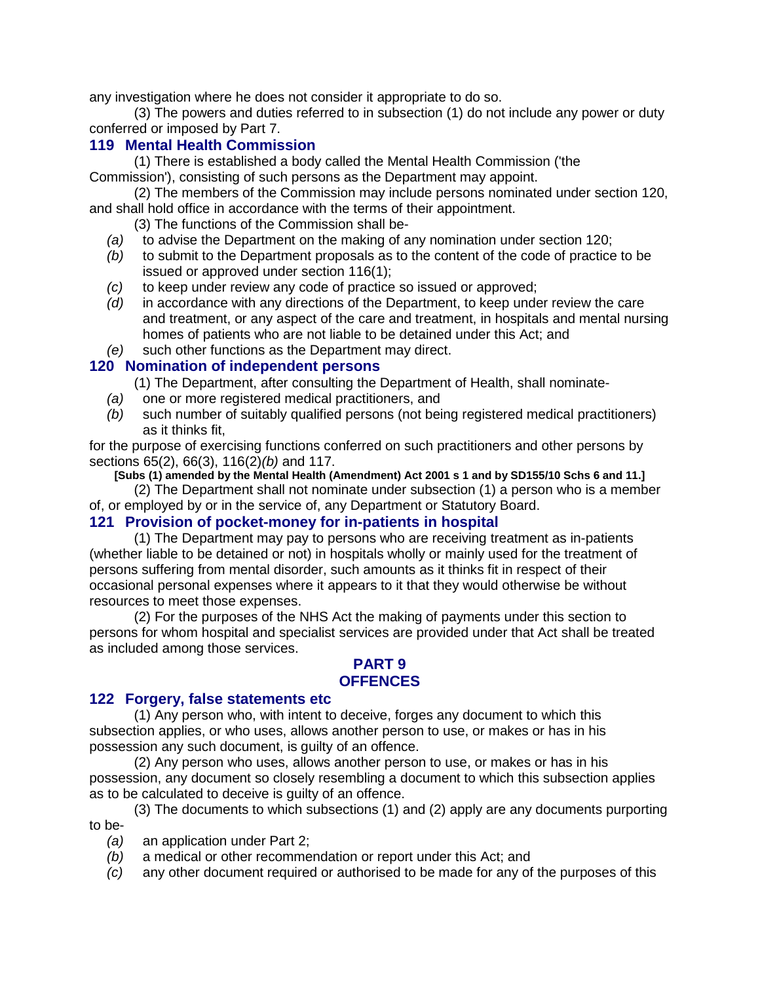any investigation where he does not consider it appropriate to do so.

(3) The powers and duties referred to in subsection (1) do not include any power or duty conferred or imposed by Part 7.

### **119 Mental Health Commission**

(1) There is established a body called the Mental Health Commission ('the Commission'), consisting of such persons as the Department may appoint.

(2) The members of the Commission may include persons nominated under section 120, and shall hold office in accordance with the terms of their appointment.

- (3) The functions of the Commission shall be-
- *(a)* to advise the Department on the making of any nomination under section 120;
- *(b)* to submit to the Department proposals as to the content of the code of practice to be issued or approved under section 116(1);
- *(c)* to keep under review any code of practice so issued or approved;
- *(d)* in accordance with any directions of the Department, to keep under review the care and treatment, or any aspect of the care and treatment, in hospitals and mental nursing homes of patients who are not liable to be detained under this Act; and
- *(e)* such other functions as the Department may direct.

#### **120 Nomination of independent persons**

- (1) The Department, after consulting the Department of Health, shall nominate-
- *(a)* one or more registered medical practitioners, and
- *(b)* such number of suitably qualified persons (not being registered medical practitioners) as it thinks fit,

for the purpose of exercising functions conferred on such practitioners and other persons by sections 65(2), 66(3), 116(2)*(b)* and 117.

**[Subs (1) amended by the Mental Health (Amendment) Act 2001 s 1 and by SD155/10 Schs 6 and 11.]**

(2) The Department shall not nominate under subsection (1) a person who is a member of, or employed by or in the service of, any Department or Statutory Board.

#### **121 Provision of pocket-money for in-patients in hospital**

(1) The Department may pay to persons who are receiving treatment as in-patients (whether liable to be detained or not) in hospitals wholly or mainly used for the treatment of persons suffering from mental disorder, such amounts as it thinks fit in respect of their occasional personal expenses where it appears to it that they would otherwise be without resources to meet those expenses.

(2) For the purposes of the NHS Act the making of payments under this section to persons for whom hospital and specialist services are provided under that Act shall be treated as included among those services.

## **PART 9 OFFENCES**

#### **122 Forgery, false statements etc**

(1) Any person who, with intent to deceive, forges any document to which this subsection applies, or who uses, allows another person to use, or makes or has in his possession any such document, is guilty of an offence.

(2) Any person who uses, allows another person to use, or makes or has in his possession, any document so closely resembling a document to which this subsection applies as to be calculated to deceive is guilty of an offence.

(3) The documents to which subsections (1) and (2) apply are any documents purporting to be-

- *(a)* an application under Part 2;
- *(b)* a medical or other recommendation or report under this Act; and
- *(c)* any other document required or authorised to be made for any of the purposes of this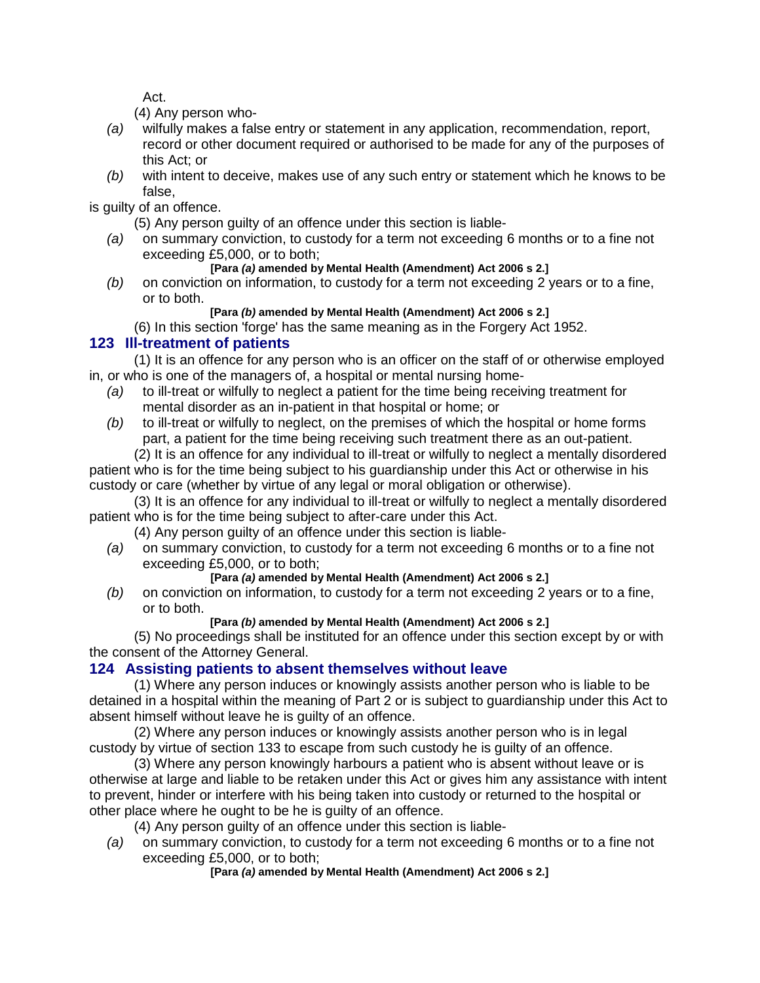Act.

(4) Any person who-

- *(a)* wilfully makes a false entry or statement in any application, recommendation, report, record or other document required or authorised to be made for any of the purposes of this Act; or
- *(b)* with intent to deceive, makes use of any such entry or statement which he knows to be false,

is guilty of an offence.

- (5) Any person guilty of an offence under this section is liable-
- *(a)* on summary conviction, to custody for a term not exceeding 6 months or to a fine not exceeding £5,000, or to both;

### **[Para** *(a)* **amended by Mental Health (Amendment) Act 2006 s 2.]**

*(b)* on conviction on information, to custody for a term not exceeding 2 years or to a fine, or to both.

#### **[Para** *(b)* **amended by Mental Health (Amendment) Act 2006 s 2.]**

(6) In this section 'forge' has the same meaning as in the Forgery Act 1952.

## **123 Ill-treatment of patients**

(1) It is an offence for any person who is an officer on the staff of or otherwise employed in, or who is one of the managers of, a hospital or mental nursing home-

- *(a)* to ill-treat or wilfully to neglect a patient for the time being receiving treatment for mental disorder as an in-patient in that hospital or home; or
- *(b)* to ill-treat or wilfully to neglect, on the premises of which the hospital or home forms part, a patient for the time being receiving such treatment there as an out-patient.

(2) It is an offence for any individual to ill-treat or wilfully to neglect a mentally disordered patient who is for the time being subject to his guardianship under this Act or otherwise in his custody or care (whether by virtue of any legal or moral obligation or otherwise).

(3) It is an offence for any individual to ill-treat or wilfully to neglect a mentally disordered patient who is for the time being subject to after-care under this Act.

- (4) Any person guilty of an offence under this section is liable-
- *(a)* on summary conviction, to custody for a term not exceeding 6 months or to a fine not exceeding £5,000, or to both;

### **[Para** *(a)* **amended by Mental Health (Amendment) Act 2006 s 2.]**

*(b)* on conviction on information, to custody for a term not exceeding 2 years or to a fine, or to both.

### **[Para** *(b)* **amended by Mental Health (Amendment) Act 2006 s 2.]**

(5) No proceedings shall be instituted for an offence under this section except by or with the consent of the Attorney General.

### **124 Assisting patients to absent themselves without leave**

(1) Where any person induces or knowingly assists another person who is liable to be detained in a hospital within the meaning of Part 2 or is subject to guardianship under this Act to absent himself without leave he is guilty of an offence.

(2) Where any person induces or knowingly assists another person who is in legal custody by virtue of section 133 to escape from such custody he is guilty of an offence.

(3) Where any person knowingly harbours a patient who is absent without leave or is otherwise at large and liable to be retaken under this Act or gives him any assistance with intent to prevent, hinder or interfere with his being taken into custody or returned to the hospital or other place where he ought to be he is guilty of an offence.

- (4) Any person guilty of an offence under this section is liable-
- *(a)* on summary conviction, to custody for a term not exceeding 6 months or to a fine not exceeding £5,000, or to both;

**[Para** *(a)* **amended by Mental Health (Amendment) Act 2006 s 2.]**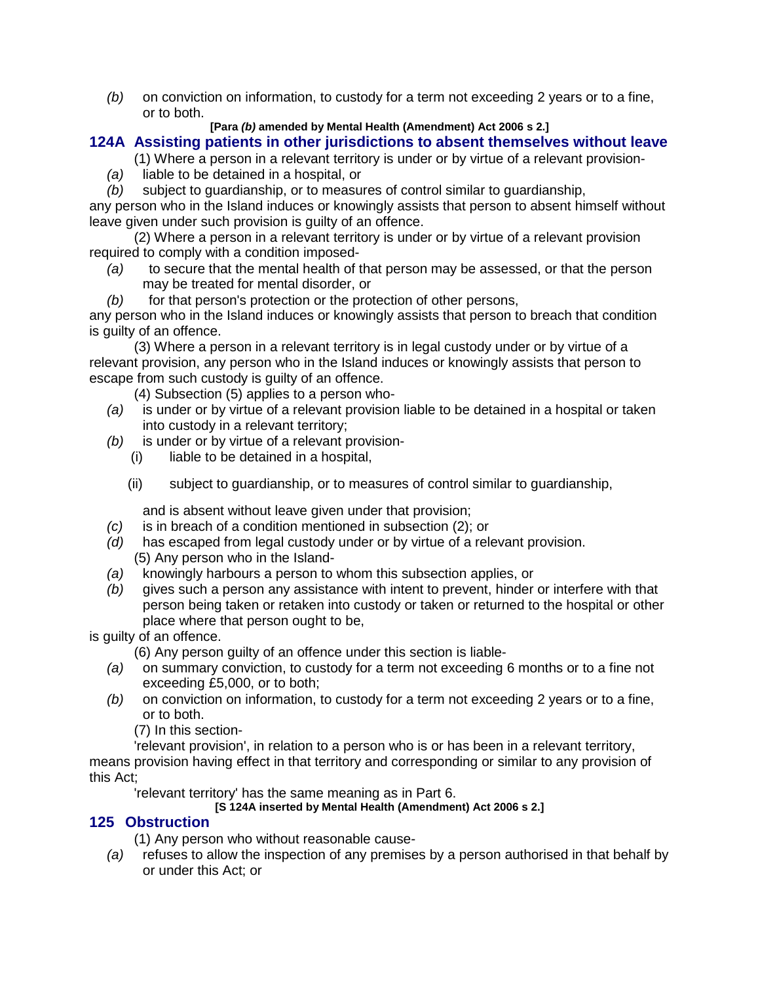*(b)* on conviction on information, to custody for a term not exceeding 2 years or to a fine, or to both.

### **[Para** *(b)* **amended by Mental Health (Amendment) Act 2006 s 2.]**

## **124A Assisting patients in other jurisdictions to absent themselves without leave**

- (1) Where a person in a relevant territory is under or by virtue of a relevant provision-
- *(a)* liable to be detained in a hospital, or
- *(b)* subject to guardianship, or to measures of control similar to guardianship,

any person who in the Island induces or knowingly assists that person to absent himself without leave given under such provision is guilty of an offence.

(2) Where a person in a relevant territory is under or by virtue of a relevant provision required to comply with a condition imposed-

- *(a)* to secure that the mental health of that person may be assessed, or that the person may be treated for mental disorder, or
- *(b)* for that person's protection or the protection of other persons,

any person who in the Island induces or knowingly assists that person to breach that condition is guilty of an offence.

(3) Where a person in a relevant territory is in legal custody under or by virtue of a relevant provision, any person who in the Island induces or knowingly assists that person to escape from such custody is guilty of an offence.

(4) Subsection (5) applies to a person who-

- *(a)* is under or by virtue of a relevant provision liable to be detained in a hospital or taken into custody in a relevant territory;
- *(b)* is under or by virtue of a relevant provision-
	- (i) liable to be detained in a hospital,
	- (ii) subject to guardianship, or to measures of control similar to guardianship,

and is absent without leave given under that provision;

- *(c)* is in breach of a condition mentioned in subsection (2); or
- *(d)* has escaped from legal custody under or by virtue of a relevant provision. (5) Any person who in the Island-
- *(a)* knowingly harbours a person to whom this subsection applies, or
- *(b)* gives such a person any assistance with intent to prevent, hinder or interfere with that person being taken or retaken into custody or taken or returned to the hospital or other place where that person ought to be,

is guilty of an offence.

(6) Any person guilty of an offence under this section is liable-

- *(a)* on summary conviction, to custody for a term not exceeding 6 months or to a fine not exceeding £5,000, or to both;
- *(b)* on conviction on information, to custody for a term not exceeding 2 years or to a fine, or to both.

(7) In this section-

'relevant provision', in relation to a person who is or has been in a relevant territory, means provision having effect in that territory and corresponding or similar to any provision of this Act;

'relevant territory' has the same meaning as in Part 6.

### **[S 124A inserted by Mental Health (Amendment) Act 2006 s 2.]**

## **125 Obstruction**

(1) Any person who without reasonable cause-

*(a)* refuses to allow the inspection of any premises by a person authorised in that behalf by or under this Act; or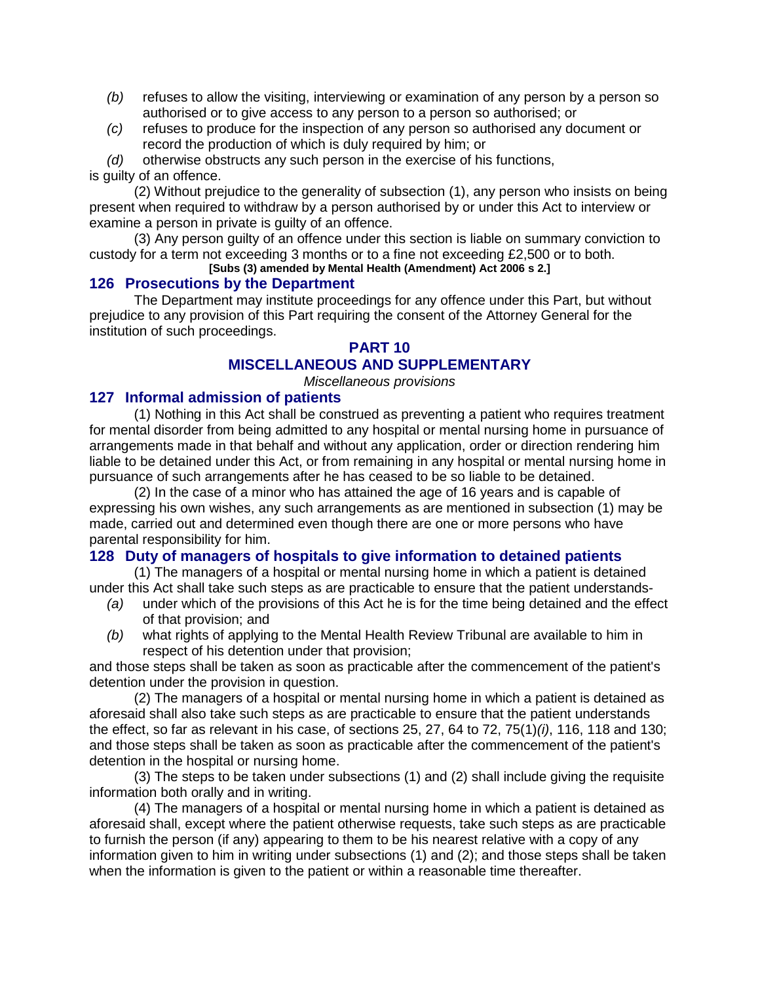- *(b)* refuses to allow the visiting, interviewing or examination of any person by a person so authorised or to give access to any person to a person so authorised; or
- *(c)* refuses to produce for the inspection of any person so authorised any document or record the production of which is duly required by him; or

*(d)* otherwise obstructs any such person in the exercise of his functions,

is guilty of an offence.

(2) Without prejudice to the generality of subsection (1), any person who insists on being present when required to withdraw by a person authorised by or under this Act to interview or examine a person in private is guilty of an offence.

(3) Any person guilty of an offence under this section is liable on summary conviction to custody for a term not exceeding 3 months or to a fine not exceeding £2,500 or to both. **[Subs (3) amended by Mental Health (Amendment) Act 2006 s 2.]**

### **126 Prosecutions by the Department**

The Department may institute proceedings for any offence under this Part, but without prejudice to any provision of this Part requiring the consent of the Attorney General for the institution of such proceedings.

## **PART 10**

## **MISCELLANEOUS AND SUPPLEMENTARY**

*Miscellaneous provisions*

## **127 Informal admission of patients**

(1) Nothing in this Act shall be construed as preventing a patient who requires treatment for mental disorder from being admitted to any hospital or mental nursing home in pursuance of arrangements made in that behalf and without any application, order or direction rendering him liable to be detained under this Act, or from remaining in any hospital or mental nursing home in pursuance of such arrangements after he has ceased to be so liable to be detained.

(2) In the case of a minor who has attained the age of 16 years and is capable of expressing his own wishes, any such arrangements as are mentioned in subsection (1) may be made, carried out and determined even though there are one or more persons who have parental responsibility for him.

### **128 Duty of managers of hospitals to give information to detained patients**

(1) The managers of a hospital or mental nursing home in which a patient is detained under this Act shall take such steps as are practicable to ensure that the patient understands-

- *(a)* under which of the provisions of this Act he is for the time being detained and the effect of that provision; and
- *(b)* what rights of applying to the Mental Health Review Tribunal are available to him in respect of his detention under that provision;

and those steps shall be taken as soon as practicable after the commencement of the patient's detention under the provision in question.

(2) The managers of a hospital or mental nursing home in which a patient is detained as aforesaid shall also take such steps as are practicable to ensure that the patient understands the effect, so far as relevant in his case, of sections 25, 27, 64 to 72, 75(1)*(i)*, 116, 118 and 130; and those steps shall be taken as soon as practicable after the commencement of the patient's detention in the hospital or nursing home.

(3) The steps to be taken under subsections (1) and (2) shall include giving the requisite information both orally and in writing.

(4) The managers of a hospital or mental nursing home in which a patient is detained as aforesaid shall, except where the patient otherwise requests, take such steps as are practicable to furnish the person (if any) appearing to them to be his nearest relative with a copy of any information given to him in writing under subsections (1) and (2); and those steps shall be taken when the information is given to the patient or within a reasonable time thereafter.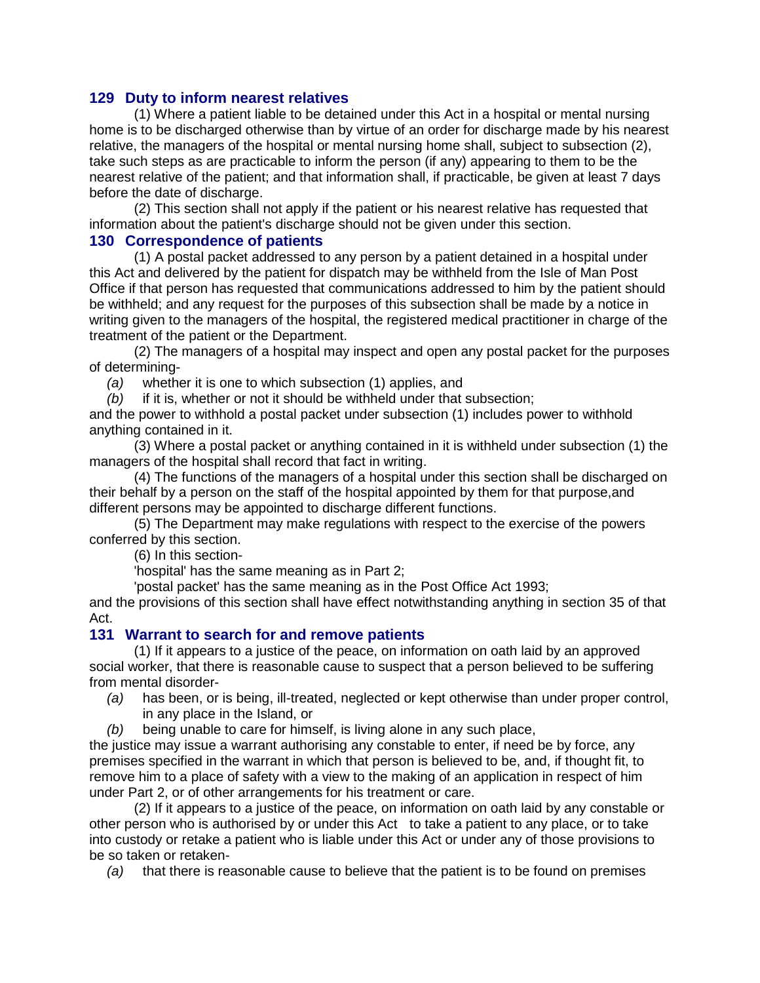### **129 Duty to inform nearest relatives**

(1) Where a patient liable to be detained under this Act in a hospital or mental nursing home is to be discharged otherwise than by virtue of an order for discharge made by his nearest relative, the managers of the hospital or mental nursing home shall, subject to subsection (2), take such steps as are practicable to inform the person (if any) appearing to them to be the nearest relative of the patient; and that information shall, if practicable, be given at least 7 days before the date of discharge.

(2) This section shall not apply if the patient or his nearest relative has requested that information about the patient's discharge should not be given under this section.

### **130 Correspondence of patients**

(1) A postal packet addressed to any person by a patient detained in a hospital under this Act and delivered by the patient for dispatch may be withheld from the Isle of Man Post Office if that person has requested that communications addressed to him by the patient should be withheld; and any request for the purposes of this subsection shall be made by a notice in writing given to the managers of the hospital, the registered medical practitioner in charge of the treatment of the patient or the Department.

(2) The managers of a hospital may inspect and open any postal packet for the purposes of determining-

*(a)* whether it is one to which subsection (1) applies, and

*(b)* if it is, whether or not it should be withheld under that subsection;

and the power to withhold a postal packet under subsection (1) includes power to withhold anything contained in it.

(3) Where a postal packet or anything contained in it is withheld under subsection (1) the managers of the hospital shall record that fact in writing.

(4) The functions of the managers of a hospital under this section shall be discharged on their behalf by a person on the staff of the hospital appointed by them for that purpose,and different persons may be appointed to discharge different functions.

(5) The Department may make regulations with respect to the exercise of the powers conferred by this section.

(6) In this section-

'hospital' has the same meaning as in Part 2;

'postal packet' has the same meaning as in the Post Office Act 1993;

and the provisions of this section shall have effect notwithstanding anything in section 35 of that Act.

### **131 Warrant to search for and remove patients**

(1) If it appears to a justice of the peace, on information on oath laid by an approved social worker, that there is reasonable cause to suspect that a person believed to be suffering from mental disorder-

- *(a)* has been, or is being, ill-treated, neglected or kept otherwise than under proper control, in any place in the Island, or
- *(b)* being unable to care for himself, is living alone in any such place,

the justice may issue a warrant authorising any constable to enter, if need be by force, any premises specified in the warrant in which that person is believed to be, and, if thought fit, to remove him to a place of safety with a view to the making of an application in respect of him under Part 2, or of other arrangements for his treatment or care.

(2) If it appears to a justice of the peace, on information on oath laid by any constable or other person who is authorised by or under this Act to take a patient to any place, or to take into custody or retake a patient who is liable under this Act or under any of those provisions to be so taken or retaken-

*(a)* that there is reasonable cause to believe that the patient is to be found on premises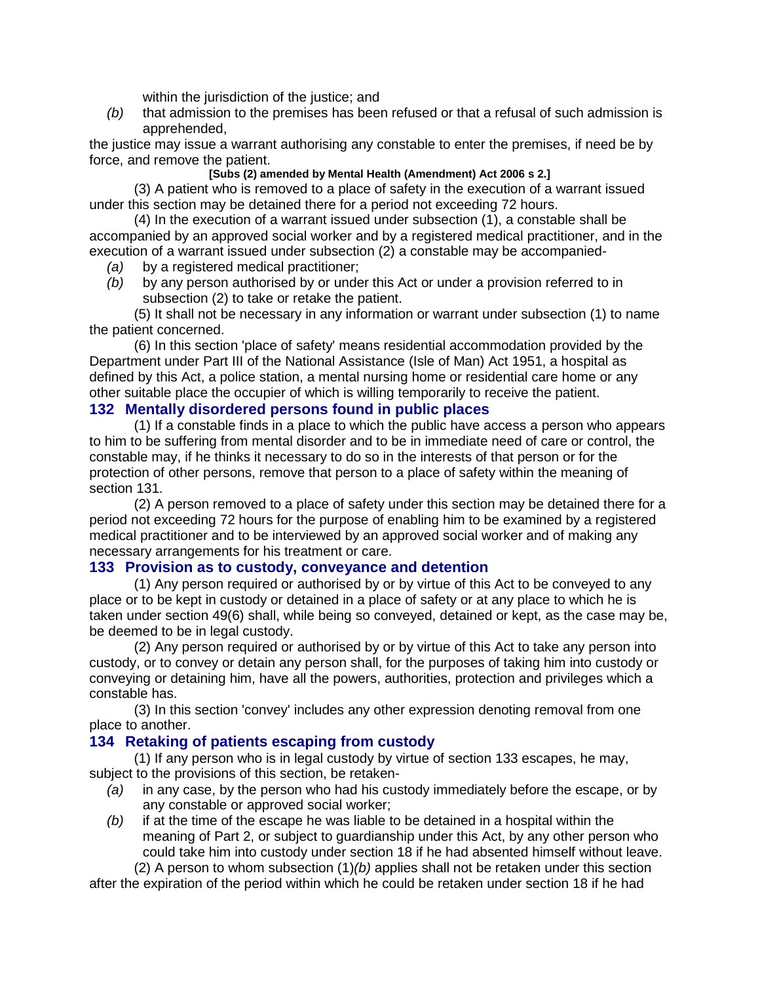within the jurisdiction of the justice; and

*(b)* that admission to the premises has been refused or that a refusal of such admission is apprehended,

the justice may issue a warrant authorising any constable to enter the premises, if need be by force, and remove the patient.

#### **[Subs (2) amended by Mental Health (Amendment) Act 2006 s 2.]**

(3) A patient who is removed to a place of safety in the execution of a warrant issued under this section may be detained there for a period not exceeding 72 hours.

(4) In the execution of a warrant issued under subsection (1), a constable shall be accompanied by an approved social worker and by a registered medical practitioner, and in the execution of a warrant issued under subsection (2) a constable may be accompanied-

*(a)* by a registered medical practitioner;

*(b)* by any person authorised by or under this Act or under a provision referred to in subsection (2) to take or retake the patient.

(5) It shall not be necessary in any information or warrant under subsection (1) to name the patient concerned.

(6) In this section 'place of safety' means residential accommodation provided by the Department under Part III of the National Assistance (Isle of Man) Act 1951, a hospital as defined by this Act, a police station, a mental nursing home or residential care home or any other suitable place the occupier of which is willing temporarily to receive the patient.

## **132 Mentally disordered persons found in public places**

(1) If a constable finds in a place to which the public have access a person who appears to him to be suffering from mental disorder and to be in immediate need of care or control, the constable may, if he thinks it necessary to do so in the interests of that person or for the protection of other persons, remove that person to a place of safety within the meaning of section 131.

(2) A person removed to a place of safety under this section may be detained there for a period not exceeding 72 hours for the purpose of enabling him to be examined by a registered medical practitioner and to be interviewed by an approved social worker and of making any necessary arrangements for his treatment or care.

### **133 Provision as to custody, conveyance and detention**

(1) Any person required or authorised by or by virtue of this Act to be conveyed to any place or to be kept in custody or detained in a place of safety or at any place to which he is taken under section 49(6) shall, while being so conveyed, detained or kept, as the case may be, be deemed to be in legal custody.

(2) Any person required or authorised by or by virtue of this Act to take any person into custody, or to convey or detain any person shall, for the purposes of taking him into custody or conveying or detaining him, have all the powers, authorities, protection and privileges which a constable has.

(3) In this section 'convey' includes any other expression denoting removal from one place to another.

## **134 Retaking of patients escaping from custody**

(1) If any person who is in legal custody by virtue of section 133 escapes, he may, subject to the provisions of this section, be retaken-

- *(a)* in any case, by the person who had his custody immediately before the escape, or by any constable or approved social worker;
- *(b)* if at the time of the escape he was liable to be detained in a hospital within the meaning of Part 2, or subject to guardianship under this Act, by any other person who could take him into custody under section 18 if he had absented himself without leave. (2) A person to whom subsection (1)*(b)* applies shall not be retaken under this section

after the expiration of the period within which he could be retaken under section 18 if he had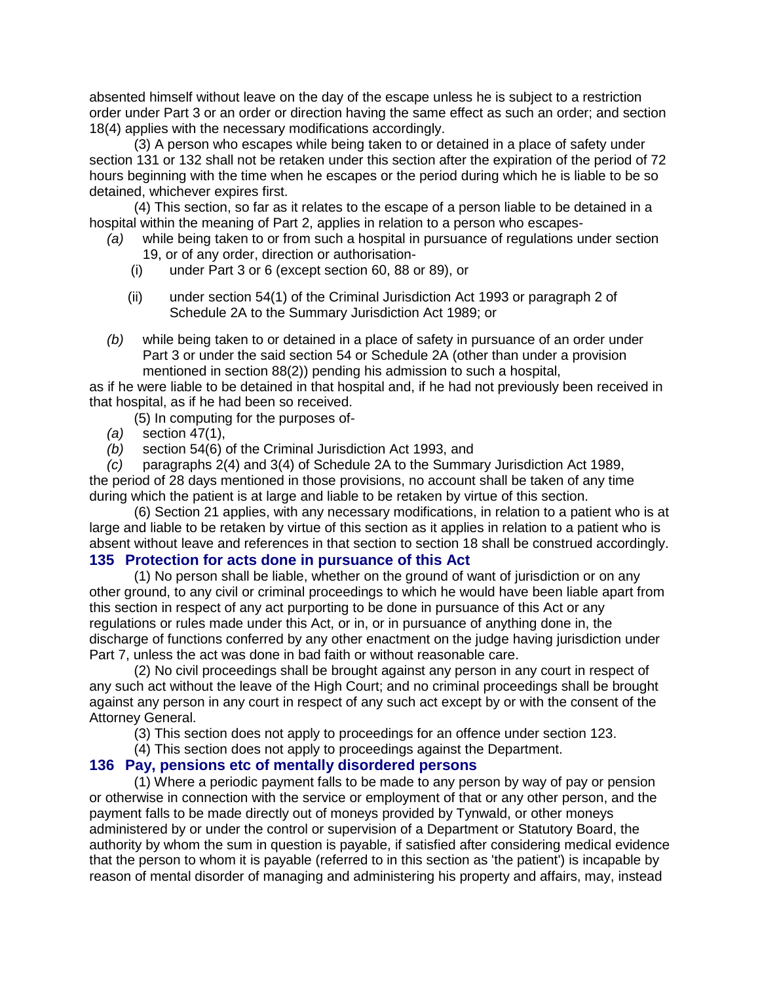absented himself without leave on the day of the escape unless he is subject to a restriction order under Part 3 or an order or direction having the same effect as such an order; and section 18(4) applies with the necessary modifications accordingly.

(3) A person who escapes while being taken to or detained in a place of safety under section 131 or 132 shall not be retaken under this section after the expiration of the period of 72 hours beginning with the time when he escapes or the period during which he is liable to be so detained, whichever expires first.

(4) This section, so far as it relates to the escape of a person liable to be detained in a hospital within the meaning of Part 2, applies in relation to a person who escapes-

- *(a)* while being taken to or from such a hospital in pursuance of regulations under section 19, or of any order, direction or authorisation-
	- (i) under Part 3 or 6 (except section 60, 88 or 89), or
	- (ii) under section 54(1) of the Criminal Jurisdiction Act 1993 or paragraph 2 of Schedule 2A to the Summary Jurisdiction Act 1989; or
- *(b)* while being taken to or detained in a place of safety in pursuance of an order under Part 3 or under the said section 54 or Schedule 2A (other than under a provision mentioned in section 88(2)) pending his admission to such a hospital,

as if he were liable to be detained in that hospital and, if he had not previously been received in that hospital, as if he had been so received.

(5) In computing for the purposes of-

- *(a)* section 47(1),
- *(b)* section 54(6) of the Criminal Jurisdiction Act 1993, and

*(c)* paragraphs 2(4) and 3(4) of Schedule 2A to the Summary Jurisdiction Act 1989, the period of 28 days mentioned in those provisions, no account shall be taken of any time during which the patient is at large and liable to be retaken by virtue of this section.

(6) Section 21 applies, with any necessary modifications, in relation to a patient who is at large and liable to be retaken by virtue of this section as it applies in relation to a patient who is absent without leave and references in that section to section 18 shall be construed accordingly.

### **135 Protection for acts done in pursuance of this Act**

(1) No person shall be liable, whether on the ground of want of jurisdiction or on any other ground, to any civil or criminal proceedings to which he would have been liable apart from this section in respect of any act purporting to be done in pursuance of this Act or any regulations or rules made under this Act, or in, or in pursuance of anything done in, the discharge of functions conferred by any other enactment on the judge having jurisdiction under Part 7, unless the act was done in bad faith or without reasonable care.

(2) No civil proceedings shall be brought against any person in any court in respect of any such act without the leave of the High Court; and no criminal proceedings shall be brought against any person in any court in respect of any such act except by or with the consent of the Attorney General.

(3) This section does not apply to proceedings for an offence under section 123.

(4) This section does not apply to proceedings against the Department.

### **136 Pay, pensions etc of mentally disordered persons**

(1) Where a periodic payment falls to be made to any person by way of pay or pension or otherwise in connection with the service or employment of that or any other person, and the payment falls to be made directly out of moneys provided by Tynwald, or other moneys administered by or under the control or supervision of a Department or Statutory Board, the authority by whom the sum in question is payable, if satisfied after considering medical evidence that the person to whom it is payable (referred to in this section as 'the patient') is incapable by reason of mental disorder of managing and administering his property and affairs, may, instead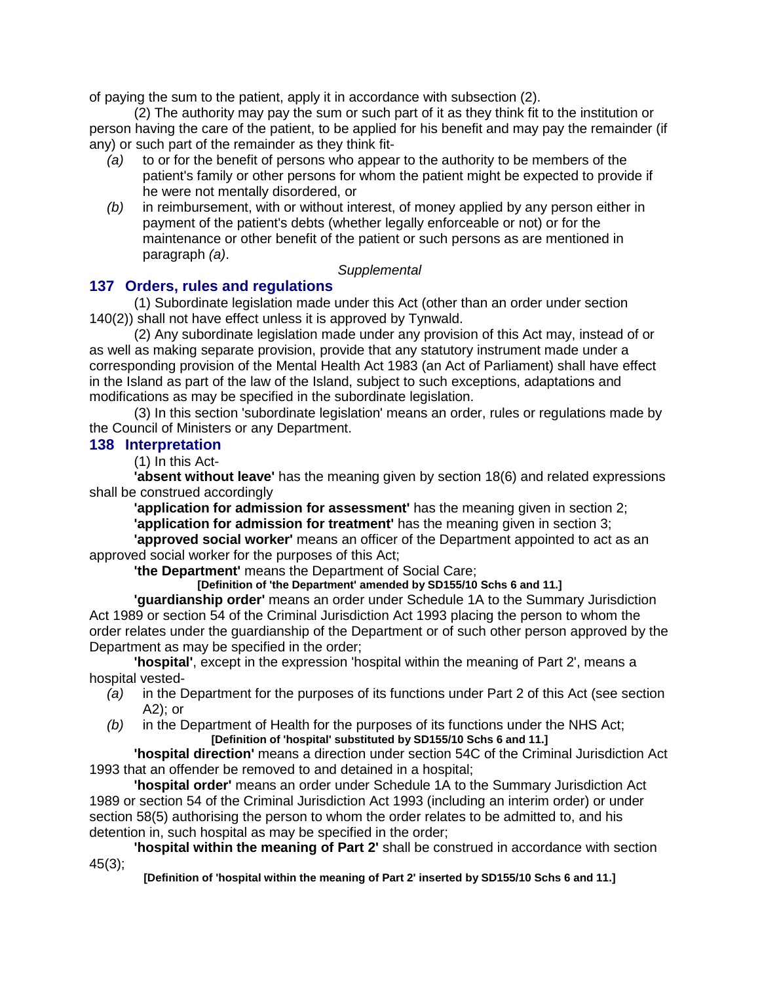of paying the sum to the patient, apply it in accordance with subsection (2).

(2) The authority may pay the sum or such part of it as they think fit to the institution or person having the care of the patient, to be applied for his benefit and may pay the remainder (if any) or such part of the remainder as they think fit-

- *(a)* to or for the benefit of persons who appear to the authority to be members of the patient's family or other persons for whom the patient might be expected to provide if he were not mentally disordered, or
- *(b)* in reimbursement, with or without interest, of money applied by any person either in payment of the patient's debts (whether legally enforceable or not) or for the maintenance or other benefit of the patient or such persons as are mentioned in paragraph *(a)*.

#### *Supplemental*

## **137 Orders, rules and regulations**

(1) Subordinate legislation made under this Act (other than an order under section 140(2)) shall not have effect unless it is approved by Tynwald.

(2) Any subordinate legislation made under any provision of this Act may, instead of or as well as making separate provision, provide that any statutory instrument made under a corresponding provision of the Mental Health Act 1983 (an Act of Parliament) shall have effect in the Island as part of the law of the Island, subject to such exceptions, adaptations and modifications as may be specified in the subordinate legislation.

(3) In this section 'subordinate legislation' means an order, rules or regulations made by the Council of Ministers or any Department.

### **138 Interpretation**

(1) In this Act-

**'absent without leave'** has the meaning given by section 18(6) and related expressions shall be construed accordingly

**'application for admission for assessment'** has the meaning given in section 2; **'application for admission for treatment'** has the meaning given in section 3;

**'approved social worker'** means an officer of the Department appointed to act as an approved social worker for the purposes of this Act;

**'the Department'** means the Department of Social Care;

### **[Definition of 'the Department' amended by SD155/10 Schs 6 and 11.]**

**'guardianship order'** means an order under Schedule 1A to the Summary Jurisdiction Act 1989 or section 54 of the Criminal Jurisdiction Act 1993 placing the person to whom the order relates under the guardianship of the Department or of such other person approved by the Department as may be specified in the order;

**'hospital'**, except in the expression 'hospital within the meaning of Part 2', means a hospital vested-

- *(a)* in the Department for the purposes of its functions under Part 2 of this Act (see section A2); or
- *(b)* in the Department of Health for the purposes of its functions under the NHS Act; **[Definition of 'hospital' substituted by SD155/10 Schs 6 and 11.]**

**'hospital direction'** means a direction under section 54C of the Criminal Jurisdiction Act 1993 that an offender be removed to and detained in a hospital;

**'hospital order'** means an order under Schedule 1A to the Summary Jurisdiction Act 1989 or section 54 of the Criminal Jurisdiction Act 1993 (including an interim order) or under section 58(5) authorising the person to whom the order relates to be admitted to, and his detention in, such hospital as may be specified in the order;

**'hospital within the meaning of Part 2'** shall be construed in accordance with section 45(3);

**[Definition of 'hospital within the meaning of Part 2' inserted by SD155/10 Schs 6 and 11.]**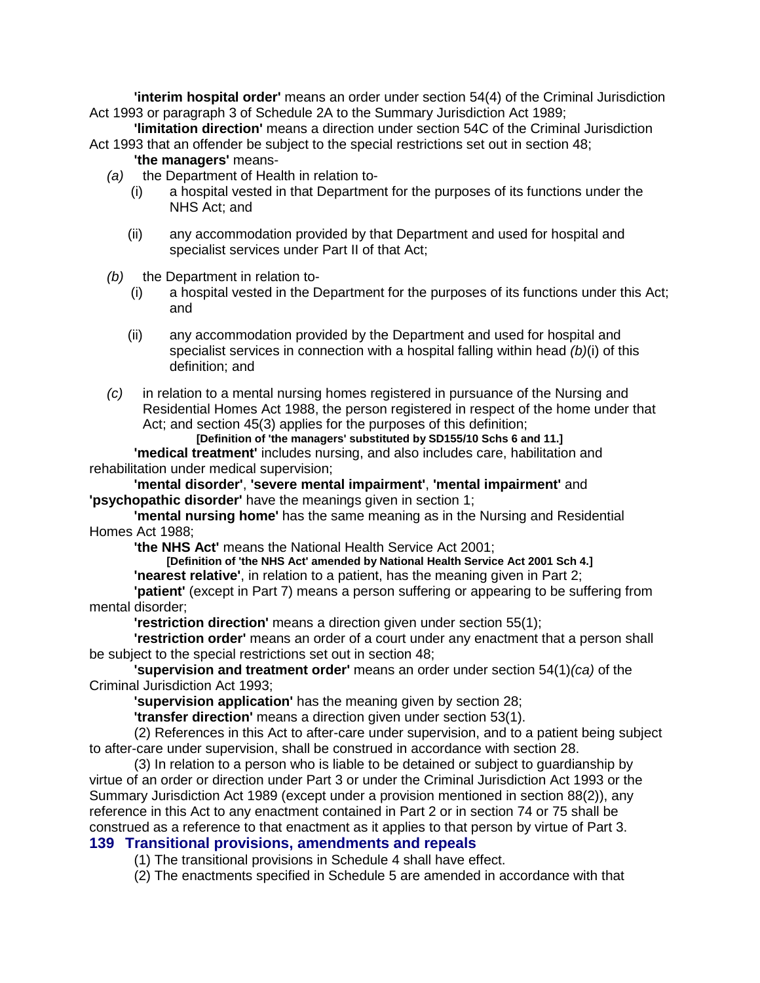**'interim hospital order'** means an order under section 54(4) of the Criminal Jurisdiction Act 1993 or paragraph 3 of Schedule 2A to the Summary Jurisdiction Act 1989;

**'limitation direction'** means a direction under section 54C of the Criminal Jurisdiction Act 1993 that an offender be subject to the special restrictions set out in section 48;

**'the managers'** means-

- *(a)* the Department of Health in relation to-
	- (i) a hospital vested in that Department for the purposes of its functions under the NHS Act; and
	- (ii) any accommodation provided by that Department and used for hospital and specialist services under Part II of that Act;
- *(b)* the Department in relation to-
	- (i) a hospital vested in the Department for the purposes of its functions under this Act; and
	- (ii) any accommodation provided by the Department and used for hospital and specialist services in connection with a hospital falling within head *(b)*(i) of this definition; and
- *(c)* in relation to a mental nursing homes registered in pursuance of the Nursing and Residential Homes Act 1988, the person registered in respect of the home under that Act; and section 45(3) applies for the purposes of this definition;

**[Definition of 'the managers' substituted by SD155/10 Schs 6 and 11.]**

**'medical treatment'** includes nursing, and also includes care, habilitation and rehabilitation under medical supervision;

**'mental disorder'**, **'severe mental impairment'**, **'mental impairment'** and **'psychopathic disorder'** have the meanings given in section 1;

**'mental nursing home'** has the same meaning as in the Nursing and Residential Homes Act 1988;

**'the NHS Act'** means the National Health Service Act 2001;

**[Definition of 'the NHS Act' amended by National Health Service Act 2001 Sch 4.]**

**'nearest relative'**, in relation to a patient, has the meaning given in Part 2;

**'patient'** (except in Part 7) means a person suffering or appearing to be suffering from mental disorder;

**'restriction direction'** means a direction given under section 55(1);

**'restriction order'** means an order of a court under any enactment that a person shall be subject to the special restrictions set out in section 48;

**'supervision and treatment order'** means an order under section 54(1)*(ca)* of the Criminal Jurisdiction Act 1993;

**'supervision application'** has the meaning given by section 28;

**'transfer direction'** means a direction given under section 53(1).

(2) References in this Act to after-care under supervision, and to a patient being subject to after-care under supervision, shall be construed in accordance with section 28.

(3) In relation to a person who is liable to be detained or subject to guardianship by virtue of an order or direction under Part 3 or under the Criminal Jurisdiction Act 1993 or the Summary Jurisdiction Act 1989 (except under a provision mentioned in section 88(2)), any reference in this Act to any enactment contained in Part 2 or in section 74 or 75 shall be construed as a reference to that enactment as it applies to that person by virtue of Part 3.

#### **139 Transitional provisions, amendments and repeals**

(1) The transitional provisions in Schedule 4 shall have effect.

(2) The enactments specified in Schedule 5 are amended in accordance with that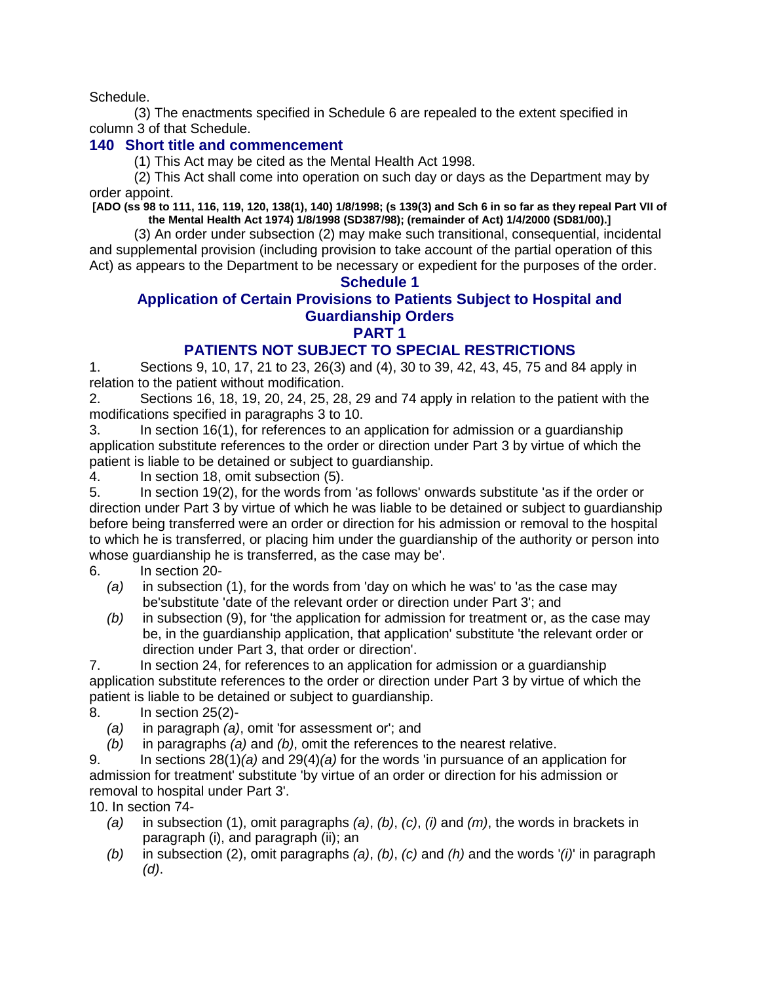Schedule.

(3) The enactments specified in Schedule 6 are repealed to the extent specified in column 3 of that Schedule.

#### **140 Short title and commencement**

(1) This Act may be cited as the Mental Health Act 1998.

(2) This Act shall come into operation on such day or days as the Department may by order appoint.

**[ADO (ss 98 to 111, 116, 119, 120, 138(1), 140) 1/8/1998; (s 139(3) and Sch 6 in so far as they repeal Part VII of the Mental Health Act 1974) 1/8/1998 (SD387/98); (remainder of Act) 1/4/2000 (SD81/00).]**

(3) An order under subsection (2) may make such transitional, consequential, incidental and supplemental provision (including provision to take account of the partial operation of this Act) as appears to the Department to be necessary or expedient for the purposes of the order.

### **Schedule 1**

## **Application of Certain Provisions to Patients Subject to Hospital and Guardianship Orders**

#### **PART 1**

## **PATIENTS NOT SUBJECT TO SPECIAL RESTRICTIONS**

1. Sections 9, 10, 17, 21 to 23, 26(3) and (4), 30 to 39, 42, 43, 45, 75 and 84 apply in relation to the patient without modification.

2. Sections 16, 18, 19, 20, 24, 25, 28, 29 and 74 apply in relation to the patient with the modifications specified in paragraphs 3 to 10.

3. In section 16(1), for references to an application for admission or a guardianship application substitute references to the order or direction under Part 3 by virtue of which the patient is liable to be detained or subject to guardianship.

4. In section 18, omit subsection (5).

5. In section 19(2), for the words from 'as follows' onwards substitute 'as if the order or direction under Part 3 by virtue of which he was liable to be detained or subject to guardianship before being transferred were an order or direction for his admission or removal to the hospital to which he is transferred, or placing him under the guardianship of the authority or person into whose guardianship he is transferred, as the case may be'.

### 6. In section 20-

- *(a)* in subsection (1), for the words from 'day on which he was' to 'as the case may be'substitute 'date of the relevant order or direction under Part 3'; and
- *(b)* in subsection (9), for 'the application for admission for treatment or, as the case may be, in the guardianship application, that application' substitute 'the relevant order or direction under Part 3, that order or direction'.

7. In section 24, for references to an application for admission or a guardianship application substitute references to the order or direction under Part 3 by virtue of which the patient is liable to be detained or subject to guardianship.

### 8. In section 25(2)-

- *(a)* in paragraph *(a)*, omit 'for assessment or'; and
- *(b)* in paragraphs *(a)* and *(b)*, omit the references to the nearest relative.

9. In sections 28(1)*(a)* and 29(4)*(a)* for the words 'in pursuance of an application for admission for treatment' substitute 'by virtue of an order or direction for his admission or removal to hospital under Part 3'.

#### 10. In section 74-

- *(a)* in subsection (1), omit paragraphs *(a)*, *(b)*, *(c)*, *(i)* and *(m)*, the words in brackets in paragraph (i), and paragraph (ii); an
- *(b)* in subsection (2), omit paragraphs *(a)*, *(b)*, *(c)* and *(h)* and the words '*(i)*' in paragraph *(d)*.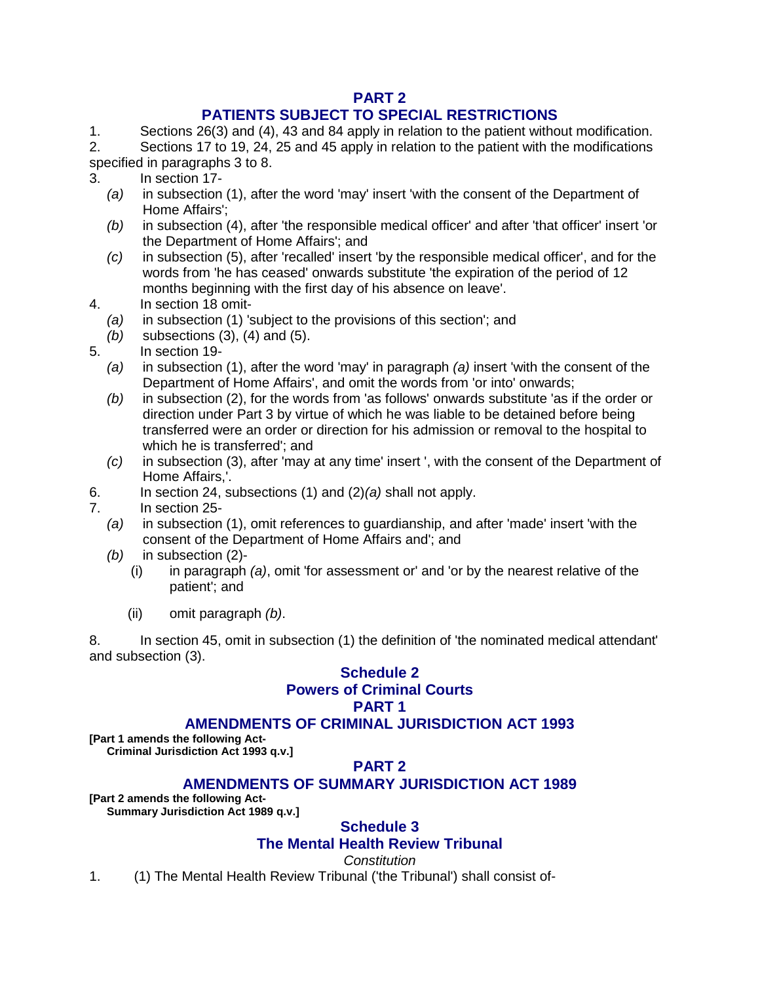# **PART 2**

## **PATIENTS SUBJECT TO SPECIAL RESTRICTIONS**

1. Sections 26(3) and (4), 43 and 84 apply in relation to the patient without modification. 2. Sections 17 to 19, 24, 25 and 45 apply in relation to the patient with the modifications

specified in paragraphs 3 to 8.

- 3. In section 17-
	- *(a)* in subsection (1), after the word 'may' insert 'with the consent of the Department of Home Affairs';
	- *(b)* in subsection (4), after 'the responsible medical officer' and after 'that officer' insert 'or the Department of Home Affairs'; and
	- *(c)* in subsection (5), after 'recalled' insert 'by the responsible medical officer', and for the words from 'he has ceased' onwards substitute 'the expiration of the period of 12 months beginning with the first day of his absence on leave'.
- 4. In section 18 omit-
	- *(a)* in subsection (1) 'subject to the provisions of this section'; and
	- *(b)* subsections (3), (4) and (5).
- 5. In section 19-
	- *(a)* in subsection (1), after the word 'may' in paragraph *(a)* insert 'with the consent of the Department of Home Affairs', and omit the words from 'or into' onwards;
	- *(b)* in subsection (2), for the words from 'as follows' onwards substitute 'as if the order or direction under Part 3 by virtue of which he was liable to be detained before being transferred were an order or direction for his admission or removal to the hospital to which he is transferred'; and
	- *(c)* in subsection (3), after 'may at any time' insert ', with the consent of the Department of Home Affairs,'.
- 6. In section 24, subsections (1) and (2)*(a)* shall not apply.
- 7. In section 25-
	- *(a)* in subsection (1), omit references to guardianship, and after 'made' insert 'with the consent of the Department of Home Affairs and'; and
	- *(b)* in subsection (2)-
		- (i) in paragraph *(a)*, omit 'for assessment or' and 'or by the nearest relative of the patient'; and
		- (ii) omit paragraph *(b)*.

8. In section 45, omit in subsection (1) the definition of 'the nominated medical attendant' and subsection (3).

## **Schedule 2**

## **Powers of Criminal Courts**

#### **PART 1**

## **AMENDMENTS OF CRIMINAL JURISDICTION ACT 1993**

**[Part 1 amends the following Act-Criminal Jurisdiction Act 1993 q.v.]**

## **PART 2**

## **AMENDMENTS OF SUMMARY JURISDICTION ACT 1989**

**[Part 2 amends the following Act-Summary Jurisdiction Act 1989 q.v.]**

## **Schedule 3**

## **The Mental Health Review Tribunal**

*Constitution*

1. (1) The Mental Health Review Tribunal ('the Tribunal') shall consist of-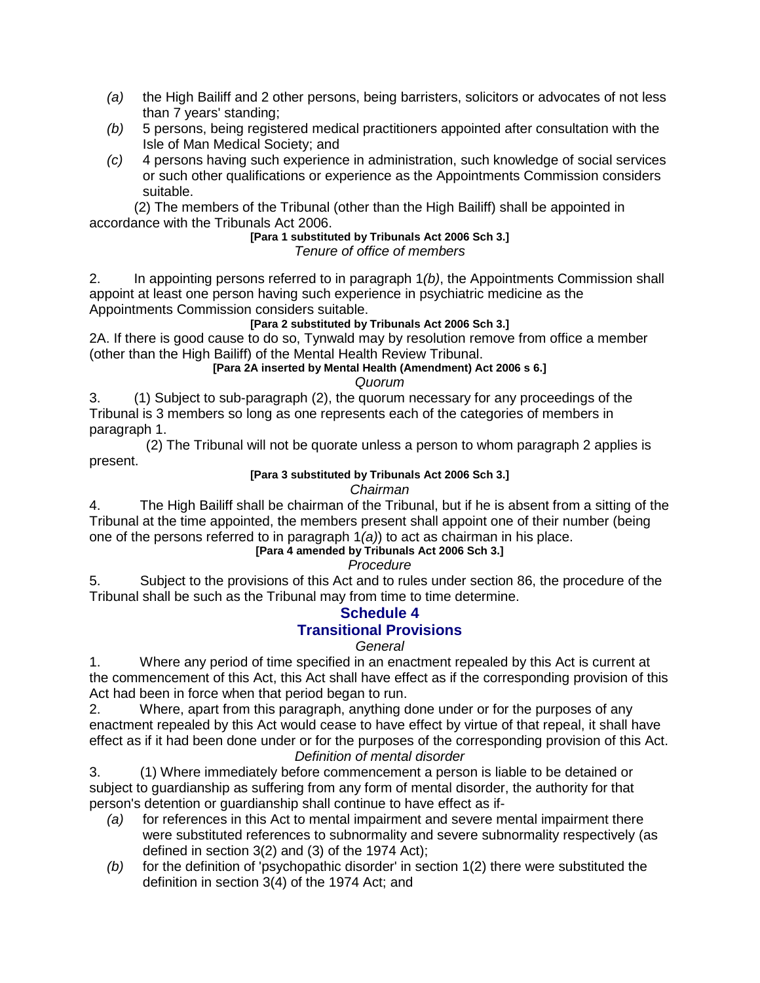- *(a)* the High Bailiff and 2 other persons, being barristers, solicitors or advocates of not less than 7 years' standing;
- *(b)* 5 persons, being registered medical practitioners appointed after consultation with the Isle of Man Medical Society; and
- *(c)* 4 persons having such experience in administration, such knowledge of social services or such other qualifications or experience as the Appointments Commission considers suitable.

(2) The members of the Tribunal (other than the High Bailiff) shall be appointed in accordance with the Tribunals Act 2006.

#### **[Para 1 substituted by Tribunals Act 2006 Sch 3.]** *Tenure of office of members*

2. In appointing persons referred to in paragraph 1*(b)*, the Appointments Commission shall appoint at least one person having such experience in psychiatric medicine as the Appointments Commission considers suitable.

#### **[Para 2 substituted by Tribunals Act 2006 Sch 3.]**

2A. If there is good cause to do so, Tynwald may by resolution remove from office a member (other than the High Bailiff) of the Mental Health Review Tribunal.

**[Para 2A inserted by Mental Health (Amendment) Act 2006 s 6.]**

*Quorum*

3. (1) Subject to sub-paragraph (2), the quorum necessary for any proceedings of the Tribunal is 3 members so long as one represents each of the categories of members in paragraph 1.

(2) The Tribunal will not be quorate unless a person to whom paragraph 2 applies is present.

#### **[Para 3 substituted by Tribunals Act 2006 Sch 3.]**

#### *Chairman*

4. The High Bailiff shall be chairman of the Tribunal, but if he is absent from a sitting of the Tribunal at the time appointed, the members present shall appoint one of their number (being one of the persons referred to in paragraph 1*(a)*) to act as chairman in his place.

#### **[Para 4 amended by Tribunals Act 2006 Sch 3.]**

*Procedure*

5. Subject to the provisions of this Act and to rules under section 86, the procedure of the Tribunal shall be such as the Tribunal may from time to time determine.

#### **Schedule 4**

### **Transitional Provisions**

#### *General*

1. Where any period of time specified in an enactment repealed by this Act is current at the commencement of this Act, this Act shall have effect as if the corresponding provision of this Act had been in force when that period began to run.

2. Where, apart from this paragraph, anything done under or for the purposes of any enactment repealed by this Act would cease to have effect by virtue of that repeal, it shall have effect as if it had been done under or for the purposes of the corresponding provision of this Act. *Definition of mental disorder*

3. (1) Where immediately before commencement a person is liable to be detained or subject to guardianship as suffering from any form of mental disorder, the authority for that person's detention or guardianship shall continue to have effect as if-

- *(a)* for references in this Act to mental impairment and severe mental impairment there were substituted references to subnormality and severe subnormality respectively (as defined in section 3(2) and (3) of the 1974 Act);
- *(b)* for the definition of 'psychopathic disorder' in section 1(2) there were substituted the definition in section 3(4) of the 1974 Act; and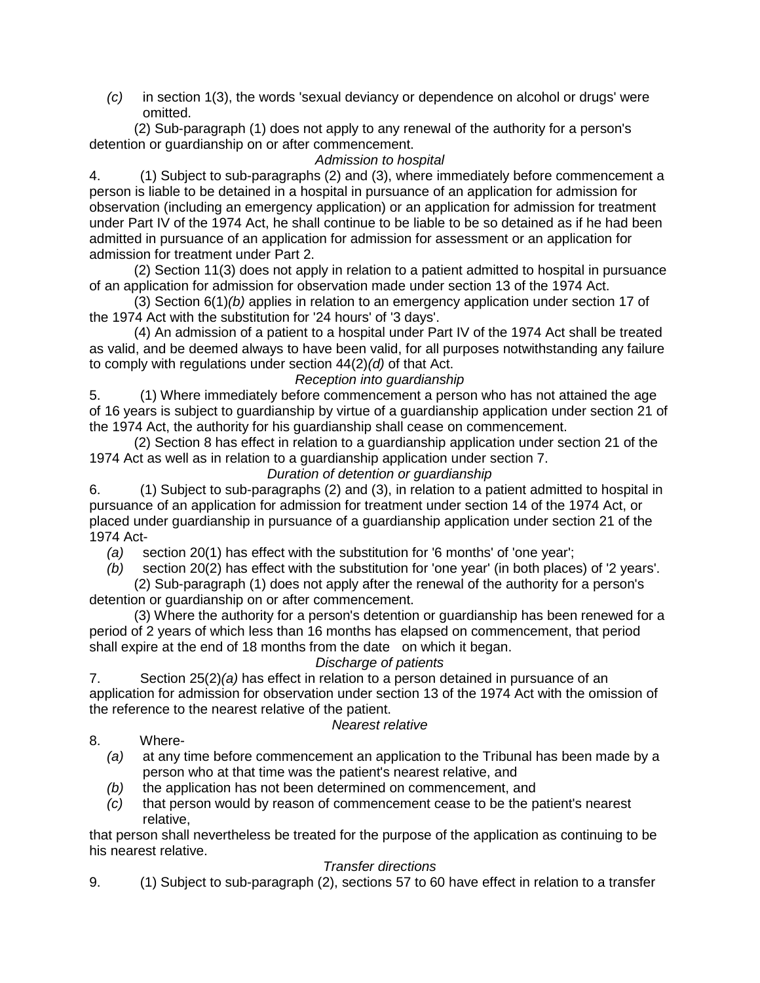*(c)* in section 1(3), the words 'sexual deviancy or dependence on alcohol or drugs' were omitted.

(2) Sub-paragraph (1) does not apply to any renewal of the authority for a person's detention or guardianship on or after commencement.

#### *Admission to hospital*

4. (1) Subject to sub-paragraphs (2) and (3), where immediately before commencement a person is liable to be detained in a hospital in pursuance of an application for admission for observation (including an emergency application) or an application for admission for treatment under Part IV of the 1974 Act, he shall continue to be liable to be so detained as if he had been admitted in pursuance of an application for admission for assessment or an application for admission for treatment under Part 2.

(2) Section 11(3) does not apply in relation to a patient admitted to hospital in pursuance of an application for admission for observation made under section 13 of the 1974 Act.

(3) Section 6(1)*(b)* applies in relation to an emergency application under section 17 of the 1974 Act with the substitution for '24 hours' of '3 days'.

(4) An admission of a patient to a hospital under Part IV of the 1974 Act shall be treated as valid, and be deemed always to have been valid, for all purposes notwithstanding any failure to comply with regulations under section 44(2)*(d)* of that Act.

#### *Reception into guardianship*

5. (1) Where immediately before commencement a person who has not attained the age of 16 years is subject to guardianship by virtue of a guardianship application under section 21 of the 1974 Act, the authority for his guardianship shall cease on commencement.

(2) Section 8 has effect in relation to a guardianship application under section 21 of the 1974 Act as well as in relation to a guardianship application under section 7.

#### *Duration of detention or guardianship*

6. (1) Subject to sub-paragraphs (2) and (3), in relation to a patient admitted to hospital in pursuance of an application for admission for treatment under section 14 of the 1974 Act, or placed under guardianship in pursuance of a guardianship application under section 21 of the 1974 Act-

*(a)* section 20(1) has effect with the substitution for '6 months' of 'one year';

*(b)* section 20(2) has effect with the substitution for 'one year' (in both places) of '2 years'.

(2) Sub-paragraph (1) does not apply after the renewal of the authority for a person's detention or guardianship on or after commencement.

(3) Where the authority for a person's detention or guardianship has been renewed for a period of 2 years of which less than 16 months has elapsed on commencement, that period shall expire at the end of 18 months from the date on which it began.

#### *Discharge of patients*

7. Section 25(2)*(a)* has effect in relation to a person detained in pursuance of an application for admission for observation under section 13 of the 1974 Act with the omission of the reference to the nearest relative of the patient.

#### *Nearest relative*

8. Where-

- *(a)* at any time before commencement an application to the Tribunal has been made by a person who at that time was the patient's nearest relative, and
- *(b)* the application has not been determined on commencement, and
- *(c)* that person would by reason of commencement cease to be the patient's nearest relative,

that person shall nevertheless be treated for the purpose of the application as continuing to be his nearest relative.

#### *Transfer directions*

9. (1) Subject to sub-paragraph (2), sections 57 to 60 have effect in relation to a transfer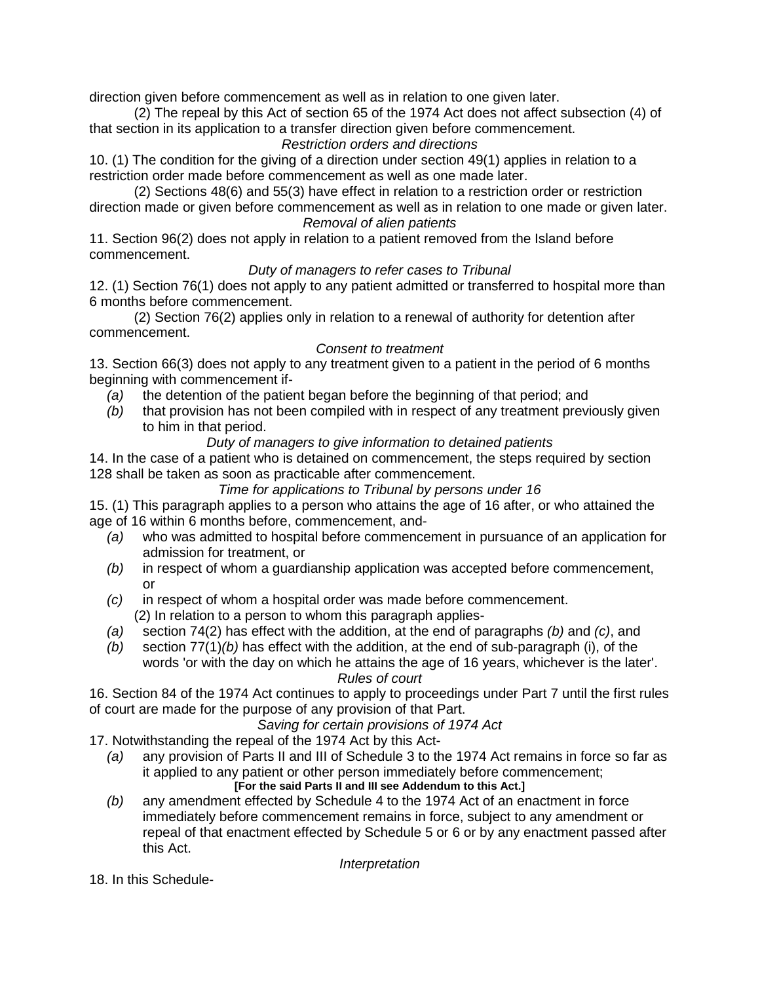direction given before commencement as well as in relation to one given later.

(2) The repeal by this Act of section 65 of the 1974 Act does not affect subsection (4) of that section in its application to a transfer direction given before commencement.

#### *Restriction orders and directions*

10. (1) The condition for the giving of a direction under section 49(1) applies in relation to a restriction order made before commencement as well as one made later.

(2) Sections 48(6) and 55(3) have effect in relation to a restriction order or restriction direction made or given before commencement as well as in relation to one made or given later. *Removal of alien patients*

11. Section 96(2) does not apply in relation to a patient removed from the Island before commencement.

#### *Duty of managers to refer cases to Tribunal*

12. (1) Section 76(1) does not apply to any patient admitted or transferred to hospital more than 6 months before commencement.

(2) Section 76(2) applies only in relation to a renewal of authority for detention after commencement.

#### *Consent to treatment*

13. Section 66(3) does not apply to any treatment given to a patient in the period of 6 months beginning with commencement if-

- *(a)* the detention of the patient began before the beginning of that period; and
- *(b)* that provision has not been compiled with in respect of any treatment previously given to him in that period.

#### *Duty of managers to give information to detained patients*

14. In the case of a patient who is detained on commencement, the steps required by section 128 shall be taken as soon as practicable after commencement.

*Time for applications to Tribunal by persons under 16*

15. (1) This paragraph applies to a person who attains the age of 16 after, or who attained the age of 16 within 6 months before, commencement, and-

- *(a)* who was admitted to hospital before commencement in pursuance of an application for admission for treatment, or
- *(b)* in respect of whom a guardianship application was accepted before commencement, or
- *(c)* in respect of whom a hospital order was made before commencement. (2) In relation to a person to whom this paragraph applies-
- *(a)* section 74(2) has effect with the addition, at the end of paragraphs *(b)* and *(c)*, and
- *(b)* section 77(1)*(b)* has effect with the addition, at the end of sub-paragraph (i), of the words 'or with the day on which he attains the age of 16 years, whichever is the later'. *Rules of court*

16. Section 84 of the 1974 Act continues to apply to proceedings under Part 7 until the first rules of court are made for the purpose of any provision of that Part.

#### *Saving for certain provisions of 1974 Act*

17. Notwithstanding the repeal of the 1974 Act by this Act-

- *(a)* any provision of Parts II and III of Schedule 3 to the 1974 Act remains in force so far as it applied to any patient or other person immediately before commencement; **[For the said Parts II and III see Addendum to this Act.]**
- *(b)* any amendment effected by Schedule 4 to the 1974 Act of an enactment in force immediately before commencement remains in force, subject to any amendment or repeal of that enactment effected by Schedule 5 or 6 or by any enactment passed after this Act.

*Interpretation*

18. In this Schedule-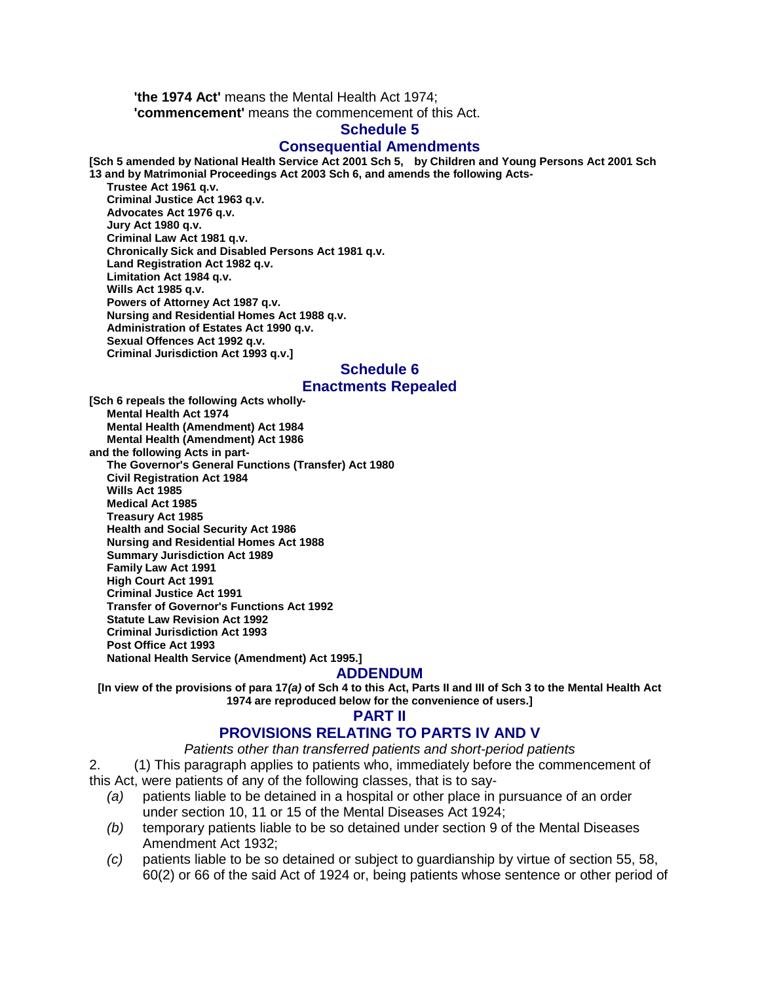**'the 1974 Act'** means the Mental Health Act 1974; **'commencement'** means the commencement of this Act.

#### **Schedule 5**

#### **Consequential Amendments**

**[Sch 5 amended by National Health Service Act 2001 Sch 5, by Children and Young Persons Act 2001 Sch 13 and by Matrimonial Proceedings Act 2003 Sch 6, and amends the following Acts-**

**Trustee Act 1961 q.v. Criminal Justice Act 1963 q.v. Advocates Act 1976 q.v. Jury Act 1980 q.v. Criminal Law Act 1981 q.v. Chronically Sick and Disabled Persons Act 1981 q.v. Land Registration Act 1982 q.v. Limitation Act 1984 q.v. Wills Act 1985 q.v. Powers of Attorney Act 1987 q.v. Nursing and Residential Homes Act 1988 q.v. Administration of Estates Act 1990 q.v. Sexual Offences Act 1992 q.v. Criminal Jurisdiction Act 1993 q.v.]**

#### **Schedule 6**

#### **Enactments Repealed**

**[Sch 6 repeals the following Acts wholly-Mental Health Act 1974 Mental Health (Amendment) Act 1984 Mental Health (Amendment) Act 1986 and the following Acts in part-The Governor's General Functions (Transfer) Act 1980 Civil Registration Act 1984 Wills Act 1985 Medical Act 1985 Treasury Act 1985 Health and Social Security Act 1986 Nursing and Residential Homes Act 1988 Summary Jurisdiction Act 1989 Family Law Act 1991 High Court Act 1991 Criminal Justice Act 1991 Transfer of Governor's Functions Act 1992 Statute Law Revision Act 1992 Criminal Jurisdiction Act 1993 Post Office Act 1993 National Health Service (Amendment) Act 1995.]**

#### **ADDENDUM**

**[In view of the provisions of para 17***(a)* **of Sch 4 to this Act, Parts II and III of Sch 3 to the Mental Health Act 1974 are reproduced below for the convenience of users.]**

#### **PART II**

#### **PROVISIONS RELATING TO PARTS IV AND V**

*Patients other than transferred patients and short-period patients*

2. (1) This paragraph applies to patients who, immediately before the commencement of this Act, were patients of any of the following classes, that is to say-

- *(a)* patients liable to be detained in a hospital or other place in pursuance of an order under section 10, 11 or 15 of the Mental Diseases Act 1924;
- *(b)* temporary patients liable to be so detained under section 9 of the Mental Diseases Amendment Act 1932;
- *(c)* patients liable to be so detained or subject to guardianship by virtue of section 55, 58, 60(2) or 66 of the said Act of 1924 or, being patients whose sentence or other period of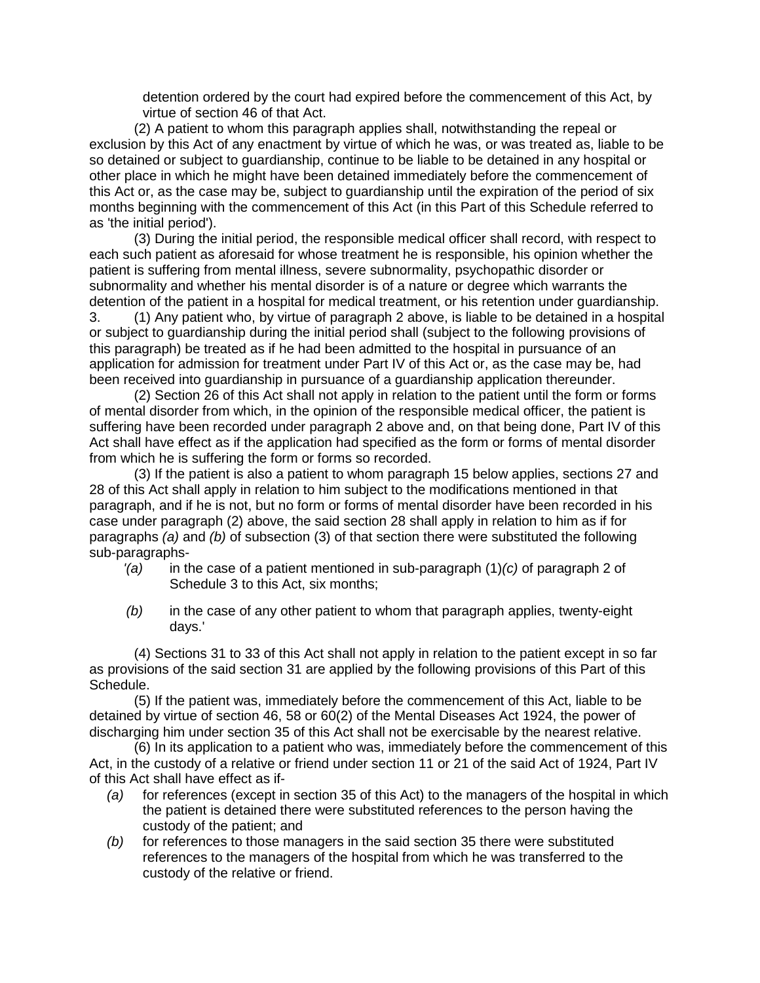detention ordered by the court had expired before the commencement of this Act, by virtue of section 46 of that Act.

(2) A patient to whom this paragraph applies shall, notwithstanding the repeal or exclusion by this Act of any enactment by virtue of which he was, or was treated as, liable to be so detained or subject to guardianship, continue to be liable to be detained in any hospital or other place in which he might have been detained immediately before the commencement of this Act or, as the case may be, subject to guardianship until the expiration of the period of six months beginning with the commencement of this Act (in this Part of this Schedule referred to as 'the initial period').

(3) During the initial period, the responsible medical officer shall record, with respect to each such patient as aforesaid for whose treatment he is responsible, his opinion whether the patient is suffering from mental illness, severe subnormality, psychopathic disorder or subnormality and whether his mental disorder is of a nature or degree which warrants the detention of the patient in a hospital for medical treatment, or his retention under guardianship. 3. (1) Any patient who, by virtue of paragraph 2 above, is liable to be detained in a hospital or subject to guardianship during the initial period shall (subject to the following provisions of this paragraph) be treated as if he had been admitted to the hospital in pursuance of an application for admission for treatment under Part IV of this Act or, as the case may be, had been received into guardianship in pursuance of a guardianship application thereunder.

(2) Section 26 of this Act shall not apply in relation to the patient until the form or forms of mental disorder from which, in the opinion of the responsible medical officer, the patient is suffering have been recorded under paragraph 2 above and, on that being done, Part IV of this Act shall have effect as if the application had specified as the form or forms of mental disorder from which he is suffering the form or forms so recorded.

(3) If the patient is also a patient to whom paragraph 15 below applies, sections 27 and 28 of this Act shall apply in relation to him subject to the modifications mentioned in that paragraph, and if he is not, but no form or forms of mental disorder have been recorded in his case under paragraph (2) above, the said section 28 shall apply in relation to him as if for paragraphs *(a)* and *(b)* of subsection (3) of that section there were substituted the following sub-paragraphs-

- *'(a)* in the case of a patient mentioned in sub-paragraph (1)*(c)* of paragraph 2 of Schedule 3 to this Act, six months;
- *(b)* in the case of any other patient to whom that paragraph applies, twenty-eight days.'

(4) Sections 31 to 33 of this Act shall not apply in relation to the patient except in so far as provisions of the said section 31 are applied by the following provisions of this Part of this Schedule.

(5) If the patient was, immediately before the commencement of this Act, liable to be detained by virtue of section 46, 58 or 60(2) of the Mental Diseases Act 1924, the power of discharging him under section 35 of this Act shall not be exercisable by the nearest relative.

(6) In its application to a patient who was, immediately before the commencement of this Act, in the custody of a relative or friend under section 11 or 21 of the said Act of 1924, Part IV of this Act shall have effect as if-

- *(a)* for references (except in section 35 of this Act) to the managers of the hospital in which the patient is detained there were substituted references to the person having the custody of the patient; and
- *(b)* for references to those managers in the said section 35 there were substituted references to the managers of the hospital from which he was transferred to the custody of the relative or friend.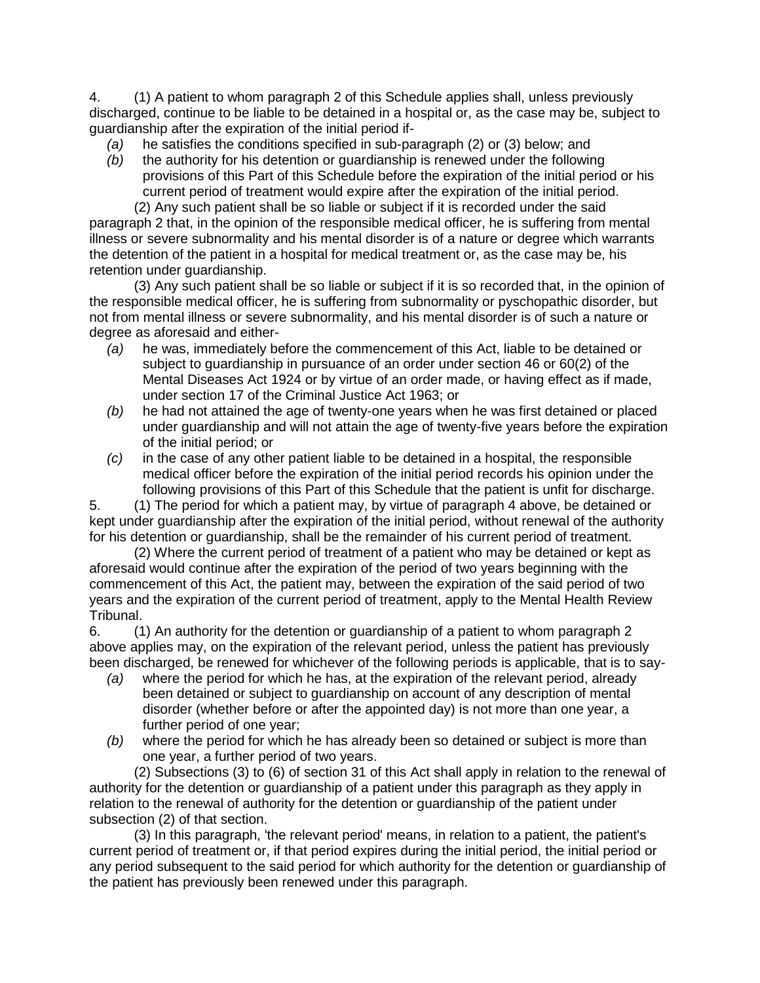4. (1) A patient to whom paragraph 2 of this Schedule applies shall, unless previously discharged, continue to be liable to be detained in a hospital or, as the case may be, subject to guardianship after the expiration of the initial period if-

- *(a)* he satisfies the conditions specified in sub-paragraph (2) or (3) below; and
- *(b)* the authority for his detention or guardianship is renewed under the following provisions of this Part of this Schedule before the expiration of the initial period or his current period of treatment would expire after the expiration of the initial period.

(2) Any such patient shall be so liable or subject if it is recorded under the said paragraph 2 that, in the opinion of the responsible medical officer, he is suffering from mental illness or severe subnormality and his mental disorder is of a nature or degree which warrants the detention of the patient in a hospital for medical treatment or, as the case may be, his retention under guardianship.

(3) Any such patient shall be so liable or subject if it is so recorded that, in the opinion of the responsible medical officer, he is suffering from subnormality or pyschopathic disorder, but not from mental illness or severe subnormality, and his mental disorder is of such a nature or degree as aforesaid and either-

- *(a)* he was, immediately before the commencement of this Act, liable to be detained or subject to guardianship in pursuance of an order under section 46 or 60(2) of the Mental Diseases Act 1924 or by virtue of an order made, or having effect as if made, under section 17 of the Criminal Justice Act 1963; or
- *(b)* he had not attained the age of twenty-one years when he was first detained or placed under guardianship and will not attain the age of twenty-five years before the expiration of the initial period; or
- *(c)* in the case of any other patient liable to be detained in a hospital, the responsible medical officer before the expiration of the initial period records his opinion under the following provisions of this Part of this Schedule that the patient is unfit for discharge.

5. (1) The period for which a patient may, by virtue of paragraph 4 above, be detained or kept under guardianship after the expiration of the initial period, without renewal of the authority for his detention or guardianship, shall be the remainder of his current period of treatment.

(2) Where the current period of treatment of a patient who may be detained or kept as aforesaid would continue after the expiration of the period of two years beginning with the commencement of this Act, the patient may, between the expiration of the said period of two years and the expiration of the current period of treatment, apply to the Mental Health Review Tribunal.

6. (1) An authority for the detention or guardianship of a patient to whom paragraph 2 above applies may, on the expiration of the relevant period, unless the patient has previously been discharged, be renewed for whichever of the following periods is applicable, that is to say-

- *(a)* where the period for which he has, at the expiration of the relevant period, already been detained or subject to guardianship on account of any description of mental disorder (whether before or after the appointed day) is not more than one year, a further period of one year;
- *(b)* where the period for which he has already been so detained or subject is more than one year, a further period of two years.

(2) Subsections (3) to (6) of section 31 of this Act shall apply in relation to the renewal of authority for the detention or guardianship of a patient under this paragraph as they apply in relation to the renewal of authority for the detention or guardianship of the patient under subsection (2) of that section.

(3) In this paragraph, 'the relevant period' means, in relation to a patient, the patient's current period of treatment or, if that period expires during the initial period, the initial period or any period subsequent to the said period for which authority for the detention or guardianship of the patient has previously been renewed under this paragraph.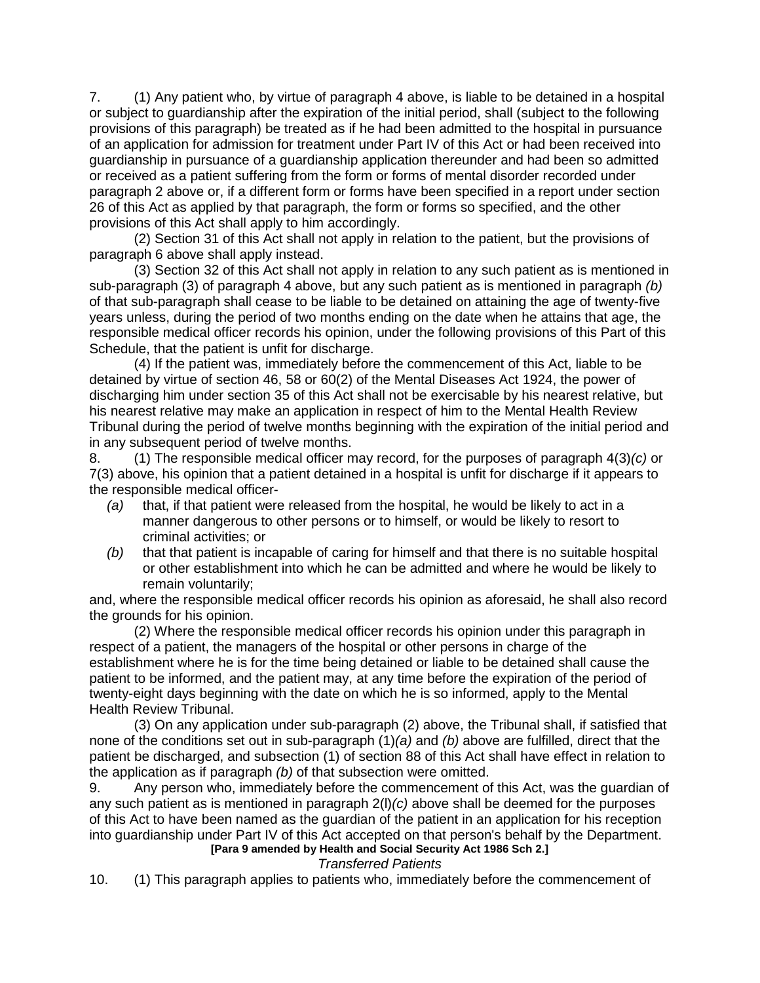7. (1) Any patient who, by virtue of paragraph 4 above, is liable to be detained in a hospital or subject to guardianship after the expiration of the initial period, shall (subject to the following provisions of this paragraph) be treated as if he had been admitted to the hospital in pursuance of an application for admission for treatment under Part IV of this Act or had been received into guardianship in pursuance of a guardianship application thereunder and had been so admitted or received as a patient suffering from the form or forms of mental disorder recorded under paragraph 2 above or, if a different form or forms have been specified in a report under section 26 of this Act as applied by that paragraph, the form or forms so specified, and the other provisions of this Act shall apply to him accordingly.

(2) Section 31 of this Act shall not apply in relation to the patient, but the provisions of paragraph 6 above shall apply instead.

(3) Section 32 of this Act shall not apply in relation to any such patient as is mentioned in sub-paragraph (3) of paragraph 4 above, but any such patient as is mentioned in paragraph *(b)* of that sub-paragraph shall cease to be liable to be detained on attaining the age of twenty-five years unless, during the period of two months ending on the date when he attains that age, the responsible medical officer records his opinion, under the following provisions of this Part of this Schedule, that the patient is unfit for discharge.

(4) If the patient was, immediately before the commencement of this Act, liable to be detained by virtue of section 46, 58 or 60(2) of the Mental Diseases Act 1924, the power of discharging him under section 35 of this Act shall not be exercisable by his nearest relative, but his nearest relative may make an application in respect of him to the Mental Health Review Tribunal during the period of twelve months beginning with the expiration of the initial period and in any subsequent period of twelve months.

8. (1) The responsible medical officer may record, for the purposes of paragraph 4(3)*(c)* or 7(3) above, his opinion that a patient detained in a hospital is unfit for discharge if it appears to the responsible medical officer-

- *(a)* that, if that patient were released from the hospital, he would be likely to act in a manner dangerous to other persons or to himself, or would be likely to resort to criminal activities; or
- *(b)* that that patient is incapable of caring for himself and that there is no suitable hospital or other establishment into which he can be admitted and where he would be likely to remain voluntarily;

and, where the responsible medical officer records his opinion as aforesaid, he shall also record the grounds for his opinion.

(2) Where the responsible medical officer records his opinion under this paragraph in respect of a patient, the managers of the hospital or other persons in charge of the establishment where he is for the time being detained or liable to be detained shall cause the patient to be informed, and the patient may, at any time before the expiration of the period of twenty-eight days beginning with the date on which he is so informed, apply to the Mental Health Review Tribunal.

(3) On any application under sub-paragraph (2) above, the Tribunal shall, if satisfied that none of the conditions set out in sub-paragraph (1)*(a)* and *(b)* above are fulfilled, direct that the patient be discharged, and subsection (1) of section 88 of this Act shall have effect in relation to the application as if paragraph *(b)* of that subsection were omitted.

9. Any person who, immediately before the commencement of this Act, was the guardian of any such patient as is mentioned in paragraph 2(l)*(c)* above shall be deemed for the purposes of this Act to have been named as the guardian of the patient in an application for his reception into guardianship under Part IV of this Act accepted on that person's behalf by the Department. **[Para 9 amended by Health and Social Security Act 1986 Sch 2.]**

## *Transferred Patients*

10. (1) This paragraph applies to patients who, immediately before the commencement of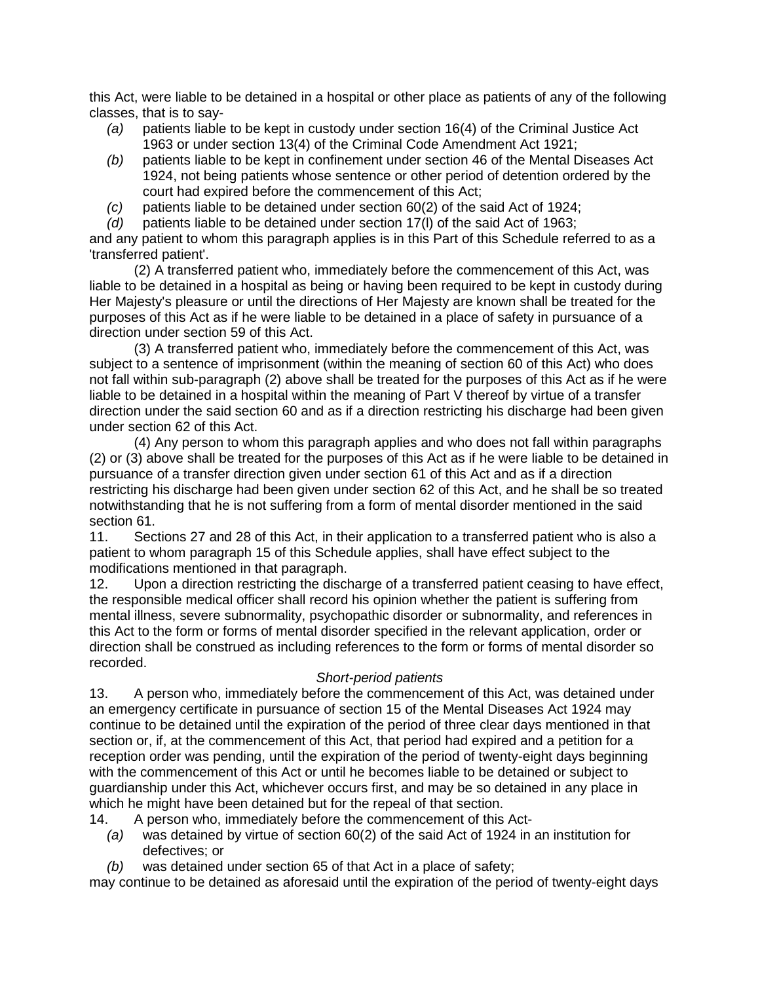this Act, were liable to be detained in a hospital or other place as patients of any of the following classes, that is to say-

- *(a)* patients liable to be kept in custody under section 16(4) of the Criminal Justice Act 1963 or under section 13(4) of the Criminal Code Amendment Act 1921;
- *(b)* patients liable to be kept in confinement under section 46 of the Mental Diseases Act 1924, not being patients whose sentence or other period of detention ordered by the court had expired before the commencement of this Act;
- *(c)* patients liable to be detained under section 60(2) of the said Act of 1924;
- *(d)* patients liable to be detained under section 17(l) of the said Act of 1963;

and any patient to whom this paragraph applies is in this Part of this Schedule referred to as a 'transferred patient'.

(2) A transferred patient who, immediately before the commencement of this Act, was liable to be detained in a hospital as being or having been required to be kept in custody during Her Majesty's pleasure or until the directions of Her Majesty are known shall be treated for the purposes of this Act as if he were liable to be detained in a place of safety in pursuance of a direction under section 59 of this Act.

(3) A transferred patient who, immediately before the commencement of this Act, was subject to a sentence of imprisonment (within the meaning of section 60 of this Act) who does not fall within sub-paragraph (2) above shall be treated for the purposes of this Act as if he were liable to be detained in a hospital within the meaning of Part V thereof by virtue of a transfer direction under the said section 60 and as if a direction restricting his discharge had been given under section 62 of this Act.

(4) Any person to whom this paragraph applies and who does not fall within paragraphs (2) or (3) above shall be treated for the purposes of this Act as if he were liable to be detained in pursuance of a transfer direction given under section 61 of this Act and as if a direction restricting his discharge had been given under section 62 of this Act, and he shall be so treated notwithstanding that he is not suffering from a form of mental disorder mentioned in the said section 61.

11. Sections 27 and 28 of this Act, in their application to a transferred patient who is also a patient to whom paragraph 15 of this Schedule applies, shall have effect subject to the modifications mentioned in that paragraph.

12. Upon a direction restricting the discharge of a transferred patient ceasing to have effect, the responsible medical officer shall record his opinion whether the patient is suffering from mental illness, severe subnormality, psychopathic disorder or subnormality, and references in this Act to the form or forms of mental disorder specified in the relevant application, order or direction shall be construed as including references to the form or forms of mental disorder so recorded.

#### *Short-period patients*

13. A person who, immediately before the commencement of this Act, was detained under an emergency certificate in pursuance of section 15 of the Mental Diseases Act 1924 may continue to be detained until the expiration of the period of three clear days mentioned in that section or, if, at the commencement of this Act, that period had expired and a petition for a reception order was pending, until the expiration of the period of twenty-eight days beginning with the commencement of this Act or until he becomes liable to be detained or subject to guardianship under this Act, whichever occurs first, and may be so detained in any place in which he might have been detained but for the repeal of that section.

- 14. A person who, immediately before the commencement of this Act-
	- *(a)* was detained by virtue of section 60(2) of the said Act of 1924 in an institution for defectives; or
	- *(b)* was detained under section 65 of that Act in a place of safety;

may continue to be detained as aforesaid until the expiration of the period of twenty-eight days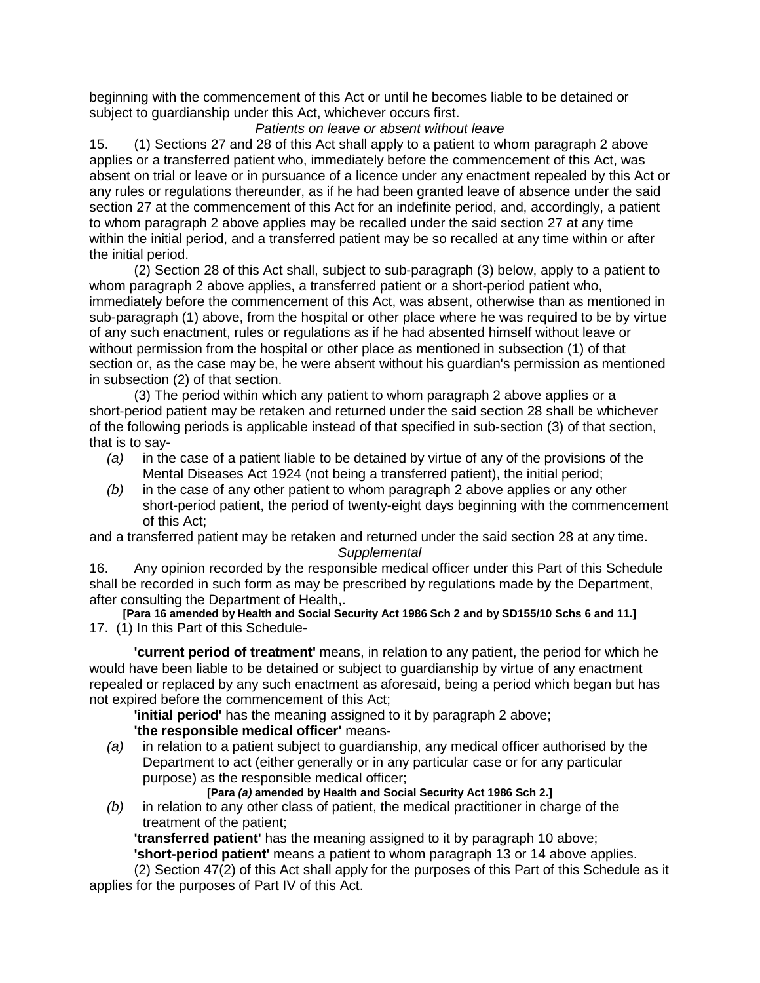beginning with the commencement of this Act or until he becomes liable to be detained or subject to guardianship under this Act, whichever occurs first.

#### *Patients on leave or absent without leave*

15. (1) Sections 27 and 28 of this Act shall apply to a patient to whom paragraph 2 above applies or a transferred patient who, immediately before the commencement of this Act, was absent on trial or leave or in pursuance of a licence under any enactment repealed by this Act or any rules or regulations thereunder, as if he had been granted leave of absence under the said section 27 at the commencement of this Act for an indefinite period, and, accordingly, a patient to whom paragraph 2 above applies may be recalled under the said section 27 at any time within the initial period, and a transferred patient may be so recalled at any time within or after the initial period.

(2) Section 28 of this Act shall, subject to sub-paragraph (3) below, apply to a patient to whom paragraph 2 above applies, a transferred patient or a short-period patient who, immediately before the commencement of this Act, was absent, otherwise than as mentioned in sub-paragraph (1) above, from the hospital or other place where he was required to be by virtue of any such enactment, rules or regulations as if he had absented himself without leave or without permission from the hospital or other place as mentioned in subsection (1) of that section or, as the case may be, he were absent without his guardian's permission as mentioned in subsection (2) of that section.

(3) The period within which any patient to whom paragraph 2 above applies or a short-period patient may be retaken and returned under the said section 28 shall be whichever of the following periods is applicable instead of that specified in sub-section (3) of that section, that is to say-

- *(a)* in the case of a patient liable to be detained by virtue of any of the provisions of the Mental Diseases Act 1924 (not being a transferred patient), the initial period;
- *(b)* in the case of any other patient to whom paragraph 2 above applies or any other short-period patient, the period of twenty-eight days beginning with the commencement of this Act;

and a transferred patient may be retaken and returned under the said section 28 at any time. *Supplemental*

16. Any opinion recorded by the responsible medical officer under this Part of this Schedule shall be recorded in such form as may be prescribed by regulations made by the Department, after consulting the Department of Health,.

**[Para 16 amended by Health and Social Security Act 1986 Sch 2 and by SD155/10 Schs 6 and 11.]** 17. (1) In this Part of this Schedule-

**'current period of treatment'** means, in relation to any patient, the period for which he would have been liable to be detained or subject to guardianship by virtue of any enactment repealed or replaced by any such enactment as aforesaid, being a period which began but has not expired before the commencement of this Act;

**'initial period'** has the meaning assigned to it by paragraph 2 above;

**'the responsible medical officer'** means-

*(a)* in relation to a patient subject to guardianship, any medical officer authorised by the Department to act (either generally or in any particular case or for any particular purpose) as the responsible medical officer;

**[Para** *(a)* **amended by Health and Social Security Act 1986 Sch 2.]**

*(b)* in relation to any other class of patient, the medical practitioner in charge of the treatment of the patient;

**'transferred patient'** has the meaning assigned to it by paragraph 10 above; **'short-period patient'** means a patient to whom paragraph 13 or 14 above applies.

(2) Section 47(2) of this Act shall apply for the purposes of this Part of this Schedule as it applies for the purposes of Part IV of this Act.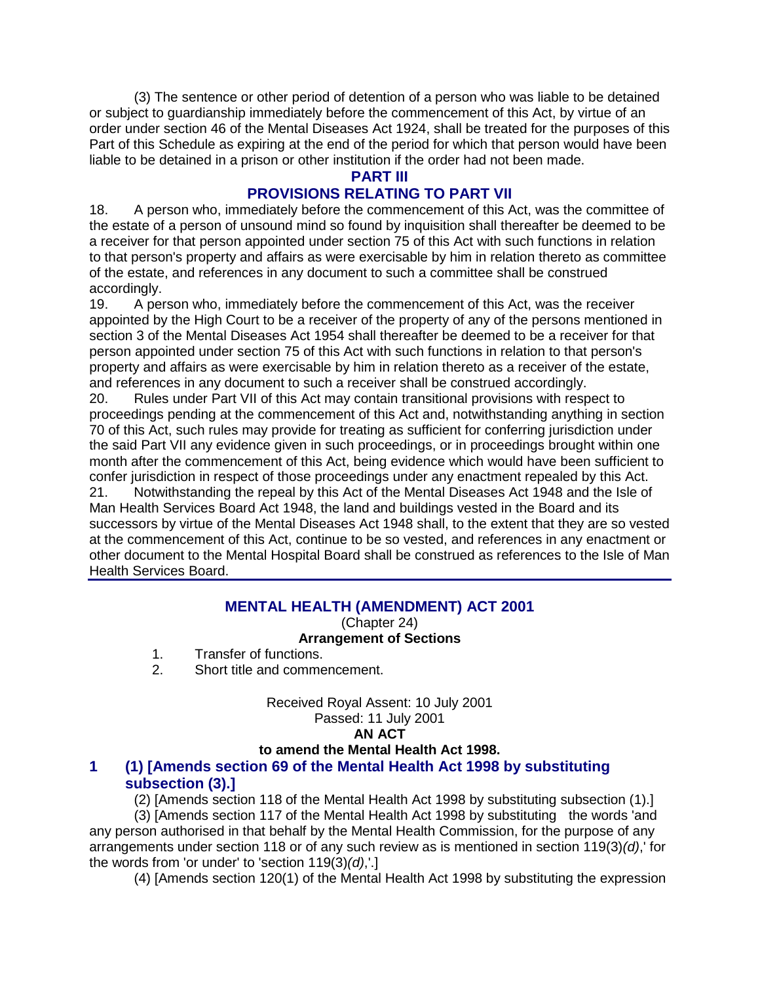(3) The sentence or other period of detention of a person who was liable to be detained or subject to guardianship immediately before the commencement of this Act, by virtue of an order under section 46 of the Mental Diseases Act 1924, shall be treated for the purposes of this Part of this Schedule as expiring at the end of the period for which that person would have been liable to be detained in a prison or other institution if the order had not been made.

#### **PART III**

## **PROVISIONS RELATING TO PART VII**

18. A person who, immediately before the commencement of this Act, was the committee of the estate of a person of unsound mind so found by inquisition shall thereafter be deemed to be a receiver for that person appointed under section 75 of this Act with such functions in relation to that person's property and affairs as were exercisable by him in relation thereto as committee of the estate, and references in any document to such a committee shall be construed accordingly.

19. A person who, immediately before the commencement of this Act, was the receiver appointed by the High Court to be a receiver of the property of any of the persons mentioned in section 3 of the Mental Diseases Act 1954 shall thereafter be deemed to be a receiver for that person appointed under section 75 of this Act with such functions in relation to that person's property and affairs as were exercisable by him in relation thereto as a receiver of the estate, and references in any document to such a receiver shall be construed accordingly.

20. Rules under Part VII of this Act may contain transitional provisions with respect to proceedings pending at the commencement of this Act and, notwithstanding anything in section 70 of this Act, such rules may provide for treating as sufficient for conferring jurisdiction under the said Part VII any evidence given in such proceedings, or in proceedings brought within one month after the commencement of this Act, being evidence which would have been sufficient to confer jurisdiction in respect of those proceedings under any enactment repealed by this Act.

21. Notwithstanding the repeal by this Act of the Mental Diseases Act 1948 and the Isle of Man Health Services Board Act 1948, the land and buildings vested in the Board and its successors by virtue of the Mental Diseases Act 1948 shall, to the extent that they are so vested at the commencement of this Act, continue to be so vested, and references in any enactment or other document to the Mental Hospital Board shall be construed as references to the Isle of Man Health Services Board.

### **MENTAL HEALTH (AMENDMENT) ACT 2001**

(Chapter 24)

### **Arrangement of Sections**

- 1. Transfer of functions.
- 2. Short title and commencement.

#### Received Royal Assent: 10 July 2001 Passed: 11 July 2001

#### **AN ACT**

#### **to amend the Mental Health Act 1998.**

#### **1 (1) [Amends section 69 of the Mental Health Act 1998 by substituting subsection (3).]**

(2) [Amends section 118 of the Mental Health Act 1998 by substituting subsection (1).]

(3) [Amends section 117 of the Mental Health Act 1998 by substituting the words 'and any person authorised in that behalf by the Mental Health Commission, for the purpose of any arrangements under section 118 or of any such review as is mentioned in section 119(3)*(d)*,' for the words from 'or under' to 'section 119(3)*(d)*,'.]

(4) [Amends section 120(1) of the Mental Health Act 1998 by substituting the expression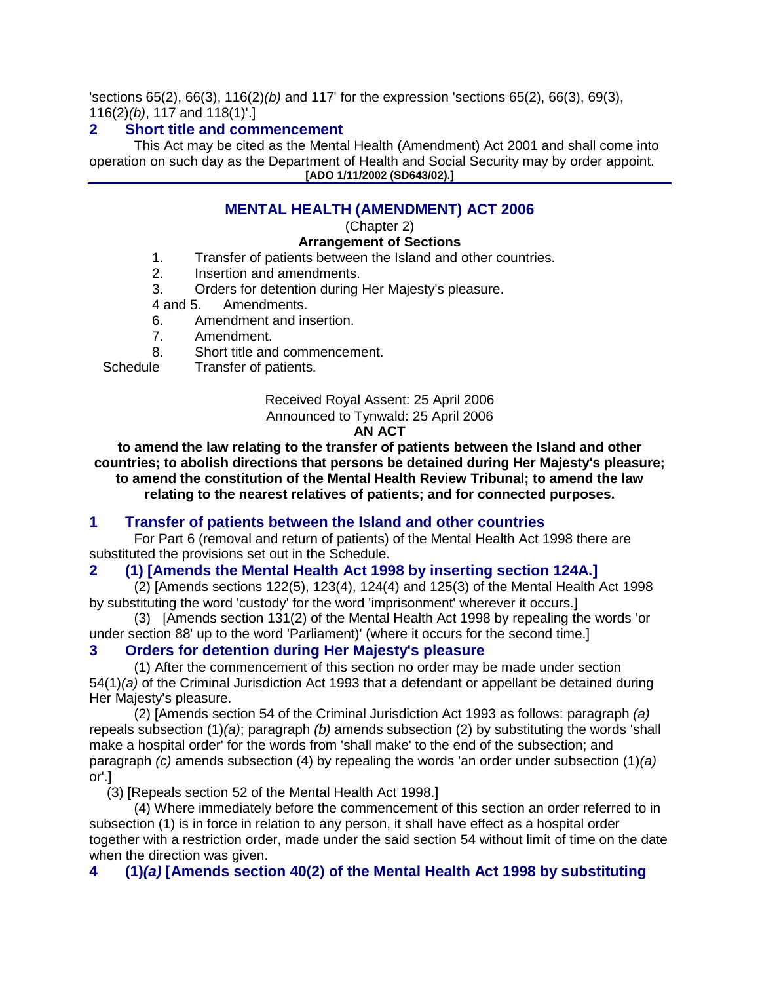'sections 65(2), 66(3), 116(2)*(b)* and 117' for the expression 'sections 65(2), 66(3), 69(3), 116(2)*(b)*, 117 and 118(1)'.]

### **2 Short title and commencement**

This Act may be cited as the Mental Health (Amendment) Act 2001 and shall come into operation on such day as the Department of Health and Social Security may by order appoint. **[ADO 1/11/2002 (SD643/02).]**

## **MENTAL HEALTH (AMENDMENT) ACT 2006**

#### (Chapter 2)

### **Arrangement of Sections**

- 1. Transfer of patients between the Island and other countries.
- 2. Insertion and amendments.
- 3. Orders for detention during Her Majesty's pleasure.
- 4 and 5. Amendments.
- 6. Amendment and insertion.
- 7. Amendment.
- 8. Short title and commencement.

Schedule Transfer of patients.

## Received Royal Assent: 25 April 2006

Announced to Tynwald: 25 April 2006

#### **AN ACT**

**to amend the law relating to the transfer of patients between the Island and other countries; to abolish directions that persons be detained during Her Majesty's pleasure; to amend the constitution of the Mental Health Review Tribunal; to amend the law relating to the nearest relatives of patients; and for connected purposes.**

### **1 Transfer of patients between the Island and other countries**

For Part 6 (removal and return of patients) of the Mental Health Act 1998 there are substituted the provisions set out in the Schedule.

### **2 (1) [Amends the Mental Health Act 1998 by inserting section 124A.]**

(2) [Amends sections 122(5), 123(4), 124(4) and 125(3) of the Mental Health Act 1998 by substituting the word 'custody' for the word 'imprisonment' wherever it occurs.]

(3) [Amends section 131(2) of the Mental Health Act 1998 by repealing the words 'or under section 88' up to the word 'Parliament)' (where it occurs for the second time.]

### **3 Orders for detention during Her Majesty's pleasure**

(1) After the commencement of this section no order may be made under section 54(1)*(a)* of the Criminal Jurisdiction Act 1993 that a defendant or appellant be detained during Her Majesty's pleasure.

(2) [Amends section 54 of the Criminal Jurisdiction Act 1993 as follows: paragraph *(a)* repeals subsection (1)*(a)*; paragraph *(b)* amends subsection (2) by substituting the words 'shall make a hospital order' for the words from 'shall make' to the end of the subsection; and paragraph *(c)* amends subsection (4) by repealing the words 'an order under subsection (1)*(a)* or'.]

(3) [Repeals section 52 of the Mental Health Act 1998.]

(4) Where immediately before the commencement of this section an order referred to in subsection (1) is in force in relation to any person, it shall have effect as a hospital order together with a restriction order, made under the said section 54 without limit of time on the date when the direction was given.

## **4 (1)***(a)* **[Amends section 40(2) of the Mental Health Act 1998 by substituting**